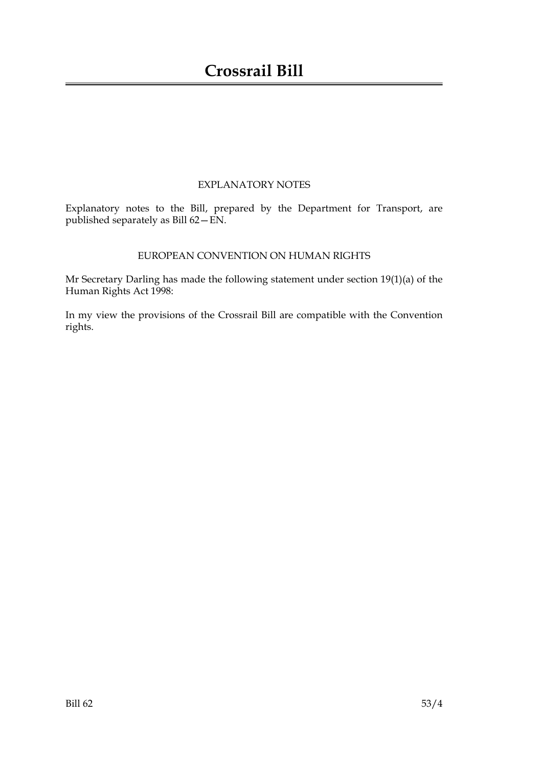## EXPLANATORY NOTES

Explanatory notes to the Bill, prepared by the Department for Transport, are published separately as Bill 62—EN.

## EUROPEAN CONVENTION ON HUMAN RIGHTS

Mr Secretary Darling has made the following statement under section 19(1)(a) of the Human Rights Act 1998:

In my view the provisions of the Crossrail Bill are compatible with the Convention rights.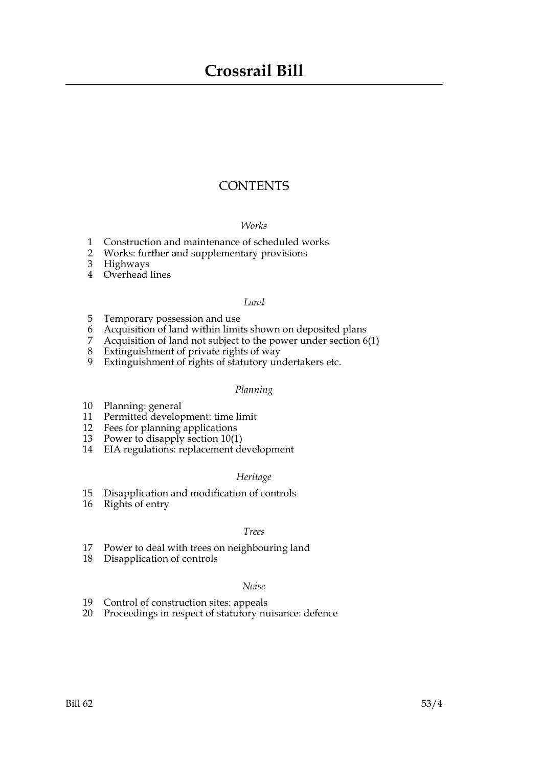## **Crossrail Bill**

## **CONTENTS**

#### *Works*

- 1 Construction and maintenance of scheduled works
- 2 Works: further and supplementary provisions
- 3 Highways
- 4 Overhead lines

#### *Land*

- 5 Temporary possession and use
- 6 Acquisition of land within limits shown on deposited plans
- 7 Acquisition of land not subject to the power under section 6(1)
- 8 Extinguishment of private rights of way
- 9 Extinguishment of rights of statutory undertakers etc.

#### *Planning*

- 10 Planning: general
- 11 Permitted development: time limit
- 12 Fees for planning applications
- 13 Power to disapply section 10(1)
- 14 EIA regulations: replacement development

#### *Heritage*

- 15 Disapplication and modification of controls
- 16 Rights of entry

#### *Trees*

- 17 Power to deal with trees on neighbouring land
- 18 Disapplication of controls

#### *Noise*

- 19 Control of construction sites: appeals
- 20 Proceedings in respect of statutory nuisance: defence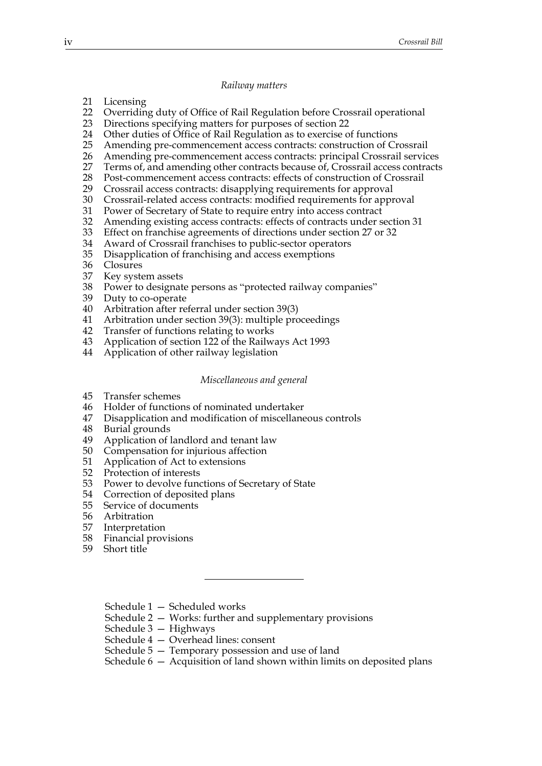#### *Railway matters*

- 21 Licensing
- 22 Overriding duty of Office of Rail Regulation before Crossrail operational
- 23 Directions specifying matters for purposes of section 22
- 24 Other duties of Office of Rail Regulation as to exercise of functions
- 25 Amending pre-commencement access contracts: construction of Crossrail
- 26 Amending pre-commencement access contracts: principal Crossrail services<br>27 Terms of, and amending other contracts because of, Crossrail access contracts
- 27 Terms of, and amending other contracts because of, Crossrail access contracts 28 Post-commencement access contracts: effects of construction of Crossrail
- 28 Post-commencement access contracts: effects of construction of Crossrail<br>29 Crossrail access contracts: disapplying requirements for approval
- Crossrail access contracts: disapplying requirements for approval
- 30 Crossrail-related access contracts: modified requirements for approval
- 31 Power of Secretary of State to require entry into access contract
- 32 Amending existing access contracts: effects of contracts under section 31
- 33 Effect on franchise agreements of directions under section 27 or 32<br>34 Award of Crossrail franchises to public-sector operators
- Award of Crossrail franchises to public-sector operators
- 35 Disapplication of franchising and access exemptions
- 36 Closures
- 37 Key system assets
- 38 Power to designate persons as "protected railway companies"
- 39 Duty to co-operate
- 40 Arbitration after referral under section 39(3)
- 41 Arbitration under section 39(3): multiple proceedings
- 42 Transfer of functions relating to works
- 43 Application of section 122 of the Railways Act 1993
- 44 Application of other railway legislation

#### *Miscellaneous and general*

- 45 Transfer schemes
- 46 Holder of functions of nominated undertaker
- 47 Disapplication and modification of miscellaneous controls
- 48 Burial grounds
- 49 Application of landlord and tenant law
- 50 Compensation for injurious affection
- 51 Application of Act to extensions
- 52 Protection of interests
- 53 Power to devolve functions of Secretary of State
- 54 Correction of deposited plans
- 55 Service of documents
- 56 Arbitration
- 57 Interpretation
- 58 Financial provisions
- 59 Short title

Schedule 1 — Scheduled works

- Schedule 2 Works: further and supplementary provisions
- Schedule 3 Highways
- Schedule 4 Overhead lines: consent
- Schedule 5 Temporary possession and use of land
- Schedule 6 Acquisition of land shown within limits on deposited plans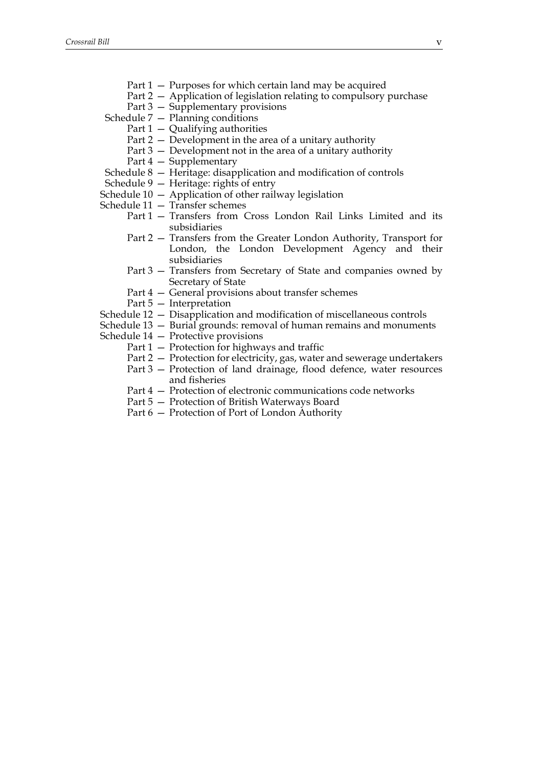- Part 2 Application of legislation relating to compulsory purchase
- Part 3 Supplementary provisions
- Schedule 7 Planning conditions
	- Part  $1 -$  Qualifying authorities
	- Part 2 Development in the area of a unitary authority
	- Part 3 Development not in the area of a unitary authority
	- Part 4 Supplementary
- Schedule 8 Heritage: disapplication and modification of controls
- Schedule 9 Heritage: rights of entry
- Schedule 10 Application of other railway legislation
- Schedule 11 Transfer schemes
	- Part 1 Transfers from Cross London Rail Links Limited and its subsidiaries
	- Part 2 Transfers from the Greater London Authority, Transport for London, the London Development Agency and their subsidiaries
	- Part 3 Transfers from Secretary of State and companies owned by Secretary of State
	- Part 4 General provisions about transfer schemes
	- Part 5 Interpretation
- Schedule 12 Disapplication and modification of miscellaneous controls
- Schedule 13 Burial grounds: removal of human remains and monuments
- Schedule 14 Protective provisions
	- Part 1 Protection for highways and traffic
	- Part 2 Protection for electricity, gas, water and sewerage undertakers
	- Part 3 Protection of land drainage, flood defence, water resources and fisheries
	- Part 4 Protection of electronic communications code networks
	- Part 5 Protection of British Waterways Board
	- Part 6 Protection of Port of London Authority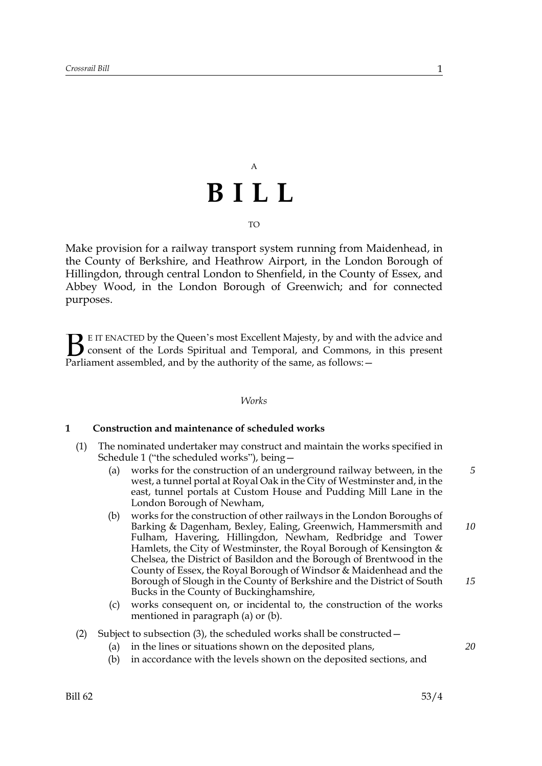# A **BILL** TO

Make provision for a railway transport system running from Maidenhead, in the County of Berkshire, and Heathrow Airport, in the London Borough of Hillingdon, through central London to Shenfield, in the County of Essex, and Abbey Wood, in the London Borough of Greenwich; and for connected purposes.

E IT ENACTED by the Queen's most Excellent Majesty, by and with the advice and consent of the Lords Spiritual and Temporal, and Commons, in this present **B** E IT ENACTED by the Queen's most Excellent Majesty, by and with consent of the Lords Spiritual and Temporal, and Commons, Parliament assembled, and by the authority of the same, as follows:  $-$ 

#### *Works*

#### **1 Construction and maintenance of scheduled works**

- (1) The nominated undertaker may construct and maintain the works specified in Schedule 1 ("the scheduled works"), being—
	- (a) works for the construction of an underground railway between, in the west, a tunnel portal at Royal Oak in the City of Westminster and, in the east, tunnel portals at Custom House and Pudding Mill Lane in the London Borough of Newham,
	- (b) works for the construction of other railways in the London Boroughs of Barking & Dagenham, Bexley, Ealing, Greenwich, Hammersmith and Fulham, Havering, Hillingdon, Newham, Redbridge and Tower Hamlets, the City of Westminster, the Royal Borough of Kensington  $\&$ Chelsea, the District of Basildon and the Borough of Brentwood in the County of Essex, the Royal Borough of Windsor & Maidenhead and the Borough of Slough in the County of Berkshire and the District of South Bucks in the County of Buckinghamshire, *10 15*
	- (c) works consequent on, or incidental to, the construction of the works mentioned in paragraph (a) or (b).

#### (2) Subject to subsection (3), the scheduled works shall be constructed—

- (a) in the lines or situations shown on the deposited plans,
- (b) in accordance with the levels shown on the deposited sections, and

*5*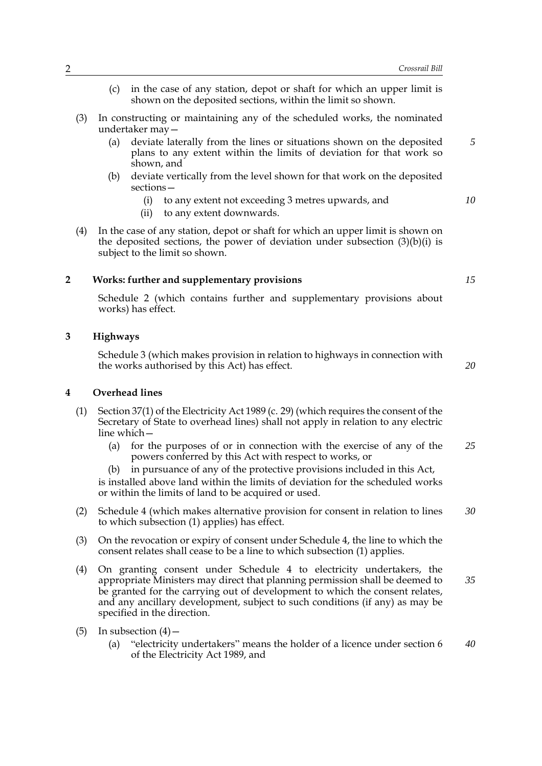- (c) in the case of any station, depot or shaft for which an upper limit is shown on the deposited sections, within the limit so shown.
- (3) In constructing or maintaining any of the scheduled works, the nominated undertaker may—
	- (a) deviate laterally from the lines or situations shown on the deposited plans to any extent within the limits of deviation for that work so shown, and
	- (b) deviate vertically from the level shown for that work on the deposited sections—
		- (i) to any extent not exceeding 3 metres upwards, and
		- (ii) to any extent downwards.
- (4) In the case of any station, depot or shaft for which an upper limit is shown on the deposited sections, the power of deviation under subsection  $(3)(b)(i)$  is subject to the limit so shown.

#### **2 Works: further and supplementary provisions**

Schedule 2 (which contains further and supplementary provisions about works) has effect.

## **3 Highways**

Schedule 3 (which makes provision in relation to highways in connection with the works authorised by this Act) has effect.

**4 Overhead lines**

- (1) Section 37(1) of the Electricity Act 1989 (c. 29) (which requires the consent of the Secretary of State to overhead lines) shall not apply in relation to any electric line which—
	- (a) for the purposes of or in connection with the exercise of any of the powers conferred by this Act with respect to works, or *25*

(b) in pursuance of any of the protective provisions included in this Act, is installed above land within the limits of deviation for the scheduled works or within the limits of land to be acquired or used.

- (2) Schedule 4 (which makes alternative provision for consent in relation to lines to which subsection (1) applies) has effect. *30*
- (3) On the revocation or expiry of consent under Schedule 4, the line to which the consent relates shall cease to be a line to which subsection (1) applies.
- (4) On granting consent under Schedule 4 to electricity undertakers, the appropriate Ministers may direct that planning permission shall be deemed to be granted for the carrying out of development to which the consent relates, and any ancillary development, subject to such conditions (if any) as may be specified in the direction. *35*
- (5) In subsection  $(4)$ 
	- (a) "electricity undertakers" means the holder of a licence under section 6 of the Electricity Act 1989, and *40*

*15*

*5*

*10*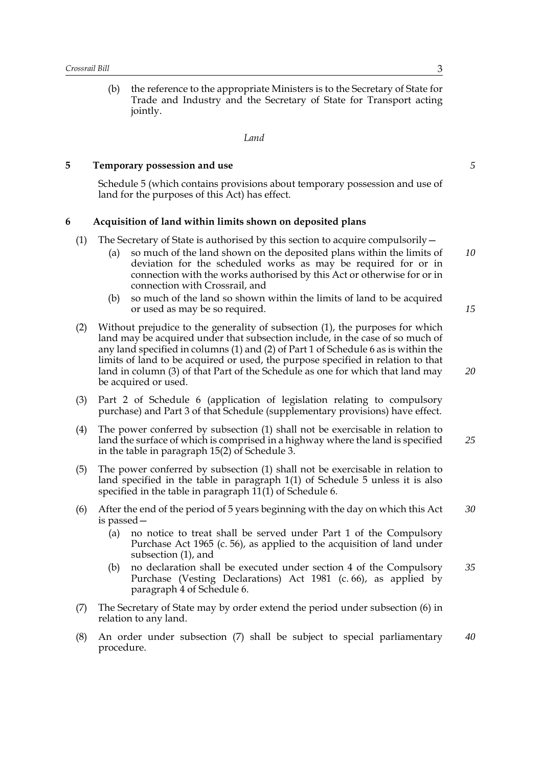(b) the reference to the appropriate Ministers is to the Secretary of State for Trade and Industry and the Secretary of State for Transport acting jointly.

*Land*

#### **5 Temporary possession and use**

Schedule 5 (which contains provisions about temporary possession and use of land for the purposes of this Act) has effect.

#### **6 Acquisition of land within limits shown on deposited plans**

- (1) The Secretary of State is authorised by this section to acquire compulsorily  $-$ 
	- (a) so much of the land shown on the deposited plans within the limits of deviation for the scheduled works as may be required for or in connection with the works authorised by this Act or otherwise for or in connection with Crossrail, and
	- (b) so much of the land so shown within the limits of land to be acquired or used as may be so required.
- (2) Without prejudice to the generality of subsection (1), the purposes for which land may be acquired under that subsection include, in the case of so much of any land specified in columns (1) and (2) of Part 1 of Schedule 6 as is within the limits of land to be acquired or used, the purpose specified in relation to that land in column (3) of that Part of the Schedule as one for which that land may be acquired or used.
- (3) Part 2 of Schedule 6 (application of legislation relating to compulsory purchase) and Part 3 of that Schedule (supplementary provisions) have effect.
- (4) The power conferred by subsection (1) shall not be exercisable in relation to land the surface of which is comprised in a highway where the land is specified in the table in paragraph 15(2) of Schedule 3. *25*
- (5) The power conferred by subsection (1) shall not be exercisable in relation to land specified in the table in paragraph 1(1) of Schedule 5 unless it is also specified in the table in paragraph 11(1) of Schedule 6.
- (6) After the end of the period of 5 years beginning with the day on which this Act is passed— *30*
	- (a) no notice to treat shall be served under Part 1 of the Compulsory Purchase Act 1965 (c. 56), as applied to the acquisition of land under subsection (1), and
	- (b) no declaration shall be executed under section 4 of the Compulsory Purchase (Vesting Declarations) Act 1981 (c. 66), as applied by paragraph 4 of Schedule 6. *35*
- (7) The Secretary of State may by order extend the period under subsection (6) in relation to any land.
- (8) An order under subsection (7) shall be subject to special parliamentary procedure. *40*

*5*

*15*

*20*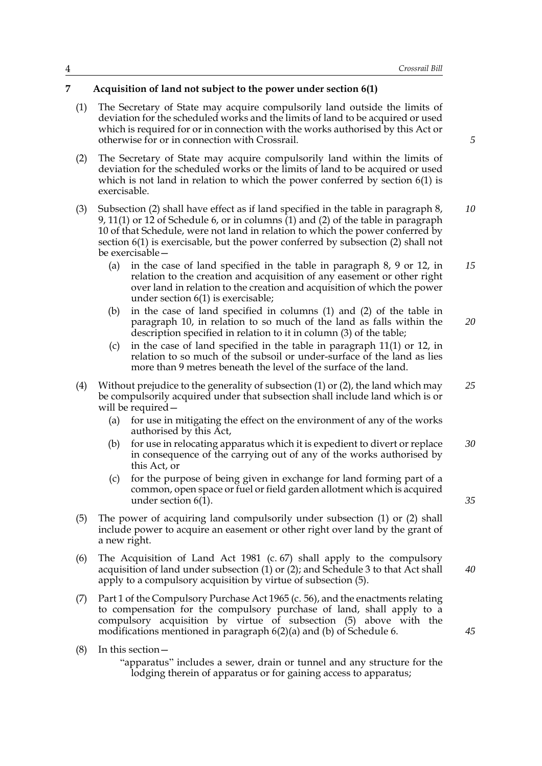#### **7 Acquisition of land not subject to the power under section 6(1)**

- (1) The Secretary of State may acquire compulsorily land outside the limits of deviation for the scheduled works and the limits of land to be acquired or used which is required for or in connection with the works authorised by this Act or otherwise for or in connection with Crossrail.
- (2) The Secretary of State may acquire compulsorily land within the limits of deviation for the scheduled works or the limits of land to be acquired or used which is not land in relation to which the power conferred by section 6(1) is exercisable.
- (3) Subsection (2) shall have effect as if land specified in the table in paragraph 8, 9, 11(1) or 12 of Schedule 6, or in columns  $(1)$  and (2) of the table in paragraph 10 of that Schedule, were not land in relation to which the power conferred by section 6(1) is exercisable, but the power conferred by subsection (2) shall not be exercisable— *10*
	- (a) in the case of land specified in the table in paragraph 8, 9 or 12, in relation to the creation and acquisition of any easement or other right over land in relation to the creation and acquisition of which the power under section 6(1) is exercisable; *15*
	- (b) in the case of land specified in columns (1) and (2) of the table in paragraph 10, in relation to so much of the land as falls within the description specified in relation to it in column (3) of the table; *20*
	- (c) in the case of land specified in the table in paragraph 11(1) or 12, in relation to so much of the subsoil or under-surface of the land as lies more than 9 metres beneath the level of the surface of the land.
- (4) Without prejudice to the generality of subsection (1) or (2), the land which may be compulsorily acquired under that subsection shall include land which is or will be required— *25*
	- (a) for use in mitigating the effect on the environment of any of the works authorised by this Act,
	- (b) for use in relocating apparatus which it is expedient to divert or replace in consequence of the carrying out of any of the works authorised by this Act, or *30*
	- (c) for the purpose of being given in exchange for land forming part of a common, open space or fuel or field garden allotment which is acquired under section 6(1).
- (5) The power of acquiring land compulsorily under subsection (1) or (2) shall include power to acquire an easement or other right over land by the grant of a new right.
- (6) The Acquisition of Land Act 1981 (c. 67) shall apply to the compulsory acquisition of land under subsection (1) or (2); and Schedule 3 to that Act shall apply to a compulsory acquisition by virtue of subsection (5). *40*
- (7) Part 1 of the Compulsory Purchase Act 1965 (c. 56), and the enactments relating to compensation for the compulsory purchase of land, shall apply to a compulsory acquisition by virtue of subsection (5) above with the modifications mentioned in paragraph 6(2)(a) and (b) of Schedule 6.
- (8) In this section—

"apparatus" includes a sewer, drain or tunnel and any structure for the lodging therein of apparatus or for gaining access to apparatus;

*5*

*35*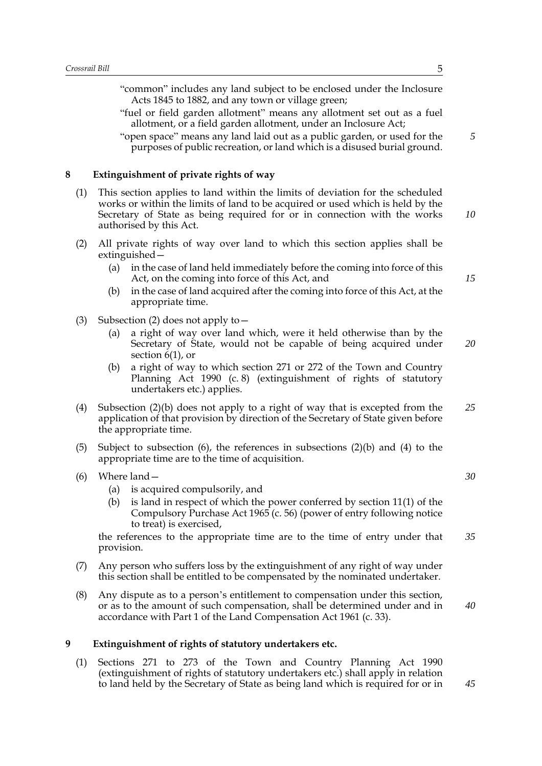|   |     | "common" includes any land subject to be enclosed under the Inclosure<br>Acts 1845 to 1882, and any town or village green;<br>"fuel or field garden allotment" means any allotment set out as a fuel<br>allotment, or a field garden allotment, under an Inclosure Act;<br>"open space" means any land laid out as a public garden, or used for the<br>purposes of public recreation, or land which is a disused burial ground. | 5        |
|---|-----|---------------------------------------------------------------------------------------------------------------------------------------------------------------------------------------------------------------------------------------------------------------------------------------------------------------------------------------------------------------------------------------------------------------------------------|----------|
| 8 |     | Extinguishment of private rights of way                                                                                                                                                                                                                                                                                                                                                                                         |          |
|   | (1) | This section applies to land within the limits of deviation for the scheduled<br>works or within the limits of land to be acquired or used which is held by the<br>Secretary of State as being required for or in connection with the works<br>authorised by this Act.                                                                                                                                                          | 10       |
|   | (2) | All private rights of way over land to which this section applies shall be<br>extinguished –<br>in the case of land held immediately before the coming into force of this<br>(a)<br>Act, on the coming into force of this Act, and<br>in the case of land acquired after the coming into force of this Act, at the<br>(b)<br>appropriate time.                                                                                  | 15       |
|   | (3) | Subsection (2) does not apply to $-$<br>a right of way over land which, were it held otherwise than by the<br>(a)<br>Secretary of State, would not be capable of being acquired under<br>section $6(1)$ , or<br>a right of way to which section 271 or 272 of the Town and Country<br>(b)<br>Planning Act 1990 (c.8) (extinguishment of rights of statutory<br>undertakers etc.) applies.                                       | 20       |
|   | (4) | Subsection $(2)(b)$ does not apply to a right of way that is excepted from the<br>application of that provision by direction of the Secretary of State given before<br>the appropriate time.                                                                                                                                                                                                                                    | 25       |
|   | (5) | Subject to subsection (6), the references in subsections $(2)(b)$ and $(4)$ to the<br>appropriate time are to the time of acquisition.                                                                                                                                                                                                                                                                                          |          |
|   | (6) | Where land -<br>is acquired compulsorily, and<br>(a)<br>is land in respect of which the power conferred by section $11(1)$ of the<br>(b)<br>Compulsory Purchase Act 1965 (c. 56) (power of entry following notice<br>to treat) is exercised,<br>the references to the appropriate time are to the time of entry under that                                                                                                      | 30<br>35 |
|   | (7) | provision.<br>Any person who suffers loss by the extinguishment of any right of way under<br>this section shall be entitled to be compensated by the nominated undertaker.                                                                                                                                                                                                                                                      |          |

(8) Any dispute as to a person's entitlement to compensation under this section, or as to the amount of such compensation, shall be determined under and in accordance with Part 1 of the Land Compensation Act 1961 (c. 33).

## **9 Extinguishment of rights of statutory undertakers etc.**

(1) Sections 271 to 273 of the Town and Country Planning Act 1990 (extinguishment of rights of statutory undertakers etc.) shall apply in relation to land held by the Secretary of State as being land which is required for or in

*40*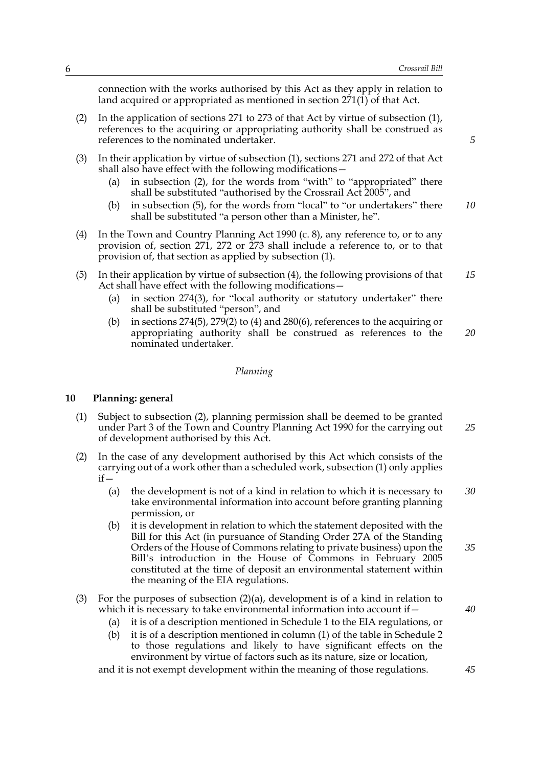connection with the works authorised by this Act as they apply in relation to land acquired or appropriated as mentioned in section  $271(1)$  of that Act.

- (2) In the application of sections 271 to 273 of that Act by virtue of subsection (1), references to the acquiring or appropriating authority shall be construed as references to the nominated undertaker.
- (3) In their application by virtue of subsection (1), sections 271 and 272 of that Act shall also have effect with the following modifications—
	- (a) in subsection (2), for the words from "with" to "appropriated" there shall be substituted "authorised by the Crossrail Act 2005", and
	- (b) in subsection (5), for the words from "local" to "or undertakers" there shall be substituted "a person other than a Minister, he". *10*
- (4) In the Town and Country Planning Act 1990 (c. 8), any reference to, or to any provision of, section 271, 272 or 273 shall include a reference to, or to that provision of, that section as applied by subsection (1).
- (5) In their application by virtue of subsection (4), the following provisions of that Act shall have effect with the following modifications— *15*
	- (a) in section 274(3), for "local authority or statutory undertaker" there shall be substituted "person", and
	- (b) in sections 274(5), 279(2) to (4) and 280(6), references to the acquiring or appropriating authority shall be construed as references to the nominated undertaker. *20*

#### *Planning*

#### **10 Planning: general**

- (1) Subject to subsection (2), planning permission shall be deemed to be granted under Part 3 of the Town and Country Planning Act 1990 for the carrying out of development authorised by this Act. *25*
- (2) In the case of any development authorised by this Act which consists of the carrying out of a work other than a scheduled work, subsection (1) only applies  $if -$ 
	- (a) the development is not of a kind in relation to which it is necessary to take environmental information into account before granting planning permission, or *30*
	- (b) it is development in relation to which the statement deposited with the Bill for this Act (in pursuance of Standing Order 27A of the Standing Orders of the House of Commons relating to private business) upon the Bill's introduction in the House of Commons in February 2005 constituted at the time of deposit an environmental statement within the meaning of the EIA regulations. *35*

#### (3) For the purposes of subsection (2)(a), development is of a kind in relation to which it is necessary to take environmental information into account if—

- (a) it is of a description mentioned in Schedule 1 to the EIA regulations, or
- (b) it is of a description mentioned in column (1) of the table in Schedule 2 to those regulations and likely to have significant effects on the environment by virtue of factors such as its nature, size or location,

and it is not exempt development within the meaning of those regulations.

*5*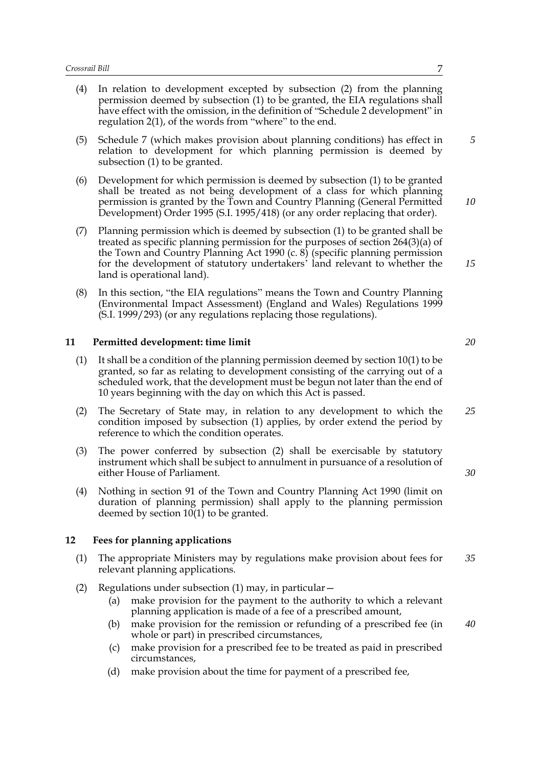- (4) In relation to development excepted by subsection (2) from the planning permission deemed by subsection (1) to be granted, the EIA regulations shall have effect with the omission, in the definition of "Schedule 2 development" in regulation 2(1), of the words from "where" to the end.
- (5) Schedule 7 (which makes provision about planning conditions) has effect in relation to development for which planning permission is deemed by subsection (1) to be granted.
- (6) Development for which permission is deemed by subsection (1) to be granted shall be treated as not being development of a class for which planning permission is granted by the Town and Country Planning (General Permitted Development) Order 1995 (S.I. 1995/418) (or any order replacing that order).
- (7) Planning permission which is deemed by subsection (1) to be granted shall be treated as specific planning permission for the purposes of section 264(3)(a) of the Town and Country Planning Act 1990 (c.  $\delta$ ) (specific planning permission for the development of statutory undertakers' land relevant to whether the land is operational land).
- (8) In this section, "the EIA regulations" means the Town and Country Planning (Environmental Impact Assessment) (England and Wales) Regulations 1999 (S.I. 1999/293) (or any regulations replacing those regulations).

#### **11 Permitted development: time limit**

- $(1)$  It shall be a condition of the planning permission deemed by section 10(1) to be granted, so far as relating to development consisting of the carrying out of a scheduled work, that the development must be begun not later than the end of 10 years beginning with the day on which this Act is passed.
- (2) The Secretary of State may, in relation to any development to which the condition imposed by subsection (1) applies, by order extend the period by reference to which the condition operates. *25*
- (3) The power conferred by subsection (2) shall be exercisable by statutory instrument which shall be subject to annulment in pursuance of a resolution of either House of Parliament.
- (4) Nothing in section 91 of the Town and Country Planning Act 1990 (limit on duration of planning permission) shall apply to the planning permission deemed by section  $10(1)$  to be granted.

#### **12 Fees for planning applications**

- (1) The appropriate Ministers may by regulations make provision about fees for relevant planning applications. *35*
- (2) Regulations under subsection (1) may, in particular—
	- (a) make provision for the payment to the authority to which a relevant planning application is made of a fee of a prescribed amount,
	- (b) make provision for the remission or refunding of a prescribed fee (in whole or part) in prescribed circumstances, *40*
	- (c) make provision for a prescribed fee to be treated as paid in prescribed circumstances,
	- (d) make provision about the time for payment of a prescribed fee,

*5*

*10*

*15*

*20*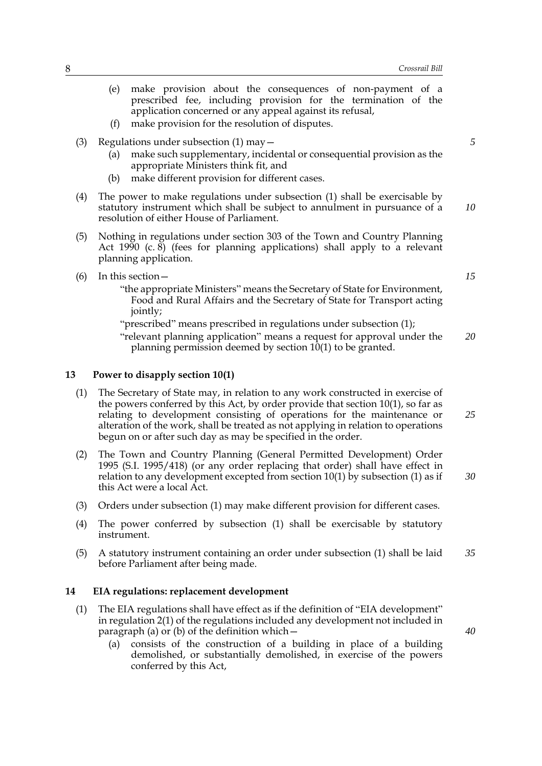- (e) make provision about the consequences of non-payment of a prescribed fee, including provision for the termination of the application concerned or any appeal against its refusal,
- (f) make provision for the resolution of disputes.
- (3) Regulations under subsection (1) may—
	- (a) make such supplementary, incidental or consequential provision as the appropriate Ministers think fit, and
	- (b) make different provision for different cases.
- (4) The power to make regulations under subsection (1) shall be exercisable by statutory instrument which shall be subject to annulment in pursuance of a resolution of either House of Parliament.
- (5) Nothing in regulations under section 303 of the Town and Country Planning Act 1990 (c. 8) (fees for planning applications) shall apply to a relevant planning application.
- (6) In this section—
	- "the appropriate Ministers" means the Secretary of State for Environment, Food and Rural Affairs and the Secretary of State for Transport acting jointly;

"prescribed" means prescribed in regulations under subsection (1);

"relevant planning application" means a request for approval under the planning permission deemed by section 10(1) to be granted. *20*

#### **13 Power to disapply section 10(1)**

- (1) The Secretary of State may, in relation to any work constructed in exercise of the powers conferred by this Act, by order provide that section 10(1), so far as relating to development consisting of operations for the maintenance or alteration of the work, shall be treated as not applying in relation to operations begun on or after such day as may be specified in the order.
- (2) The Town and Country Planning (General Permitted Development) Order 1995 (S.I. 1995/418) (or any order replacing that order) shall have effect in relation to any development excepted from section 10(1) by subsection (1) as if this Act were a local Act. *30*
- (3) Orders under subsection (1) may make different provision for different cases.
- (4) The power conferred by subsection (1) shall be exercisable by statutory instrument.
- (5) A statutory instrument containing an order under subsection (1) shall be laid before Parliament after being made. *35*

## **14 EIA regulations: replacement development**

- (1) The EIA regulations shall have effect as if the definition of "EIA development" in regulation 2(1) of the regulations included any development not included in paragraph (a) or (b) of the definition which—
	- (a) consists of the construction of a building in place of a building demolished, or substantially demolished, in exercise of the powers conferred by this Act,

*10*

*15*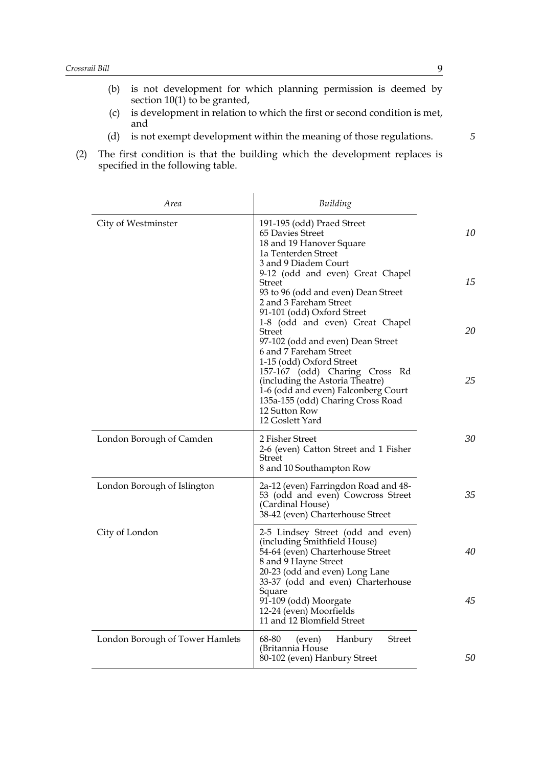- (b) is not development for which planning permission is deemed by section 10(1) to be granted,
- (c) is development in relation to which the first or second condition is met, and
- (d) is not exempt development within the meaning of those regulations.
- (2) The first condition is that the building which the development replaces is specified in the following table.

| <i>Area</i>                     | Building                                                                                                                                                                                                       |    |
|---------------------------------|----------------------------------------------------------------------------------------------------------------------------------------------------------------------------------------------------------------|----|
| City of Westminster             | 191-195 (odd) Praed Street<br>65 Davies Street<br>18 and 19 Hanover Square<br>1a Tenterden Street<br>3 and 9 Diadem Court                                                                                      | 10 |
|                                 | 9-12 (odd and even) Great Chapel<br><b>Street</b><br>93 to 96 (odd and even) Dean Street<br>2 and 3 Fareham Street<br>91-101 (odd) Oxford Street                                                               | 15 |
|                                 | 1-8 (odd and even) Great Chapel<br><b>Street</b><br>97-102 (odd and even) Dean Street<br>6 and 7 Fareham Street<br>1-15 (odd) Oxford Street                                                                    | 20 |
|                                 | 157-167 (odd) Charing Cross Rd<br>(including the Astoria Theatre)<br>1-6 (odd and even) Falconberg Court<br>135a-155 (odd) Charing Cross Road<br>12 Sutton Row<br>12 Goslett Yard                              | 25 |
| London Borough of Camden        | 2 Fisher Street<br>2-6 (even) Catton Street and 1 Fisher<br>Street<br>8 and 10 Southampton Row                                                                                                                 | 30 |
| London Borough of Islington     | 2a-12 (even) Farringdon Road and 48-<br>53 (odd and even) Cowcross Street<br>(Cardinal House)<br>38-42 (even) Charterhouse Street                                                                              | 35 |
| City of London                  | 2-5 Lindsey Street (odd and even)<br>(including Smithfield House)<br>54-64 (even) Charterhouse Street<br>8 and 9 Hayne Street<br>20-23 (odd and even) Long Lane<br>33-37 (odd and even) Charterhouse<br>Square | 40 |
|                                 | 91-109 (odd) Moorgate<br>12-24 (even) Moorfields<br>11 and 12 Blomfield Street                                                                                                                                 | 45 |
| London Borough of Tower Hamlets | <b>Street</b><br>68-80<br>Hanbury<br>(even)<br>(Britannia House<br>80-102 (even) Hanbury Street                                                                                                                | 50 |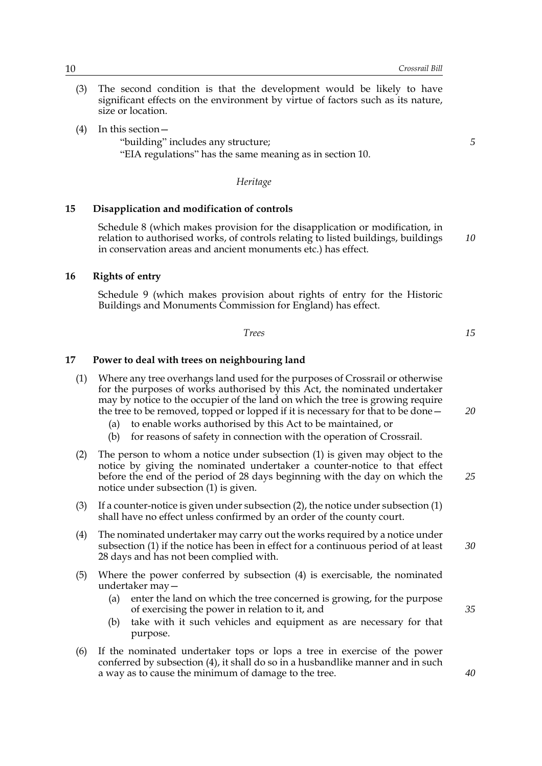- (3) The second condition is that the development would be likely to have significant effects on the environment by virtue of factors such as its nature, size or location.
- (4) In this section—
	- "building" includes any structure;

"EIA regulations" has the same meaning as in section 10.

*Heritage*

#### **15 Disapplication and modification of controls**

Schedule 8 (which makes provision for the disapplication or modification, in relation to authorised works, of controls relating to listed buildings, buildings in conservation areas and ancient monuments etc.) has effect.

## **16 Rights of entry**

Schedule 9 (which makes provision about rights of entry for the Historic Buildings and Monuments Commission for England) has effect.

*Trees 15*

#### **17 Power to deal with trees on neighbouring land**

- (1) Where any tree overhangs land used for the purposes of Crossrail or otherwise for the purposes of works authorised by this Act, the nominated undertaker may by notice to the occupier of the land on which the tree is growing require the tree to be removed, topped or lopped if it is necessary for that to be done—
	- (a) to enable works authorised by this Act to be maintained, or
	- (b) for reasons of safety in connection with the operation of Crossrail.
- (2) The person to whom a notice under subsection (1) is given may object to the notice by giving the nominated undertaker a counter-notice to that effect before the end of the period of 28 days beginning with the day on which the notice under subsection (1) is given.
- (3) If a counter-notice is given under subsection (2), the notice under subsection (1) shall have no effect unless confirmed by an order of the county court.
- (4) The nominated undertaker may carry out the works required by a notice under subsection (1) if the notice has been in effect for a continuous period of at least 28 days and has not been complied with.
- (5) Where the power conferred by subsection (4) is exercisable, the nominated undertaker may—
	- (a) enter the land on which the tree concerned is growing, for the purpose of exercising the power in relation to it, and
	- (b) take with it such vehicles and equipment as are necessary for that purpose.
- (6) If the nominated undertaker tops or lops a tree in exercise of the power conferred by subsection (4), it shall do so in a husbandlike manner and in such a way as to cause the minimum of damage to the tree.

*5*

*10*

*20*

*25*

*30*

*35*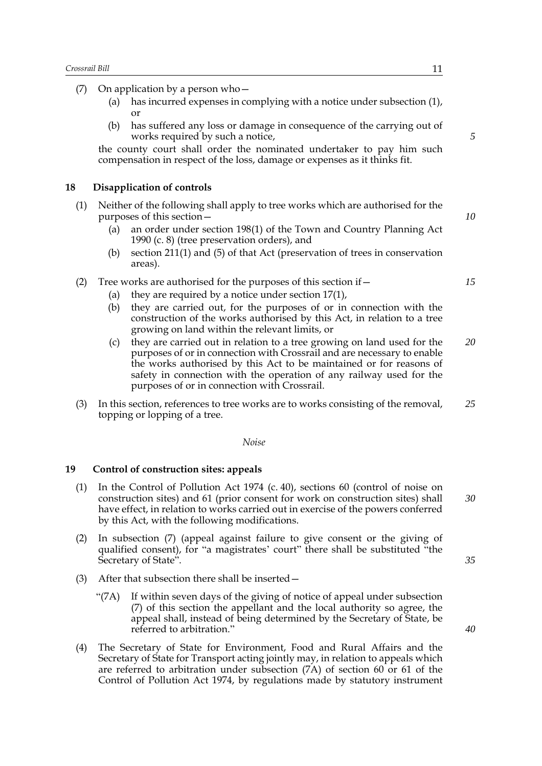(7) On application by a person who—

- (a) has incurred expenses in complying with a notice under subsection (1), or
- (b) has suffered any loss or damage in consequence of the carrying out of works required by such a notice,

the county court shall order the nominated undertaker to pay him such compensation in respect of the loss, damage or expenses as it thinks fit.

#### **18 Disapplication of controls**

- (1) Neither of the following shall apply to tree works which are authorised for the purposes of this section—
	- (a) an order under section 198(1) of the Town and Country Planning Act 1990 (c. 8) (tree preservation orders), and
	- (b) section  $211(1)$  and  $(5)$  of that Act (preservation of trees in conservation areas).

#### (2) Tree works are authorised for the purposes of this section if  $-$

- (a) they are required by a notice under section  $17(1)$ ,
- (b) they are carried out, for the purposes of or in connection with the construction of the works authorised by this Act, in relation to a tree growing on land within the relevant limits, or
- (c) they are carried out in relation to a tree growing on land used for the purposes of or in connection with Crossrail and are necessary to enable the works authorised by this Act to be maintained or for reasons of safety in connection with the operation of any railway used for the purposes of or in connection with Crossrail. *20*
- (3) In this section, references to tree works are to works consisting of the removal, topping or lopping of a tree. *25*

#### *Noise*

#### **19 Control of construction sites: appeals**

- (1) In the Control of Pollution Act 1974 (c. 40), sections 60 (control of noise on construction sites) and 61 (prior consent for work on construction sites) shall have effect, in relation to works carried out in exercise of the powers conferred by this Act, with the following modifications. *30*
- (2) In subsection (7) (appeal against failure to give consent or the giving of qualified consent), for "a magistrates' court" there shall be substituted "the Secretary of State".
- (3) After that subsection there shall be inserted—
	- "(7A) If within seven days of the giving of notice of appeal under subsection (7) of this section the appellant and the local authority so agree, the appeal shall, instead of being determined by the Secretary of State, be referred to arbitration."
- (4) The Secretary of State for Environment, Food and Rural Affairs and the Secretary of State for Transport acting jointly may, in relation to appeals which are referred to arbitration under subsection (7A) of section 60 or 61 of the Control of Pollution Act 1974, by regulations made by statutory instrument

*10*

*15*

*5*

*35*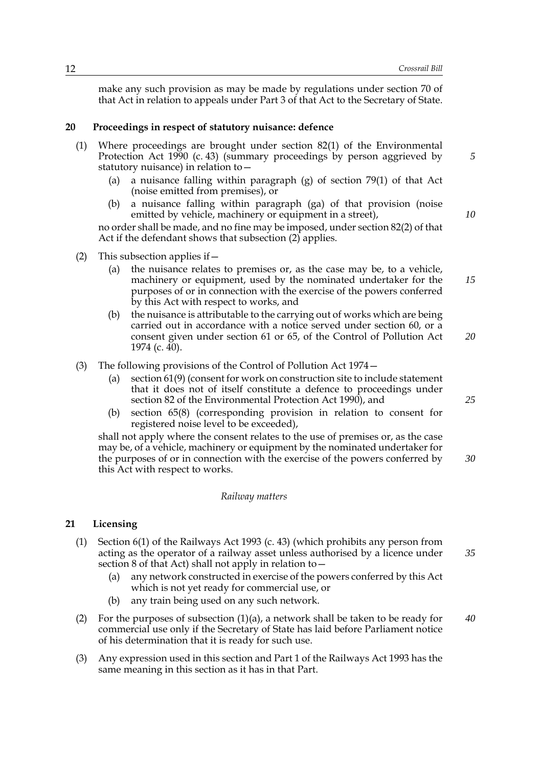make any such provision as may be made by regulations under section 70 of that Act in relation to appeals under Part 3 of that Act to the Secretary of State.

#### **20 Proceedings in respect of statutory nuisance: defence**

- (1) Where proceedings are brought under section 82(1) of the Environmental Protection Act 1990 (c. 43) (summary proceedings by person aggrieved by statutory nuisance) in relation to—
	- (a) a nuisance falling within paragraph (g) of section 79(1) of that Act (noise emitted from premises), or
	- (b) a nuisance falling within paragraph (ga) of that provision (noise emitted by vehicle, machinery or equipment in a street),

no order shall be made, and no fine may be imposed, under section 82(2) of that Act if the defendant shows that subsection (2) applies.

- (2) This subsection applies if  $-$ 
	- (a) the nuisance relates to premises or, as the case may be, to a vehicle, machinery or equipment, used by the nominated undertaker for the purposes of or in connection with the exercise of the powers conferred by this Act with respect to works, and *15*
	- (b) the nuisance is attributable to the carrying out of works which are being carried out in accordance with a notice served under section 60, or a consent given under section 61 or 65, of the Control of Pollution Act 1974 (c. 40). *20*
- (3) The following provisions of the Control of Pollution Act 1974—
	- (a) section 61(9) (consent for work on construction site to include statement that it does not of itself constitute a defence to proceedings under section 82 of the Environmental Protection Act 1990), and
	- (b) section 65(8) (corresponding provision in relation to consent for registered noise level to be exceeded),

shall not apply where the consent relates to the use of premises or, as the case may be, of a vehicle, machinery or equipment by the nominated undertaker for the purposes of or in connection with the exercise of the powers conferred by this Act with respect to works.

#### *Railway matters*

#### **21 Licensing**

- (1) Section 6(1) of the Railways Act 1993 (c. 43) (which prohibits any person from acting as the operator of a railway asset unless authorised by a licence under section 8 of that Act) shall not apply in relation to  $-$ *35*
	- (a) any network constructed in exercise of the powers conferred by this Act which is not yet ready for commercial use, or
	- (b) any train being used on any such network.
- (2) For the purposes of subsection  $(1)(a)$ , a network shall be taken to be ready for commercial use only if the Secretary of State has laid before Parliament notice of his determination that it is ready for such use. *40*
- (3) Any expression used in this section and Part 1 of the Railways Act 1993 has the same meaning in this section as it has in that Part.

*5*

*10*

*25*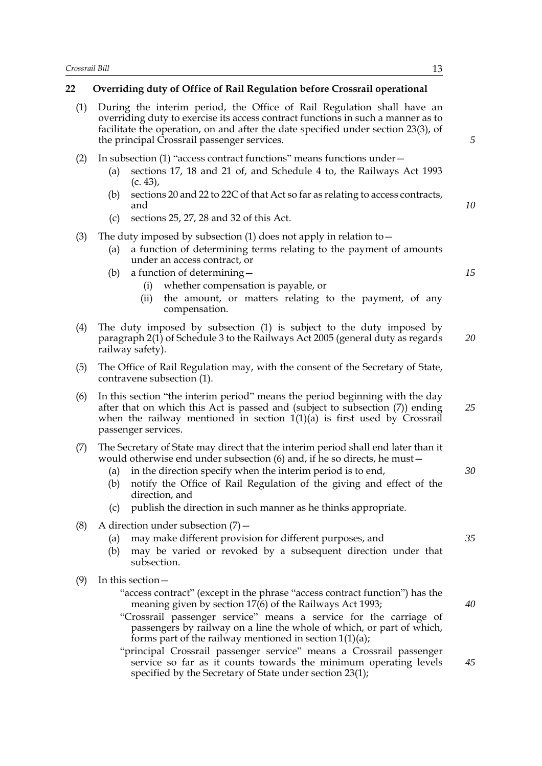## **22 Overriding duty of Office of Rail Regulation before Crossrail operational**

| (1) | During the interim period, the Office of Rail Regulation shall have an<br>overriding duty to exercise its access contract functions in such a manner as to<br>facilitate the operation, on and after the date specified under section 23(3), of<br>the principal Crossrail passenger services.                                                                                                                 | 5  |
|-----|----------------------------------------------------------------------------------------------------------------------------------------------------------------------------------------------------------------------------------------------------------------------------------------------------------------------------------------------------------------------------------------------------------------|----|
| (2) | In subsection (1) "access contract functions" means functions under -<br>sections 17, 18 and 21 of, and Schedule 4 to, the Railways Act 1993<br>(a)<br>$(c. 43)$ ,                                                                                                                                                                                                                                             |    |
|     | sections 20 and 22 to 22C of that Act so far as relating to access contracts,<br>(b)<br>and                                                                                                                                                                                                                                                                                                                    | 10 |
|     | sections 25, 27, 28 and 32 of this Act.<br>(c)                                                                                                                                                                                                                                                                                                                                                                 |    |
| (3) | The duty imposed by subsection $(1)$ does not apply in relation to $-$<br>a function of determining terms relating to the payment of amounts<br>(a)<br>under an access contract, or                                                                                                                                                                                                                            |    |
|     | a function of determining –<br>(b)<br>whether compensation is payable, or<br>(i)                                                                                                                                                                                                                                                                                                                               | 15 |
|     | the amount, or matters relating to the payment, of any<br>(ii)<br>compensation.                                                                                                                                                                                                                                                                                                                                |    |
| (4) | The duty imposed by subsection (1) is subject to the duty imposed by<br>paragraph 2(1) of Schedule 3 to the Railways Act 2005 (general duty as regards<br>railway safety).                                                                                                                                                                                                                                     | 20 |
| (5) | The Office of Rail Regulation may, with the consent of the Secretary of State,<br>contravene subsection (1).                                                                                                                                                                                                                                                                                                   |    |
| (6) | In this section "the interim period" means the period beginning with the day<br>after that on which this Act is passed and (subject to subsection (7)) ending<br>when the railway mentioned in section $1(1)(a)$ is first used by Crossrail<br>passenger services.                                                                                                                                             | 25 |
| (7) | The Secretary of State may direct that the interim period shall end later than it<br>would otherwise end under subsection (6) and, if he so directs, he must -<br>in the direction specify when the interim period is to end,<br>(a)<br>notify the Office of Rail Regulation of the giving and effect of the<br>(b)<br>direction, and<br>publish the direction in such manner as he thinks appropriate.<br>(c) | 30 |
| (8) | A direction under subsection $(7)$ –<br>may make different provision for different purposes, and<br>(a)<br>may be varied or revoked by a subsequent direction under that<br>(b)<br>subsection.                                                                                                                                                                                                                 | 35 |
| (9) | In this section -<br>"access contract" (except in the phrase "access contract function") has the<br>meaning given by section 17(6) of the Railways Act 1993;<br>"Crossrail passenger service" means a service for the carriage of<br>passengers by railway on a line the whole of which, or part of which,                                                                                                     | 40 |
|     | forms part of the railway mentioned in section $1(1)(a)$ ;<br>"principal Crossrail passenger service" means a Crossrail passenger<br>service so far as it counts towards the minimum operating levels                                                                                                                                                                                                          | 45 |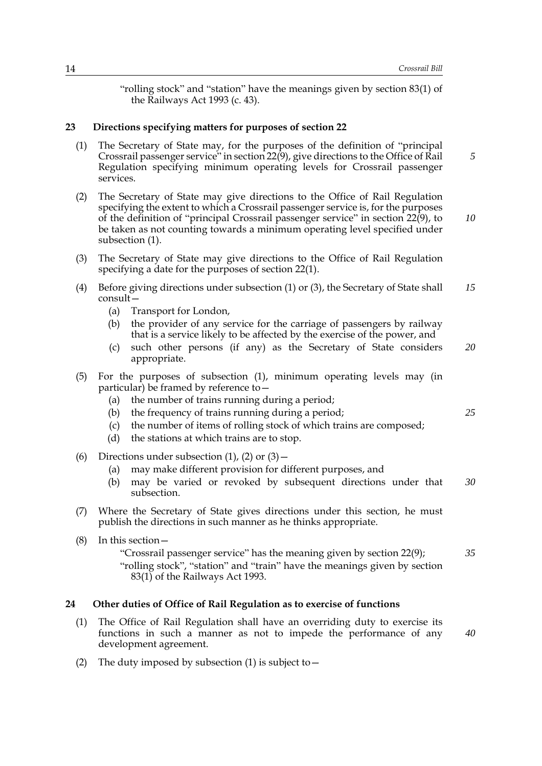"rolling stock" and "station" have the meanings given by section 83(1) of the Railways Act 1993 (c. 43).

#### **23 Directions specifying matters for purposes of section 22**

- (1) The Secretary of State may, for the purposes of the definition of "principal Crossrail passenger service" in section 22(9), give directions to the Office of Rail Regulation specifying minimum operating levels for Crossrail passenger services.
- (2) The Secretary of State may give directions to the Office of Rail Regulation specifying the extent to which a Crossrail passenger service is, for the purposes of the definition of "principal Crossrail passenger service" in section 22(9), to be taken as not counting towards a minimum operating level specified under subsection (1). *10*
- (3) The Secretary of State may give directions to the Office of Rail Regulation specifying a date for the purposes of section 22(1).
- (4) Before giving directions under subsection (1) or (3), the Secretary of State shall consult— *15*
	- (a) Transport for London,
	- (b) the provider of any service for the carriage of passengers by railway that is a service likely to be affected by the exercise of the power, and
	- (c) such other persons (if any) as the Secretary of State considers appropriate. *20*
- (5) For the purposes of subsection (1), minimum operating levels may (in particular) be framed by reference to—
	- (a) the number of trains running during a period;
	- (b) the frequency of trains running during a period;
	- (c) the number of items of rolling stock of which trains are composed;
	- (d) the stations at which trains are to stop.
- (6) Directions under subsection  $(1)$ ,  $(2)$  or  $(3)$  -
	- (a) may make different provision for different purposes, and
	- (b) may be varied or revoked by subsequent directions under that subsection. *30*
- (7) Where the Secretary of State gives directions under this section, he must publish the directions in such manner as he thinks appropriate.
- (8) In this section— "Crossrail passenger service" has the meaning given by section 22(9); "rolling stock", "station" and "train" have the meanings given by section *35*
	- 83(1) of the Railways Act 1993.

#### **24 Other duties of Office of Rail Regulation as to exercise of functions**

- (1) The Office of Rail Regulation shall have an overriding duty to exercise its functions in such a manner as not to impede the performance of any development agreement.
- (2) The duty imposed by subsection (1) is subject to  $-$

*25*

*40*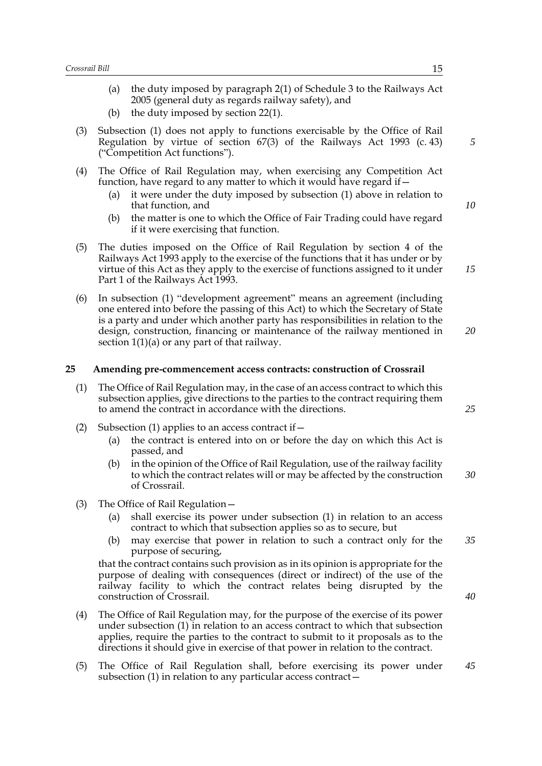- (a) the duty imposed by paragraph 2(1) of Schedule 3 to the Railways Act 2005 (general duty as regards railway safety), and
- (b) the duty imposed by section 22(1).
- (3) Subsection (1) does not apply to functions exercisable by the Office of Rail Regulation by virtue of section  $67(3)$  of the Railways Act 1993 (c. 43) ("Competition Act functions").
- (4) The Office of Rail Regulation may, when exercising any Competition Act function, have regard to any matter to which it would have regard if—
	- (a) it were under the duty imposed by subsection (1) above in relation to that function, and
	- (b) the matter is one to which the Office of Fair Trading could have regard if it were exercising that function.
- (5) The duties imposed on the Office of Rail Regulation by section 4 of the Railways Act 1993 apply to the exercise of the functions that it has under or by virtue of this Act as they apply to the exercise of functions assigned to it under Part 1 of the Railways Act 1993.
- (6) In subsection (1) "development agreement" means an agreement (including one entered into before the passing of this Act) to which the Secretary of State is a party and under which another party has responsibilities in relation to the design, construction, financing or maintenance of the railway mentioned in section  $1(1)(a)$  or any part of that railway.

#### **25 Amending pre-commencement access contracts: construction of Crossrail**

- (1) The Office of Rail Regulation may, in the case of an access contract to which this subsection applies, give directions to the parties to the contract requiring them to amend the contract in accordance with the directions.
- (2) Subsection (1) applies to an access contract if  $-$ 
	- (a) the contract is entered into on or before the day on which this Act is passed, and
	- (b) in the opinion of the Office of Rail Regulation, use of the railway facility to which the contract relates will or may be affected by the construction of Crossrail. *30*
- (3) The Office of Rail Regulation—
	- (a) shall exercise its power under subsection (1) in relation to an access contract to which that subsection applies so as to secure, but
	- (b) may exercise that power in relation to such a contract only for the purpose of securing, *35*

that the contract contains such provision as in its opinion is appropriate for the purpose of dealing with consequences (direct or indirect) of the use of the railway facility to which the contract relates being disrupted by the construction of Crossrail.

- (4) The Office of Rail Regulation may, for the purpose of the exercise of its power under subsection (1) in relation to an access contract to which that subsection applies, require the parties to the contract to submit to it proposals as to the directions it should give in exercise of that power in relation to the contract.
- (5) The Office of Rail Regulation shall, before exercising its power under subsection (1) in relation to any particular access contract— *45*

*5*

*10*

*15*

*20*

*25*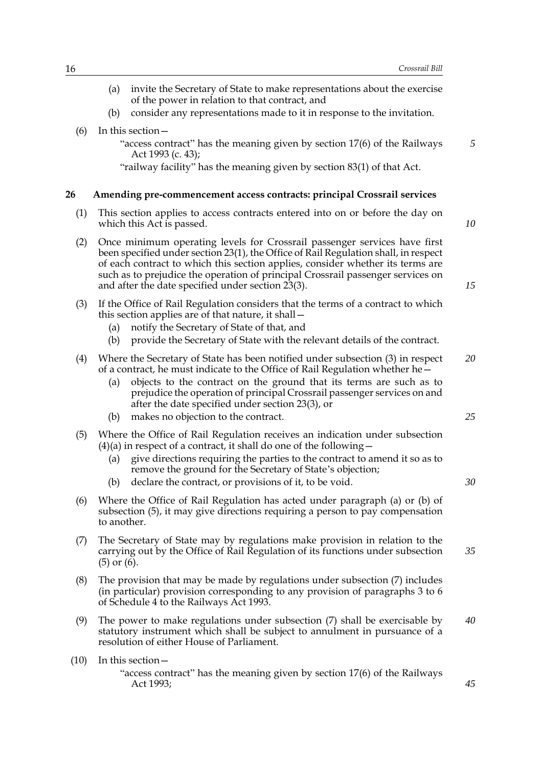*45*

(a) invite the Secretary of State to make representations about the exercise of the power in relation to that contract, and (b) consider any representations made to it in response to the invitation. (6) In this section— "access contract" has the meaning given by section 17(6) of the Railways Act 1993 (c. 43); "railway facility" has the meaning given by section 83(1) of that Act. **26 Amending pre-commencement access contracts: principal Crossrail services** (1) This section applies to access contracts entered into on or before the day on which this Act is passed. (2) Once minimum operating levels for Crossrail passenger services have first been specified under section 23(1), the Office of Rail Regulation shall, in respect of each contract to which this section applies, consider whether its terms are such as to prejudice the operation of principal Crossrail passenger services on and after the date specified under section 23(3). (3) If the Office of Rail Regulation considers that the terms of a contract to which this section applies are of that nature, it shall— (a) notify the Secretary of State of that, and (b) provide the Secretary of State with the relevant details of the contract. (4) Where the Secretary of State has been notified under subsection (3) in respect of a contract, he must indicate to the Office of Rail Regulation whether he— (a) objects to the contract on the ground that its terms are such as to prejudice the operation of principal Crossrail passenger services on and after the date specified under section 23(3), or (b) makes no objection to the contract. (5) Where the Office of Rail Regulation receives an indication under subsection  $(4)(a)$  in respect of a contract, it shall do one of the following – (a) give directions requiring the parties to the contract to amend it so as to remove the ground for the Secretary of State's objection; (b) declare the contract, or provisions of it, to be void. (6) Where the Office of Rail Regulation has acted under paragraph (a) or (b) of subsection (5), it may give directions requiring a person to pay compensation to another. (7) The Secretary of State may by regulations make provision in relation to the carrying out by the Office of Rail Regulation of its functions under subsection (5) or (6). (8) The provision that may be made by regulations under subsection (7) includes (in particular) provision corresponding to any provision of paragraphs 3 to 6 of Schedule 4 to the Railways Act 1993. (9) The power to make regulations under subsection (7) shall be exercisable by statutory instrument which shall be subject to annulment in pursuance of a resolution of either House of Parliament. (10) In this section— *5 10 15 20 25 30 35 40*

"access contract" has the meaning given by section 17(6) of the Railways Act 1993;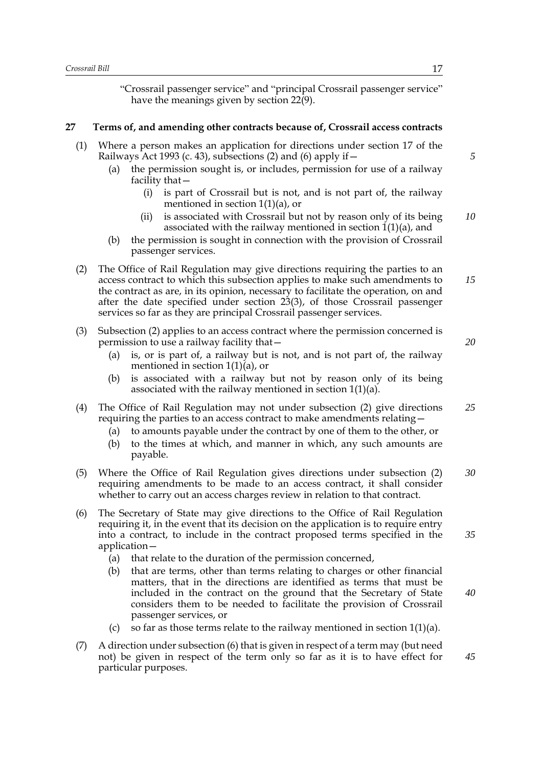"Crossrail passenger service" and "principal Crossrail passenger service" have the meanings given by section 22(9).

#### **27 Terms of, and amending other contracts because of, Crossrail access contracts**

- (1) Where a person makes an application for directions under section 17 of the Railways Act 1993 (c. 43), subsections (2) and (6) apply if  $-$ 
	- (a) the permission sought is, or includes, permission for use of a railway facility that—
		- (i) is part of Crossrail but is not, and is not part of, the railway mentioned in section 1(1)(a), or
		- (ii) is associated with Crossrail but not by reason only of its being associated with the railway mentioned in section  $1(1)(a)$ , and *10*
	- (b) the permission is sought in connection with the provision of Crossrail passenger services.
- (2) The Office of Rail Regulation may give directions requiring the parties to an access contract to which this subsection applies to make such amendments to the contract as are, in its opinion, necessary to facilitate the operation, on and after the date specified under section 23(3), of those Crossrail passenger services so far as they are principal Crossrail passenger services. *15*
- (3) Subsection (2) applies to an access contract where the permission concerned is permission to use a railway facility that—
	- (a) is, or is part of, a railway but is not, and is not part of, the railway mentioned in section  $1(1)(a)$ , or
	- (b) is associated with a railway but not by reason only of its being associated with the railway mentioned in section 1(1)(a).
- (4) The Office of Rail Regulation may not under subsection (2) give directions requiring the parties to an access contract to make amendments relating— *25*
	- (a) to amounts payable under the contract by one of them to the other, or
	- (b) to the times at which, and manner in which, any such amounts are payable.
- (5) Where the Office of Rail Regulation gives directions under subsection (2) requiring amendments to be made to an access contract, it shall consider whether to carry out an access charges review in relation to that contract. *30*
- (6) The Secretary of State may give directions to the Office of Rail Regulation requiring it, in the event that its decision on the application is to require entry into a contract, to include in the contract proposed terms specified in the application—
	- (a) that relate to the duration of the permission concerned,
	- (b) that are terms, other than terms relating to charges or other financial matters, that in the directions are identified as terms that must be included in the contract on the ground that the Secretary of State considers them to be needed to facilitate the provision of Crossrail passenger services, or
	- (c) so far as those terms relate to the railway mentioned in section  $1(1)(a)$ .
- (7) A direction under subsection (6) that is given in respect of a term may (but need not) be given in respect of the term only so far as it is to have effect for particular purposes.

*20*

*5*

*35*

*40*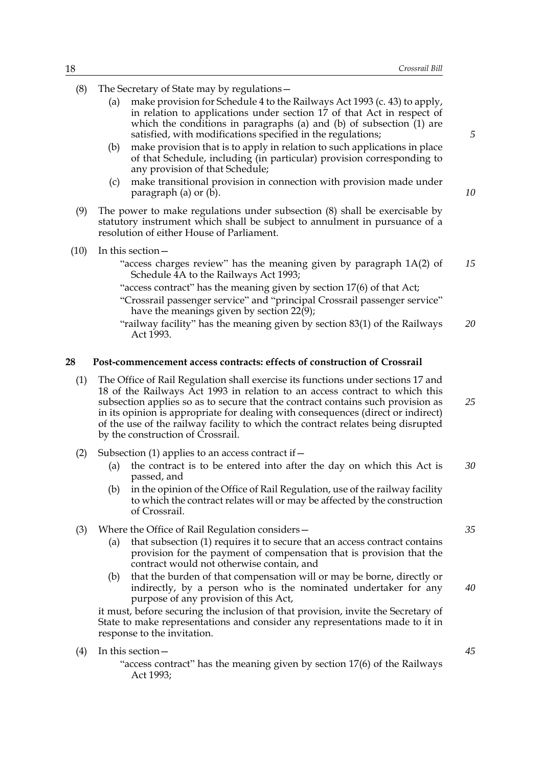- (8) The Secretary of State may by regulations—
	- (a) make provision for Schedule 4 to the Railways Act 1993 (c. 43) to apply, in relation to applications under section 17 of that Act in respect of which the conditions in paragraphs (a) and (b) of subsection (1) are satisfied, with modifications specified in the regulations;
	- (b) make provision that is to apply in relation to such applications in place of that Schedule, including (in particular) provision corresponding to any provision of that Schedule;
	- (c) make transitional provision in connection with provision made under paragraph (a) or (b).
- (9) The power to make regulations under subsection (8) shall be exercisable by statutory instrument which shall be subject to annulment in pursuance of a resolution of either House of Parliament.
- (10) In this section—
	- "access charges review" has the meaning given by paragraph 1A(2) of Schedule  $\overline{4}A$  to the Railways Act 1993; *15*
	- "access contract" has the meaning given by section 17(6) of that Act;
	- "Crossrail passenger service" and "principal Crossrail passenger service" have the meanings given by section 22(9);
	- "railway facility" has the meaning given by section 83(1) of the Railways Act 1993. *20*

#### **28 Post-commencement access contracts: effects of construction of Crossrail**

- (1) The Office of Rail Regulation shall exercise its functions under sections 17 and 18 of the Railways Act 1993 in relation to an access contract to which this subsection applies so as to secure that the contract contains such provision as in its opinion is appropriate for dealing with consequences (direct or indirect) of the use of the railway facility to which the contract relates being disrupted by the construction of Crossrail. *25*
- (2) Subsection (1) applies to an access contract if  $-$ 
	- (a) the contract is to be entered into after the day on which this Act is passed, and *30*
	- (b) in the opinion of the Office of Rail Regulation, use of the railway facility to which the contract relates will or may be affected by the construction of Crossrail.
- (3) Where the Office of Rail Regulation considers—
	- (a) that subsection (1) requires it to secure that an access contract contains provision for the payment of compensation that is provision that the contract would not otherwise contain, and
	- (b) that the burden of that compensation will or may be borne, directly or indirectly, by a person who is the nominated undertaker for any purpose of any provision of this Act,

it must, before securing the inclusion of that provision, invite the Secretary of State to make representations and consider any representations made to it in response to the invitation.

(4) In this section—

"access contract" has the meaning given by section 17(6) of the Railways Act 1993;

*10*

*5*

*35*

*40*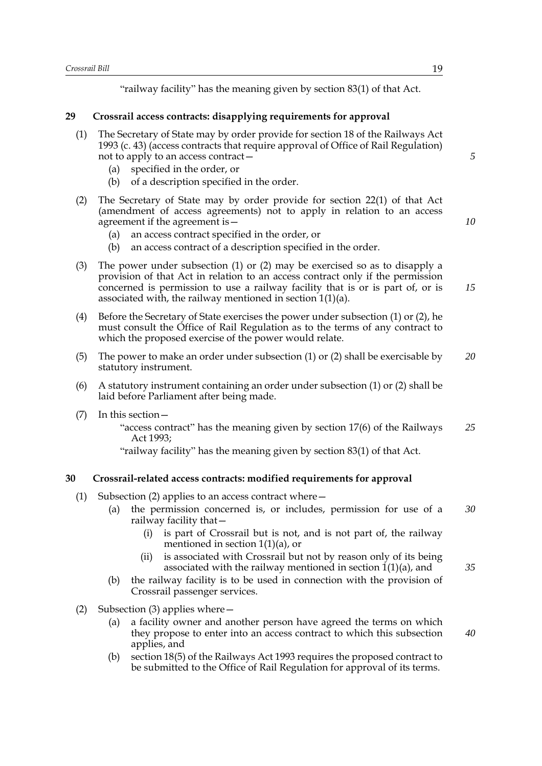"railway facility" has the meaning given by section 83(1) of that Act.

#### **29 Crossrail access contracts: disapplying requirements for approval**

- (1) The Secretary of State may by order provide for section 18 of the Railways Act 1993 (c. 43) (access contracts that require approval of Office of Rail Regulation) not to apply to an access contract—
	- (a) specified in the order, or
	- (b) of a description specified in the order.
- (2) The Secretary of State may by order provide for section 22(1) of that Act (amendment of access agreements) not to apply in relation to an access agreement if the agreement is—
	- (a) an access contract specified in the order, or
	- (b) an access contract of a description specified in the order.
- (3) The power under subsection (1) or (2) may be exercised so as to disapply a provision of that Act in relation to an access contract only if the permission concerned is permission to use a railway facility that is or is part of, or is associated with, the railway mentioned in section 1(1)(a).
- (4) Before the Secretary of State exercises the power under subsection (1) or (2), he must consult the Office of Rail Regulation as to the terms of any contract to which the proposed exercise of the power would relate.
- (5) The power to make an order under subsection (1) or (2) shall be exercisable by statutory instrument. *20*
- (6) A statutory instrument containing an order under subsection (1) or (2) shall be laid before Parliament after being made.
- (7) In this section—

"access contract" has the meaning given by section 17(6) of the Railways Act 1993; *25*

"railway facility" has the meaning given by section 83(1) of that Act.

#### **30 Crossrail-related access contracts: modified requirements for approval**

- (1) Subsection (2) applies to an access contract where—
	- (a) the permission concerned is, or includes, permission for use of a railway facility that— *30*
		- (i) is part of Crossrail but is not, and is not part of, the railway mentioned in section 1(1)(a), or
		- (ii) is associated with Crossrail but not by reason only of its being associated with the railway mentioned in section  $1(1)(a)$ , and
	- (b) the railway facility is to be used in connection with the provision of Crossrail passenger services.
- (2) Subsection (3) applies where  $-$ 
	- (a) a facility owner and another person have agreed the terms on which they propose to enter into an access contract to which this subsection applies, and
	- (b) section 18(5) of the Railways Act 1993 requires the proposed contract to be submitted to the Office of Rail Regulation for approval of its terms.

*5*

*10*

*15*

*35*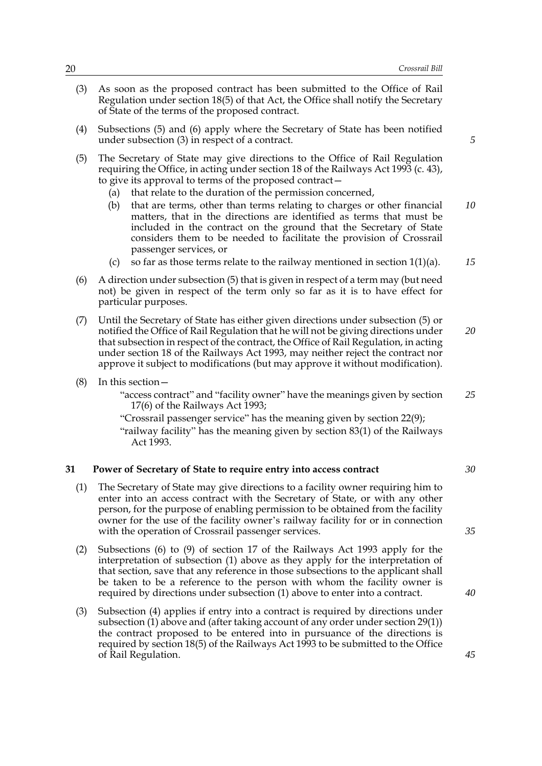- (3) As soon as the proposed contract has been submitted to the Office of Rail Regulation under section 18(5) of that Act, the Office shall notify the Secretary of State of the terms of the proposed contract.
- (4) Subsections (5) and (6) apply where the Secretary of State has been notified under subsection (3) in respect of a contract.
- (5) The Secretary of State may give directions to the Office of Rail Regulation requiring the Office, in acting under section 18 of the Railways Act 1993 (c. 43), to give its approval to terms of the proposed contract—
	- (a) that relate to the duration of the permission concerned,
	- (b) that are terms, other than terms relating to charges or other financial matters, that in the directions are identified as terms that must be included in the contract on the ground that the Secretary of State considers them to be needed to facilitate the provision of Crossrail passenger services, or *10*
	- (c) so far as those terms relate to the railway mentioned in section  $1(1)(a)$ . *15*
- (6) A direction under subsection (5) that is given in respect of a term may (but need not) be given in respect of the term only so far as it is to have effect for particular purposes.
- (7) Until the Secretary of State has either given directions under subsection (5) or notified the Office of Rail Regulation that he will not be giving directions under that subsection in respect of the contract, the Office of Rail Regulation, in acting under section 18 of the Railways Act 1993, may neither reject the contract nor approve it subject to modifications (but may approve it without modification). *20*
- (8) In this section—

"access contract" and "facility owner" have the meanings given by section 17(6) of the Railways Act 1993; *25*

"Crossrail passenger service" has the meaning given by section 22(9); "railway facility" has the meaning given by section 83(1) of the Railways Act 1993.

#### **31 Power of Secretary of State to require entry into access contract**

- (1) The Secretary of State may give directions to a facility owner requiring him to enter into an access contract with the Secretary of State, or with any other person, for the purpose of enabling permission to be obtained from the facility owner for the use of the facility owner's railway facility for or in connection with the operation of Crossrail passenger services.
- (2) Subsections (6) to (9) of section 17 of the Railways Act 1993 apply for the interpretation of subsection (1) above as they apply for the interpretation of that section, save that any reference in those subsections to the applicant shall be taken to be a reference to the person with whom the facility owner is required by directions under subsection (1) above to enter into a contract.
- (3) Subsection (4) applies if entry into a contract is required by directions under subsection (1) above and (after taking account of any order under section 29(1)) the contract proposed to be entered into in pursuance of the directions is required by section 18(5) of the Railways Act 1993 to be submitted to the Office of Rail Regulation.

*5*

*30*

*35*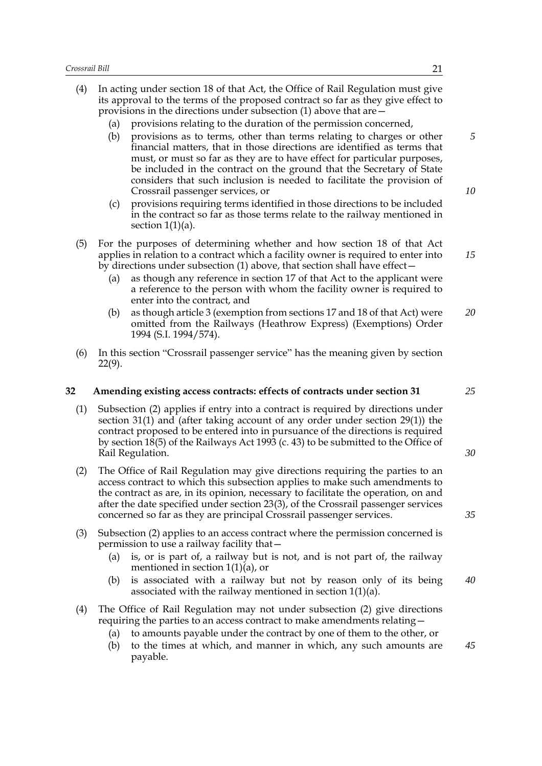- (4) In acting under section 18 of that Act, the Office of Rail Regulation must give its approval to the terms of the proposed contract so far as they give effect to provisions in the directions under subsection (1) above that are—
	- (a) provisions relating to the duration of the permission concerned,
	- (b) provisions as to terms, other than terms relating to charges or other financial matters, that in those directions are identified as terms that must, or must so far as they are to have effect for particular purposes, be included in the contract on the ground that the Secretary of State considers that such inclusion is needed to facilitate the provision of Crossrail passenger services, or
	- (c) provisions requiring terms identified in those directions to be included in the contract so far as those terms relate to the railway mentioned in section  $1(1)(a)$ .
- (5) For the purposes of determining whether and how section 18 of that Act applies in relation to a contract which a facility owner is required to enter into by directions under subsection (1) above, that section shall have effect—
	- (a) as though any reference in section 17 of that Act to the applicant were a reference to the person with whom the facility owner is required to enter into the contract, and
	- (b) as though article 3 (exemption from sections 17 and 18 of that Act) were omitted from the Railways (Heathrow Express) (Exemptions) Order 1994 (S.I. 1994/574). *20*
- (6) In this section "Crossrail passenger service" has the meaning given by section 22(9).

#### **32 Amending existing access contracts: effects of contracts under section 31**

- (1) Subsection (2) applies if entry into a contract is required by directions under section 31(1) and (after taking account of any order under section 29(1)) the contract proposed to be entered into in pursuance of the directions is required by section 18(5) of the Railways Act 1993 (c. 43) to be submitted to the Office of Rail Regulation.
- (2) The Office of Rail Regulation may give directions requiring the parties to an access contract to which this subsection applies to make such amendments to the contract as are, in its opinion, necessary to facilitate the operation, on and after the date specified under section 23(3), of the Crossrail passenger services concerned so far as they are principal Crossrail passenger services.
- (3) Subsection (2) applies to an access contract where the permission concerned is permission to use a railway facility that—
	- (a) is, or is part of, a railway but is not, and is not part of, the railway mentioned in section  $1(1)(a)$ , or
	- (b) is associated with a railway but not by reason only of its being associated with the railway mentioned in section  $1(1)(a)$ . *40*
- (4) The Office of Rail Regulation may not under subsection (2) give directions requiring the parties to an access contract to make amendments relating—
	- (a) to amounts payable under the contract by one of them to the other, or
	- (b) to the times at which, and manner in which, any such amounts are payable. *45*

*5*

*10*

*15*

*25*

*30*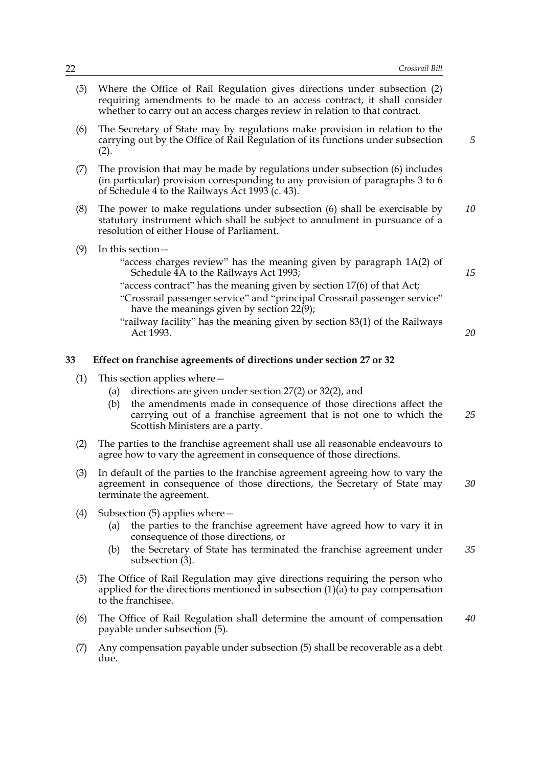- (5) Where the Office of Rail Regulation gives directions under subsection (2) requiring amendments to be made to an access contract, it shall consider whether to carry out an access charges review in relation to that contract. (6) The Secretary of State may by regulations make provision in relation to the carrying out by the Office of Rail Regulation of its functions under subsection  $(2).$ (7) The provision that may be made by regulations under subsection (6) includes (in particular) provision corresponding to any provision of paragraphs 3 to 6 of Schedule 4 to the Railways Act 1993 (c. 43). (8) The power to make regulations under subsection (6) shall be exercisable by statutory instrument which shall be subject to annulment in pursuance of a resolution of either House of Parliament. (9) In this section— "access charges review" has the meaning given by paragraph 1A(2) of Schedule 4A to the Railways Act 1993; "access contract" has the meaning given by section 17(6) of that Act; "Crossrail passenger service" and "principal Crossrail passenger service" have the meanings given by section  $22(9)$ ; "railway facility" has the meaning given by section 83(1) of the Railways Act 1993. **33 Effect on franchise agreements of directions under section 27 or 32** (1) This section applies where— (a) directions are given under section 27(2) or 32(2), and *5 10 15 20*
	- (b) the amendments made in consequence of those directions affect the carrying out of a franchise agreement that is not one to which the Scottish Ministers are a party.
	- (2) The parties to the franchise agreement shall use all reasonable endeavours to agree how to vary the agreement in consequence of those directions.
	- (3) In default of the parties to the franchise agreement agreeing how to vary the agreement in consequence of those directions, the Secretary of State may terminate the agreement. *30*
	- (4) Subsection (5) applies where—
		- (a) the parties to the franchise agreement have agreed how to vary it in consequence of those directions, or
		- (b) the Secretary of State has terminated the franchise agreement under subsection (3). *35*
	- (5) The Office of Rail Regulation may give directions requiring the person who applied for the directions mentioned in subsection (1)(a) to pay compensation to the franchisee.
	- (6) The Office of Rail Regulation shall determine the amount of compensation payable under subsection (5). *40*
	- (7) Any compensation payable under subsection (5) shall be recoverable as a debt due.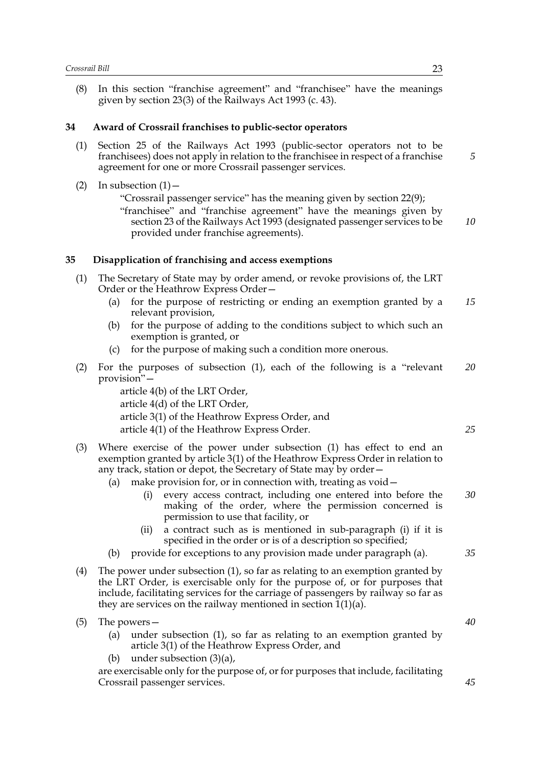(8) In this section "franchise agreement" and "franchisee" have the meanings given by section 23(3) of the Railways Act 1993 (c. 43).

#### **34 Award of Crossrail franchises to public-sector operators**

- (1) Section 25 of the Railways Act 1993 (public-sector operators not to be franchisees) does not apply in relation to the franchisee in respect of a franchise agreement for one or more Crossrail passenger services.
- (2) In subsection  $(1)$  -"Crossrail passenger service" has the meaning given by section 22(9); "franchisee" and "franchise agreement" have the meanings given by section 23 of the Railways Act 1993 (designated passenger services to be provided under franchise agreements). *10*

#### **35 Disapplication of franchising and access exemptions**

- (1) The Secretary of State may by order amend, or revoke provisions of, the LRT Order or the Heathrow Express Order—
	- (a) for the purpose of restricting or ending an exemption granted by a relevant provision, *15*
	- (b) for the purpose of adding to the conditions subject to which such an exemption is granted, or
	- (c) for the purpose of making such a condition more onerous.
- (2) For the purposes of subsection (1), each of the following is a "relevant provision"— *20*
	- article 4(b) of the LRT Order, article 4(d) of the LRT Order, article 3(1) of the Heathrow Express Order, and article 4(1) of the Heathrow Express Order.
- (3) Where exercise of the power under subsection (1) has effect to end an exemption granted by article 3(1) of the Heathrow Express Order in relation to any track, station or depot, the Secretary of State may by order—
	- (a) make provision for, or in connection with, treating as void
		- every access contract, including one entered into before the making of the order, where the permission concerned is permission to use that facility, or
		- (ii) a contract such as is mentioned in sub-paragraph (i) if it is specified in the order or is of a description so specified;
	- (b) provide for exceptions to any provision made under paragraph (a).
- (4) The power under subsection (1), so far as relating to an exemption granted by the LRT Order, is exercisable only for the purpose of, or for purposes that include, facilitating services for the carriage of passengers by railway so far as they are services on the railway mentioned in section 1(1)(a).
- (5) The powers—
	- (a) under subsection (1), so far as relating to an exemption granted by article 3(1) of the Heathrow Express Order, and
	- (b) under subsection (3)(a),

are exercisable only for the purpose of, or for purposes that include, facilitating Crossrail passenger services.

*5*

*40*

*25*

*30*

- 
- *45*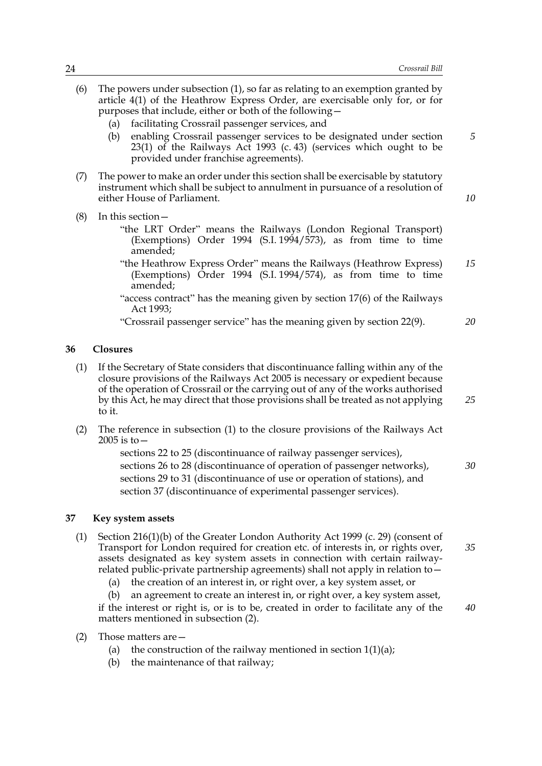*5*

*10*

*25*

- (6) The powers under subsection (1), so far as relating to an exemption granted by article 4(1) of the Heathrow Express Order, are exercisable only for, or for purposes that include, either or both of the following—
	- (a) facilitating Crossrail passenger services, and
	- (b) enabling Crossrail passenger services to be designated under section 23(1) of the Railways Act 1993 (c. 43) (services which ought to be provided under franchise agreements).
- (7) The power to make an order under this section shall be exercisable by statutory instrument which shall be subject to annulment in pursuance of a resolution of either House of Parliament.
- (8) In this section—
	- "the LRT Order" means the Railways (London Regional Transport) (Exemptions) Order 1994 (S.I. 1994/573), as from time to time amended;
	- "the Heathrow Express Order" means the Railways (Heathrow Express) (Exemptions) Order 1994 (S.I. 1994/574), as from time to time amended; *15*
	- "access contract" has the meaning given by section 17(6) of the Railways Act 1993;
	- "Crossrail passenger service" has the meaning given by section 22(9). *20*

#### **36 Closures**

- (1) If the Secretary of State considers that discontinuance falling within any of the closure provisions of the Railways Act 2005 is necessary or expedient because of the operation of Crossrail or the carrying out of any of the works authorised by this Act, he may direct that those provisions shall be treated as not applying to it.
- (2) The reference in subsection (1) to the closure provisions of the Railways Act 2005 is to—

sections 22 to 25 (discontinuance of railway passenger services), sections 26 to 28 (discontinuance of operation of passenger networks), sections 29 to 31 (discontinuance of use or operation of stations), and section 37 (discontinuance of experimental passenger services). *30*

#### **37 Key system assets**

- (1) Section 216(1)(b) of the Greater London Authority Act 1999 (c. 29) (consent of Transport for London required for creation etc. of interests in, or rights over, assets designated as key system assets in connection with certain railwayrelated public-private partnership agreements) shall not apply in relation to— *35*
	- (a) the creation of an interest in, or right over, a key system asset, or
	- (b) an agreement to create an interest in, or right over, a key system asset, if the interest or right is, or is to be, created in order to facilitate any of the matters mentioned in subsection (2). *40*
- (2) Those matters are—
	- (a) the construction of the railway mentioned in section  $1(1)(a)$ ;
	- (b) the maintenance of that railway;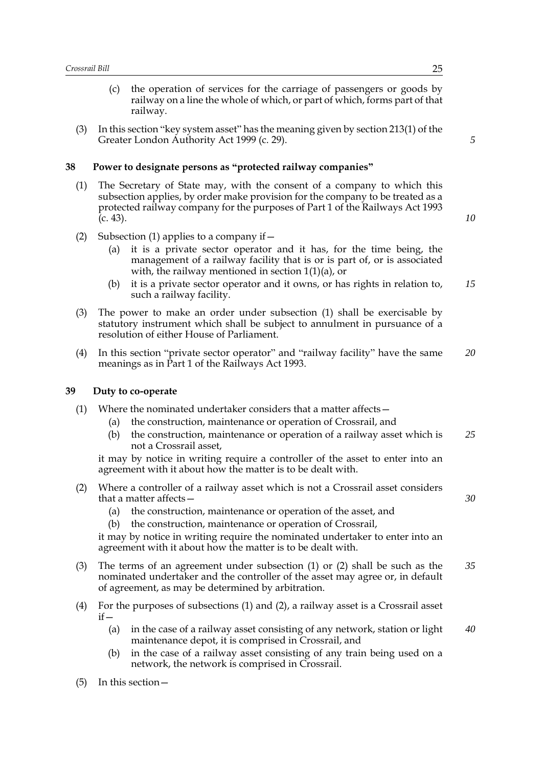- (c) the operation of services for the carriage of passengers or goods by railway on a line the whole of which, or part of which, forms part of that railway.
- (3) In this section "key system asset" has the meaning given by section 213(1) of the Greater London Authority Act 1999 (c. 29).

#### **38 Power to designate persons as "protected railway companies"**

- (1) The Secretary of State may, with the consent of a company to which this subsection applies, by order make provision for the company to be treated as a protected railway company for the purposes of Part 1 of the Railways Act 1993  $(c. 43)$ .
- (2) Subsection (1) applies to a company if  $-$ 
	- (a) it is a private sector operator and it has, for the time being, the management of a railway facility that is or is part of, or is associated with, the railway mentioned in section  $1(1)(a)$ , or
	- (b) it is a private sector operator and it owns, or has rights in relation to, such a railway facility. *15*
- (3) The power to make an order under subsection (1) shall be exercisable by statutory instrument which shall be subject to annulment in pursuance of a resolution of either House of Parliament.
- (4) In this section "private sector operator" and "railway facility" have the same meanings as in Part 1 of the Railways Act 1993. *20*

#### **39 Duty to co-operate**

- (1) Where the nominated undertaker considers that a matter affects—
	- (a) the construction, maintenance or operation of Crossrail, and
	- (b) the construction, maintenance or operation of a railway asset which is not a Crossrail asset, *25*

it may by notice in writing require a controller of the asset to enter into an agreement with it about how the matter is to be dealt with.

- (2) Where a controller of a railway asset which is not a Crossrail asset considers that a matter affects—
	- (a) the construction, maintenance or operation of the asset, and
	- (b) the construction, maintenance or operation of Crossrail,

it may by notice in writing require the nominated undertaker to enter into an agreement with it about how the matter is to be dealt with.

- (3) The terms of an agreement under subsection (1) or (2) shall be such as the nominated undertaker and the controller of the asset may agree or, in default of agreement, as may be determined by arbitration. *35*
- (4) For the purposes of subsections (1) and (2), a railway asset is a Crossrail asset  $if -$ 
	- (a) in the case of a railway asset consisting of any network, station or light maintenance depot, it is comprised in Crossrail, and *40*
	- (b) in the case of a railway asset consisting of any train being used on a network, the network is comprised in Crossrail.
- (5) In this section—

*5*

*10*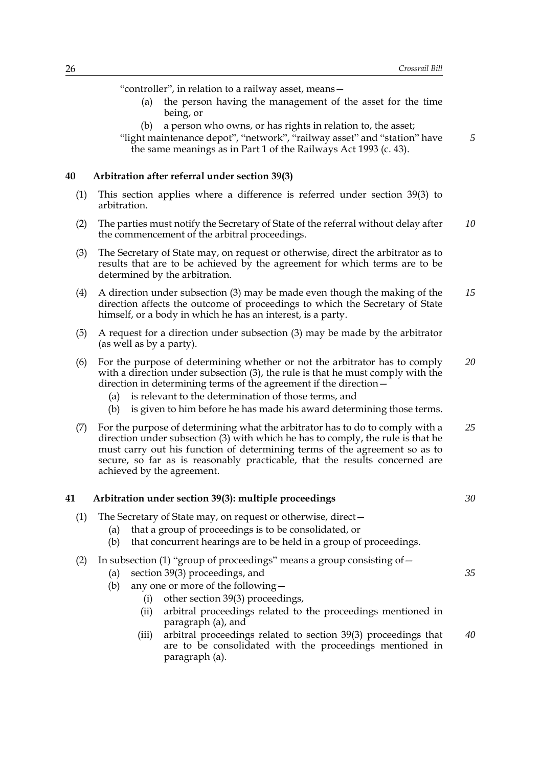"controller", in relation to a railway asset, means—

- (a) the person having the management of the asset for the time being, or
- (b) a person who owns, or has rights in relation to, the asset;

"light maintenance depot", "network", "railway asset" and "station" have the same meanings as in Part 1 of the Railways Act 1993 (c. 43).

#### **40 Arbitration after referral under section 39(3)**

- (1) This section applies where a difference is referred under section 39(3) to arbitration.
- (2) The parties must notify the Secretary of State of the referral without delay after the commencement of the arbitral proceedings. *10*
- (3) The Secretary of State may, on request or otherwise, direct the arbitrator as to results that are to be achieved by the agreement for which terms are to be determined by the arbitration.
- (4) A direction under subsection (3) may be made even though the making of the direction affects the outcome of proceedings to which the Secretary of State himself, or a body in which he has an interest, is a party. *15*
- (5) A request for a direction under subsection (3) may be made by the arbitrator (as well as by a party).
- (6) For the purpose of determining whether or not the arbitrator has to comply with a direction under subsection (3), the rule is that he must comply with the direction in determining terms of the agreement if the direction— *20*
	- (a) is relevant to the determination of those terms, and
	- (b) is given to him before he has made his award determining those terms.
- (7) For the purpose of determining what the arbitrator has to do to comply with a direction under subsection (3) with which he has to comply, the rule is that he must carry out his function of determining terms of the agreement so as to secure, so far as is reasonably practicable, that the results concerned are achieved by the agreement. *25*

#### **41 Arbitration under section 39(3): multiple proceedings**

- (1) The Secretary of State may, on request or otherwise, direct—
	- (a) that a group of proceedings is to be consolidated, or
	- (b) that concurrent hearings are to be held in a group of proceedings.

|  | , In subsection (1) "group of proceedings" means a group consisting $\circ$ + |  |  |  |  |
|--|-------------------------------------------------------------------------------|--|--|--|--|
|  |                                                                               |  |  |  |  |
|  |                                                                               |  |  |  |  |
|  |                                                                               |  |  |  |  |

- (a) section 39(3) proceedings, and
- (b) any one or more of the following—
	- (i) other section 39(3) proceedings,
	- (ii) arbitral proceedings related to the proceedings mentioned in paragraph (a), and
	- (iii) arbitral proceedings related to section 39(3) proceedings that are to be consolidated with the proceedings mentioned in paragraph (a). *40*

*5*

*30*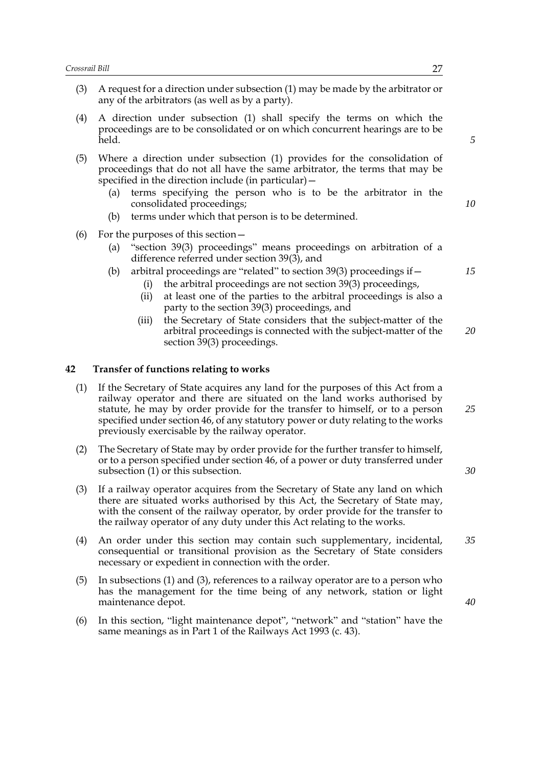- (3) A request for a direction under subsection (1) may be made by the arbitrator or any of the arbitrators (as well as by a party).
- (4) A direction under subsection (1) shall specify the terms on which the proceedings are to be consolidated or on which concurrent hearings are to be held.
- (5) Where a direction under subsection (1) provides for the consolidation of proceedings that do not all have the same arbitrator, the terms that may be specified in the direction include (in particular)—
	- (a) terms specifying the person who is to be the arbitrator in the consolidated proceedings;
	- (b) terms under which that person is to be determined.
- (6) For the purposes of this section—
	- (a) "section 39(3) proceedings" means proceedings on arbitration of a difference referred under section 39(3), and
	- (b) arbitral proceedings are "related" to section 39(3) proceedings if—
		- (i) the arbitral proceedings are not section 39(3) proceedings,
		- (ii) at least one of the parties to the arbitral proceedings is also a party to the section 39(3) proceedings, and
		- (iii) the Secretary of State considers that the subject-matter of the arbitral proceedings is connected with the subject-matter of the section 39(3) proceedings.

#### **42 Transfer of functions relating to works**

- (1) If the Secretary of State acquires any land for the purposes of this Act from a railway operator and there are situated on the land works authorised by statute, he may by order provide for the transfer to himself, or to a person specified under section 46, of any statutory power or duty relating to the works previously exercisable by the railway operator.
- (2) The Secretary of State may by order provide for the further transfer to himself, or to a person specified under section 46, of a power or duty transferred under subsection (1) or this subsection.
- (3) If a railway operator acquires from the Secretary of State any land on which there are situated works authorised by this Act, the Secretary of State may, with the consent of the railway operator, by order provide for the transfer to the railway operator of any duty under this Act relating to the works.
- (4) An order under this section may contain such supplementary, incidental, consequential or transitional provision as the Secretary of State considers necessary or expedient in connection with the order. *35*
- (5) In subsections (1) and (3), references to a railway operator are to a person who has the management for the time being of any network, station or light maintenance depot.
- (6) In this section, "light maintenance depot", "network" and "station" have the same meanings as in Part 1 of the Railways Act 1993 (c. 43).

*15*

*20*

*10*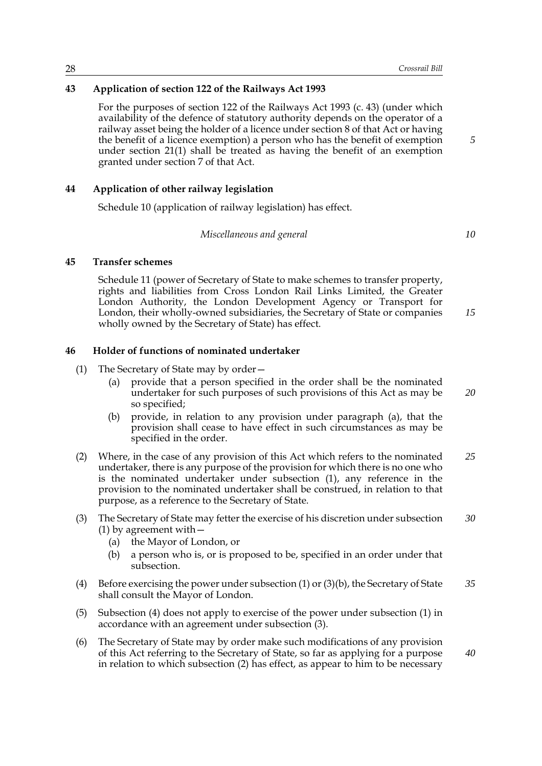#### **43 Application of section 122 of the Railways Act 1993**

For the purposes of section 122 of the Railways Act 1993 (c. 43) (under which availability of the defence of statutory authority depends on the operator of a railway asset being the holder of a licence under section 8 of that Act or having the benefit of a licence exemption) a person who has the benefit of exemption under section 21(1) shall be treated as having the benefit of an exemption granted under section 7 of that Act.

#### **44 Application of other railway legislation**

Schedule 10 (application of railway legislation) has effect.

*Miscellaneous and general*

*10*

*15*

*5*

## **45 Transfer schemes**

Schedule 11 (power of Secretary of State to make schemes to transfer property, rights and liabilities from Cross London Rail Links Limited, the Greater London Authority, the London Development Agency or Transport for London, their wholly-owned subsidiaries, the Secretary of State or companies wholly owned by the Secretary of State) has effect.

#### **46 Holder of functions of nominated undertaker**

- (1) The Secretary of State may by order—
	- (a) provide that a person specified in the order shall be the nominated undertaker for such purposes of such provisions of this Act as may be so specified; *20*
	- (b) provide, in relation to any provision under paragraph (a), that the provision shall cease to have effect in such circumstances as may be specified in the order.
- (2) Where, in the case of any provision of this Act which refers to the nominated undertaker, there is any purpose of the provision for which there is no one who is the nominated undertaker under subsection (1), any reference in the provision to the nominated undertaker shall be construed, in relation to that purpose, as a reference to the Secretary of State. *25*
- (3) The Secretary of State may fetter the exercise of his discretion under subsection (1) by agreement with— *30*
	- (a) the Mayor of London, or
	- (b) a person who is, or is proposed to be, specified in an order under that subsection.
- (4) Before exercising the power under subsection (1) or (3)(b), the Secretary of State shall consult the Mayor of London. *35*
- (5) Subsection (4) does not apply to exercise of the power under subsection (1) in accordance with an agreement under subsection (3).
- (6) The Secretary of State may by order make such modifications of any provision of this Act referring to the Secretary of State, so far as applying for a purpose in relation to which subsection (2) has effect, as appear to him to be necessary *40*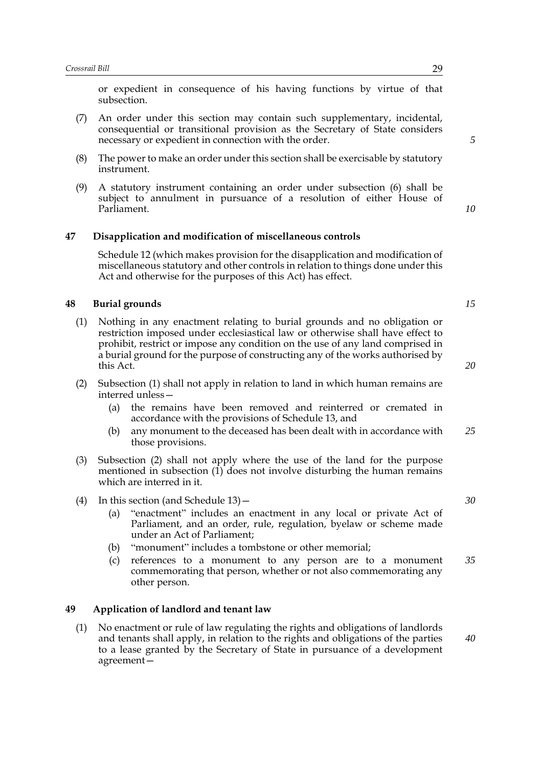or expedient in consequence of his having functions by virtue of that subsection.

- (7) An order under this section may contain such supplementary, incidental, consequential or transitional provision as the Secretary of State considers necessary or expedient in connection with the order.
- (8) The power to make an order under this section shall be exercisable by statutory instrument.
- (9) A statutory instrument containing an order under subsection (6) shall be subject to annulment in pursuance of a resolution of either House of Parliament.

#### **47 Disapplication and modification of miscellaneous controls**

Schedule 12 (which makes provision for the disapplication and modification of miscellaneous statutory and other controls in relation to things done under this Act and otherwise for the purposes of this Act) has effect.

#### **48 Burial grounds**

- (1) Nothing in any enactment relating to burial grounds and no obligation or restriction imposed under ecclesiastical law or otherwise shall have effect to prohibit, restrict or impose any condition on the use of any land comprised in a burial ground for the purpose of constructing any of the works authorised by this Act.
- (2) Subsection (1) shall not apply in relation to land in which human remains are interred unless—
	- (a) the remains have been removed and reinterred or cremated in accordance with the provisions of Schedule 13, and
	- (b) any monument to the deceased has been dealt with in accordance with those provisions. *25*
- (3) Subsection (2) shall not apply where the use of the land for the purpose mentioned in subsection (1) does not involve disturbing the human remains which are interred in it.
- (4) In this section (and Schedule 13)—
	- (a) "enactment" includes an enactment in any local or private Act of Parliament, and an order, rule, regulation, byelaw or scheme made under an Act of Parliament;
	- (b) "monument" includes a tombstone or other memorial;
	- (c) references to a monument to any person are to a monument commemorating that person, whether or not also commemorating any other person. *35*

#### **49 Application of landlord and tenant law**

(1) No enactment or rule of law regulating the rights and obligations of landlords and tenants shall apply, in relation to the rights and obligations of the parties to a lease granted by the Secretary of State in pursuance of a development agreement*5*

*10*

*15*

*20*

*30*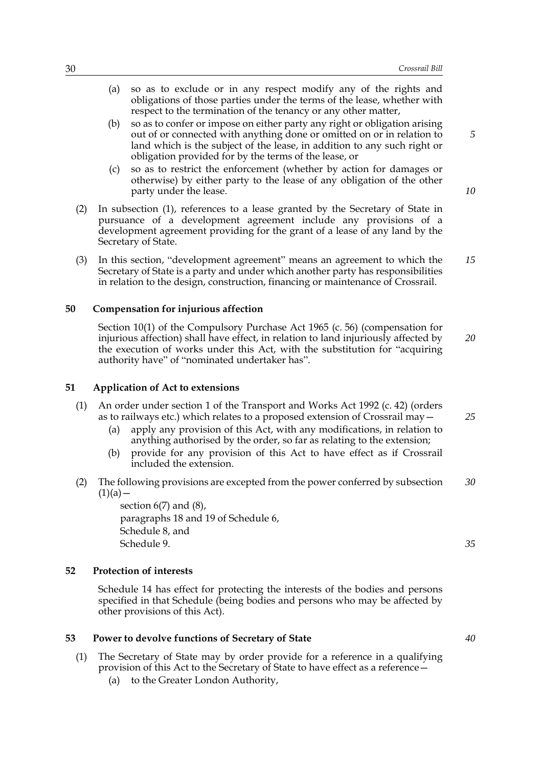- (a) so as to exclude or in any respect modify any of the rights and obligations of those parties under the terms of the lease, whether with respect to the termination of the tenancy or any other matter,
- (b) so as to confer or impose on either party any right or obligation arising out of or connected with anything done or omitted on or in relation to land which is the subject of the lease, in addition to any such right or obligation provided for by the terms of the lease, or
- (c) so as to restrict the enforcement (whether by action for damages or otherwise) by either party to the lease of any obligation of the other party under the lease.
- (2) In subsection (1), references to a lease granted by the Secretary of State in pursuance of a development agreement include any provisions of a development agreement providing for the grant of a lease of any land by the Secretary of State.
- (3) In this section, "development agreement" means an agreement to which the Secretary of State is a party and under which another party has responsibilities in relation to the design, construction, financing or maintenance of Crossrail. *15*

#### **50 Compensation for injurious affection**

Section 10(1) of the Compulsory Purchase Act 1965 (c. 56) (compensation for injurious affection) shall have effect, in relation to land injuriously affected by the execution of works under this Act, with the substitution for "acquiring authority have" of "nominated undertaker has".

#### **51 Application of Act to extensions**

- (1) An order under section 1 of the Transport and Works Act 1992 (c. 42) (orders as to railways etc.) which relates to a proposed extension of Crossrail may—
	- (a) apply any provision of this Act, with any modifications, in relation to anything authorised by the order, so far as relating to the extension;
	- (b) provide for any provision of this Act to have effect as if Crossrail included the extension.
- (2) The following provisions are excepted from the power conferred by subsection  $(1)(a)$  — *30*

section  $6(7)$  and  $(8)$ , paragraphs 18 and 19 of Schedule 6, Schedule 8, and Schedule 9.

#### **52 Protection of interests**

Schedule 14 has effect for protecting the interests of the bodies and persons specified in that Schedule (being bodies and persons who may be affected by other provisions of this Act).

#### **53 Power to devolve functions of Secretary of State**

- (1) The Secretary of State may by order provide for a reference in a qualifying provision of this Act to the Secretary of State to have effect as a reference—
	- (a) to the Greater London Authority,

*5*

*10*

*20*

*25*

*35*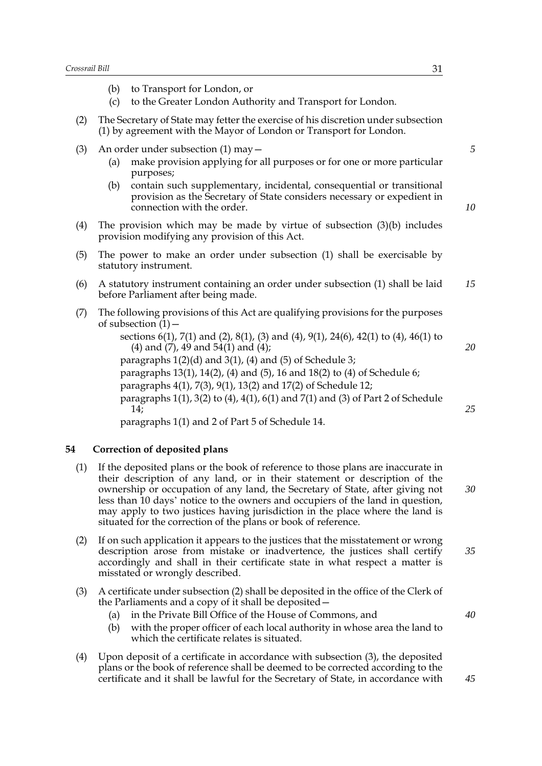|                   | Crossrail Bill<br>31 |                                                                                                                                                                                |  |  |  |  |  |
|-------------------|----------------------|--------------------------------------------------------------------------------------------------------------------------------------------------------------------------------|--|--|--|--|--|
|                   | (b)<br>(c)           | to Transport for London, or<br>to the Greater London Authority and Transport for London.                                                                                       |  |  |  |  |  |
| (2)               |                      | The Secretary of State may fetter the exercise of his discretion under subsection<br>(1) by agreement with the Mayor of London or Transport for London.                        |  |  |  |  |  |
| (3)               | (a)                  | An order under subsection $(1)$ may $-$<br>make provision applying for all purposes or for one or more particular<br>purposes;                                                 |  |  |  |  |  |
|                   | (b)                  | contain such supplementary, incidental, consequential or transitional<br>provision as the Secretary of State considers necessary or expedient in<br>connection with the order. |  |  |  |  |  |
| $\left( 4\right)$ |                      | The provision which may be made by virtue of subsection $(3)(b)$ includes<br>provision modifying any provision of this Act.                                                    |  |  |  |  |  |
| $\sqrt{2}$        |                      | 981 մ. Հ. Հ. Հ. Հ. Ա. Հ. Ա. Հ. Հ. Հ. Հ. Ա. Հ. Հ. Ա. Հ. Հ. 1. Հ. Հ. Հ. Հ. 74 ∖. Հ1 Հ11 1. Հ. Հ. Հ. Հ. Հ. 1.1 Հ. 1. Հ.                                                           |  |  |  |  |  |

- (5) The power to make an order under subsection (1) shall be exercisable by statutory instrument.
- (6) A statutory instrument containing an order under subsection (1) shall be laid before Parliament after being made. *15*
- (7) The following provisions of this Act are qualifying provisions for the purposes of subsection  $(1)$  –

sections 6(1), 7(1) and (2), 8(1), (3) and (4), 9(1), 24(6), 42(1) to (4), 46(1) to (4) and (7), 49 and 54(1) and (4);

paragraphs  $1(2)(d)$  and  $3(1)$ ,  $(4)$  and  $(5)$  of Schedule 3;

paragraphs 13(1), 14(2), (4) and (5), 16 and 18(2) to (4) of Schedule 6;

paragraphs 4(1), 7(3), 9(1), 13(2) and 17(2) of Schedule 12;

paragraphs 1(1), 3(2) to (4), 4(1), 6(1) and 7(1) and (3) of Part 2 of Schedule 14;

paragraphs 1(1) and 2 of Part 5 of Schedule 14.

## **54 Correction of deposited plans**

- (1) If the deposited plans or the book of reference to those plans are inaccurate in their description of any land, or in their statement or description of the ownership or occupation of any land, the Secretary of State, after giving not less than 10 days' notice to the owners and occupiers of the land in question, may apply to two justices having jurisdiction in the place where the land is situated for the correction of the plans or book of reference.
- (2) If on such application it appears to the justices that the misstatement or wrong description arose from mistake or inadvertence, the justices shall certify accordingly and shall in their certificate state in what respect a matter is misstated or wrongly described. *35*
- (3) A certificate under subsection (2) shall be deposited in the office of the Clerk of the Parliaments and a copy of it shall be deposited—
	- (a) in the Private Bill Office of the House of Commons, and
	- (b) with the proper officer of each local authority in whose area the land to which the certificate relates is situated.
- (4) Upon deposit of a certificate in accordance with subsection (3), the deposited plans or the book of reference shall be deemed to be corrected according to the certificate and it shall be lawful for the Secretary of State, in accordance with

*10*

*5*

*25*

*20*

*30*

*40*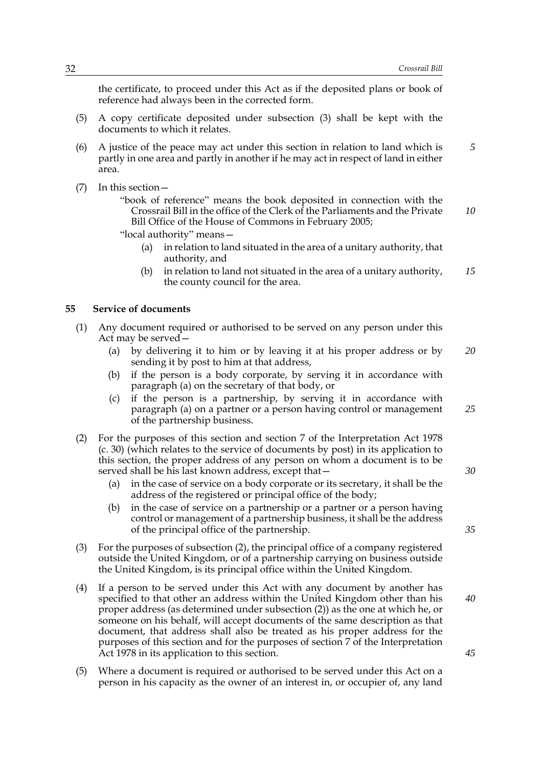the certificate, to proceed under this Act as if the deposited plans or book of reference had always been in the corrected form.

- (5) A copy certificate deposited under subsection (3) shall be kept with the documents to which it relates.
- (6) A justice of the peace may act under this section in relation to land which is partly in one area and partly in another if he may act in respect of land in either area. *5*
- (7) In this section—

"book of reference" means the book deposited in connection with the Crossrail Bill in the office of the Clerk of the Parliaments and the Private Bill Office of the House of Commons in February 2005; *10*

"local authority" means—

- (a) in relation to land situated in the area of a unitary authority, that authority, and
- (b) in relation to land not situated in the area of a unitary authority, the county council for the area. *15*

#### **55 Service of documents**

- (1) Any document required or authorised to be served on any person under this Act may be served—
	- (a) by delivering it to him or by leaving it at his proper address or by sending it by post to him at that address, *20*
	- (b) if the person is a body corporate, by serving it in accordance with paragraph (a) on the secretary of that body, or
	- (c) if the person is a partnership, by serving it in accordance with paragraph (a) on a partner or a person having control or management of the partnership business. *25*
- (2) For the purposes of this section and section 7 of the Interpretation Act 1978 (c. 30) (which relates to the service of documents by post) in its application to this section, the proper address of any person on whom a document is to be served shall be his last known address, except that—
	- (a) in the case of service on a body corporate or its secretary, it shall be the address of the registered or principal office of the body;
	- (b) in the case of service on a partnership or a partner or a person having control or management of a partnership business, it shall be the address of the principal office of the partnership.
- (3) For the purposes of subsection (2), the principal office of a company registered outside the United Kingdom, or of a partnership carrying on business outside the United Kingdom, is its principal office within the United Kingdom.
- (4) If a person to be served under this Act with any document by another has specified to that other an address within the United Kingdom other than his proper address (as determined under subsection (2)) as the one at which he, or someone on his behalf, will accept documents of the same description as that document, that address shall also be treated as his proper address for the purposes of this section and for the purposes of section 7 of the Interpretation Act 1978 in its application to this section.
- (5) Where a document is required or authorised to be served under this Act on a person in his capacity as the owner of an interest in, or occupier of, any land

*30*

*35*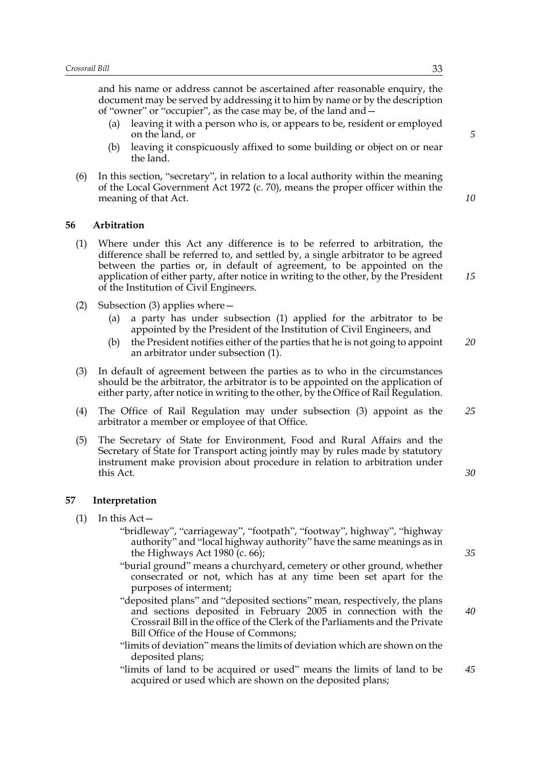and his name or address cannot be ascertained after reasonable enquiry, the document may be served by addressing it to him by name or by the description of "owner" or "occupier", as the case may be, of the land and—

- (a) leaving it with a person who is, or appears to be, resident or employed on the land, or
- (b) leaving it conspicuously affixed to some building or object on or near the land.
- (6) In this section, "secretary", in relation to a local authority within the meaning of the Local Government Act 1972 (c. 70), means the proper officer within the meaning of that Act.

#### **56 Arbitration**

- (1) Where under this Act any difference is to be referred to arbitration, the difference shall be referred to, and settled by, a single arbitrator to be agreed between the parties or, in default of agreement, to be appointed on the application of either party, after notice in writing to the other, by the President of the Institution of Civil Engineers.
- (2) Subsection (3) applies where—
	- (a) a party has under subsection (1) applied for the arbitrator to be appointed by the President of the Institution of Civil Engineers, and
	- (b) the President notifies either of the parties that he is not going to appoint an arbitrator under subsection (1). *20*
- (3) In default of agreement between the parties as to who in the circumstances should be the arbitrator, the arbitrator is to be appointed on the application of either party, after notice in writing to the other, by the Office of Rail Regulation.
- (4) The Office of Rail Regulation may under subsection (3) appoint as the arbitrator a member or employee of that Office. *25*
- (5) The Secretary of State for Environment, Food and Rural Affairs and the Secretary of State for Transport acting jointly may by rules made by statutory instrument make provision about procedure in relation to arbitration under this Act.

#### **57 Interpretation**

- (1) In this Act—
	- "bridleway", "carriageway", "footpath", "footway", highway", "highway authority" and "local highway authority" have the same meanings as in the Highways Act 1980 (c. 66);
	- "burial ground" means a churchyard, cemetery or other ground, whether consecrated or not, which has at any time been set apart for the purposes of interment;
	- "deposited plans" and "deposited sections" mean, respectively, the plans and sections deposited in February 2005 in connection with the Crossrail Bill in the office of the Clerk of the Parliaments and the Private Bill Office of the House of Commons;
	- "limits of deviation" means the limits of deviation which are shown on the deposited plans;
	- "limits of land to be acquired or used" means the limits of land to be acquired or used which are shown on the deposited plans; *45*

*35*

*30*

*40*

*10*

*15*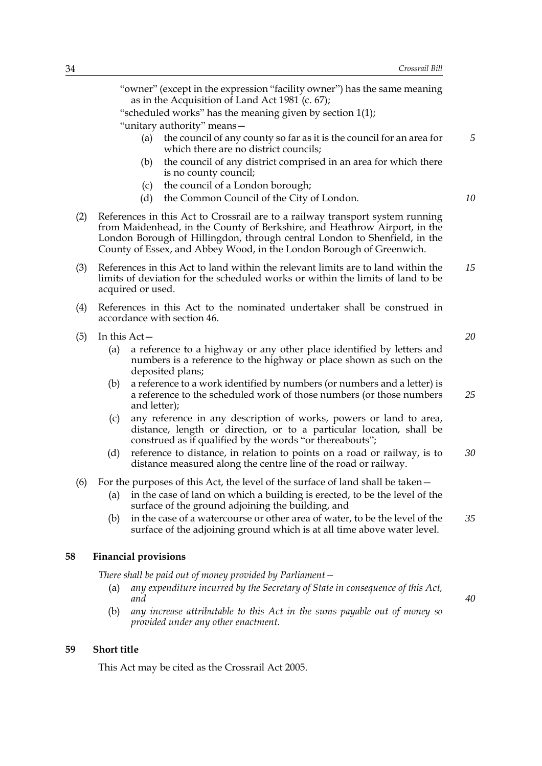"owner" (except in the expression "facility owner") has the same meaning as in the Acquisition of Land Act 1981 (c. 67);

"scheduled works" has the meaning given by section 1(1);

"unitary authority" means—

- (a) the council of any county so far as it is the council for an area for which there are no district councils;
- (b) the council of any district comprised in an area for which there is no county council;
- (c) the council of a London borough;
- (d) the Common Council of the City of London.
- (2) References in this Act to Crossrail are to a railway transport system running from Maidenhead, in the County of Berkshire, and Heathrow Airport, in the London Borough of Hillingdon, through central London to Shenfield, in the County of Essex, and Abbey Wood, in the London Borough of Greenwich.
- (3) References in this Act to land within the relevant limits are to land within the limits of deviation for the scheduled works or within the limits of land to be acquired or used. *15*
- (4) References in this Act to the nominated undertaker shall be construed in accordance with section 46.
- (5) In this Act—
	- (a) a reference to a highway or any other place identified by letters and numbers is a reference to the highway or place shown as such on the deposited plans;
	- (b) a reference to a work identified by numbers (or numbers and a letter) is a reference to the scheduled work of those numbers (or those numbers and letter); *25*
	- (c) any reference in any description of works, powers or land to area, distance, length or direction, or to a particular location, shall be construed as if qualified by the words "or thereabouts";
	- (d) reference to distance, in relation to points on a road or railway, is to distance measured along the centre line of the road or railway. *30*
- (6) For the purposes of this Act, the level of the surface of land shall be taken—
	- (a) in the case of land on which a building is erected, to be the level of the surface of the ground adjoining the building, and
	- (b) in the case of a watercourse or other area of water, to be the level of the surface of the adjoining ground which is at all time above water level. *35*

#### **58 Financial provisions**

*There shall be paid out of money provided by Parliament—*

- (a) *any expenditure incurred by the Secretary of State in consequence of this Act, and*
- (b) *any increase attributable to this Act in the sums payable out of money so provided under any other enactment*.

#### **59 Short title**

This Act may be cited as the Crossrail Act 2005.

*20*

*5*

*10*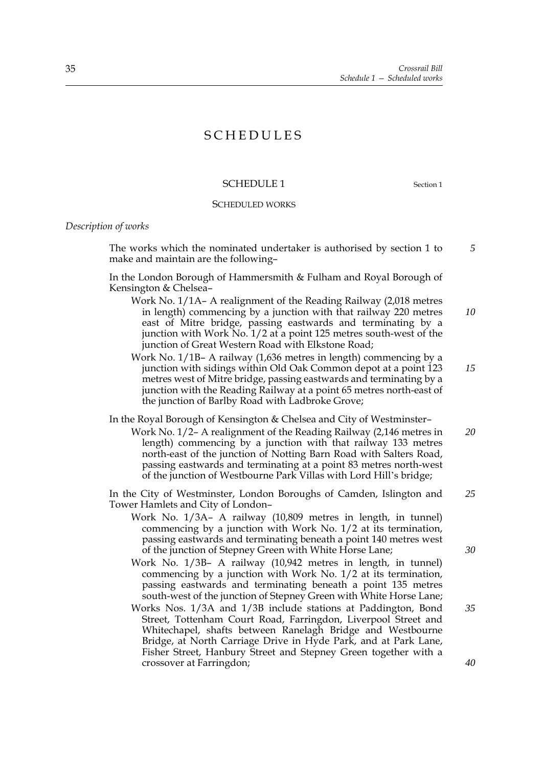## SCHEDULES

#### SCHEDULE 1 Section 1

# SCHEDULED WORKS

*Description of works*

 The works which the nominated undertaker is authorised by section 1 to make and maintain are the following– *5*

 In the London Borough of Hammersmith & Fulham and Royal Borough of Kensington & Chelsea–

- Work No. 1/1A– A realignment of the Reading Railway (2,018 metres in length) commencing by a junction with that railway 220 metres east of Mitre bridge, passing eastwards and terminating by a junction with Work No. 1/2 at a point 125 metres south-west of the junction of Great Western Road with Elkstone Road; *10*
- Work No. 1/1B– A railway (1,636 metres in length) commencing by a junction with sidings within Old Oak Common depot at a point 123 metres west of Mitre bridge, passing eastwards and terminating by a junction with the Reading Railway at a point 65 metres north-east of the junction of Barlby Road with Ladbroke Grove; *15*

In the Royal Borough of Kensington & Chelsea and City of Westminster–

Work No. 1/2– A realignment of the Reading Railway (2,146 metres in length) commencing by a junction with that railway 133 metres north-east of the junction of Notting Barn Road with Salters Road, passing eastwards and terminating at a point 83 metres north-west of the junction of Westbourne Park Villas with Lord Hill's bridge; *20*

 In the City of Westminster, London Boroughs of Camden, Islington and Tower Hamlets and City of London– *25*

- Work No. 1/3A– A railway (10,809 metres in length, in tunnel) commencing by a junction with Work No. 1/2 at its termination, passing eastwards and terminating beneath a point 140 metres west of the junction of Stepney Green with White Horse Lane;
- Work No. 1/3B– A railway (10,942 metres in length, in tunnel) commencing by a junction with Work No. 1/2 at its termination, passing eastwards and terminating beneath a point 135 metres south-west of the junction of Stepney Green with White Horse Lane;
- Works Nos. 1/3A and 1/3B include stations at Paddington, Bond Street, Tottenham Court Road, Farringdon, Liverpool Street and Whitechapel, shafts between Ranelagh Bridge and Westbourne Bridge, at North Carriage Drive in Hyde Park, and at Park Lane, Fisher Street, Hanbury Street and Stepney Green together with a crossover at Farringdon; *35*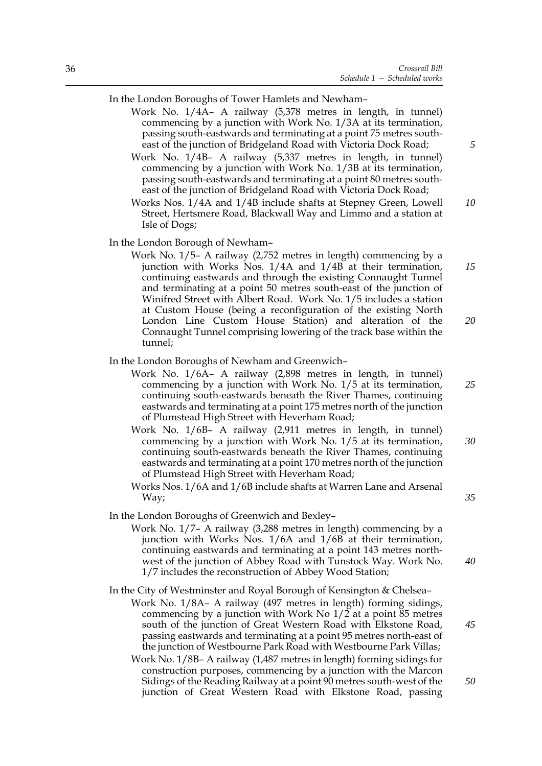In the London Boroughs of Tower Hamlets and Newham–

- Work No. 1/4A– A railway (5,378 metres in length, in tunnel) commencing by a junction with Work No. 1/3A at its termination, passing south-eastwards and terminating at a point 75 metres southeast of the junction of Bridgeland Road with Victoria Dock Road;
- Work No. 1/4B– A railway (5,337 metres in length, in tunnel) commencing by a junction with Work No. 1/3B at its termination, passing south-eastwards and terminating at a point 80 metres southeast of the junction of Bridgeland Road with Victoria Dock Road;
- Works Nos. 1/4A and 1/4B include shafts at Stepney Green, Lowell Street, Hertsmere Road, Blackwall Way and Limmo and a station at Isle of Dogs; *10*

In the London Borough of Newham–

Work No. 1/5– A railway (2,752 metres in length) commencing by a junction with Works Nos. 1/4A and 1/4B at their termination, continuing eastwards and through the existing Connaught Tunnel and terminating at a point 50 metres south-east of the junction of Winifred Street with Albert Road. Work No. 1/5 includes a station at Custom House (being a reconfiguration of the existing North London Line Custom House Station) and alteration of the Connaught Tunnel comprising lowering of the track base within the tunnel; *15 20*

#### In the London Boroughs of Newham and Greenwich–

- Work No. 1/6A– A railway (2,898 metres in length, in tunnel) commencing by a junction with Work No. 1/5 at its termination, continuing south-eastwards beneath the River Thames, continuing eastwards and terminating at a point 175 metres north of the junction of Plumstead High Street with Heverham Road;
- Work No. 1/6B– A railway (2,911 metres in length, in tunnel) commencing by a junction with Work No. 1/5 at its termination, continuing south-eastwards beneath the River Thames, continuing eastwards and terminating at a point 170 metres north of the junction of Plumstead High Street with Heverham Road; *30*
- Works Nos. 1/6A and 1/6B include shafts at Warren Lane and Arsenal Way;
- In the London Boroughs of Greenwich and Bexley–
	- Work No. 1/7– A railway (3,288 metres in length) commencing by a junction with Works Nos. 1/6A and 1/6B at their termination, continuing eastwards and terminating at a point 143 metres northwest of the junction of Abbey Road with Tunstock Way. Work No. 1/7 includes the reconstruction of Abbey Wood Station; *40*
- In the City of Westminster and Royal Borough of Kensington & Chelsea– Work No. 1/8A– A railway (497 metres in length) forming sidings, commencing by a junction with Work No  $1/2$  at a point 85 metres south of the junction of Great Western Road with Elkstone Road, passing eastwards and terminating at a point 95 metres north-east of the junction of Westbourne Park Road with Westbourne Park Villas;
	- Work No. 1/8B– A railway (1,487 metres in length) forming sidings for construction purposes, commencing by a junction with the Marcon Sidings of the Reading Railway at a point 90 metres south-west of the junction of Great Western Road with Elkstone Road, passing

*5*

*25*

*35*

*45*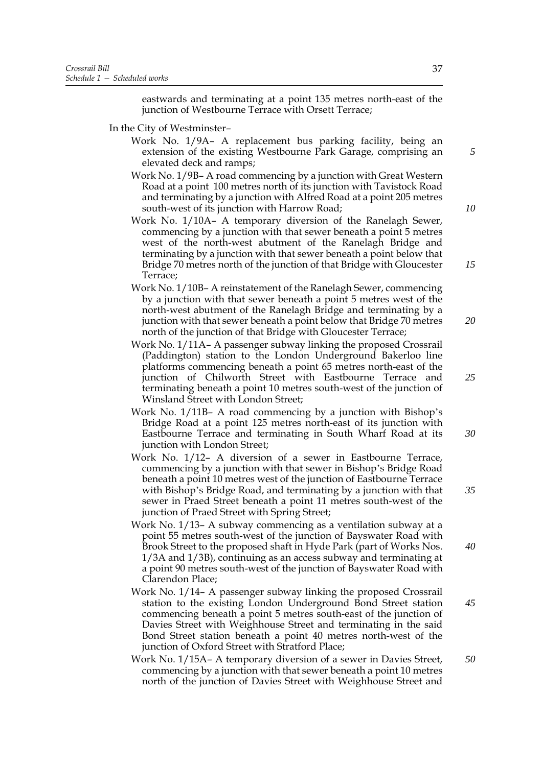eastwards and terminating at a point 135 metres north-east of the junction of Westbourne Terrace with Orsett Terrace;

- In the City of Westminster–
	- Work No. 1/9A– A replacement bus parking facility, being an extension of the existing Westbourne Park Garage, comprising an elevated deck and ramps;
	- Work No. 1/9B– A road commencing by a junction with Great Western Road at a point 100 metres north of its junction with Tavistock Road and terminating by a junction with Alfred Road at a point 205 metres south-west of its junction with Harrow Road;
	- Work No. 1/10A– A temporary diversion of the Ranelagh Sewer, commencing by a junction with that sewer beneath a point 5 metres west of the north-west abutment of the Ranelagh Bridge and terminating by a junction with that sewer beneath a point below that Bridge 70 metres north of the junction of that Bridge with Gloucester Terrace;
	- Work No. 1/10B– A reinstatement of the Ranelagh Sewer, commencing by a junction with that sewer beneath a point 5 metres west of the north-west abutment of the Ranelagh Bridge and terminating by a junction with that sewer beneath a point below that Bridge 70 metres north of the junction of that Bridge with Gloucester Terrace;
	- Work No. 1/11A– A passenger subway linking the proposed Crossrail (Paddington) station to the London Underground Bakerloo line platforms commencing beneath a point 65 metres north-east of the junction of Chilworth Street with Eastbourne Terrace and terminating beneath a point 10 metres south-west of the junction of Winsland Street with London Street;
	- Work No. 1/11B– A road commencing by a junction with Bishop's Bridge Road at a point 125 metres north-east of its junction with Eastbourne Terrace and terminating in South Wharf Road at its junction with London Street;
	- Work No. 1/12– A diversion of a sewer in Eastbourne Terrace, commencing by a junction with that sewer in Bishop's Bridge Road beneath a point 10 metres west of the junction of Eastbourne Terrace with Bishop's Bridge Road, and terminating by a junction with that sewer in Praed Street beneath a point 11 metres south-west of the junction of Praed Street with Spring Street;
	- Work No. 1/13– A subway commencing as a ventilation subway at a point 55 metres south-west of the junction of Bayswater Road with Brook Street to the proposed shaft in Hyde Park (part of Works Nos. 1/3A and 1/3B), continuing as an access subway and terminating at a point 90 metres south-west of the junction of Bayswater Road with Clarendon Place; *40*
	- Work No. 1/14– A passenger subway linking the proposed Crossrail station to the existing London Underground Bond Street station commencing beneath a point 5 metres south-east of the junction of Davies Street with Weighhouse Street and terminating in the said Bond Street station beneath a point 40 metres north-west of the junction of Oxford Street with Stratford Place;
	- Work No. 1/15A– A temporary diversion of a sewer in Davies Street, commencing by a junction with that sewer beneath a point 10 metres north of the junction of Davies Street with Weighhouse Street and *50*

*5*

*10*

*15*

*20*

*25*

*30*

*35*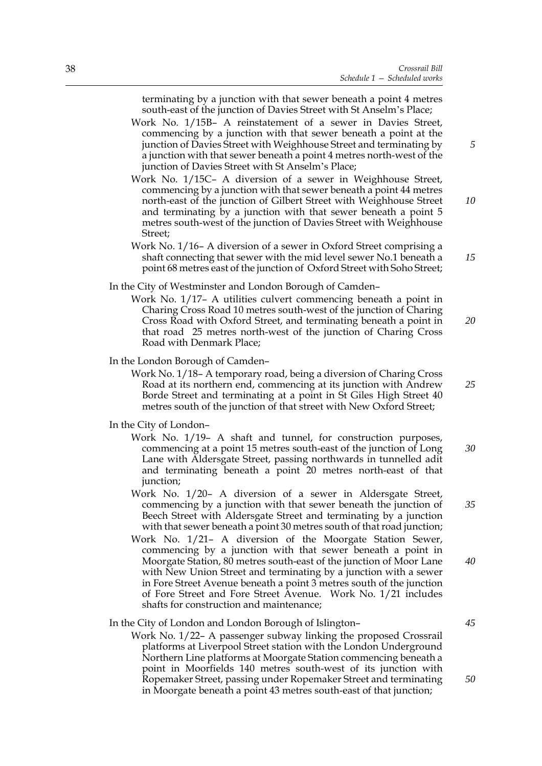terminating by a junction with that sewer beneath a point 4 metres south-east of the junction of Davies Street with St Anselm's Place;

- Work No. 1/15B– A reinstatement of a sewer in Davies Street, commencing by a junction with that sewer beneath a point at the junction of Davies Street with Weighhouse Street and terminating by a junction with that sewer beneath a point 4 metres north-west of the junction of Davies Street with St Anselm's Place;
- Work No. 1/15C– A diversion of a sewer in Weighhouse Street, commencing by a junction with that sewer beneath a point 44 metres north-east of the junction of Gilbert Street with Weighhouse Street and terminating by a junction with that sewer beneath a point 5 metres south-west of the junction of Davies Street with Weighhouse Street;
- Work No. 1/16– A diversion of a sewer in Oxford Street comprising a shaft connecting that sewer with the mid level sewer No.1 beneath a point 68 metres east of the junction of Oxford Street with Soho Street; *15*

#### In the City of Westminster and London Borough of Camden–

Work No. 1/17– A utilities culvert commencing beneath a point in Charing Cross Road 10 metres south-west of the junction of Charing Cross Road with Oxford Street, and terminating beneath a point in that road 25 metres north-west of the junction of Charing Cross Road with Denmark Place; *20*

In the London Borough of Camden–

Work No. 1/18– A temporary road, being a diversion of Charing Cross Road at its northern end, commencing at its junction with Andrew Borde Street and terminating at a point in St Giles High Street 40 metres south of the junction of that street with New Oxford Street;

#### In the City of London–

- Work No. 1/19– A shaft and tunnel, for construction purposes, commencing at a point 15 metres south-east of the junction of Long Lane with Aldersgate Street, passing northwards in tunnelled adit and terminating beneath a point 20 metres north-east of that junction; *30*
- Work No. 1/20– A diversion of a sewer in Aldersgate Street, commencing by a junction with that sewer beneath the junction of Beech Street with Aldersgate Street and terminating by a junction with that sewer beneath a point 30 metres south of that road junction;
- Work No. 1/21– A diversion of the Moorgate Station Sewer, commencing by a junction with that sewer beneath a point in Moorgate Station, 80 metres south-east of the junction of Moor Lane with New Union Street and terminating by a junction with a sewer in Fore Street Avenue beneath a point 3 metres south of the junction of Fore Street and Fore Street Avenue. Work No. 1/21 includes shafts for construction and maintenance; *40*

#### In the City of London and London Borough of Islington–

Work No. 1/22– A passenger subway linking the proposed Crossrail platforms at Liverpool Street station with the London Underground Northern Line platforms at Moorgate Station commencing beneath a point in Moorfields 140 metres south-west of its junction with Ropemaker Street, passing under Ropemaker Street and terminating in Moorgate beneath a point 43 metres south-east of that junction;

*5*

*10*

*25*

*35*

*45*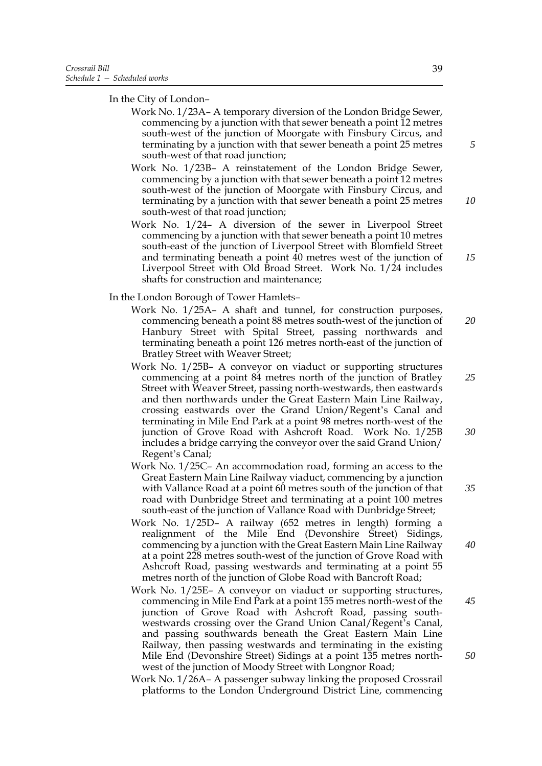In the City of London–

- Work No. 1/23A– A temporary diversion of the London Bridge Sewer, commencing by a junction with that sewer beneath a point 12 metres south-west of the junction of Moorgate with Finsbury Circus, and terminating by a junction with that sewer beneath a point 25 metres south-west of that road junction;
- Work No. 1/23B– A reinstatement of the London Bridge Sewer, commencing by a junction with that sewer beneath a point 12 metres south-west of the junction of Moorgate with Finsbury Circus, and terminating by a junction with that sewer beneath a point 25 metres south-west of that road junction;
- Work No. 1/24– A diversion of the sewer in Liverpool Street commencing by a junction with that sewer beneath a point 10 metres south-east of the junction of Liverpool Street with Blomfield Street and terminating beneath a point 40 metres west of the junction of Liverpool Street with Old Broad Street. Work No. 1/24 includes shafts for construction and maintenance;

In the London Borough of Tower Hamlets–

- Work No. 1/25A– A shaft and tunnel, for construction purposes, commencing beneath a point 88 metres south-west of the junction of Hanbury Street with Spital Street, passing northwards and terminating beneath a point 126 metres north-east of the junction of Bratley Street with Weaver Street; *20*
- Work No. 1/25B– A conveyor on viaduct or supporting structures commencing at a point 84 metres north of the junction of Bratley Street with Weaver Street, passing north-westwards, then eastwards and then northwards under the Great Eastern Main Line Railway, crossing eastwards over the Grand Union/Regent's Canal and terminating in Mile End Park at a point 98 metres north-west of the junction of Grove Road with Ashcroft Road. Work No. 1/25B includes a bridge carrying the conveyor over the said Grand Union/ Regent's Canal; *25 30*
- Work No. 1/25C– An accommodation road, forming an access to the Great Eastern Main Line Railway viaduct, commencing by a junction with Vallance Road at a point 60 metres south of the junction of that road with Dunbridge Street and terminating at a point 100 metres south-east of the junction of Vallance Road with Dunbridge Street;
- Work No. 1/25D– A railway (652 metres in length) forming a realignment of the Mile End (Devonshire Street) Sidings, commencing by a junction with the Great Eastern Main Line Railway at a point 228 metres south-west of the junction of Grove Road with Ashcroft Road, passing westwards and terminating at a point 55 metres north of the junction of Globe Road with Bancroft Road; *40*
- Work No. 1/25E– A conveyor on viaduct or supporting structures, commencing in Mile End Park at a point 155 metres north-west of the junction of Grove Road with Ashcroft Road, passing southwestwards crossing over the Grand Union Canal/Regent's Canal, and passing southwards beneath the Great Eastern Main Line Railway, then passing westwards and terminating in the existing Mile End (Devonshire Street) Sidings at a point 135 metres northwest of the junction of Moody Street with Longnor Road;
- Work No. 1/26A– A passenger subway linking the proposed Crossrail platforms to the London Underground District Line, commencing

39

*10*

*15*

*35*

*45*

*50*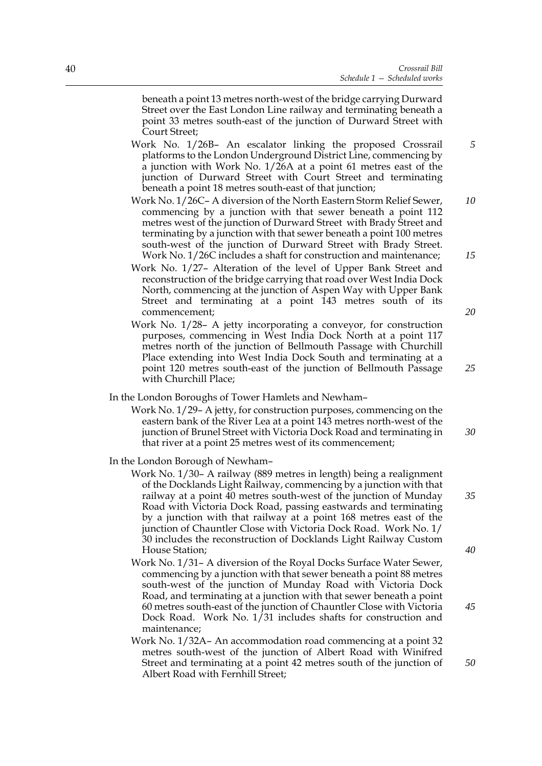beneath a point 13 metres north-west of the bridge carrying Durward Street over the East London Line railway and terminating beneath a point 33 metres south-east of the junction of Durward Street with Court Street;

- Work No. 1/26B– An escalator linking the proposed Crossrail platforms to the London Underground District Line, commencing by a junction with Work No. 1/26A at a point 61 metres east of the junction of Durward Street with Court Street and terminating beneath a point 18 metres south-east of that junction;
- Work No. 1/26C– A diversion of the North Eastern Storm Relief Sewer, commencing by a junction with that sewer beneath a point 112 metres west of the junction of Durward Street with Brady Street and terminating by a junction with that sewer beneath a point 100 metres south-west of the junction of Durward Street with Brady Street. Work No. 1/26C includes a shaft for construction and maintenance; *10 15*
- Work No. 1/27– Alteration of the level of Upper Bank Street and reconstruction of the bridge carrying that road over West India Dock North, commencing at the junction of Aspen Way with Upper Bank Street and terminating at a point 143 metres south of its commencement;
- Work No. 1/28– A jetty incorporating a conveyor, for construction purposes, commencing in West India Dock North at a point 117 metres north of the junction of Bellmouth Passage with Churchill Place extending into West India Dock South and terminating at a point 120 metres south-east of the junction of Bellmouth Passage with Churchill Place;
- In the London Boroughs of Tower Hamlets and Newham–
	- Work No. 1/29– A jetty, for construction purposes, commencing on the eastern bank of the River Lea at a point 143 metres north-west of the junction of Brunel Street with Victoria Dock Road and terminating in that river at a point 25 metres west of its commencement; *30*
- In the London Borough of Newham–
	- Work No. 1/30– A railway (889 metres in length) being a realignment of the Docklands Light Railway, commencing by a junction with that railway at a point 40 metres south-west of the junction of Munday Road with Victoria Dock Road, passing eastwards and terminating by a junction with that railway at a point 168 metres east of the junction of Chauntler Close with Victoria Dock Road. Work No. 1/ 30 includes the reconstruction of Docklands Light Railway Custom House Station;
	- Work No. 1/31– A diversion of the Royal Docks Surface Water Sewer, commencing by a junction with that sewer beneath a point 88 metres south-west of the junction of Munday Road with Victoria Dock Road, and terminating at a junction with that sewer beneath a point 60 metres south-east of the junction of Chauntler Close with Victoria Dock Road. Work No. 1/31 includes shafts for construction and maintenance;
	- Work No. 1/32A– An accommodation road commencing at a point 32 metres south-west of the junction of Albert Road with Winifred Street and terminating at a point 42 metres south of the junction of Albert Road with Fernhill Street;

*20*

*5*

*25*

*35*

*40*

*50*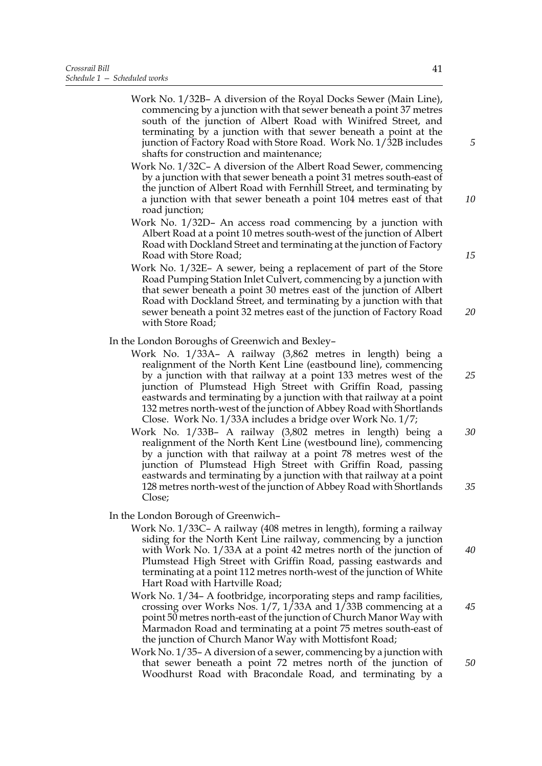- Work No. 1/32B– A diversion of the Royal Docks Sewer (Main Line), commencing by a junction with that sewer beneath a point 37 metres south of the junction of Albert Road with Winifred Street, and terminating by a junction with that sewer beneath a point at the junction of Factory Road with Store Road. Work No. 1/32B includes shafts for construction and maintenance;
- Work No. 1/32C– A diversion of the Albert Road Sewer, commencing by a junction with that sewer beneath a point 31 metres south-east of the junction of Albert Road with Fernhill Street, and terminating by a junction with that sewer beneath a point 104 metres east of that road junction;
- Work No. 1/32D– An access road commencing by a junction with Albert Road at a point 10 metres south-west of the junction of Albert Road with Dockland Street and terminating at the junction of Factory Road with Store Road;
- Work No. 1/32E– A sewer, being a replacement of part of the Store Road Pumping Station Inlet Culvert, commencing by a junction with that sewer beneath a point 30 metres east of the junction of Albert Road with Dockland Street, and terminating by a junction with that sewer beneath a point 32 metres east of the junction of Factory Road with Store Road; *20*
- In the London Boroughs of Greenwich and Bexley–
	- Work No. 1/33A– A railway (3,862 metres in length) being a realignment of the North Kent Line (eastbound line), commencing by a junction with that railway at a point 133 metres west of the junction of Plumstead High Street with Griffin Road, passing eastwards and terminating by a junction with that railway at a point 132 metres north-west of the junction of Abbey Road with Shortlands Close. Work No. 1/33A includes a bridge over Work No. 1/7;
	- Work No. 1/33B– A railway (3,802 metres in length) being a realignment of the North Kent Line (westbound line), commencing by a junction with that railway at a point 78 metres west of the junction of Plumstead High Street with Griffin Road, passing eastwards and terminating by a junction with that railway at a point 128 metres north-west of the junction of Abbey Road with Shortlands Close; *30 35*
- In the London Borough of Greenwich–
	- Work No. 1/33C– A railway (408 metres in length), forming a railway siding for the North Kent Line railway, commencing by a junction with Work No. 1/33A at a point 42 metres north of the junction of Plumstead High Street with Griffin Road, passing eastwards and terminating at a point 112 metres north-west of the junction of White Hart Road with Hartville Road;
	- Work No. 1/34– A footbridge, incorporating steps and ramp facilities, crossing over Works Nos.  $1/7$ ,  $1/33A$  and  $1/33B$  commencing at a point 50 metres north-east of the junction of Church Manor Way with Marmadon Road and terminating at a point 75 metres south-east of the junction of Church Manor Way with Mottisfont Road;
	- Work No. 1/35– A diversion of a sewer, commencing by a junction with that sewer beneath a point 72 metres north of the junction of Woodhurst Road with Bracondale Road, and terminating by a

*10*

*5*

*15*

*25*

*40*

*50*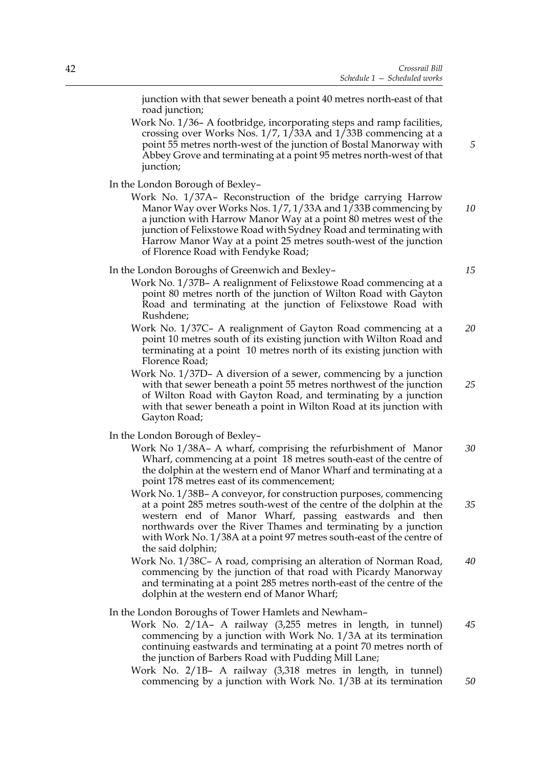junction with that sewer beneath a point 40 metres north-east of that road junction;

Work No. 1/36– A footbridge, incorporating steps and ramp facilities, crossing over Works Nos.  $1/7$ ,  $1/33A$  and  $1/33B$  commencing at a point 55 metres north-west of the junction of Bostal Manorway with Abbey Grove and terminating at a point 95 metres north-west of that junction;

In the London Borough of Bexley–

Work No. 1/37A– Reconstruction of the bridge carrying Harrow Manor Way over Works Nos. 1/7, 1/33A and 1/33B commencing by a junction with Harrow Manor Way at a point 80 metres west of the junction of Felixstowe Road with Sydney Road and terminating with Harrow Manor Way at a point 25 metres south-west of the junction of Florence Road with Fendyke Road; *10*

In the London Boroughs of Greenwich and Bexley–

- Work No. 1/37B– A realignment of Felixstowe Road commencing at a point 80 metres north of the junction of Wilton Road with Gayton Road and terminating at the junction of Felixstowe Road with Rushdene;
- Work No. 1/37C– A realignment of Gayton Road commencing at a point 10 metres south of its existing junction with Wilton Road and terminating at a point 10 metres north of its existing junction with Florence Road; *20*
- Work No. 1/37D– A diversion of a sewer, commencing by a junction with that sewer beneath a point 55 metres northwest of the junction of Wilton Road with Gayton Road, and terminating by a junction with that sewer beneath a point in Wilton Road at its junction with Gayton Road; *25*

In the London Borough of Bexley–

- Work No 1/38A– A wharf, comprising the refurbishment of Manor Wharf, commencing at a point 18 metres south-east of the centre of the dolphin at the western end of Manor Wharf and terminating at a point 178 metres east of its commencement; *30*
- Work No. 1/38B– A conveyor, for construction purposes, commencing at a point 285 metres south-west of the centre of the dolphin at the western end of Manor Wharf, passing eastwards and then northwards over the River Thames and terminating by a junction with Work No. 1/38A at a point 97 metres south-east of the centre of the said dolphin; *35*
- Work No. 1/38C– A road, comprising an alteration of Norman Road, commencing by the junction of that road with Picardy Manorway and terminating at a point 285 metres north-east of the centre of the dolphin at the western end of Manor Wharf; *40*

In the London Boroughs of Tower Hamlets and Newham–

- Work No. 2/1A– A railway (3,255 metres in length, in tunnel) commencing by a junction with Work No. 1/3A at its termination continuing eastwards and terminating at a point 70 metres north of the junction of Barbers Road with Pudding Mill Lane; *45*
- Work No. 2/1B– A railway (3,318 metres in length, in tunnel) commencing by a junction with Work No. 1/3B at its termination

*15*

*5*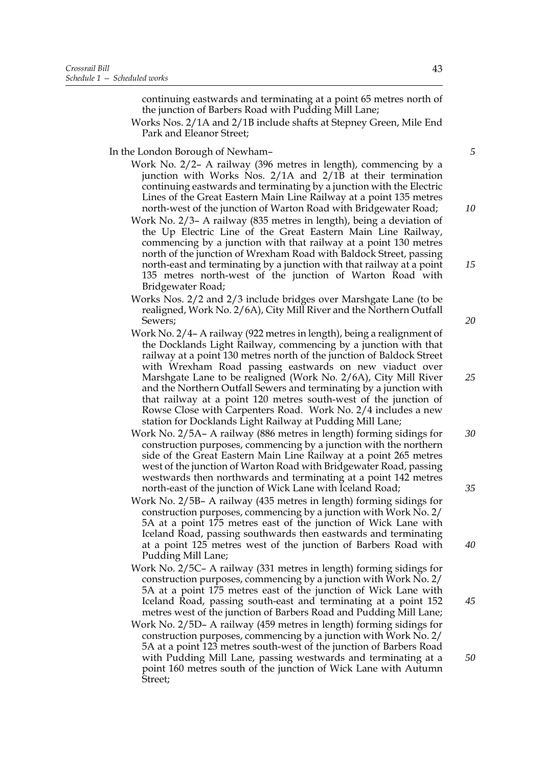continuing eastwards and terminating at a point 65 metres north of the junction of Barbers Road with Pudding Mill Lane;

Works Nos. 2/1A and 2/1B include shafts at Stepney Green, Mile End Park and Eleanor Street;

In the London Borough of Newham–

- Work No. 2/2– A railway (396 metres in length), commencing by a junction with Works Nos. 2/1A and 2/1B at their termination continuing eastwards and terminating by a junction with the Electric Lines of the Great Eastern Main Line Railway at a point 135 metres north-west of the junction of Warton Road with Bridgewater Road;
- Work No. 2/3– A railway (835 metres in length), being a deviation of the Up Electric Line of the Great Eastern Main Line Railway, commencing by a junction with that railway at a point 130 metres north of the junction of Wrexham Road with Baldock Street, passing north-east and terminating by a junction with that railway at a point 135 metres north-west of the junction of Warton Road with Bridgewater Road;
- Works Nos. 2/2 and 2/3 include bridges over Marshgate Lane (to be realigned, Work No. 2/6A), City Mill River and the Northern Outfall Sewers;
- Work No. 2/4– A railway (922 metres in length), being a realignment of the Docklands Light Railway, commencing by a junction with that railway at a point 130 metres north of the junction of Baldock Street with Wrexham Road passing eastwards on new viaduct over Marshgate Lane to be realigned (Work No. 2/6A), City Mill River and the Northern Outfall Sewers and terminating by a junction with that railway at a point 120 metres south-west of the junction of Rowse Close with Carpenters Road. Work No. 2/4 includes a new station for Docklands Light Railway at Pudding Mill Lane;
- Work No. 2/5A– A railway (886 metres in length) forming sidings for construction purposes, commencing by a junction with the northern side of the Great Eastern Main Line Railway at a point 265 metres west of the junction of Warton Road with Bridgewater Road, passing westwards then northwards and terminating at a point 142 metres north-east of the junction of Wick Lane with Iceland Road; *30 35*
- Work No. 2/5B– A railway (435 metres in length) forming sidings for construction purposes, commencing by a junction with Work No. 2/ 5A at a point 175 metres east of the junction of Wick Lane with Iceland Road, passing southwards then eastwards and terminating at a point 125 metres west of the junction of Barbers Road with Pudding Mill Lane;
- Work No. 2/5C– A railway (331 metres in length) forming sidings for construction purposes, commencing by a junction with Work No. 2/ 5A at a point 175 metres east of the junction of Wick Lane with Iceland Road, passing south-east and terminating at a point 152 metres west of the junction of Barbers Road and Pudding Mill Lane;
- Work No. 2/5D– A railway (459 metres in length) forming sidings for construction purposes, commencing by a junction with Work No. 2/ 5A at a point 123 metres south-west of the junction of Barbers Road with Pudding Mill Lane, passing westwards and terminating at a point 160 metres south of the junction of Wick Lane with Autumn Street;

43

*5*

*10*

*15*

*25*

*40*

*45*

*50*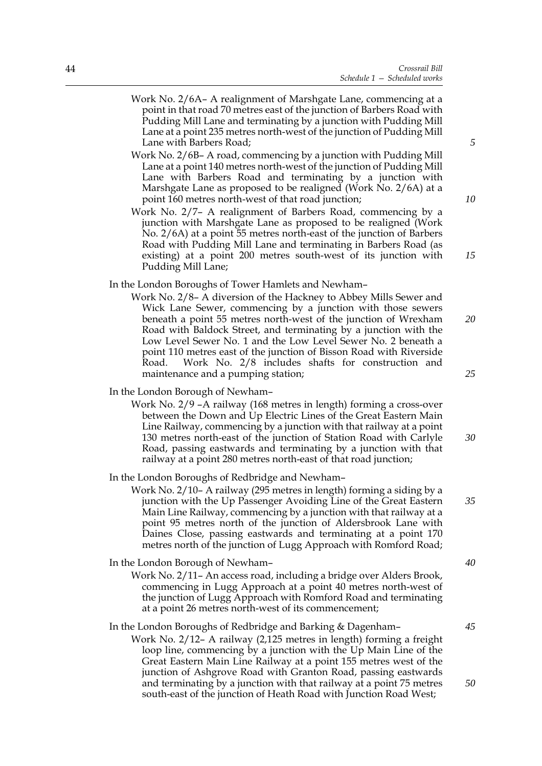- Work No. 2/6A– A realignment of Marshgate Lane, commencing at a point in that road 70 metres east of the junction of Barbers Road with Pudding Mill Lane and terminating by a junction with Pudding Mill Lane at a point 235 metres north-west of the junction of Pudding Mill Lane with Barbers Road;
- Work No. 2/6B– A road, commencing by a junction with Pudding Mill Lane at a point 140 metres north-west of the junction of Pudding Mill Lane with Barbers Road and terminating by a junction with Marshgate Lane as proposed to be realigned (Work No. 2/6A) at a point 160 metres north-west of that road junction;
- Work No. 2/7– A realignment of Barbers Road, commencing by a junction with Marshgate Lane as proposed to be realigned (Work No. 2/6A) at a point 55 metres north-east of the junction of Barbers Road with Pudding Mill Lane and terminating in Barbers Road (as existing) at a point 200 metres south-west of its junction with Pudding Mill Lane;

## In the London Boroughs of Tower Hamlets and Newham–

Work No. 2/8– A diversion of the Hackney to Abbey Mills Sewer and Wick Lane Sewer, commencing by a junction with those sewers beneath a point 55 metres north-west of the junction of Wrexham Road with Baldock Street, and terminating by a junction with the Low Level Sewer No. 1 and the Low Level Sewer No. 2 beneath a point 110 metres east of the junction of Bisson Road with Riverside Road. Work No. 2/8 includes shafts for construction and maintenance and a pumping station;

#### In the London Borough of Newham–

Work No. 2/9 –A railway (168 metres in length) forming a cross-over between the Down and Up Electric Lines of the Great Eastern Main Line Railway, commencing by a junction with that railway at a point 130 metres north-east of the junction of Station Road with Carlyle Road, passing eastwards and terminating by a junction with that railway at a point 280 metres north-east of that road junction;

#### In the London Boroughs of Redbridge and Newham–

Work No. 2/10– A railway (295 metres in length) forming a siding by a junction with the Up Passenger Avoiding Line of the Great Eastern Main Line Railway, commencing by a junction with that railway at a point 95 metres north of the junction of Aldersbrook Lane with Daines Close, passing eastwards and terminating at a point 170 metres north of the junction of Lugg Approach with Romford Road;

#### In the London Borough of Newham–

Work No. 2/11– An access road, including a bridge over Alders Brook, commencing in Lugg Approach at a point 40 metres north-west of the junction of Lugg Approach with Romford Road and terminating at a point 26 metres north-west of its commencement;

## In the London Boroughs of Redbridge and Barking & Dagenham–

Work No. 2/12– A railway (2,125 metres in length) forming a freight loop line, commencing by a junction with the Up Main Line of the Great Eastern Main Line Railway at a point 155 metres west of the junction of Ashgrove Road with Granton Road, passing eastwards and terminating by a junction with that railway at a point 75 metres south-east of the junction of Heath Road with Junction Road West;

*5*

*10*

*15*

*25*

*30*

*35*

*40*

*45*

*50*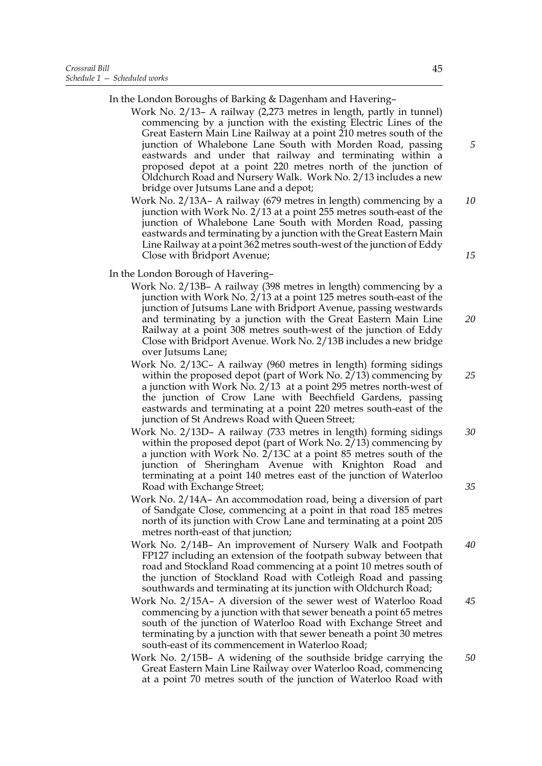In the London Boroughs of Barking & Dagenham and Havering–

- Work No. 2/13– A railway (2,273 metres in length, partly in tunnel) commencing by a junction with the existing Electric Lines of the Great Eastern Main Line Railway at a point 210 metres south of the junction of Whalebone Lane South with Morden Road, passing eastwards and under that railway and terminating within a proposed depot at a point 220 metres north of the junction of Oldchurch Road and Nursery Walk. Work No. 2/13 includes a new bridge over Jutsums Lane and a depot;
- Work No. 2/13A– A railway (679 metres in length) commencing by a junction with Work No. 2/13 at a point 255 metres south-east of the junction of Whalebone Lane South with Morden Road, passing eastwards and terminating by a junction with the Great Eastern Main Line Railway at a point 362 metres south-west of the junction of Eddy Close with Bridport Avenue; *15*

In the London Borough of Havering–

- Work No. 2/13B– A railway (398 metres in length) commencing by a junction with Work No. 2/13 at a point 125 metres south-east of the junction of Jutsums Lane with Bridport Avenue, passing westwards and terminating by a junction with the Great Eastern Main Line Railway at a point 308 metres south-west of the junction of Eddy Close with Bridport Avenue. Work No. 2/13B includes a new bridge over Jutsums Lane;
- Work No. 2/13C– A railway (960 metres in length) forming sidings within the proposed depot (part of Work No.  $2/13$ ) commencing by a junction with Work  $\overline{{\rm No}}$ . 2/13 at a point 295 metres north-west of the junction of Crow Lane with Beechfield Gardens, passing eastwards and terminating at a point 220 metres south-east of the junction of St Andrews Road with Queen Street;
- Work No. 2/13D– A railway (733 metres in length) forming sidings within the proposed depot (part of Work No.  $2/13$ ) commencing by a junction with Work No. 2/13C at a point 85 metres south of the junction of Sheringham Avenue with Knighton Road and terminating at a point 140 metres east of the junction of Waterloo Road with Exchange Street; *30 35*
- Work No. 2/14A– An accommodation road, being a diversion of part of Sandgate Close, commencing at a point in that road 185 metres north of its junction with Crow Lane and terminating at a point 205 metres north-east of that junction;
- Work No. 2/14B– An improvement of Nursery Walk and Footpath FP127 including an extension of the footpath subway between that road and Stockland Road commencing at a point 10 metres south of the junction of Stockland Road with Cotleigh Road and passing southwards and terminating at its junction with Oldchurch Road; *40*
- Work No. 2/15A– A diversion of the sewer west of Waterloo Road commencing by a junction with that sewer beneath a point 65 metres south of the junction of Waterloo Road with Exchange Street and terminating by a junction with that sewer beneath a point 30 metres south-east of its commencement in Waterloo Road; *45*
- Work No. 2/15B– A widening of the southside bridge carrying the Great Eastern Main Line Railway over Waterloo Road, commencing at a point 70 metres south of the junction of Waterloo Road with *50*

*5*

*10*

*20*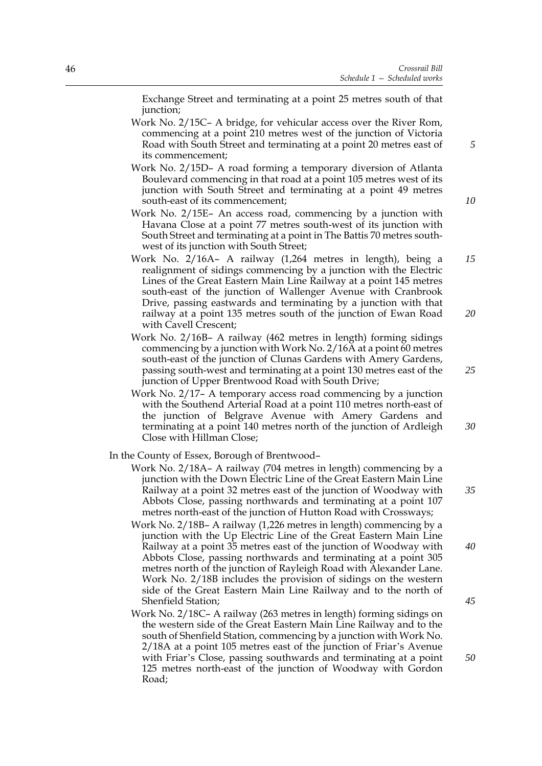Exchange Street and terminating at a point 25 metres south of that junction;

- Work No. 2/15C– A bridge, for vehicular access over the River Rom, commencing at a point 210 metres west of the junction of Victoria Road with South Street and terminating at a point 20 metres east of its commencement;
- Work No. 2/15D– A road forming a temporary diversion of Atlanta Boulevard commencing in that road at a point 105 metres west of its junction with South Street and terminating at a point 49 metres south-east of its commencement;
- Work No. 2/15E– An access road, commencing by a junction with Havana Close at a point 77 metres south-west of its junction with South Street and terminating at a point in The Battis 70 metres southwest of its junction with South Street;
- Work No. 2/16A– A railway (1,264 metres in length), being a realignment of sidings commencing by a junction with the Electric Lines of the Great Eastern Main Line Railway at a point 145 metres south-east of the junction of Wallenger Avenue with Cranbrook Drive, passing eastwards and terminating by a junction with that railway at a point 135 metres south of the junction of Ewan Road with Cavell Crescent; *15 20*
- Work No. 2/16B– A railway (462 metres in length) forming sidings commencing by a junction with Work No. 2/16A at a point 60 metres south-east of the junction of Clunas Gardens with Amery Gardens, passing south-west and terminating at a point 130 metres east of the junction of Upper Brentwood Road with South Drive;
- Work No. 2/17– A temporary access road commencing by a junction with the Southend Arterial Road at a point 110 metres north-east of the junction of Belgrave Avenue with Amery Gardens and terminating at a point 140 metres north of the junction of Ardleigh Close with Hillman Close;

In the County of Essex, Borough of Brentwood–

- Work No. 2/18A– A railway (704 metres in length) commencing by a junction with the Down Electric Line of the Great Eastern Main Line Railway at a point 32 metres east of the junction of Woodway with Abbots Close, passing northwards and terminating at a point 107 metres north-east of the junction of Hutton Road with Crossways;
- Work No. 2/18B– A railway (1,226 metres in length) commencing by a junction with the Up Electric Line of the Great Eastern Main Line Railway at a point 35 metres east of the junction of Woodway with Abbots Close, passing northwards and terminating at a point 305 metres north of the junction of Rayleigh Road with Alexander Lane. Work No. 2/18B includes the provision of sidings on the western side of the Great Eastern Main Line Railway and to the north of Shenfield Station;
- Work No. 2/18C– A railway (263 metres in length) forming sidings on the western side of the Great Eastern Main Line Railway and to the south of Shenfield Station, commencing by a junction with Work No. 2/18A at a point 105 metres east of the junction of Friar's Avenue with Friar's Close, passing southwards and terminating at a point 125 metres north-east of the junction of Woodway with Gordon Road;

*10*

*5*

*25*

*30*

*35*

*40*

*45*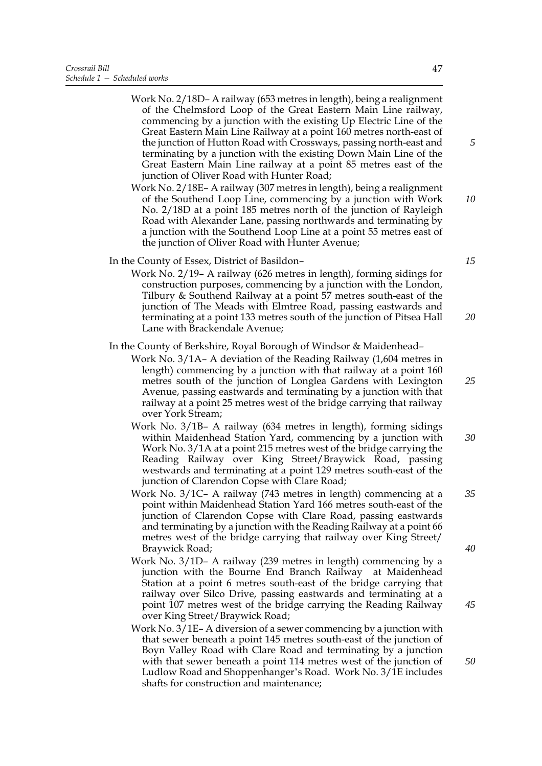- Work No. 2/18D– A railway (653 metres in length), being a realignment of the Chelmsford Loop of the Great Eastern Main Line railway, commencing by a junction with the existing Up Electric Line of the Great Eastern Main Line Railway at a point 160 metres north-east of the junction of Hutton Road with Crossways, passing north-east and terminating by a junction with the existing Down Main Line of the Great Eastern Main Line railway at a point 85 metres east of the junction of Oliver Road with Hunter Road;
- Work No. 2/18E– A railway (307 metres in length), being a realignment of the Southend Loop Line, commencing by a junction with Work No. 2/18D at a point 185 metres north of the junction of Rayleigh Road with Alexander Lane, passing northwards and terminating by a junction with the Southend Loop Line at a point 55 metres east of the junction of Oliver Road with Hunter Avenue;
- In the County of Essex, District of Basildon–
	- Work No. 2/19– A railway (626 metres in length), forming sidings for construction purposes, commencing by a junction with the London, Tilbury & Southend Railway at a point 57 metres south-east of the junction of The Meads with Elmtree Road, passing eastwards and terminating at a point 133 metres south of the junction of Pitsea Hall Lane with Brackendale Avenue;

In the County of Berkshire, Royal Borough of Windsor & Maidenhead–

- Work No. 3/1A– A deviation of the Reading Railway (1,604 metres in length) commencing by a junction with that railway at a point 160 metres south of the junction of Longlea Gardens with Lexington Avenue, passing eastwards and terminating by a junction with that railway at a point 25 metres west of the bridge carrying that railway over York Stream;
- Work No. 3/1B– A railway (634 metres in length), forming sidings within Maidenhead Station Yard, commencing by a junction with Work No. 3/1A at a point 215 metres west of the bridge carrying the Reading Railway over King Street/Braywick Road, passing westwards and terminating at a point 129 metres south-east of the junction of Clarendon Copse with Clare Road; *30*
- Work No. 3/1C– A railway (743 metres in length) commencing at a point within Maidenhead Station Yard 166 metres south-east of the junction of Clarendon Copse with Clare Road, passing eastwards and terminating by a junction with the Reading Railway at a point 66 metres west of the bridge carrying that railway over King Street/ Braywick Road; *35*
- Work No. 3/1D– A railway (239 metres in length) commencing by a junction with the Bourne End Branch Railway at Maidenhead Station at a point 6 metres south-east of the bridge carrying that railway over Silco Drive, passing eastwards and terminating at a point 107 metres west of the bridge carrying the Reading Railway over King Street/Braywick Road;
- Work No. 3/1E– A diversion of a sewer commencing by a junction with that sewer beneath a point 145 metres south-east of the junction of Boyn Valley Road with Clare Road and terminating by a junction with that sewer beneath a point 114 metres west of the junction of Ludlow Road and Shoppenhanger's Road. Work No. 3/1E includes shafts for construction and maintenance;

47

*15*

*20*

*5*

*10*

*25*

*40*

*45*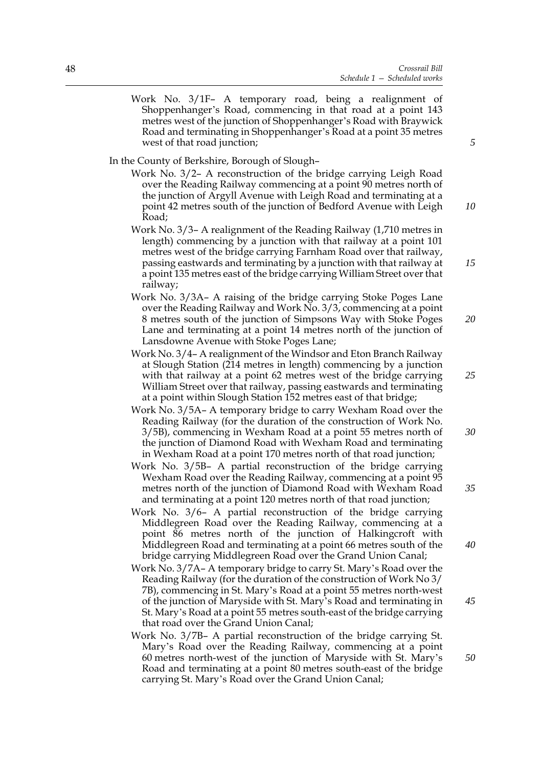Work No. 3/1F– A temporary road, being a realignment of Shoppenhanger's Road, commencing in that road at a point 143 metres west of the junction of Shoppenhanger's Road with Braywick Road and terminating in Shoppenhanger's Road at a point 35 metres west of that road junction;

In the County of Berkshire, Borough of Slough–

- Work No. 3/2– A reconstruction of the bridge carrying Leigh Road over the Reading Railway commencing at a point 90 metres north of the junction of Argyll Avenue with Leigh Road and terminating at a point 42 metres south of the junction of Bedford Avenue with Leigh Road;
- Work No. 3/3– A realignment of the Reading Railway (1,710 metres in length) commencing by a junction with that railway at a point 101 metres west of the bridge carrying Farnham Road over that railway, passing eastwards and terminating by a junction with that railway at a point 135 metres east of the bridge carrying William Street over that railway;
- Work No. 3/3A– A raising of the bridge carrying Stoke Poges Lane over the Reading Railway and Work No. 3/3, commencing at a point 8 metres south of the junction of Simpsons Way with Stoke Poges Lane and terminating at a point 14 metres north of the junction of Lansdowne Avenue with Stoke Poges Lane;
- Work No. 3/4– A realignment of the Windsor and Eton Branch Railway at Slough Station (214 metres in length) commencing by a junction with that railway at a point 62 metres west of the bridge carrying William Street over that railway, passing eastwards and terminating at a point within Slough Station 152 metres east of that bridge;
- Work No. 3/5A– A temporary bridge to carry Wexham Road over the Reading Railway (for the duration of the construction of Work No. 3/5B), commencing in Wexham Road at a point 55 metres north of the junction of Diamond Road with Wexham Road and terminating in Wexham Road at a point 170 metres north of that road junction; *30*
- Work No. 3/5B– A partial reconstruction of the bridge carrying Wexham Road over the Reading Railway, commencing at a point 95 metres north of the junction of Diamond Road with Wexham Road and terminating at a point 120 metres north of that road junction;
- Work No. 3/6– A partial reconstruction of the bridge carrying Middlegreen Road over the Reading Railway, commencing at a point 86 metres north of the junction of Halkingcroft with Middlegreen Road and terminating at a point 66 metres south of the bridge carrying Middlegreen Road over the Grand Union Canal;
- Work No. 3/7A– A temporary bridge to carry St. Mary's Road over the Reading Railway (for the duration of the construction of Work No 3/ 7B), commencing in St. Mary's Road at a point 55 metres north-west of the junction of Maryside with St. Mary's Road and terminating in St. Mary's Road at a point 55 metres south-east of the bridge carrying that road over the Grand Union Canal;
- Work No. 3/7B– A partial reconstruction of the bridge carrying St. Mary's Road over the Reading Railway, commencing at a point 60 metres north-west of the junction of Maryside with St. Mary's Road and terminating at a point 80 metres south-east of the bridge carrying St. Mary's Road over the Grand Union Canal;

*5*

*10*

*15*

*20*

*25*

*35*

*40*

*45*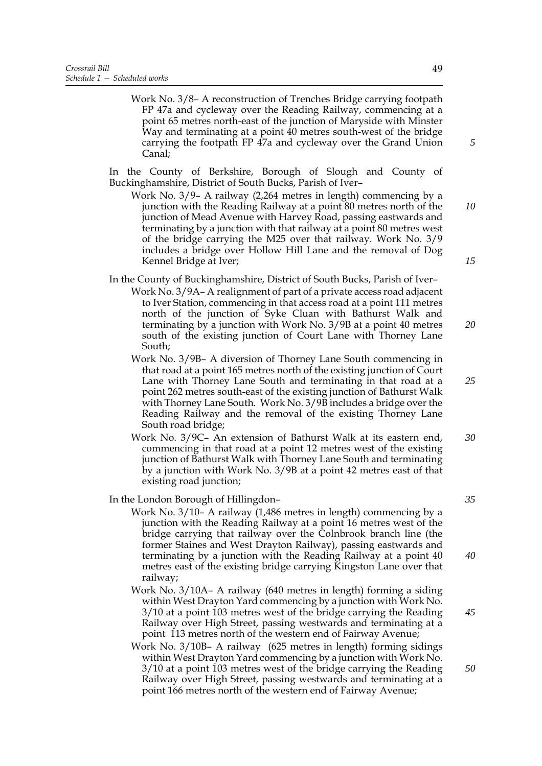Work No. 3/8– A reconstruction of Trenches Bridge carrying footpath FP 47a and cycleway over the Reading Railway, commencing at a point 65 metres north-east of the junction of Maryside with Minster Way and terminating at a point 40 metres south-west of the bridge carrying the footpath FP 47a and cycleway over the Grand Union Canal;

 In the County of Berkshire, Borough of Slough and County of Buckinghamshire, District of South Bucks, Parish of Iver–

Work No. 3/9– A railway (2,264 metres in length) commencing by a junction with the Reading Railway at a point 80 metres north of the junction of Mead Avenue with Harvey Road, passing eastwards and terminating by a junction with that railway at a point 80 metres west of the bridge carrying the M25 over that railway. Work No. 3/9 includes a bridge over Hollow Hill Lane and the removal of Dog Kennel Bridge at Iver;

In the County of Buckinghamshire, District of South Bucks, Parish of Iver–

- Work No. 3/9A– A realignment of part of a private access road adjacent to Iver Station, commencing in that access road at a point 111 metres north of the junction of Syke Cluan with Bathurst Walk and terminating by a junction with Work No. 3/9B at a point 40 metres south of the existing junction of Court Lane with Thorney Lane South; *20*
- Work No. 3/9B– A diversion of Thorney Lane South commencing in that road at a point 165 metres north of the existing junction of Court Lane with Thorney Lane South and terminating in that road at a point 262 metres south-east of the existing junction of Bathurst Walk with Thorney Lane South. Work No. 3/9B includes a bridge over the Reading Railway and the removal of the existing Thorney Lane South road bridge;
- Work No. 3/9C– An extension of Bathurst Walk at its eastern end, commencing in that road at a point 12 metres west of the existing junction of Bathurst Walk with Thorney Lane South and terminating by a junction with Work No. 3/9B at a point 42 metres east of that existing road junction; *30*

#### In the London Borough of Hillingdon–

- Work No. 3/10– A railway (1,486 metres in length) commencing by a junction with the Reading Railway at a point 16 metres west of the bridge carrying that railway over the Colnbrook branch line (the former Staines and West Drayton Railway), passing eastwards and terminating by a junction with the Reading Railway at a point 40 metres east of the existing bridge carrying Kingston Lane over that railway;
- Work No. 3/10A– A railway (640 metres in length) forming a siding within West Drayton Yard commencing by a junction with Work No. 3/10 at a point 103 metres west of the bridge carrying the Reading Railway over High Street, passing westwards and terminating at a point 113 metres north of the western end of Fairway Avenue;
- Work No. 3/10B– A railway (625 metres in length) forming sidings within West Drayton Yard commencing by a junction with Work No. 3/10 at a point 103 metres west of the bridge carrying the Reading Railway over High Street, passing westwards and terminating at a point 166 metres north of the western end of Fairway Avenue;

*5*

*10*

*15*

*25*

*35*

*40*

*50*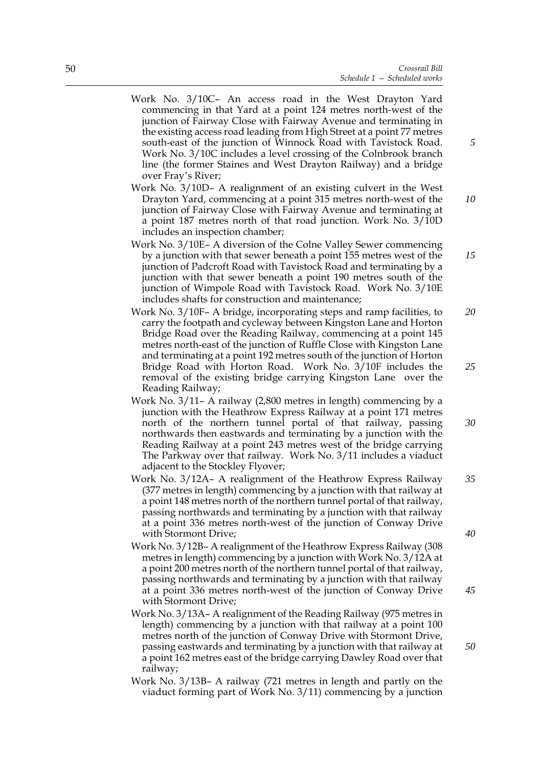- Work No. 3/10C– An access road in the West Drayton Yard commencing in that Yard at a point 124 metres north-west of the junction of Fairway Close with Fairway Avenue and terminating in the existing access road leading from High Street at a point 77 metres south-east of the junction of Winnock Road with Tavistock Road. Work No. 3/10C includes a level crossing of the Colnbrook branch line (the former Staines and West Drayton Railway) and a bridge over Fray's River;
- Work No. 3/10D– A realignment of an existing culvert in the West Drayton Yard, commencing at a point 315 metres north-west of the junction of Fairway Close with Fairway Avenue and terminating at a point 187 metres north of that road junction. Work No. 3/10D includes an inspection chamber; *10*
- Work No. 3/10E– A diversion of the Colne Valley Sewer commencing by a junction with that sewer beneath a point 155 metres west of the junction of Padcroft Road with Tavistock Road and terminating by a junction with that sewer beneath a point 190 metres south of the junction of Wimpole Road with Tavistock Road. Work No. 3/10E includes shafts for construction and maintenance;
- Work No. 3/10F– A bridge, incorporating steps and ramp facilities, to carry the footpath and cycleway between Kingston Lane and Horton Bridge Road over the Reading Railway, commencing at a point 145 metres north-east of the junction of Ruffle Close with Kingston Lane and terminating at a point 192 metres south of the junction of Horton Bridge Road with Horton Road. Work No. 3/10F includes the removal of the existing bridge carrying Kingston Lane over the Reading Railway; *20 25*
- Work No. 3/11– A railway (2,800 metres in length) commencing by a junction with the Heathrow Express Railway at a point 171 metres north of the northern tunnel portal of that railway, passing northwards then eastwards and terminating by a junction with the Reading Railway at a point 243 metres west of the bridge carrying The Parkway over that railway. Work No. 3/11 includes a viaduct adjacent to the Stockley Flyover;
- Work No. 3/12A– A realignment of the Heathrow Express Railway (377 metres in length) commencing by a junction with that railway at a point 148 metres north of the northern tunnel portal of that railway, passing northwards and terminating by a junction with that railway at a point 336 metres north-west of the junction of Conway Drive with Stormont Drive;
- Work No. 3/12B– A realignment of the Heathrow Express Railway (308 metres in length) commencing by a junction with Work No. 3/12A at a point 200 metres north of the northern tunnel portal of that railway, passing northwards and terminating by a junction with that railway at a point 336 metres north-west of the junction of Conway Drive with Stormont Drive;
- Work No. 3/13A– A realignment of the Reading Railway (975 metres in length) commencing by a junction with that railway at a point 100 metres north of the junction of Conway Drive with Stormont Drive, passing eastwards and terminating by a junction with that railway at a point 162 metres east of the bridge carrying Dawley Road over that railway;
- Work No. 3/13B– A railway (721 metres in length and partly on the viaduct forming part of Work No. 3/11) commencing by a junction

*40*

*30*

*35*

*5*

*15*

*45*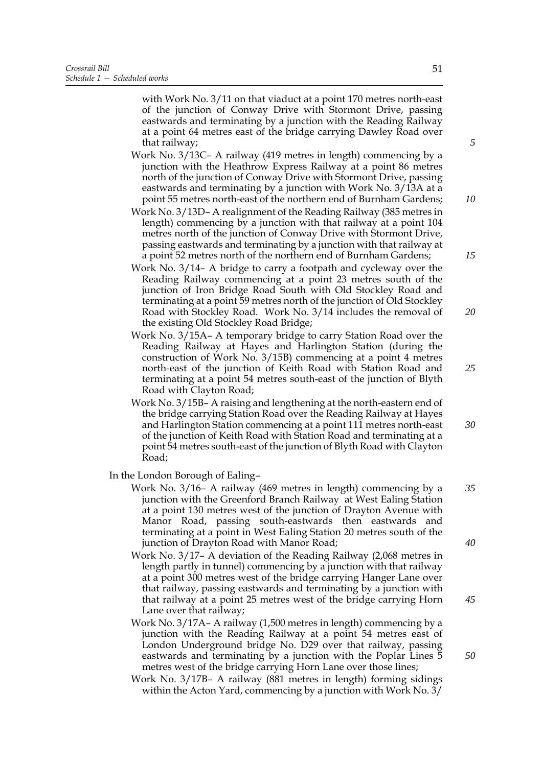with Work No. 3/11 on that viaduct at a point 170 metres north-east of the junction of Conway Drive with Stormont Drive, passing eastwards and terminating by a junction with the Reading Railway at a point 64 metres east of the bridge carrying Dawley Road over that railway;

- Work No. 3/13C– A railway (419 metres in length) commencing by a junction with the Heathrow Express Railway at a point 86 metres north of the junction of Conway Drive with Stormont Drive, passing eastwards and terminating by a junction with Work No. 3/13A at a point 55 metres north-east of the northern end of Burnham Gardens;
- Work No. 3/13D– A realignment of the Reading Railway (385 metres in length) commencing by a junction with that railway at a point 104 metres north of the junction of Conway Drive with Stormont Drive, passing eastwards and terminating by a junction with that railway at a point 52 metres north of the northern end of Burnham Gardens;
- Work No. 3/14– A bridge to carry a footpath and cycleway over the Reading Railway commencing at a point 23 metres south of the junction of Iron Bridge Road South with Old Stockley Road and terminating at a point 59 metres north of the junction of Old Stockley Road with Stockley Road. Work No. 3/14 includes the removal of the existing Old Stockley Road Bridge;
- Work No. 3/15A– A temporary bridge to carry Station Road over the Reading Railway at Hayes and Harlington Station (during the construction of Work No. 3/15B) commencing at a point 4 metres north-east of the junction of Keith Road with Station Road and terminating at a point 54 metres south-east of the junction of Blyth Road with Clayton Road;
- Work No. 3/15B– A raising and lengthening at the north-eastern end of the bridge carrying Station Road over the Reading Railway at Hayes and Harlington Station commencing at a point 111 metres north-east of the junction of Keith Road with Station Road and terminating at a point 54 metres south-east of the junction of Blyth Road with Clayton Road;

In the London Borough of Ealing–

Work No. 3/16– A railway (469 metres in length) commencing by a junction with the Greenford Branch Railway at West Ealing Station at a point 130 metres west of the junction of Drayton Avenue with Manor Road, passing south-eastwards then eastwards and terminating at a point in West Ealing Station 20 metres south of the junction of Drayton Road with Manor Road; *35*

Work No. 3/17– A deviation of the Reading Railway (2,068 metres in length partly in tunnel) commencing by a junction with that railway at a point 300 metres west of the bridge carrying Hanger Lane over that railway, passing eastwards and terminating by a junction with that railway at a point 25 metres west of the bridge carrying Horn Lane over that railway;

Work No. 3/17A– A railway (1,500 metres in length) commencing by a junction with the Reading Railway at a point 54 metres east of London Underground bridge No. D29 over that railway, passing eastwards and terminating by a junction with the Poplar Lines 5 metres west of the bridge carrying Horn Lane over those lines;

Work No. 3/17B– A railway (881 metres in length) forming sidings within the Acton Yard, commencing by a junction with Work No. 3/

51

*5*

*10*

*15*

*20*

*25*

*30*

*40*

*45*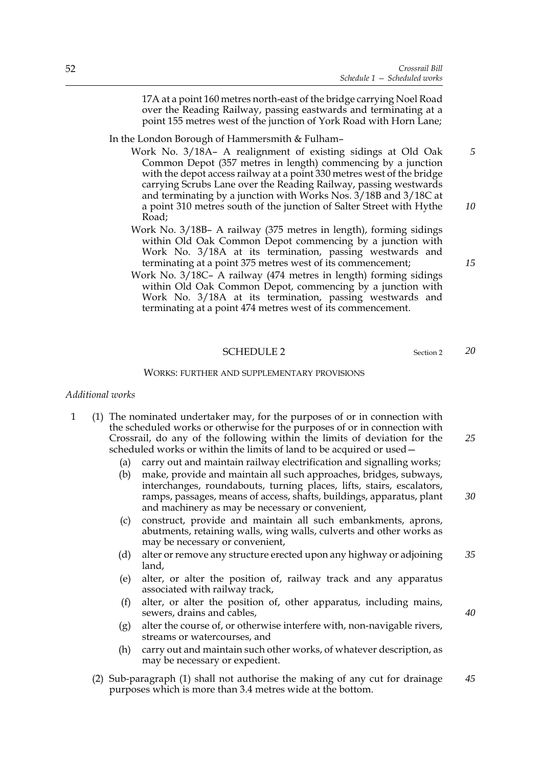17A at a point 160 metres north-east of the bridge carrying Noel Road over the Reading Railway, passing eastwards and terminating at a point 155 metres west of the junction of York Road with Horn Lane;

#### In the London Borough of Hammersmith & Fulham–

- Work No. 3/18A– A realignment of existing sidings at Old Oak Common Depot (357 metres in length) commencing by a junction with the depot access railway at a point 330 metres west of the bridge carrying Scrubs Lane over the Reading Railway, passing westwards and terminating by a junction with Works Nos. 3/18B and 3/18C at a point 310 metres south of the junction of Salter Street with Hythe Road:
- Work No. 3/18B– A railway (375 metres in length), forming sidings within Old Oak Common Depot commencing by a junction with Work No. 3/18A at its termination, passing westwards and terminating at a point 375 metres west of its commencement;
- Work No. 3/18C– A railway (474 metres in length) forming sidings within Old Oak Common Depot, commencing by a junction with Work No. 3/18A at its termination, passing westwards and terminating at a point 474 metres west of its commencement.

#### SCHEDULE 2 Section 2

#### WORKS: FURTHER AND SUPPLEMENTARY PROVISIONS

#### *Additional works*

- 1 (1) The nominated undertaker may, for the purposes of or in connection with the scheduled works or otherwise for the purposes of or in connection with Crossrail, do any of the following within the limits of deviation for the scheduled works or within the limits of land to be acquired or used— *25*
	- (a) carry out and maintain railway electrification and signalling works;
	- (b) make, provide and maintain all such approaches, bridges, subways, interchanges, roundabouts, turning places, lifts, stairs, escalators, ramps, passages, means of access, shafts, buildings, apparatus, plant and machinery as may be necessary or convenient, *30*
	- (c) construct, provide and maintain all such embankments, aprons, abutments, retaining walls, wing walls, culverts and other works as may be necessary or convenient,
	- (d) alter or remove any structure erected upon any highway or adjoining land, *35*
	- (e) alter, or alter the position of, railway track and any apparatus associated with railway track,
	- (f) alter, or alter the position of, other apparatus, including mains, sewers, drains and cables,
	- (g) alter the course of, or otherwise interfere with, non-navigable rivers, streams or watercourses, and
	- (h) carry out and maintain such other works, of whatever description, as may be necessary or expedient.
	- (2) Sub-paragraph (1) shall not authorise the making of any cut for drainage purposes which is more than 3.4 metres wide at the bottom. *45*

*15*

*10*

*5*

*20*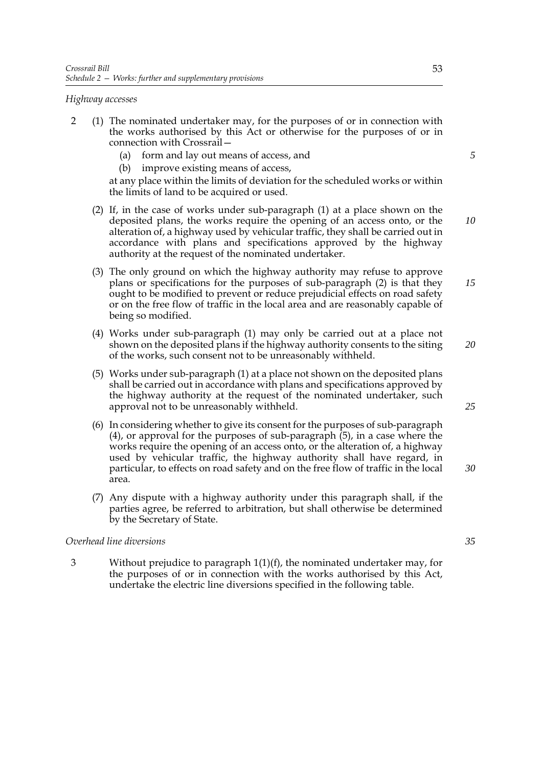#### *Highway accesses*

- 2 (1) The nominated undertaker may, for the purposes of or in connection with the works authorised by this Act or otherwise for the purposes of or in connection with Crossrail—
	- (a) form and lay out means of access, and
	- (b) improve existing means of access,

at any place within the limits of deviation for the scheduled works or within the limits of land to be acquired or used.

- (2) If, in the case of works under sub-paragraph (1) at a place shown on the deposited plans, the works require the opening of an access onto, or the alteration of, a highway used by vehicular traffic, they shall be carried out in accordance with plans and specifications approved by the highway authority at the request of the nominated undertaker.
- (3) The only ground on which the highway authority may refuse to approve plans or specifications for the purposes of sub-paragraph (2) is that they ought to be modified to prevent or reduce prejudicial effects on road safety or on the free flow of traffic in the local area and are reasonably capable of being so modified.
- (4) Works under sub-paragraph (1) may only be carried out at a place not shown on the deposited plans if the highway authority consents to the siting of the works, such consent not to be unreasonably withheld. *20*
- (5) Works under sub-paragraph (1) at a place not shown on the deposited plans shall be carried out in accordance with plans and specifications approved by the highway authority at the request of the nominated undertaker, such approval not to be unreasonably withheld.
- (6) In considering whether to give its consent for the purposes of sub-paragraph (4), or approval for the purposes of sub-paragraph (5), in a case where the works require the opening of an access onto, or the alteration of, a highway used by vehicular traffic, the highway authority shall have regard, in particular, to effects on road safety and on the free flow of traffic in the local area.
- (7) Any dispute with a highway authority under this paragraph shall, if the parties agree, be referred to arbitration, but shall otherwise be determined by the Secretary of State.

## *Overhead line diversions*

3 Without prejudice to paragraph 1(1)(f), the nominated undertaker may, for the purposes of or in connection with the works authorised by this Act, undertake the electric line diversions specified in the following table.

*5*

*10*

*15*

*35*

*30*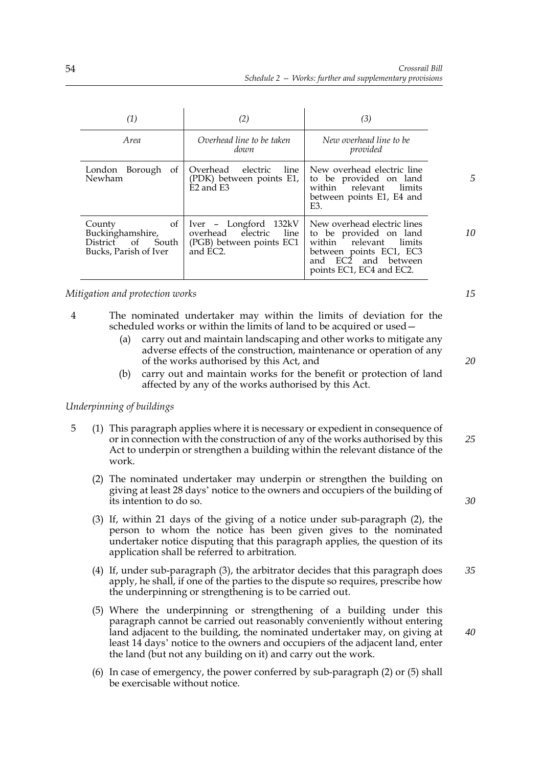| (1)                                                                                                | (2)                                                                                        | (3)                                                                                                                                                              |    |
|----------------------------------------------------------------------------------------------------|--------------------------------------------------------------------------------------------|------------------------------------------------------------------------------------------------------------------------------------------------------------------|----|
| <i>Area</i>                                                                                        | Overhead line to be taken<br>down                                                          | New overhead line to be<br>provided                                                                                                                              |    |
| of<br>Borough<br>London<br>Newham                                                                  | electric line<br>Overhead<br>(PDK) between points E1,<br>E <sub>2</sub> and E <sub>3</sub> | New overhead electric line<br>to be provided on land<br>within relevant<br>limits<br>between points E1, E4 and<br>E3.                                            |    |
| of<br>County<br>Buckinghamshire,<br>$\circ$ f<br><b>District</b><br>South<br>Bucks, Parish of Iver | Iver - Longford 132kV<br>line<br>overhead electric<br>(PGB) between points EC1<br>and EC2. | New overhead electric lines<br>to be provided on land<br>within relevant<br>limits<br>between points EC1, EC3<br>and EC2 and between<br>points EC1, EC4 and EC2. | 10 |

*Mitigation and protection works*

- 4 The nominated undertaker may within the limits of deviation for the scheduled works or within the limits of land to be acquired or used—
	- (a) carry out and maintain landscaping and other works to mitigate any adverse effects of the construction, maintenance or operation of any of the works authorised by this Act, and
	- (b) carry out and maintain works for the benefit or protection of land affected by any of the works authorised by this Act.

## *Underpinning of buildings*

- 5 (1) This paragraph applies where it is necessary or expedient in consequence of or in connection with the construction of any of the works authorised by this Act to underpin or strengthen a building within the relevant distance of the work. *25*
	- (2) The nominated undertaker may underpin or strengthen the building on giving at least 28 days' notice to the owners and occupiers of the building of its intention to do so.
	- (3) If, within 21 days of the giving of a notice under sub-paragraph (2), the person to whom the notice has been given gives to the nominated undertaker notice disputing that this paragraph applies, the question of its application shall be referred to arbitration.
	- (4) If, under sub-paragraph (3), the arbitrator decides that this paragraph does apply, he shall, if one of the parties to the dispute so requires, prescribe how the underpinning or strengthening is to be carried out. *35*
	- (5) Where the underpinning or strengthening of a building under this paragraph cannot be carried out reasonably conveniently without entering land adjacent to the building, the nominated undertaker may, on giving at least 14 days' notice to the owners and occupiers of the adjacent land, enter the land (but not any building on it) and carry out the work.
	- (6) In case of emergency, the power conferred by sub-paragraph (2) or (5) shall be exercisable without notice.

*15*

*20*

*30*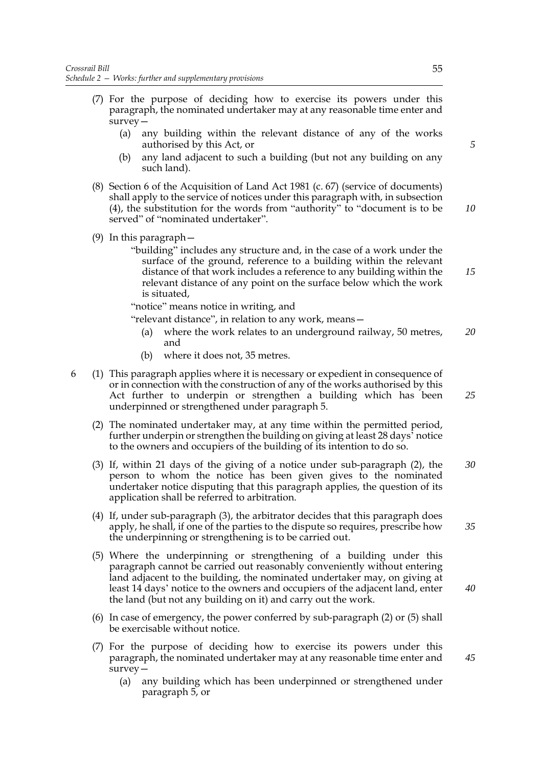- (7) For the purpose of deciding how to exercise its powers under this paragraph, the nominated undertaker may at any reasonable time enter and survey—
	- (a) any building within the relevant distance of any of the works authorised by this Act, or
	- (b) any land adjacent to such a building (but not any building on any such land).
- (8) Section 6 of the Acquisition of Land Act 1981 (c. 67) (service of documents) shall apply to the service of notices under this paragraph with, in subsection (4), the substitution for the words from "authority" to "document is to be served" of "nominated undertaker".
- (9) In this paragraph—
	- "building" includes any structure and, in the case of a work under the surface of the ground, reference to a building within the relevant distance of that work includes a reference to any building within the relevant distance of any point on the surface below which the work is situated,

"notice" means notice in writing, and

"relevant distance", in relation to any work, means—

- (a) where the work relates to an underground railway, 50 metres, and *20*
- (b) where it does not, 35 metres.
- 6 (1) This paragraph applies where it is necessary or expedient in consequence of or in connection with the construction of any of the works authorised by this Act further to underpin or strengthen a building which has been underpinned or strengthened under paragraph 5.
	- (2) The nominated undertaker may, at any time within the permitted period, further underpin or strengthen the building on giving at least 28 days' notice to the owners and occupiers of the building of its intention to do so.
	- (3) If, within 21 days of the giving of a notice under sub-paragraph (2), the person to whom the notice has been given gives to the nominated undertaker notice disputing that this paragraph applies, the question of its application shall be referred to arbitration. *30*
	- (4) If, under sub-paragraph (3), the arbitrator decides that this paragraph does apply, he shall, if one of the parties to the dispute so requires, prescribe how the underpinning or strengthening is to be carried out.
	- (5) Where the underpinning or strengthening of a building under this paragraph cannot be carried out reasonably conveniently without entering land adjacent to the building, the nominated undertaker may, on giving at least 14 days' notice to the owners and occupiers of the adjacent land, enter the land (but not any building on it) and carry out the work.
	- (6) In case of emergency, the power conferred by sub-paragraph (2) or (5) shall be exercisable without notice.
	- (7) For the purpose of deciding how to exercise its powers under this paragraph, the nominated undertaker may at any reasonable time enter and survey—
		- (a) any building which has been underpinned or strengthened under paragraph 5, or

*5*

*10*

*15*

*25*

*35*

*40*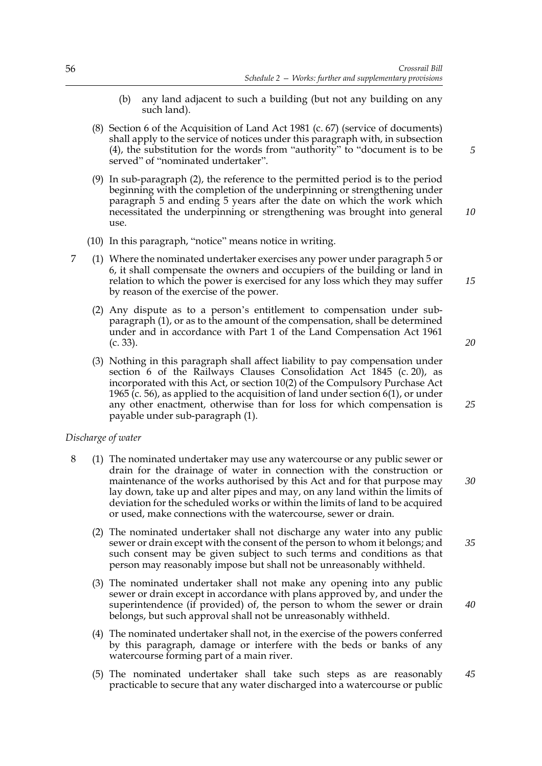- (b) any land adjacent to such a building (but not any building on any such land).
- (8) Section 6 of the Acquisition of Land Act 1981 (c. 67) (service of documents) shall apply to the service of notices under this paragraph with, in subsection (4), the substitution for the words from "authority" to "document is to be served" of "nominated undertaker".
- (9) In sub-paragraph (2), the reference to the permitted period is to the period beginning with the completion of the underpinning or strengthening under paragraph 5 and ending 5 years after the date on which the work which necessitated the underpinning or strengthening was brought into general use.
- (10) In this paragraph, "notice" means notice in writing.
- 7 (1) Where the nominated undertaker exercises any power under paragraph 5 or 6, it shall compensate the owners and occupiers of the building or land in relation to which the power is exercised for any loss which they may suffer by reason of the exercise of the power.
	- (2) Any dispute as to a person's entitlement to compensation under subparagraph (1), or as to the amount of the compensation, shall be determined under and in accordance with Part 1 of the Land Compensation Act 1961 (c. 33).
	- (3) Nothing in this paragraph shall affect liability to pay compensation under section 6 of the Railways Clauses Consolidation Act 1845 (c. 20), as incorporated with this Act, or section 10(2) of the Compulsory Purchase Act 1965 (c. 56), as applied to the acquisition of land under section 6(1), or under any other enactment, otherwise than for loss for which compensation is payable under sub-paragraph (1).

#### *Discharge of water*

- 8 (1) The nominated undertaker may use any watercourse or any public sewer or drain for the drainage of water in connection with the construction or maintenance of the works authorised by this Act and for that purpose may lay down, take up and alter pipes and may, on any land within the limits of deviation for the scheduled works or within the limits of land to be acquired or used, make connections with the watercourse, sewer or drain.
	- (2) The nominated undertaker shall not discharge any water into any public sewer or drain except with the consent of the person to whom it belongs; and such consent may be given subject to such terms and conditions as that person may reasonably impose but shall not be unreasonably withheld.
	- (3) The nominated undertaker shall not make any opening into any public sewer or drain except in accordance with plans approved by, and under the superintendence (if provided) of, the person to whom the sewer or drain belongs, but such approval shall not be unreasonably withheld.
	- (4) The nominated undertaker shall not, in the exercise of the powers conferred by this paragraph, damage or interfere with the beds or banks of any watercourse forming part of a main river.
	- (5) The nominated undertaker shall take such steps as are reasonably practicable to secure that any water discharged into a watercourse or public *45*

*15*

*10*

*5*

*20*

*25*

*35*

*40*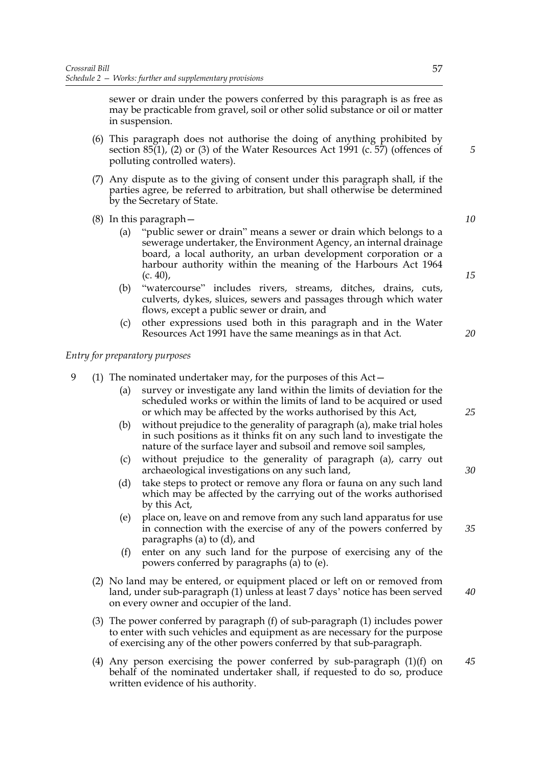sewer or drain under the powers conferred by this paragraph is as free as may be practicable from gravel, soil or other solid substance or oil or matter in suspension.

- (6) This paragraph does not authorise the doing of anything prohibited by section 85(1), (2) or (3) of the Water Resources Act 1991 (c. 57) (offences of polluting controlled waters).
- (7) Any dispute as to the giving of consent under this paragraph shall, if the parties agree, be referred to arbitration, but shall otherwise be determined by the Secretary of State.
- (8) In this paragraph—
	- (a) "public sewer or drain" means a sewer or drain which belongs to a sewerage undertaker, the Environment Agency, an internal drainage board, a local authority, an urban development corporation or a harbour authority within the meaning of the Harbours Act 1964  $(c. 40)$ ,
	- (b) "watercourse" includes rivers, streams, ditches, drains, cuts, culverts, dykes, sluices, sewers and passages through which water flows, except a public sewer or drain, and
	- (c) other expressions used both in this paragraph and in the Water Resources Act 1991 have the same meanings as in that Act.

*Entry for preparatory purposes*

- 9 (1) The nominated undertaker may, for the purposes of this Act—
	- (a) survey or investigate any land within the limits of deviation for the scheduled works or within the limits of land to be acquired or used or which may be affected by the works authorised by this Act,
	- (b) without prejudice to the generality of paragraph (a), make trial holes in such positions as it thinks fit on any such land to investigate the nature of the surface layer and subsoil and remove soil samples,
	- (c) without prejudice to the generality of paragraph (a), carry out archaeological investigations on any such land,
	- (d) take steps to protect or remove any flora or fauna on any such land which may be affected by the carrying out of the works authorised by this Act,
	- (e) place on, leave on and remove from any such land apparatus for use in connection with the exercise of any of the powers conferred by paragraphs (a) to (d), and
	- (f) enter on any such land for the purpose of exercising any of the powers conferred by paragraphs (a) to (e).
	- (2) No land may be entered, or equipment placed or left on or removed from land, under sub-paragraph (1) unless at least 7 days' notice has been served on every owner and occupier of the land. *40*
	- (3) The power conferred by paragraph (f) of sub-paragraph (1) includes power to enter with such vehicles and equipment as are necessary for the purpose of exercising any of the other powers conferred by that sub-paragraph.
	- (4) Any person exercising the power conferred by sub-paragraph (1)(f) on behalf of the nominated undertaker shall, if requested to do so, produce written evidence of his authority. *45*

*20*

*5*

*10*

*15*

*25*

*30*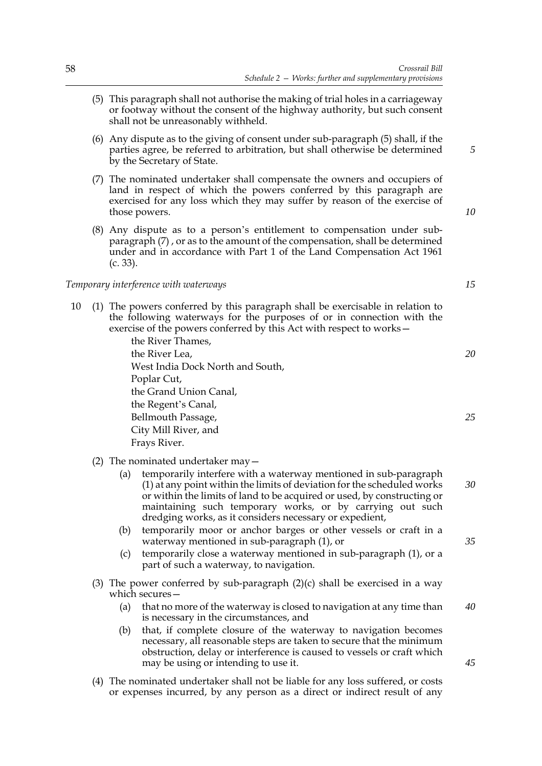- (5) This paragraph shall not authorise the making of trial holes in a carriageway or footway without the consent of the highway authority, but such consent shall not be unreasonably withheld.
- (6) Any dispute as to the giving of consent under sub-paragraph (5) shall, if the parties agree, be referred to arbitration, but shall otherwise be determined by the Secretary of State.
- (7) The nominated undertaker shall compensate the owners and occupiers of land in respect of which the powers conferred by this paragraph are exercised for any loss which they may suffer by reason of the exercise of those powers.
- (8) Any dispute as to a person's entitlement to compensation under subparagraph (7) , or as to the amount of the compensation, shall be determined under and in accordance with Part 1 of the Land Compensation Act 1961 (c. 33).

#### *Temporary interference with waterways*

10 (1) The powers conferred by this paragraph shall be exercisable in relation to the following waterways for the purposes of or in connection with the exercise of the powers conferred by this Act with respect to works—

> the River Thames, the River Lea, West India Dock North and South, Poplar Cut, the Grand Union Canal, the Regent's Canal, Bellmouth Passage, City Mill River, and Frays River.

- (2) The nominated undertaker may—
	- (a) temporarily interfere with a waterway mentioned in sub-paragraph (1) at any point within the limits of deviation for the scheduled works or within the limits of land to be acquired or used, by constructing or maintaining such temporary works, or by carrying out such dredging works, as it considers necessary or expedient, *30*
	- (b) temporarily moor or anchor barges or other vessels or craft in a waterway mentioned in sub-paragraph (1), or
	- (c) temporarily close a waterway mentioned in sub-paragraph (1), or a part of such a waterway, to navigation.
- (3) The power conferred by sub-paragraph  $(2)(c)$  shall be exercised in a way which secures—
	- (a) that no more of the waterway is closed to navigation at any time than is necessary in the circumstances, and *40*
	- (b) that, if complete closure of the waterway to navigation becomes necessary, all reasonable steps are taken to secure that the minimum obstruction, delay or interference is caused to vessels or craft which may be using or intending to use it.
- (4) The nominated undertaker shall not be liable for any loss suffered, or costs or expenses incurred, by any person as a direct or indirect result of any

*10*

*5*

*15*

*20*

*25*

*35*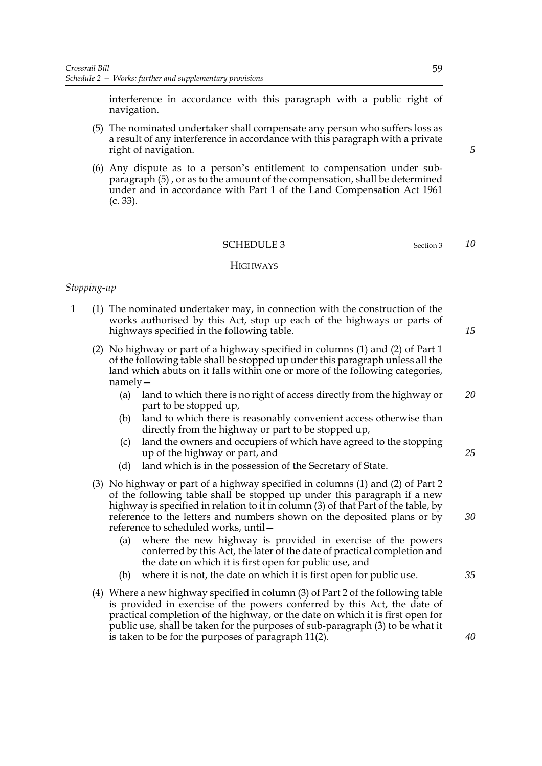interference in accordance with this paragraph with a public right of navigation.

- (5) The nominated undertaker shall compensate any person who suffers loss as a result of any interference in accordance with this paragraph with a private right of navigation.
- (6) Any dispute as to a person's entitlement to compensation under subparagraph (5) , or as to the amount of the compensation, shall be determined under and in accordance with Part 1 of the Land Compensation Act 1961 (c. 33).

#### SCHEDULE 3 Section 3

#### **HIGHWAYS**

### *Stopping-up*

- 1 (1) The nominated undertaker may, in connection with the construction of the works authorised by this Act, stop up each of the highways or parts of highways specified in the following table.
	- (2) No highway or part of a highway specified in columns (1) and (2) of Part 1 of the following table shall be stopped up under this paragraph unless all the land which abuts on it falls within one or more of the following categories, namely—
		- (a) land to which there is no right of access directly from the highway or part to be stopped up, *20*
		- (b) land to which there is reasonably convenient access otherwise than directly from the highway or part to be stopped up,
		- (c) land the owners and occupiers of which have agreed to the stopping up of the highway or part, and
		- (d) land which is in the possession of the Secretary of State.
	- (3) No highway or part of a highway specified in columns (1) and (2) of Part 2 of the following table shall be stopped up under this paragraph if a new highway is specified in relation to it in column (3) of that Part of the table, by reference to the letters and numbers shown on the deposited plans or by reference to scheduled works, until—
		- (a) where the new highway is provided in exercise of the powers conferred by this Act, the later of the date of practical completion and the date on which it is first open for public use, and
		- (b) where it is not, the date on which it is first open for public use.
	- (4) Where a new highway specified in column (3) of Part 2 of the following table is provided in exercise of the powers conferred by this Act, the date of practical completion of the highway, or the date on which it is first open for public use, shall be taken for the purposes of sub-paragraph (3) to be what it is taken to be for the purposes of paragraph 11(2).

59

*10*

*15*

*30*

*25*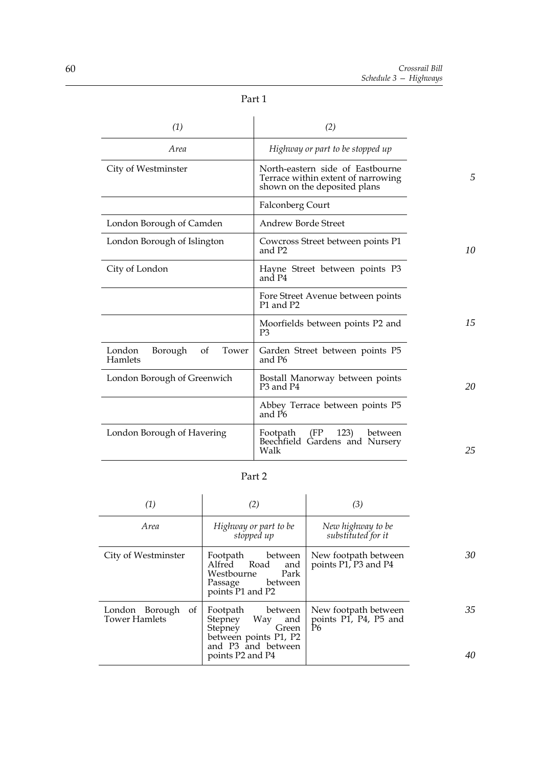| (1)                                         | (2)                                                                                                    |    |
|---------------------------------------------|--------------------------------------------------------------------------------------------------------|----|
| <i>Area</i>                                 | Highway or part to be stopped up                                                                       |    |
| City of Westminster                         | North-eastern side of Eastbourne<br>Terrace within extent of narrowing<br>shown on the deposited plans | .5 |
|                                             | <b>Falconberg Court</b>                                                                                |    |
| London Borough of Camden                    | Andrew Borde Street                                                                                    |    |
| London Borough of Islington                 | Cowcross Street between points P1<br>and P2                                                            | 10 |
| City of London                              | Hayne Street between points P3<br>and P4                                                               |    |
|                                             | Fore Street Avenue between points<br>P1 and P2                                                         |    |
|                                             | Moorfields between points P2 and<br>P3                                                                 | 15 |
| London<br>Borough<br>Tower<br>of<br>Hamlets | Garden Street between points P5<br>and P6                                                              |    |
| London Borough of Greenwich                 | Bostall Manorway between points<br>P <sub>3</sub> and P <sub>4</sub>                                   | 20 |
|                                             | Abbey Terrace between points P5<br>and P6                                                              |    |
| London Borough of Havering                  | Footpath<br>(FP)<br>123)<br>between<br>Beechfield Gardens and Nursery<br>Walk                          | 25 |

Part 2

| (1)                                          | (2)                                                                                                          | (3)                                                 |    |
|----------------------------------------------|--------------------------------------------------------------------------------------------------------------|-----------------------------------------------------|----|
| <i>Area</i>                                  | Highway or part to be<br>stopped up                                                                          | New highway to be<br>substituted for it             |    |
| City of Westminster                          | Footpath between<br>Alfred Road<br>and<br>Westbourne<br>Park<br>Passage<br>between<br>points P1 and P2       | New footpath between<br>points P1, P3 and P4        | 30 |
| London Borough<br>of<br><b>Tower Hamlets</b> | Footpath between<br>Way<br>and<br>Stepney<br>Stepney<br>Green<br>between points P1, P2<br>and P3 and between | New footpath between<br>points P1, P4, P5 and<br>P6 | 35 |
|                                              | points P2 and P4                                                                                             |                                                     | 40 |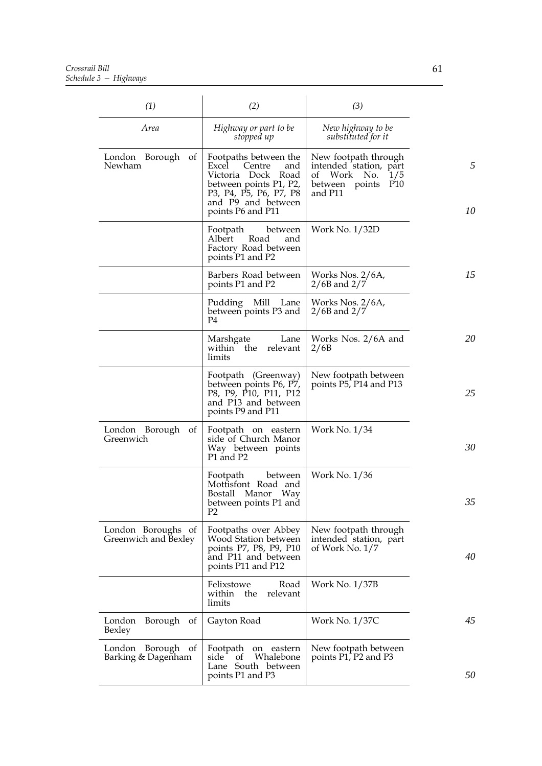*Crossrail Bill Schedule 3 — Highways*

| (1)                                        | (2)                                                                                                                                                                  | (3)                                                                                                                  |         |
|--------------------------------------------|----------------------------------------------------------------------------------------------------------------------------------------------------------------------|----------------------------------------------------------------------------------------------------------------------|---------|
| Area                                       | Highway or part to be<br>stopped up                                                                                                                                  | New highway to be<br>substituted for it                                                                              |         |
| London Borough<br>of<br>Newham             | Footpaths between the<br>Excel<br>Centre<br>and<br>Victoria Dock Road<br>between points P1, P2,<br>P3, P4, P5, P6, P7, P8<br>and P9 and between<br>points P6 and P11 | New footpath through<br>intended station, part<br>of Work No.<br>1/5<br>P <sub>10</sub><br>between points<br>and P11 | 5<br>10 |
|                                            | Footpath<br>between<br>Albert<br>Road<br>and<br>Factory Road between<br>points P1 and P2                                                                             | Work No. 1/32D                                                                                                       |         |
|                                            | Barbers Road between<br>points P1 and P2                                                                                                                             | Works Nos. 2/6A,<br>$2/6B$ and $2/7$                                                                                 | 15      |
|                                            | Pudding Mill Lane<br>between points P3 and<br>P <sub>4</sub>                                                                                                         | Works Nos. 2/6A,<br>$2/6B$ and $2/7$                                                                                 |         |
|                                            | Marshgate<br>Lane<br>within the<br>relevant<br>limits                                                                                                                | Works Nos. 2/6A and<br>2/6B                                                                                          | 20      |
|                                            | Footpath (Greenway)<br>between points P6, P7,<br>P8, P9, P10, P11, P12<br>and P13 and between<br>points P9 and P11                                                   | New footpath between<br>points P5, P14 and P13                                                                       | 25      |
| London Borough of<br>Greenwich             | Footpath on eastern<br>side of Church Manor<br>Way between points<br>P1 and P2                                                                                       | Work No. 1/34                                                                                                        | 30      |
|                                            | Footpath<br>between<br>Mottisfont Road and<br>Bostall<br>Manor Way<br>between points P1 and<br>P2                                                                    | Work No. 1/36                                                                                                        | 35      |
| London Boroughs of<br>Greenwich and Bexley | Footpaths over Abbey<br>Wood Station between<br>points P7, P8, P9, P10<br>and P11 and between<br>points P11 and P12                                                  | New footpath through<br>intended station, part<br>of Work No. 1/7                                                    | 40      |
|                                            | Felixstowe<br>Road<br>within<br>the<br>relevant<br>limits                                                                                                            | Work No. 1/37B                                                                                                       |         |
| Borough of<br>London<br>Bexley             | Gayton Road                                                                                                                                                          | Work No. 1/37C                                                                                                       | 45      |
| London Borough of<br>Barking & Dagenham    | Footpath on eastern<br>Whalebone<br>side<br>of<br>Lane South between<br>points P1 and P3                                                                             | New footpath between<br>points P1, P2 and P3                                                                         | 50      |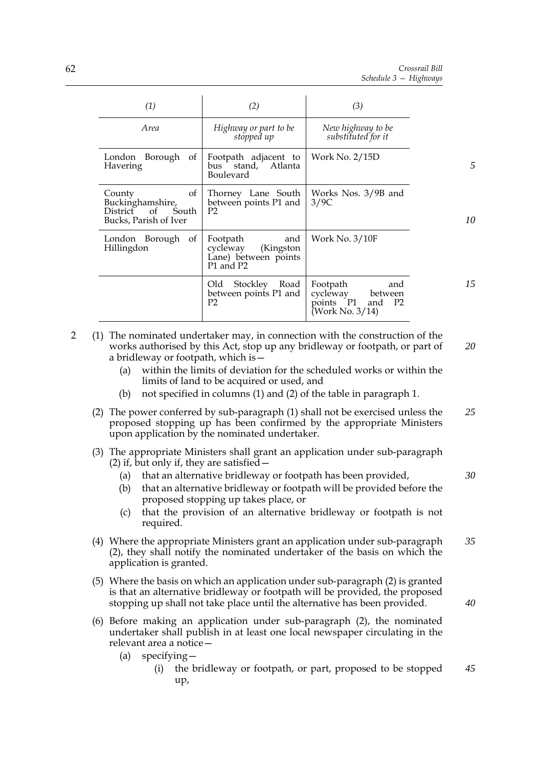| (1)                                                                               | (2)                                                                            | (3)                                                                              |    |
|-----------------------------------------------------------------------------------|--------------------------------------------------------------------------------|----------------------------------------------------------------------------------|----|
| Area                                                                              | Highway or part to be<br>stopped up                                            | New highway to be<br>substituted for it                                          |    |
| Borough<br>London<br>of<br>Havering                                               | Footpath adjacent to<br>Atlanta<br>stand,<br>bus<br>Boulevard                  | Work No. 2/15D                                                                   | .5 |
| County<br>of<br>Buckinghamshire,<br>District of<br>South<br>Bucks, Parish of Iver | Thorney Lane South<br>between points P1 and<br>P <sub>2</sub>                  | Works Nos. 3/9B and<br>3/9C                                                      | 10 |
| Borough<br>London<br>of<br>Hillingdon                                             | Footpath<br>and<br>cycleway<br>(Kingston)<br>Lane) between points<br>P1 and P2 | Work No. $3/10F$                                                                 |    |
|                                                                                   | Old<br>Stockley<br>Road<br>between points P1 and<br>P <sub>2</sub>             | Footpath<br>and<br>cycleway<br>between<br>points P1<br>and P2<br>(Work No. 3/14) | 15 |

- 2 (1) The nominated undertaker may, in connection with the construction of the works authorised by this Act, stop up any bridleway or footpath, or part of a bridleway or footpath, which is— *20*
	- (a) within the limits of deviation for the scheduled works or within the limits of land to be acquired or used, and
	- (b) not specified in columns (1) and (2) of the table in paragraph 1.
	- (2) The power conferred by sub-paragraph (1) shall not be exercised unless the proposed stopping up has been confirmed by the appropriate Ministers upon application by the nominated undertaker. *25*
	- (3) The appropriate Ministers shall grant an application under sub-paragraph (2) if, but only if, they are satisfied  $-$ 
		- (a) that an alternative bridleway or footpath has been provided,
		- (b) that an alternative bridleway or footpath will be provided before the proposed stopping up takes place, or
		- (c) that the provision of an alternative bridleway or footpath is not required.
	- (4) Where the appropriate Ministers grant an application under sub-paragraph (2), they shall notify the nominated undertaker of the basis on which the application is granted. *35*
	- (5) Where the basis on which an application under sub-paragraph (2) is granted is that an alternative bridleway or footpath will be provided, the proposed stopping up shall not take place until the alternative has been provided.
	- (6) Before making an application under sub-paragraph (2), the nominated undertaker shall publish in at least one local newspaper circulating in the relevant area a notice—
		- (a) specifying—
			- (i) the bridleway or footpath, or part, proposed to be stopped up, *45*

*30*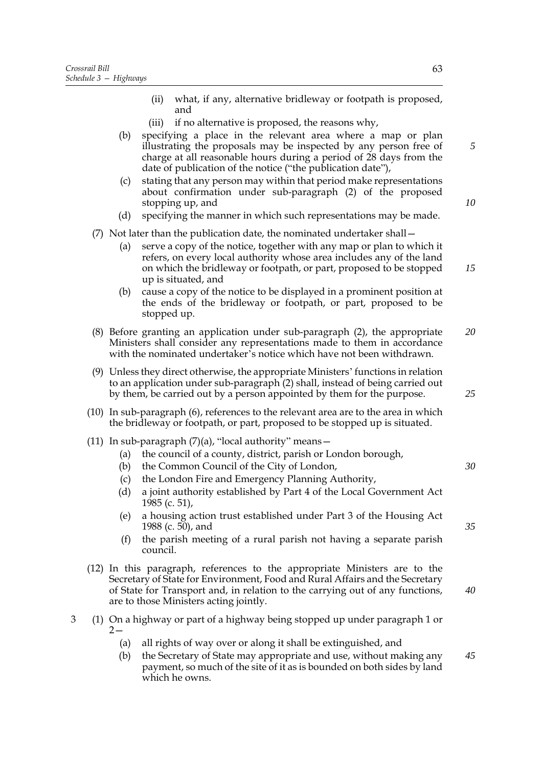- (ii) what, if any, alternative bridleway or footpath is proposed, and
- (iii) if no alternative is proposed, the reasons why,
- (b) specifying a place in the relevant area where a map or plan illustrating the proposals may be inspected by any person free of charge at all reasonable hours during a period of 28 days from the date of publication of the notice ("the publication date"),
- (c) stating that any person may within that period make representations about confirmation under sub-paragraph (2) of the proposed stopping up, and
- (d) specifying the manner in which such representations may be made.

## (7) Not later than the publication date, the nominated undertaker shall—

- (a) serve a copy of the notice, together with any map or plan to which it refers, on every local authority whose area includes any of the land on which the bridleway or footpath, or part, proposed to be stopped up is situated, and *15*
- (b) cause a copy of the notice to be displayed in a prominent position at the ends of the bridleway or footpath, or part, proposed to be stopped up.
- (8) Before granting an application under sub-paragraph (2), the appropriate Ministers shall consider any representations made to them in accordance with the nominated undertaker's notice which have not been withdrawn. *20*
- (9) Unless they direct otherwise, the appropriate Ministers' functions in relation to an application under sub-paragraph (2) shall, instead of being carried out by them, be carried out by a person appointed by them for the purpose.
- (10) In sub-paragraph (6), references to the relevant area are to the area in which the bridleway or footpath, or part, proposed to be stopped up is situated.
- (11) In sub-paragraph  $(7)(a)$ , "local authority" means-
	- (a) the council of a county, district, parish or London borough,
	- (b) the Common Council of the City of London,
	- (c) the London Fire and Emergency Planning Authority,
	- (d) a joint authority established by Part 4 of the Local Government Act 1985 (c. 51),
	- (e) a housing action trust established under Part 3 of the Housing Act 1988 (c. 50), and
	- (f) the parish meeting of a rural parish not having a separate parish council.
- (12) In this paragraph, references to the appropriate Ministers are to the Secretary of State for Environment, Food and Rural Affairs and the Secretary of State for Transport and, in relation to the carrying out of any functions, are to those Ministers acting jointly.
- 3 (1) On a highway or part of a highway being stopped up under paragraph 1 or  $2 -$ 
	- (a) all rights of way over or along it shall be extinguished, and
	- (b) the Secretary of State may appropriate and use, without making any payment, so much of the site of it as is bounded on both sides by land which he owns.

*5*

*10*

*35*

*30*

*25*

*40*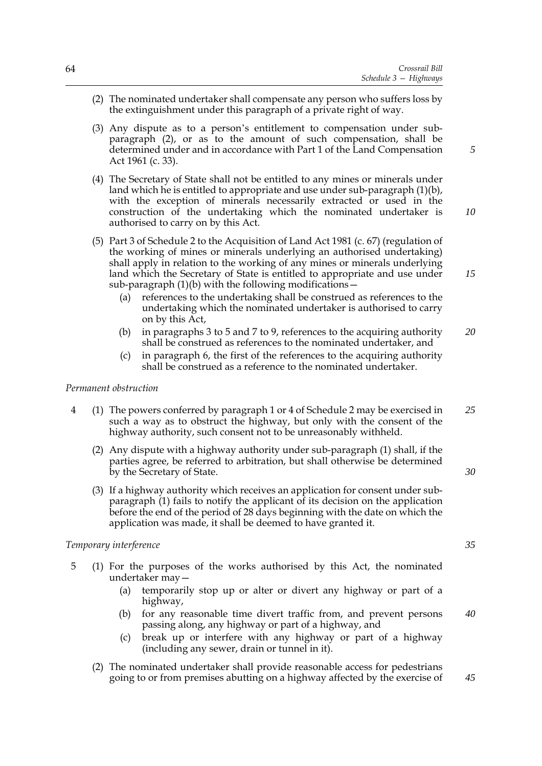- (2) The nominated undertaker shall compensate any person who suffers loss by the extinguishment under this paragraph of a private right of way.
- (3) Any dispute as to a person's entitlement to compensation under subparagraph (2), or as to the amount of such compensation, shall be determined under and in accordance with Part 1 of the Land Compensation Act 1961 (c. 33).
- (4) The Secretary of State shall not be entitled to any mines or minerals under land which he is entitled to appropriate and use under sub-paragraph (1)(b), with the exception of minerals necessarily extracted or used in the construction of the undertaking which the nominated undertaker is authorised to carry on by this Act.
- (5) Part 3 of Schedule 2 to the Acquisition of Land Act 1981 (c. 67) (regulation of the working of mines or minerals underlying an authorised undertaking) shall apply in relation to the working of any mines or minerals underlying land which the Secretary of State is entitled to appropriate and use under sub-paragraph  $(1)(b)$  with the following modifications –
	- (a) references to the undertaking shall be construed as references to the undertaking which the nominated undertaker is authorised to carry on by this Act,
	- (b) in paragraphs 3 to 5 and 7 to 9, references to the acquiring authority shall be construed as references to the nominated undertaker, and *20*
	- (c) in paragraph 6, the first of the references to the acquiring authority shall be construed as a reference to the nominated undertaker.

#### *Permanent obstruction*

- 4 (1) The powers conferred by paragraph 1 or 4 of Schedule 2 may be exercised in such a way as to obstruct the highway, but only with the consent of the highway authority, such consent not to be unreasonably withheld. *25*
	- (2) Any dispute with a highway authority under sub-paragraph (1) shall, if the parties agree, be referred to arbitration, but shall otherwise be determined by the Secretary of State.
	- (3) If a highway authority which receives an application for consent under subparagraph (1) fails to notify the applicant of its decision on the application before the end of the period of 28 days beginning with the date on which the application was made, it shall be deemed to have granted it.

#### *Temporary interference*

- 5 (1) For the purposes of the works authorised by this Act, the nominated undertaker may—
	- (a) temporarily stop up or alter or divert any highway or part of a highway,
	- (b) for any reasonable time divert traffic from, and prevent persons passing along, any highway or part of a highway, and *40*
	- (c) break up or interfere with any highway or part of a highway (including any sewer, drain or tunnel in it).
	- (2) The nominated undertaker shall provide reasonable access for pedestrians going to or from premises abutting on a highway affected by the exercise of *45*

*30*

*10*

*15*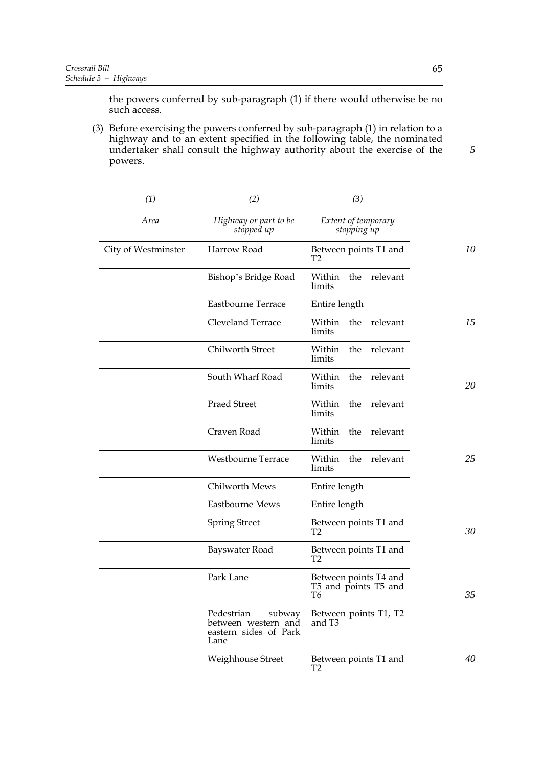the powers conferred by sub-paragraph (1) if there would otherwise be no such access.

(3) Before exercising the powers conferred by sub-paragraph (1) in relation to a highway and to an extent specified in the following table, the nominated undertaker shall consult the highway authority about the exercise of the powers.

| (1)                 | (2)                                                                          | (3)                                                 |    |
|---------------------|------------------------------------------------------------------------------|-----------------------------------------------------|----|
| Area                | Highway or part to be<br>stopped up                                          | Extent of temporary<br>stopping up                  |    |
| City of Westminster | Harrow Road                                                                  | Between points T1 and<br>T <sub>2</sub>             | 10 |
|                     | Bishop's Bridge Road                                                         | Within the relevant<br>limits                       |    |
|                     | Eastbourne Terrace                                                           | Entire length                                       |    |
|                     | Cleveland Terrace                                                            | Within<br>the relevant<br>limits                    | 15 |
|                     | Chilworth Street                                                             | the<br>relevant<br>Within<br>limits                 |    |
|                     | South Wharf Road                                                             | the<br>relevant<br>Within<br>limits                 | 20 |
|                     | <b>Praed Street</b>                                                          | the<br>relevant<br>Within<br>limits                 |    |
|                     | Craven Road                                                                  | the<br>relevant<br>Within<br>limits                 |    |
|                     | Westbourne Terrace                                                           | the<br>relevant<br>Within<br>limits                 | 25 |
|                     | Chilworth Mews                                                               | Entire length                                       |    |
|                     | Eastbourne Mews                                                              | Entire length                                       |    |
|                     | <b>Spring Street</b>                                                         | Between points T1 and<br>T <sub>2</sub>             | 30 |
|                     | Bayswater Road                                                               | Between points T1 and<br>T <sub>2</sub>             |    |
|                     | Park Lane                                                                    | Between points T4 and<br>T5 and points T5 and<br>T6 | 35 |
|                     | Pedestrian<br>subway<br>between western and<br>eastern sides of Park<br>Lane | Between points T1, T2<br>and T3                     |    |
|                     | Weighhouse Street                                                            | Between points T1 and<br>T <sub>2</sub>             | 40 |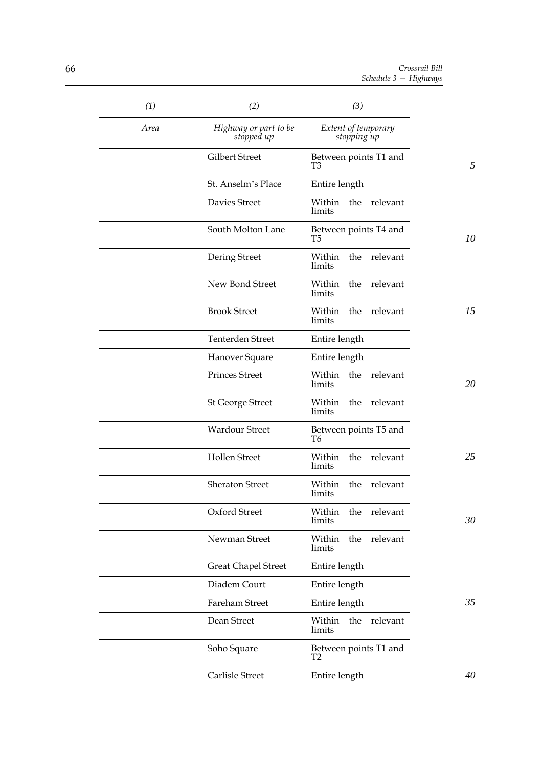| (1)         | (2)                                 | (3)                                     |    |
|-------------|-------------------------------------|-----------------------------------------|----|
| <b>Area</b> | Highway or part to be<br>stopped up | Extent of temporary<br>stopping up      |    |
|             | Gilbert Street                      | Between points T1 and<br>T <sub>3</sub> | 5  |
|             | St. Anselm's Place                  | Entire length                           |    |
|             | Davies Street                       | Within the relevant<br>limits           |    |
|             | South Molton Lane                   | Between points T4 and<br>T5             | 10 |
|             | Dering Street                       | Within the relevant<br>limits           |    |
|             | New Bond Street                     | the relevant<br>Within<br>limits        |    |
|             | <b>Brook Street</b>                 | Within<br>the relevant<br>limits        | 15 |
|             | Tenterden Street                    | Entire length                           |    |
|             | Hanover Square                      | Entire length                           |    |
|             | <b>Princes Street</b>               | Within<br>the relevant<br>limits        | 20 |
|             | <b>St George Street</b>             | Within<br>the relevant<br>limits        |    |
|             | <b>Wardour Street</b>               | Between points T5 and<br>T <sub>6</sub> |    |
|             | <b>Hollen Street</b>                | Within<br>the relevant<br>limits        | 25 |
|             | <b>Sheraton Street</b>              | Within<br>the<br>relevant<br>limits     |    |
|             | Oxford Street                       | relevant<br>Within<br>the<br>limits     | 30 |
|             | Newman Street                       | Within<br>the<br>relevant<br>limits     |    |
|             | <b>Great Chapel Street</b>          | Entire length                           |    |
|             | Diadem Court                        | Entire length                           |    |
|             | Fareham Street                      | Entire length                           | 35 |
|             | Dean Street                         | relevant<br>Within<br>the<br>limits     |    |
|             | Soho Square                         | Between points T1 and<br>T <sub>2</sub> |    |
|             | Carlisle Street                     | Entire length                           | 40 |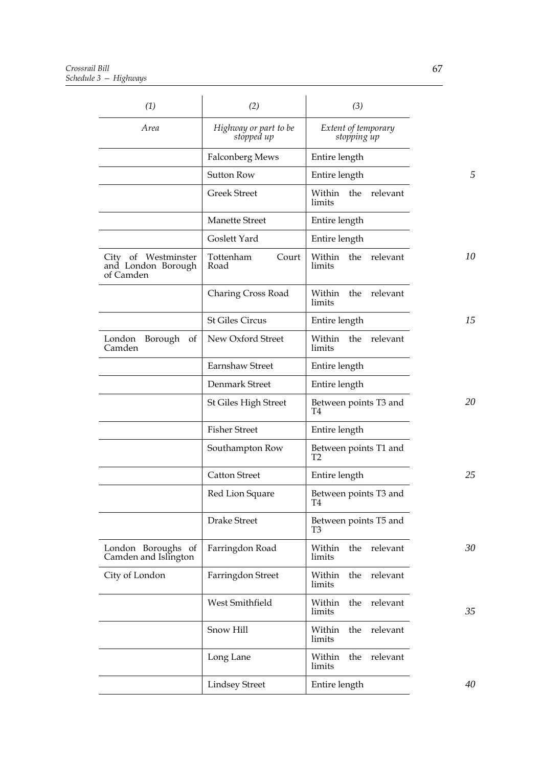| (1)                                                    | (2)                                 | (3)                                 |    |
|--------------------------------------------------------|-------------------------------------|-------------------------------------|----|
| Area                                                   | Highway or part to be<br>stopped up | Extent of temporary<br>stopping up  |    |
|                                                        | Falconberg Mews                     | Entire length                       |    |
|                                                        | <b>Sutton Row</b>                   | Entire length                       | 5  |
|                                                        | <b>Greek Street</b>                 | Within<br>the<br>relevant<br>limits |    |
|                                                        | <b>Manette Street</b>               | Entire length                       |    |
|                                                        | Goslett Yard                        | Entire length                       |    |
| City of Westminster<br>and London Borough<br>of Camden | Tottenham<br>Court<br>Road          | Within the relevant<br>limits       | 10 |
|                                                        | Charing Cross Road                  | the relevant<br>Within<br>limits    |    |
|                                                        | <b>St Giles Circus</b>              | Entire length                       | 15 |
| London<br>Borough<br>of<br>Camden                      | New Oxford Street                   | Within the relevant<br>limits       |    |
|                                                        | Earnshaw Street                     | Entire length                       |    |
|                                                        | Denmark Street                      | Entire length                       |    |
|                                                        | St Giles High Street                | Between points T3 and<br>T4         | 20 |
|                                                        | <b>Fisher Street</b>                | Entire length                       |    |
|                                                        | Southampton Row                     | Between points T1 and<br>Т2         |    |
|                                                        | <b>Catton Street</b>                | Entire length                       | 25 |
|                                                        | Red Lion Square                     | Between points T3 and<br>T4         |    |
|                                                        | Drake Street                        | Between points T5 and<br>T3         |    |
| London Boroughs of<br>Camden and Islington             | Farringdon Road                     | Within<br>the relevant<br>limits    | 30 |
| City of London                                         | Farringdon Street                   | relevant<br>the<br>Within<br>limits |    |
|                                                        | West Smithfield                     | the<br>relevant<br>Within<br>limits | 35 |
|                                                        | Snow Hill                           | the<br>relevant<br>Within<br>limits |    |
|                                                        | Long Lane                           | the<br>relevant<br>Within<br>limits |    |
|                                                        | <b>Lindsey Street</b>               | Entire length                       | 40 |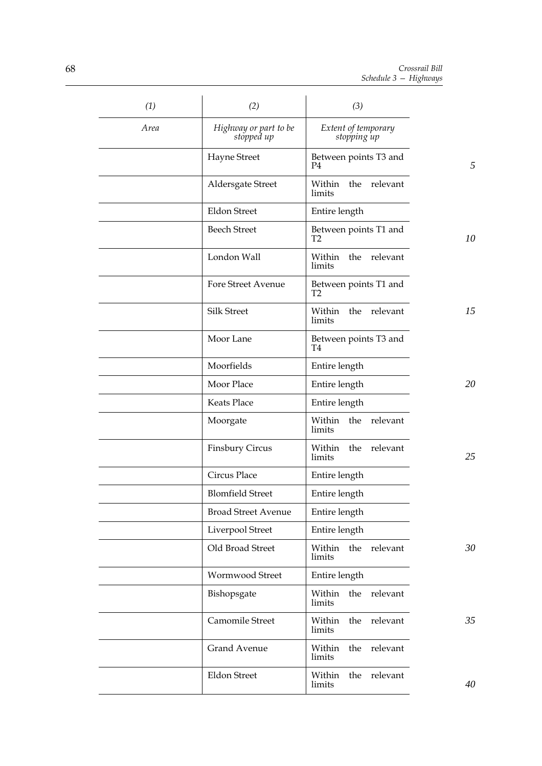| (1)  | (2)                                 | (3)                                     |    |
|------|-------------------------------------|-----------------------------------------|----|
| Area | Highway or part to be<br>stopped up | Extent of temporary<br>stopping up      |    |
|      | Hayne Street                        | Between points T3 and<br>P4             | 5  |
|      | Aldersgate Street                   | Within<br>the relevant<br>limits        |    |
|      | <b>Eldon Street</b>                 | Entire length                           |    |
|      | <b>Beech Street</b>                 | Between points T1 and<br>T <sub>2</sub> | 10 |
|      | London Wall                         | Within the relevant<br>limits           |    |
|      | <b>Fore Street Avenue</b>           | Between points T1 and<br>Т2             |    |
|      | <b>Silk Street</b>                  | Within the relevant<br>limits           | 15 |
|      | Moor Lane                           | Between points T3 and<br>T4             |    |
|      | Moorfields                          | Entire length                           |    |
|      | Moor Place                          | Entire length                           | 20 |
|      | Keats Place                         | Entire length                           |    |
|      | Moorgate                            | Within the<br>relevant<br>limits        |    |
|      | <b>Finsbury Circus</b>              | relevant<br>Within<br>the<br>limits     | 25 |
|      | Circus Place                        | Entire length                           |    |
|      | <b>Blomfield Street</b>             | Entire length                           |    |
|      | <b>Broad Street Avenue</b>          | Entire length                           |    |
|      | Liverpool Street                    | Entire length                           |    |
|      | Old Broad Street                    | Within the<br>relevant<br>limits        | 30 |
|      | Wormwood Street                     | Entire length                           |    |
|      | Bishopsgate                         | the<br>relevant<br>Within<br>limits     |    |
|      | Camomile Street                     | relevant<br>Within<br>the<br>limits     | 35 |
|      | <b>Grand Avenue</b>                 | relevant<br>Within<br>the<br>limits     |    |
|      | <b>Eldon Street</b>                 | relevant<br>Within<br>the<br>limits     | 40 |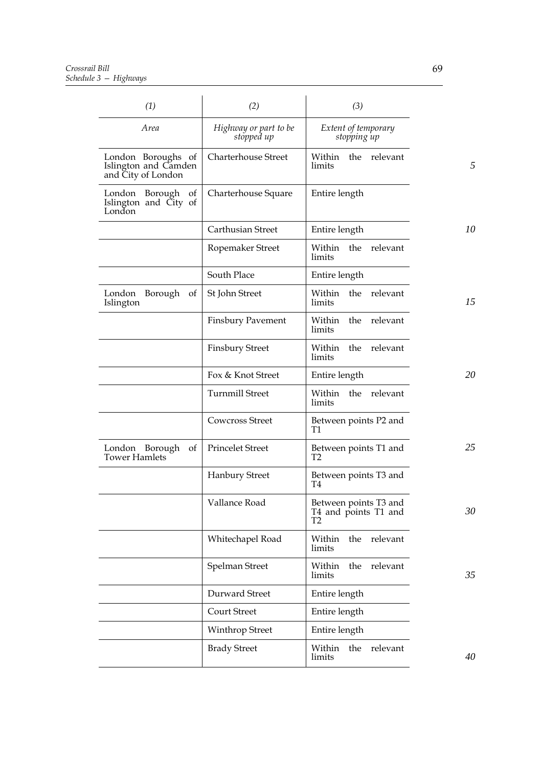| (1)                                                              | (2)                                 | (3)                                                             |    |
|------------------------------------------------------------------|-------------------------------------|-----------------------------------------------------------------|----|
| Area                                                             | Highway or part to be<br>stopped up | Extent of temporary<br>stopping up                              |    |
| London Boroughs of<br>Islington and Camden<br>and City of London | <b>Charterhouse Street</b>          | Within the relevant<br>limits                                   | 5  |
| London Borough of<br>Islington and City of<br>London             | Charterhouse Square                 | Entire length                                                   |    |
|                                                                  | Carthusian Street                   | Entire length                                                   | 10 |
|                                                                  | Ropemaker Street                    | Within<br>the<br>relevant<br>limits                             |    |
|                                                                  | South Place                         | Entire length                                                   |    |
| London<br>Borough of<br>Islington                                | St John Street                      | Within the relevant<br>limits                                   | 15 |
|                                                                  | <b>Finsbury Pavement</b>            | Within the relevant<br>limits                                   |    |
|                                                                  | <b>Finsbury Street</b>              | the relevant<br>Within<br>limits                                |    |
|                                                                  | Fox & Knot Street                   | Entire length                                                   | 20 |
|                                                                  | <b>Turnmill Street</b>              | Within the relevant<br>limits                                   |    |
|                                                                  | <b>Cowcross Street</b>              | Between points P2 and<br>T1                                     |    |
| London Borough of<br><b>Tower Hamlets</b>                        | <b>Princelet Street</b>             | Between points T1 and<br>T <sub>2</sub>                         | 25 |
|                                                                  | <b>Hanbury Street</b>               | Between points T3 and<br>T4                                     |    |
|                                                                  | Vallance Road                       | Between points T3 and<br>T4 and points T1 and<br>T <sub>2</sub> | 30 |
|                                                                  | Whitechapel Road                    | Within the relevant<br>limits                                   |    |
|                                                                  | Spelman Street                      | Within<br>the<br>relevant<br>limits                             | 35 |
|                                                                  | Durward Street                      | Entire length                                                   |    |
|                                                                  | <b>Court Street</b>                 | Entire length                                                   |    |
|                                                                  | <b>Winthrop Street</b>              | Entire length                                                   |    |
|                                                                  | <b>Brady Street</b>                 | Within<br>the<br>relevant<br>limits                             | 40 |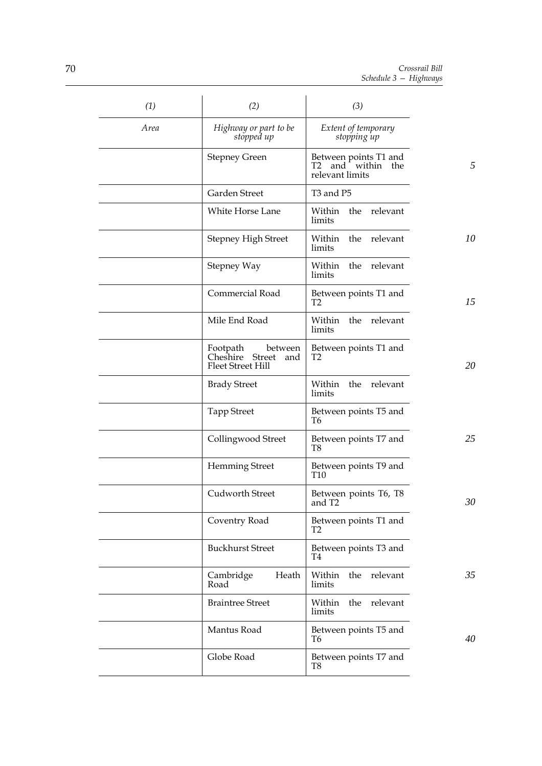| (1)  | (2)                                                                       | (3)                                                           |    |
|------|---------------------------------------------------------------------------|---------------------------------------------------------------|----|
| Area | Highway or part to be<br>stopped up                                       | Extent of temporary<br>stopping up                            |    |
|      | <b>Stepney Green</b>                                                      | Between points T1 and<br>T2 and within the<br>relevant limits | 5  |
|      | Garden Street                                                             | T3 and P5                                                     |    |
|      | White Horse Lane                                                          | Within the relevant<br>limits                                 |    |
|      | <b>Stepney High Street</b>                                                | Within<br>the relevant<br>limits                              | 10 |
|      | Stepney Way                                                               | relevant<br>Within<br>the<br>limits                           |    |
|      | Commercial Road                                                           | Between points T1 and<br>T <sub>2</sub>                       | 15 |
|      | Mile End Road                                                             | Within the relevant<br>limits                                 |    |
|      | Footpath<br>between<br>Cheshire Street<br>and<br><b>Fleet Street Hill</b> | Between points T1 and<br>T <sub>2</sub>                       | 20 |
|      | <b>Brady Street</b>                                                       | the relevant<br>Within<br>limits                              |    |
|      | <b>Tapp Street</b>                                                        | Between points T5 and<br>T6                                   |    |
|      | Collingwood Street                                                        | Between points T7 and<br>T8                                   | 25 |
|      | <b>Hemming Street</b>                                                     | Between points T9 and<br><b>T10</b>                           |    |
|      | Cudworth Street                                                           | Between points T6, T8<br>and T2                               | 30 |
|      | Coventry Road                                                             | Between points T1 and<br>T <sub>2</sub>                       |    |
|      | <b>Buckhurst Street</b>                                                   | Between points T3 and<br>T4                                   |    |
|      | Heath<br>Cambridge<br>Road                                                | the relevant<br>Within<br>limits                              | 35 |
|      | <b>Braintree Street</b>                                                   | Within<br>the relevant<br>limits                              |    |
|      | Mantus Road                                                               | Between points T5 and<br>T6                                   | 40 |
|      | Globe Road                                                                | Between points T7 and<br>T8                                   |    |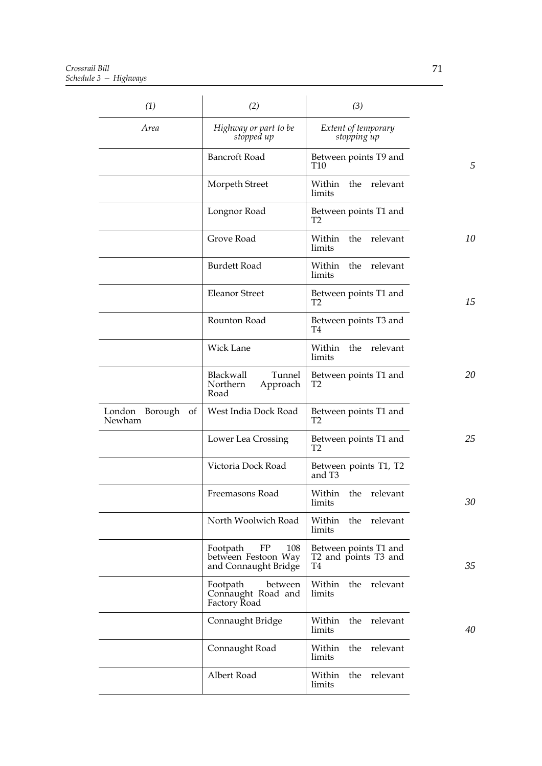| (1)                            | (2)                                                                  | (3)                                                 |    |
|--------------------------------|----------------------------------------------------------------------|-----------------------------------------------------|----|
| Area                           | Highway or part to be<br>stopped up                                  | Extent of temporary<br>stopping up                  |    |
|                                | <b>Bancroft Road</b>                                                 | Between points T9 and<br>T <sub>10</sub>            | 5  |
|                                | Morpeth Street                                                       | Within the relevant<br>limits                       |    |
|                                | Longnor Road                                                         | Between points T1 and<br>Т2                         |    |
|                                | Grove Road                                                           | Within<br>the relevant<br>limits                    | 10 |
|                                | <b>Burdett Road</b>                                                  | Within<br>the relevant<br>limits                    |    |
|                                | <b>Eleanor Street</b>                                                | Between points T1 and<br>T <sub>2</sub>             | 15 |
|                                | Rounton Road                                                         | Between points T3 and<br>T4                         |    |
|                                | <b>Wick Lane</b>                                                     | Within the relevant<br>limits                       |    |
|                                | Blackwall<br>Tunnel<br>Northern<br>Approach<br>Road                  | Between points T1 and<br>T2                         | 20 |
| London Borough<br>of<br>Newham | West India Dock Road                                                 | Between points T1 and<br>T <sub>2</sub>             |    |
|                                | Lower Lea Crossing                                                   | Between points T1 and<br>Т2                         | 25 |
|                                | Victoria Dock Road                                                   | Between points T1, T2<br>and T <sub>3</sub>         |    |
|                                | Freemasons Road                                                      | Within the relevant<br>limits                       | 30 |
|                                | North Woolwich Road                                                  | Within<br>the relevant<br>limits                    |    |
|                                | Footpath<br>FP<br>108<br>between Festoon Way<br>and Connaught Bridge | Between points T1 and<br>T2 and points T3 and<br>T4 | 35 |
|                                | Footpath<br>between<br>Connaught Road and<br>Factory Road            | Within the relevant<br>limits                       |    |
|                                | Connaught Bridge                                                     | the relevant<br>Within<br>limits                    | 40 |
|                                | Connaught Road                                                       | Within<br>the<br>relevant<br>limits                 |    |
|                                | Albert Road                                                          | Within<br>the relevant<br>limits                    |    |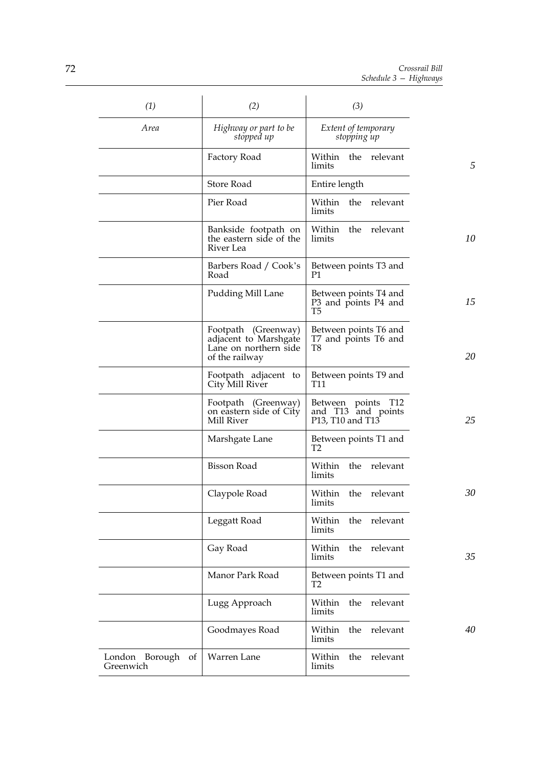| (1)                            | (2)                                                                                     | (3)                                                                                                            |    |
|--------------------------------|-----------------------------------------------------------------------------------------|----------------------------------------------------------------------------------------------------------------|----|
| Area                           | Highway or part to be<br>stopped up                                                     | Extent of temporary<br>stopping up                                                                             |    |
|                                | Factory Road                                                                            | Within the relevant<br>limits                                                                                  | 5  |
|                                | Store Road                                                                              | Entire length                                                                                                  |    |
|                                | Pier Road                                                                               | Within the relevant<br>limits                                                                                  |    |
|                                | Bankside footpath on<br>the eastern side of the<br>River Lea                            | Within the relevant<br>limits                                                                                  | 10 |
|                                | Barbers Road / Cook's<br>Road                                                           | Between points T3 and<br>P1                                                                                    |    |
|                                | Pudding Mill Lane                                                                       | Between points T4 and<br>P3 and points P4 and<br>T5                                                            | 15 |
|                                | Footpath (Greenway)<br>adjacent to Marshgate<br>Lane on northern side<br>of the railway | Between points T6 and<br>T7 and points T6 and<br>T8                                                            | 20 |
|                                | Footpath adjacent to<br>City Mill River                                                 | Between points T9 and<br>T11                                                                                   |    |
|                                | Footpath (Greenway)<br>on eastern side of City<br>Mill River                            | Between points T12<br>and T13 and points<br>P <sub>13</sub> , T <sub>10</sub> and T <sub>13</sub> <sup>-</sup> | 25 |
|                                | Marshgate Lane                                                                          | Between points T1 and<br>Т2                                                                                    |    |
|                                | <b>Bisson Road</b>                                                                      | Within<br>the relevant<br>limits                                                                               |    |
|                                | Claypole Road                                                                           | the relevant<br>Within<br>limits                                                                               | 30 |
|                                | Leggatt Road                                                                            | the relevant<br>Within<br>limits                                                                               |    |
|                                | Gay Road                                                                                | Within<br>the<br>relevant<br>limits                                                                            | 35 |
|                                | Manor Park Road                                                                         | Between points T1 and<br>T2                                                                                    |    |
|                                | Lugg Approach                                                                           | Within<br>the<br>relevant<br>limits                                                                            |    |
|                                | Goodmayes Road                                                                          | relevant<br>the<br>Within<br>limits                                                                            | 40 |
| London Borough of<br>Greenwich | Warren Lane                                                                             | Within<br>the<br>relevant<br>limits                                                                            |    |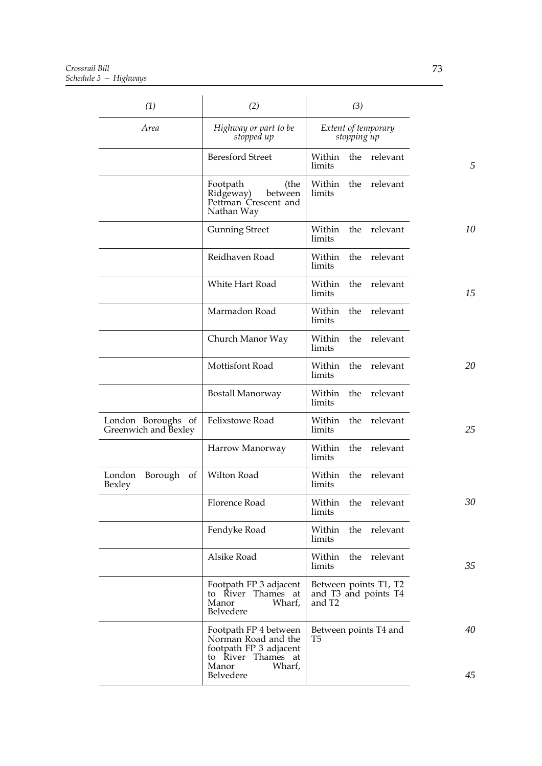| (1)                                        | (2)                                                                                          | (3)                                                     |    |
|--------------------------------------------|----------------------------------------------------------------------------------------------|---------------------------------------------------------|----|
| Area                                       | Highway or part to be<br>stopped up                                                          | Extent of temporary<br>stopping up                      |    |
|                                            | <b>Beresford Street</b>                                                                      | the relevant<br>Within<br>limits                        | 5  |
|                                            | Footpath<br>(the<br>Ridgeway)<br>between<br>Pettman Crescent and<br>Nathan Way               | Within<br>the relevant<br>limits                        |    |
|                                            | <b>Gunning Street</b>                                                                        | relevant<br>the<br>Within<br>limits                     | 10 |
|                                            | Reidhaven Road                                                                               | the<br>Within<br>relevant<br>limits                     |    |
|                                            | White Hart Road                                                                              | relevant<br>Within<br>the<br>limits                     | 15 |
|                                            | Marmadon Road                                                                                | the<br>Within<br>relevant<br>limits                     |    |
|                                            | Church Manor Way                                                                             | the<br>relevant<br>Within<br>limits                     |    |
|                                            | Mottisfont Road                                                                              | the<br>relevant<br>Within<br>limits                     | 20 |
|                                            | Bostall Manorway                                                                             | the<br>relevant<br>Within<br>limits                     |    |
| London Boroughs of<br>Greenwich and Bexley | Felixstowe Road                                                                              | the<br>relevant<br>Within<br>limits                     | 25 |
|                                            | Harrow Manorway                                                                              | the<br>relevant<br>Within<br>limits                     |    |
| London<br>Borough<br>of<br>Bexley          | Wilton Road                                                                                  | the<br>relevant<br>Within<br>limits                     |    |
|                                            | Florence Road                                                                                | Within<br>the<br>relevant<br>limits                     | 30 |
|                                            | Fendyke Road                                                                                 | the relevant<br>Within<br>limits                        |    |
|                                            | Alsike Road                                                                                  | Within<br>the<br>relevant<br>limits                     | 35 |
|                                            | Footpath FP 3 adjacent<br>to River Thames at<br>Manor<br>Wharf,<br>Belvedere                 | Between points T1, T2<br>and T3 and points T4<br>and T2 |    |
|                                            | Footpath FP 4 between<br>Norman Road and the<br>footpath FP 3 adjacent<br>to River Thames at | Between points T4 and<br>T5                             | 40 |
|                                            | Manor<br>Wharf,<br>Belvedere                                                                 |                                                         | 45 |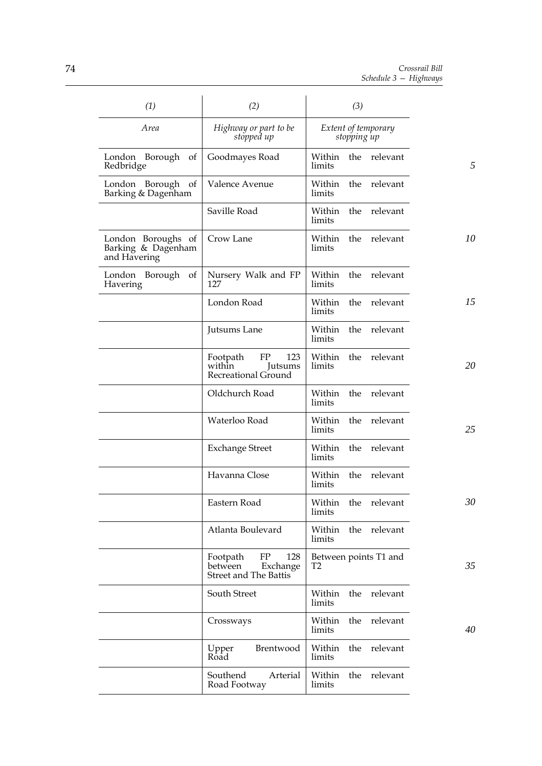| (1)                                                      | (2)                                                                   | (3)                                 |    |
|----------------------------------------------------------|-----------------------------------------------------------------------|-------------------------------------|----|
| Area                                                     | Highway or part to be<br>stopped up                                   | Extent of temporary<br>stopping up  |    |
| London Borough of<br>Redbridge                           | Goodmayes Road                                                        | Within<br>the<br>relevant<br>limits | 5  |
| London Borough of<br>Barking & Dagenham                  | Valence Avenue                                                        | Within<br>the<br>relevant<br>limits |    |
|                                                          | Saville Road                                                          | the<br>relevant<br>Within<br>limits |    |
| London Boroughs of<br>Barking & Dagenham<br>and Havering | Crow Lane                                                             | Within<br>the<br>relevant<br>limits | 10 |
| London Borough<br>of<br>Havering                         | Nursery Walk and FP<br>127                                            | relevant<br>Within<br>the<br>limits |    |
|                                                          | London Road                                                           | Within<br>the<br>relevant<br>limits | 15 |
|                                                          | Jutsums Lane                                                          | relevant<br>Within<br>the<br>limits |    |
|                                                          | 123<br>Footpath<br>FP<br>within<br>Jutsums<br>Recreational Ground     | Within<br>the<br>relevant<br>limits | 20 |
|                                                          | Oldchurch Road                                                        | relevant<br>Within<br>the<br>limits |    |
|                                                          | Waterloo Road                                                         | Within<br>the<br>relevant<br>limits | 25 |
|                                                          | <b>Exchange Street</b>                                                | Within<br>the<br>relevant<br>limits |    |
|                                                          | Havanna Close                                                         | Within<br>the<br>relevant<br>limits |    |
|                                                          | Eastern Road                                                          | Within the relevant<br>limits       | 30 |
|                                                          | Atlanta Boulevard                                                     | Within<br>the relevant<br>limits    |    |
|                                                          | FP<br>128<br>Footpath<br>Exchange<br>between<br>Street and The Battis | Between points T1 and<br>T2         | 35 |
|                                                          | South Street                                                          | the relevant<br>Within<br>limits    |    |
|                                                          | Crossways                                                             | relevant<br>the<br>Within<br>limits | 40 |
|                                                          | Upper<br>Brentwood<br>Road                                            | Within<br>the<br>relevant<br>limits |    |
|                                                          | Southend<br>Arterial<br>Road Footway                                  | the<br>relevant<br>Within<br>limits |    |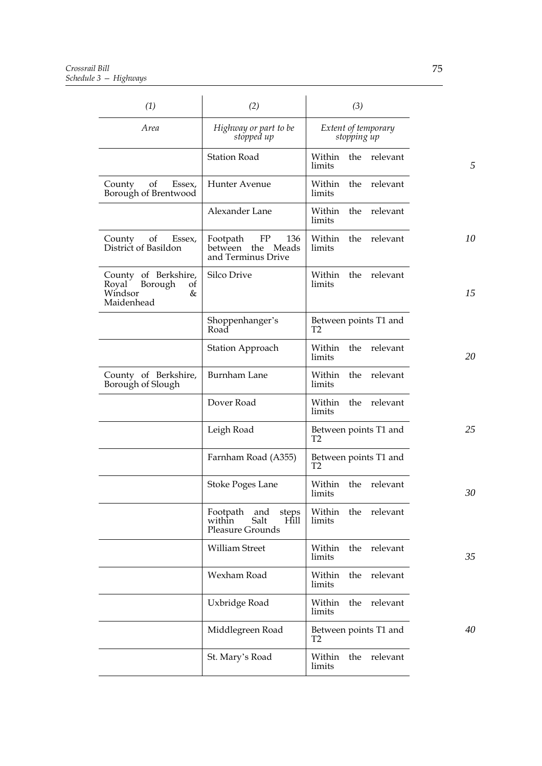| (1)                                                                       | (2)                                                                        | (3)                                     |    |
|---------------------------------------------------------------------------|----------------------------------------------------------------------------|-----------------------------------------|----|
| Area                                                                      | Highway or part to be<br>stopped up                                        | Extent of temporary<br>stopping up      |    |
|                                                                           | <b>Station Road</b>                                                        | the relevant<br>Within<br>limits        | 5  |
| of<br>Essex,<br>County<br>Borough of Brentwood                            | Hunter Avenue                                                              | Within<br>the relevant<br>limits        |    |
|                                                                           | Alexander Lane                                                             | Within<br>the relevant<br>limits        |    |
| of<br>Essex,<br>County<br>District of Basildon                            | FP<br>136<br>Footpath<br>between the<br>Meads<br>and Terminus Drive        | Within<br>the relevant<br>limits        | 10 |
| County of Berkshire,<br>Royal Borough<br>οt<br>Windsor<br>&<br>Maidenhead | <b>Silco Drive</b>                                                         | the relevant<br>Within<br>limits        | 15 |
|                                                                           | Shoppenhanger's<br>Road                                                    | Between points T1 and<br>T2             |    |
|                                                                           | <b>Station Approach</b>                                                    | the relevant<br>Within<br>limits        | 20 |
| County of Berkshire,<br>Borough of Slough                                 | <b>Burnham Lane</b>                                                        | Within<br>the relevant<br>limits        |    |
|                                                                           | Dover Road                                                                 | the relevant<br>Within<br>limits        |    |
|                                                                           | Leigh Road                                                                 | Between points T1 and<br>T <sub>2</sub> | 25 |
|                                                                           | Farnham Road (A355)                                                        | Between points T1 and<br>T <sub>2</sub> |    |
|                                                                           | Stoke Poges Lane                                                           | Within<br>the relevant<br>limits        | 30 |
|                                                                           | Footpath and<br>steps<br>Salt<br>within<br><b>Hill</b><br>Pleasure Grounds | Within<br>the relevant<br>limits        |    |
|                                                                           | William Street                                                             | the relevant<br>Within<br>limits        | 35 |
|                                                                           | Wexham Road                                                                | relevant<br>Within<br>the<br>limits     |    |
|                                                                           | Uxbridge Road                                                              | the<br>relevant<br>Within<br>limits     |    |
|                                                                           | Middlegreen Road                                                           | Between points T1 and<br>T2             | 40 |
|                                                                           | St. Mary's Road                                                            | Within<br>the<br>relevant<br>limits     |    |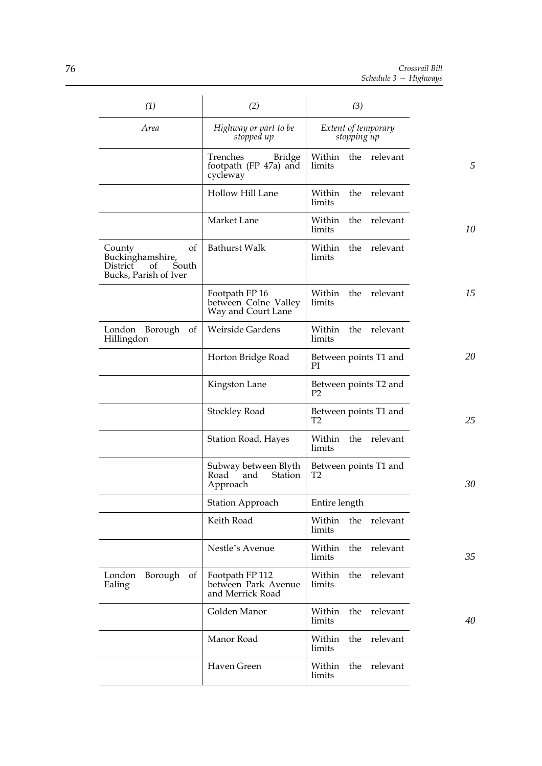| (1)                                                                                         | (2)                                                          | (3)                                     |    |
|---------------------------------------------------------------------------------------------|--------------------------------------------------------------|-----------------------------------------|----|
| Area                                                                                        | Highway or part to be<br>stopped up                          | Extent of temporary<br>stopping up      |    |
|                                                                                             | Trenches<br>Bridge<br>footpath (FP 47a) and<br>cycleway      | Within<br>the relevant<br>limits        | 5  |
|                                                                                             | Hollow Hill Lane                                             | Within<br>the relevant<br>limits        |    |
|                                                                                             | Market Lane                                                  | the<br>relevant<br>Within<br>limits     | 10 |
| of<br>County<br>Buckinghamshire,<br><b>District</b><br>of<br>South<br>Bucks, Parish of Iver | <b>Bathurst Walk</b>                                         | Within<br>the relevant<br>limits        |    |
|                                                                                             | Footpath FP 16<br>between Colne Valley<br>Way and Court Lane | the relevant<br>Within<br>limits        | 15 |
| London Borough<br>of<br>Hillingdon                                                          | Weirside Gardens                                             | the relevant<br>Within<br>limits        |    |
|                                                                                             | Horton Bridge Road                                           | Between points T1 and<br>РI             | 20 |
|                                                                                             | Kingston Lane                                                | Between points T2 and<br>P <sub>2</sub> |    |
|                                                                                             | Stockley Road                                                | Between points T1 and<br>T <sub>2</sub> | 25 |
|                                                                                             | <b>Station Road, Hayes</b>                                   | Within<br>the<br>relevant<br>limits     |    |
|                                                                                             | Subway between Blyth<br>Station<br>Road<br>and<br>Approach   | Between points T1 and<br>T <sub>2</sub> | 30 |
|                                                                                             | <b>Station Approach</b>                                      | Entire length                           |    |
|                                                                                             | Keith Road                                                   | the<br>relevant<br>Within<br>limits     |    |
|                                                                                             | Nestle's Avenue                                              | the<br>Within<br>relevant<br>limits     | 35 |
| London<br>Borough of<br>Ealing                                                              | Footpath FP 112<br>between Park Avenue<br>and Merrick Road   | the<br>relevant<br>Within<br>limits     |    |
|                                                                                             | Golden Manor                                                 | relevant<br>Within<br>the<br>limits     | 40 |
|                                                                                             | Manor Road                                                   | relevant<br>Within<br>the<br>limits     |    |
|                                                                                             | Haven Green                                                  | Within<br>the<br>relevant<br>limits     |    |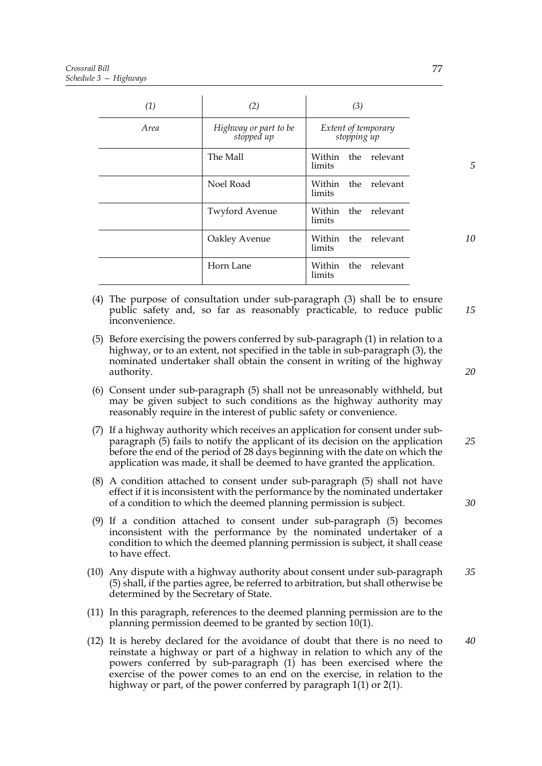| (1)         | (2)                                 | (3)                                 |
|-------------|-------------------------------------|-------------------------------------|
| <i>Area</i> | Highway or part to be<br>stopped up | Extent of temporary<br>stopping up  |
|             | The Mall                            | Within<br>the<br>relevant<br>limits |
|             | Noel Road                           | the relevant<br>Within<br>limits    |
|             | <b>Twyford Avenue</b>               | the relevant<br>Within<br>limits    |
|             | Oakley Avenue                       | the<br>relevant<br>Within<br>limits |
|             | Horn Lane                           | Within<br>the<br>relevant<br>limits |

- (4) The purpose of consultation under sub-paragraph (3) shall be to ensure public safety and, so far as reasonably practicable, to reduce public inconvenience. *15*
- (5) Before exercising the powers conferred by sub-paragraph (1) in relation to a highway, or to an extent, not specified in the table in sub-paragraph (3), the nominated undertaker shall obtain the consent in writing of the highway authority.
- (6) Consent under sub-paragraph (5) shall not be unreasonably withheld, but may be given subject to such conditions as the highway authority may reasonably require in the interest of public safety or convenience.
- (7) If a highway authority which receives an application for consent under subparagraph (5) fails to notify the applicant of its decision on the application before the end of the period of 28 days beginning with the date on which the application was made, it shall be deemed to have granted the application. *25*
- (8) A condition attached to consent under sub-paragraph (5) shall not have effect if it is inconsistent with the performance by the nominated undertaker of a condition to which the deemed planning permission is subject.
- (9) If a condition attached to consent under sub-paragraph (5) becomes inconsistent with the performance by the nominated undertaker of a condition to which the deemed planning permission is subject, it shall cease to have effect.
- (10) Any dispute with a highway authority about consent under sub-paragraph (5) shall, if the parties agree, be referred to arbitration, but shall otherwise be determined by the Secretary of State. *35*
- (11) In this paragraph, references to the deemed planning permission are to the planning permission deemed to be granted by section 10(1).
- (12) It is hereby declared for the avoidance of doubt that there is no need to reinstate a highway or part of a highway in relation to which any of the powers conferred by sub-paragraph (1) has been exercised where the exercise of the power comes to an end on the exercise, in relation to the highway or part, of the power conferred by paragraph 1(1) or 2(1). *40*

77

*20*

*5*

*10*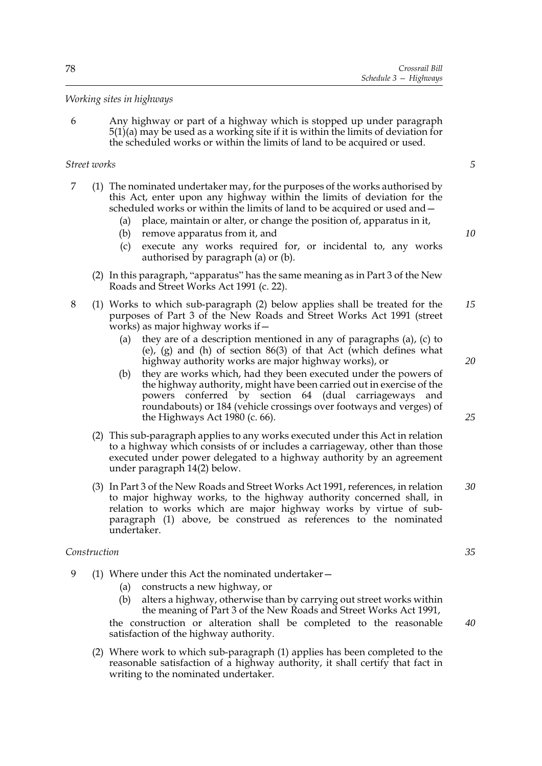## *Working sites in highways*

6 Any highway or part of a highway which is stopped up under paragraph 5(1)(a) may be used as a working site if it is within the limits of deviation for the scheduled works or within the limits of land to be acquired or used.

# *Street works*

*5*

*10*

*20*

*25*

- 7 (1) The nominated undertaker may, for the purposes of the works authorised by this Act, enter upon any highway within the limits of deviation for the scheduled works or within the limits of land to be acquired or used and—
	- (a) place, maintain or alter, or change the position of, apparatus in it,
	- (b) remove apparatus from it, and
	- (c) execute any works required for, or incidental to, any works authorised by paragraph (a) or (b).
	- (2) In this paragraph, "apparatus" has the same meaning as in Part 3 of the New Roads and Street Works Act 1991 (c. 22).
- 8 (1) Works to which sub-paragraph (2) below applies shall be treated for the purposes of Part 3 of the New Roads and Street Works Act 1991 (street works) as major highway works if— *15*
	- (a) they are of a description mentioned in any of paragraphs (a), (c) to (e), (g) and (h) of section 86(3) of that Act (which defines what highway authority works are major highway works), or
	- (b) they are works which, had they been executed under the powers of the highway authority, might have been carried out in exercise of the powers conferred by section 64 (dual carriageways and roundabouts) or 184 (vehicle crossings over footways and verges) of the Highways Act 1980 (c. 66).
	- (2) This sub-paragraph applies to any works executed under this Act in relation to a highway which consists of or includes a carriageway, other than those executed under power delegated to a highway authority by an agreement under paragraph 14(2) below.
	- (3) In Part 3 of the New Roads and Street Works Act 1991, references, in relation to major highway works, to the highway authority concerned shall, in relation to works which are major highway works by virtue of subparagraph (1) above, be construed as references to the nominated undertaker. *30*

# *Construction*

- 9 (1) Where under this Act the nominated undertaker—
	- (a) constructs a new highway, or
	- (b) alters a highway, otherwise than by carrying out street works within the meaning of Part 3 of the New Roads and Street Works Act 1991,

the construction or alteration shall be completed to the reasonable satisfaction of the highway authority.

(2) Where work to which sub-paragraph (1) applies has been completed to the reasonable satisfaction of a highway authority, it shall certify that fact in writing to the nominated undertaker.

*35*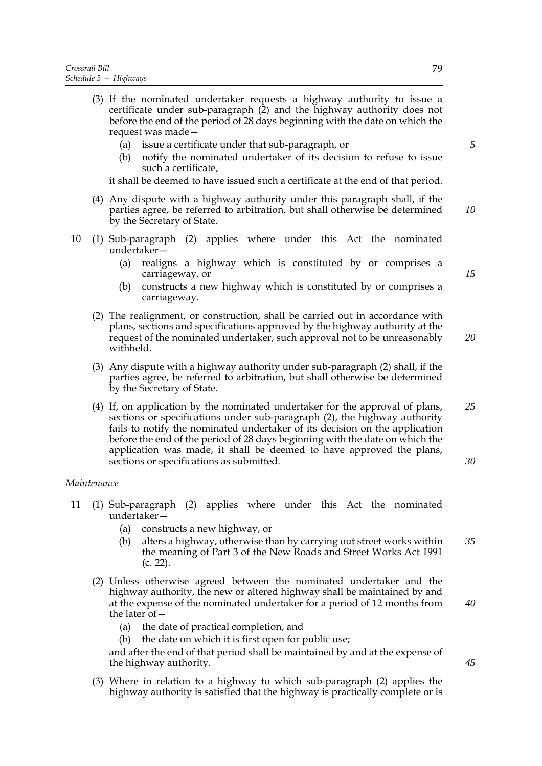- (3) If the nominated undertaker requests a highway authority to issue a certificate under sub-paragraph (2) and the highway authority does not before the end of the period of 28 days beginning with the date on which the request was made—
	- (a) issue a certificate under that sub-paragraph, or
	- (b) notify the nominated undertaker of its decision to refuse to issue such a certificate,

it shall be deemed to have issued such a certificate at the end of that period.

- (4) Any dispute with a highway authority under this paragraph shall, if the parties agree, be referred to arbitration, but shall otherwise be determined by the Secretary of State. *10*
- 10 (1) Sub-paragraph (2) applies where under this Act the nominated undertaker—
	- (a) realigns a highway which is constituted by or comprises a carriageway, or
	- (b) constructs a new highway which is constituted by or comprises a carriageway.
	- (2) The realignment, or construction, shall be carried out in accordance with plans, sections and specifications approved by the highway authority at the request of the nominated undertaker, such approval not to be unreasonably withheld. *20*
	- (3) Any dispute with a highway authority under sub-paragraph (2) shall, if the parties agree, be referred to arbitration, but shall otherwise be determined by the Secretary of State.
	- (4) If, on application by the nominated undertaker for the approval of plans, sections or specifications under sub-paragraph (2), the highway authority fails to notify the nominated undertaker of its decision on the application before the end of the period of 28 days beginning with the date on which the application was made, it shall be deemed to have approved the plans, sections or specifications as submitted. *25 30*

### *Maintenance*

- 11 (1) Sub-paragraph (2) applies where under this Act the nominated undertaker—
	- (a) constructs a new highway, or
	- (b) alters a highway, otherwise than by carrying out street works within the meaning of Part 3 of the New Roads and Street Works Act 1991 (c. 22). *35*
	- (2) Unless otherwise agreed between the nominated undertaker and the highway authority, the new or altered highway shall be maintained by and at the expense of the nominated undertaker for a period of 12 months from the later of—
		- (a) the date of practical completion, and
		- (b) the date on which it is first open for public use;

and after the end of that period shall be maintained by and at the expense of the highway authority.

(3) Where in relation to a highway to which sub-paragraph (2) applies the highway authority is satisfied that the highway is practically complete or is

*15*

*5*

*40*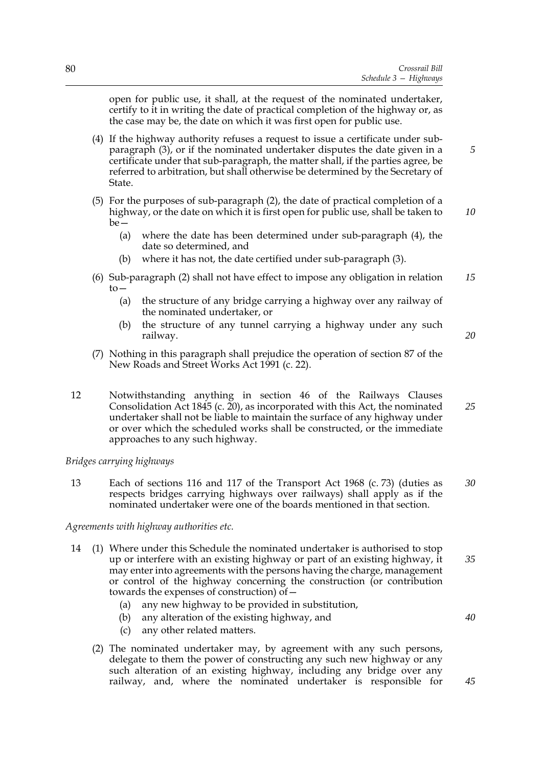open for public use, it shall, at the request of the nominated undertaker, certify to it in writing the date of practical completion of the highway or, as the case may be, the date on which it was first open for public use.

- (4) If the highway authority refuses a request to issue a certificate under subparagraph (3), or if the nominated undertaker disputes the date given in a certificate under that sub-paragraph, the matter shall, if the parties agree, be referred to arbitration, but shall otherwise be determined by the Secretary of State.
- (5) For the purposes of sub-paragraph (2), the date of practical completion of a highway, or the date on which it is first open for public use, shall be taken to  $be$ —
	- (a) where the date has been determined under sub-paragraph (4), the date so determined, and
	- (b) where it has not, the date certified under sub-paragraph (3).
- (6) Sub-paragraph (2) shall not have effect to impose any obligation in relation  $to-$ *15*
	- (a) the structure of any bridge carrying a highway over any railway of the nominated undertaker, or
	- (b) the structure of any tunnel carrying a highway under any such railway.
- (7) Nothing in this paragraph shall prejudice the operation of section 87 of the New Roads and Street Works Act 1991 (c. 22).
- 12 Notwithstanding anything in section 46 of the Railways Clauses Consolidation Act 1845 (c. 20), as incorporated with this Act, the nominated undertaker shall not be liable to maintain the surface of any highway under or over which the scheduled works shall be constructed, or the immediate approaches to any such highway. *25*

## *Bridges carrying highways*

13 Each of sections 116 and 117 of the Transport Act 1968 (c. 73) (duties as respects bridges carrying highways over railways) shall apply as if the nominated undertaker were one of the boards mentioned in that section. *30*

## *Agreements with highway authorities etc.*

- 14 (1) Where under this Schedule the nominated undertaker is authorised to stop up or interfere with an existing highway or part of an existing highway, it may enter into agreements with the persons having the charge, management or control of the highway concerning the construction (or contribution towards the expenses of construction) of— *35*
	- (a) any new highway to be provided in substitution,
	- (b) any alteration of the existing highway, and
	- (c) any other related matters.
	- (2) The nominated undertaker may, by agreement with any such persons, delegate to them the power of constructing any such new highway or any such alteration of an existing highway, including any bridge over any railway, and, where the nominated undertaker is responsible for

*10*

*5*

*20*

*40*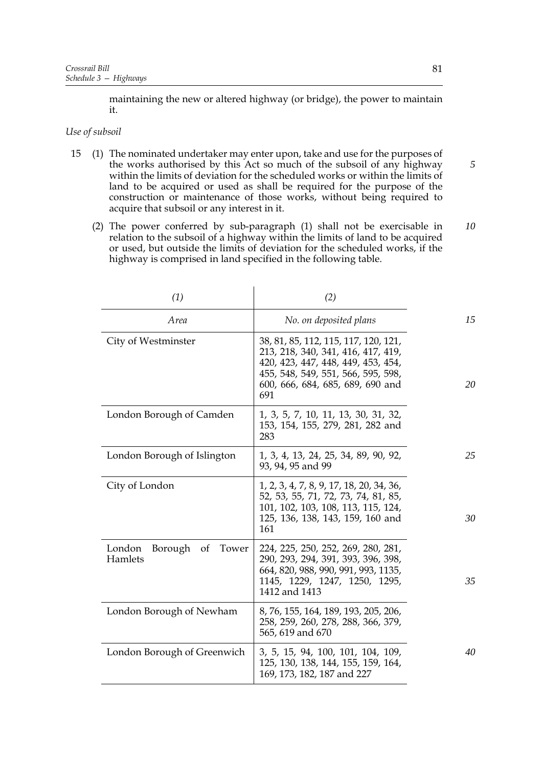maintaining the new or altered highway (or bridge), the power to maintain it.

### *Use of subsoil*

- 15 (1) The nominated undertaker may enter upon, take and use for the purposes of the works authorised by this Act so much of the subsoil of any highway within the limits of deviation for the scheduled works or within the limits of land to be acquired or used as shall be required for the purpose of the construction or maintenance of those works, without being required to acquire that subsoil or any interest in it.
	- (2) The power conferred by sub-paragraph (1) shall not be exercisable in relation to the subsoil of a highway within the limits of land to be acquired or used, but outside the limits of deviation for the scheduled works, if the highway is comprised in land specified in the following table.

| (1)                                         | (2)                                                                                                                                                                                               |    |
|---------------------------------------------|---------------------------------------------------------------------------------------------------------------------------------------------------------------------------------------------------|----|
| Area                                        | No. on deposited plans                                                                                                                                                                            | 15 |
| City of Westminster                         | 38, 81, 85, 112, 115, 117, 120, 121,<br>213, 218, 340, 341, 416, 417, 419,<br>420, 423, 447, 448, 449, 453, 454,<br>455, 548, 549, 551, 566, 595, 598,<br>600, 666, 684, 685, 689, 690 and<br>691 | 20 |
| London Borough of Camden                    | 1, 3, 5, 7, 10, 11, 13, 30, 31, 32,<br>153, 154, 155, 279, 281, 282 and<br>283                                                                                                                    |    |
| London Borough of Islington                 | 1, 3, 4, 13, 24, 25, 34, 89, 90, 92,<br>93, 94, 95 and 99                                                                                                                                         | 25 |
| City of London                              | 1, 2, 3, 4, 7, 8, 9, 17, 18, 20, 34, 36,<br>52, 53, 55, 71, 72, 73, 74, 81, 85,<br>101, 102, 103, 108, 113, 115, 124,<br>125, 136, 138, 143, 159, 160 and<br>161                                  | 30 |
| London<br>Borough<br>Tower<br>of<br>Hamlets | 224, 225, 250, 252, 269, 280, 281,<br>290, 293, 294, 391, 393, 396, 398,<br>664, 820, 988, 990, 991, 993, 1135,<br>1145, 1229, 1247, 1250, 1295,<br>1412 and 1413                                 | 35 |
| London Borough of Newham                    | 8, 76, 155, 164, 189, 193, 205, 206,<br>258, 259, 260, 278, 288, 366, 379,<br>565, 619 and 670                                                                                                    |    |
| London Borough of Greenwich                 | 3, 5, 15, 94, 100, 101, 104, 109,<br>125, 130, 138, 144, 155, 159, 164,<br>169, 173, 182, 187 and 227                                                                                             | 40 |

*10*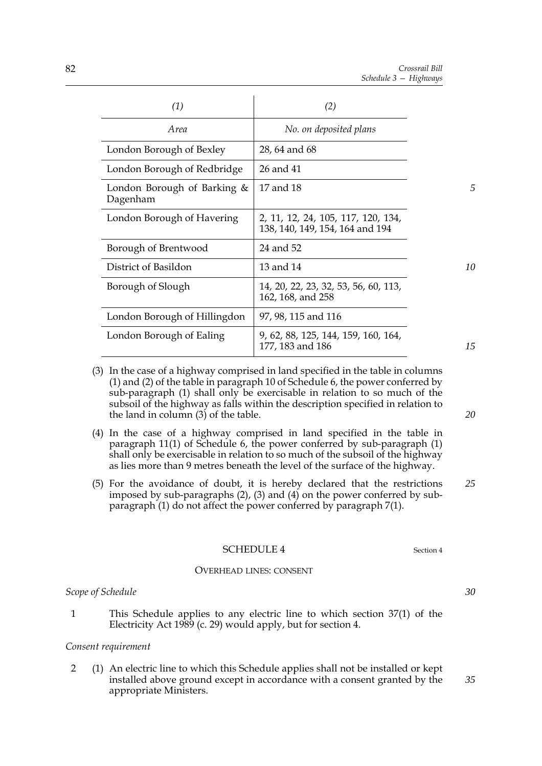| (1)                                     | (2)                                                                   |
|-----------------------------------------|-----------------------------------------------------------------------|
| Area                                    | No. on deposited plans                                                |
| London Borough of Bexley                | 28, 64 and 68                                                         |
| London Borough of Redbridge             | 26 and 41                                                             |
| London Borough of Barking &<br>Dagenham | 17 and 18                                                             |
| London Borough of Havering              | 2, 11, 12, 24, 105, 117, 120, 134,<br>138, 140, 149, 154, 164 and 194 |
| Borough of Brentwood                    | 24 and 52                                                             |
| District of Basildon                    | 13 and 14                                                             |
| Borough of Slough                       | 14, 20, 22, 23, 32, 53, 56, 60, 113,<br>162, 168, and 258             |
| London Borough of Hillingdon            | 97, 98, 115 and 116                                                   |
| London Borough of Ealing                | 9, 62, 88, 125, 144, 159, 160, 164,<br>177, 183 and 186               |

- (3) In the case of a highway comprised in land specified in the table in columns (1) and (2) of the table in paragraph 10 of Schedule 6, the power conferred by sub-paragraph (1) shall only be exercisable in relation to so much of the subsoil of the highway as falls within the description specified in relation to the land in column  $(3)$  of the table.
- (4) In the case of a highway comprised in land specified in the table in paragraph 11(1) of Schedule 6, the power conferred by sub-paragraph (1) shall only be exercisable in relation to so much of the subsoil of the highway as lies more than 9 metres beneath the level of the surface of the highway.
- (5) For the avoidance of doubt, it is hereby declared that the restrictions imposed by sub-paragraphs  $(2)$ ,  $(3)$  and  $(4)$  on the power conferred by subparagraph (1) do not affect the power conferred by paragraph 7(1). *25*

# SCHEDULE 4 Section 4

#### OVERHEAD LINES: CONSENT

# *Scope of Schedule*

1 This Schedule applies to any electric line to which section 37(1) of the Electricity Act 1989 (c. 29) would apply, but for section 4.

### *Consent requirement*

2 (1) An electric line to which this Schedule applies shall not be installed or kept installed above ground except in accordance with a consent granted by the appropriate Ministers.

*15*

*5*

*10*

*20*

*30*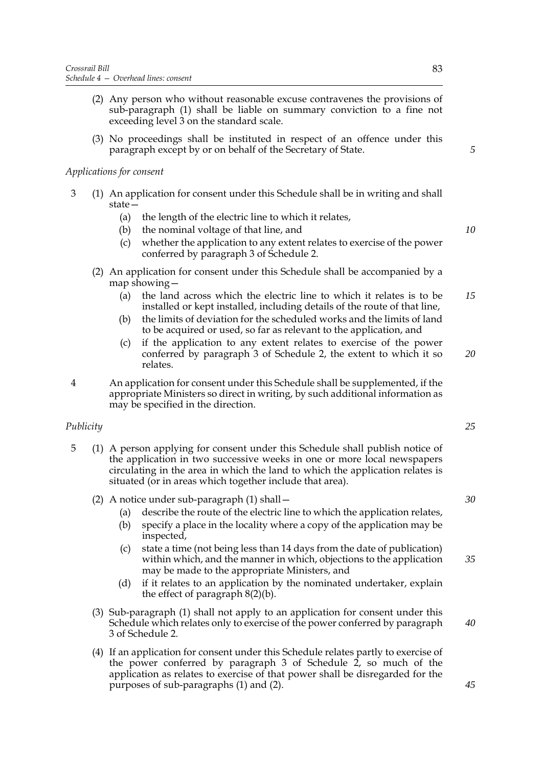- (2) Any person who without reasonable excuse contravenes the provisions of sub-paragraph (1) shall be liable on summary conviction to a fine not exceeding level 3 on the standard scale.
- (3) No proceedings shall be instituted in respect of an offence under this paragraph except by or on behalf of the Secretary of State.

## *Applications for consent*

- 3 (1) An application for consent under this Schedule shall be in writing and shall state—
	- (a) the length of the electric line to which it relates,
	- (b) the nominal voltage of that line, and
	- (c) whether the application to any extent relates to exercise of the power conferred by paragraph 3 of Schedule 2.
	- (2) An application for consent under this Schedule shall be accompanied by a map showing—
		- (a) the land across which the electric line to which it relates is to be installed or kept installed, including details of the route of that line, *15*
		- (b) the limits of deviation for the scheduled works and the limits of land to be acquired or used, so far as relevant to the application, and
		- (c) if the application to any extent relates to exercise of the power conferred by paragraph 3 of Schedule 2, the extent to which it so relates. *20*
- 4 An application for consent under this Schedule shall be supplemented, if the appropriate Ministers so direct in writing, by such additional information as may be specified in the direction.

## *Publicity*

- 5 (1) A person applying for consent under this Schedule shall publish notice of the application in two successive weeks in one or more local newspapers circulating in the area in which the land to which the application relates is situated (or in areas which together include that area).
	- (2) A notice under sub-paragraph (1) shall—
		- (a) describe the route of the electric line to which the application relates,
		- (b) specify a place in the locality where a copy of the application may be inspected,
		- (c) state a time (not being less than 14 days from the date of publication) within which, and the manner in which, objections to the application may be made to the appropriate Ministers, and
		- (d) if it relates to an application by the nominated undertaker, explain the effect of paragraph 8(2)(b).
	- (3) Sub-paragraph (1) shall not apply to an application for consent under this Schedule which relates only to exercise of the power conferred by paragraph 3 of Schedule 2.
	- (4) If an application for consent under this Schedule relates partly to exercise of the power conferred by paragraph 3 of Schedule  $2$ , so much of the application as relates to exercise of that power shall be disregarded for the purposes of sub-paragraphs (1) and (2).

*5*

*10*

*25*

### *30*

*35*

*45*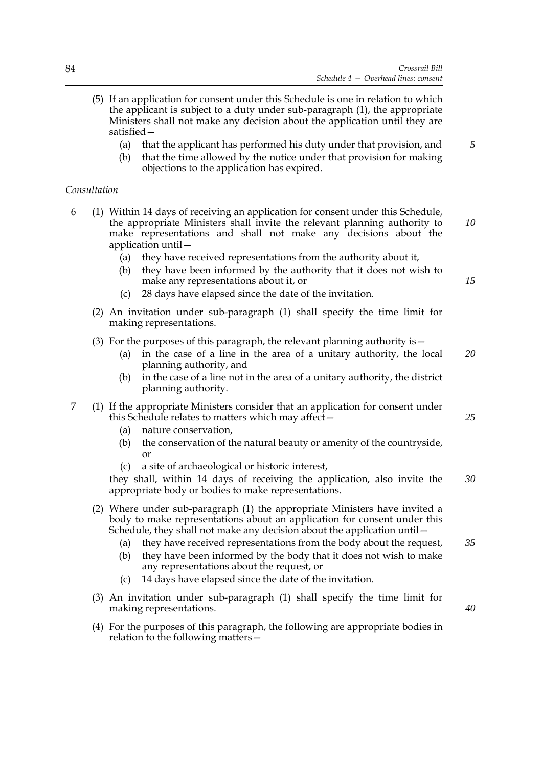- (5) If an application for consent under this Schedule is one in relation to which the applicant is subject to a duty under sub-paragraph (1), the appropriate Ministers shall not make any decision about the application until they are satisfied—
	- (a) that the applicant has performed his duty under that provision, and
	- (b) that the time allowed by the notice under that provision for making objections to the application has expired.

### *Consultation*

- 6 (1) Within 14 days of receiving an application for consent under this Schedule, the appropriate Ministers shall invite the relevant planning authority to make representations and shall not make any decisions about the application until— *10*
	- (a) they have received representations from the authority about it,
	- (b) they have been informed by the authority that it does not wish to make any representations about it, or
	- (c) 28 days have elapsed since the date of the invitation.
	- (2) An invitation under sub-paragraph (1) shall specify the time limit for making representations.
	- (3) For the purposes of this paragraph, the relevant planning authority is  $-$ 
		- (a) in the case of a line in the area of a unitary authority, the local planning authority, and *20*
		- (b) in the case of a line not in the area of a unitary authority, the district planning authority.
- 7 (1) If the appropriate Ministers consider that an application for consent under this Schedule relates to matters which may affect—
	- (a) nature conservation,
	- (b) the conservation of the natural beauty or amenity of the countryside, or
	- (c) a site of archaeological or historic interest,

they shall, within 14 days of receiving the application, also invite the appropriate body or bodies to make representations. *30*

- (2) Where under sub-paragraph (1) the appropriate Ministers have invited a body to make representations about an application for consent under this Schedule, they shall not make any decision about the application until—
	- (a) they have received representations from the body about the request, *35*
	- (b) they have been informed by the body that it does not wish to make any representations about the request, or
	- (c) 14 days have elapsed since the date of the invitation.
- (3) An invitation under sub-paragraph (1) shall specify the time limit for making representations.
- (4) For the purposes of this paragraph, the following are appropriate bodies in relation to the following matters—

*25*

*15*

*5*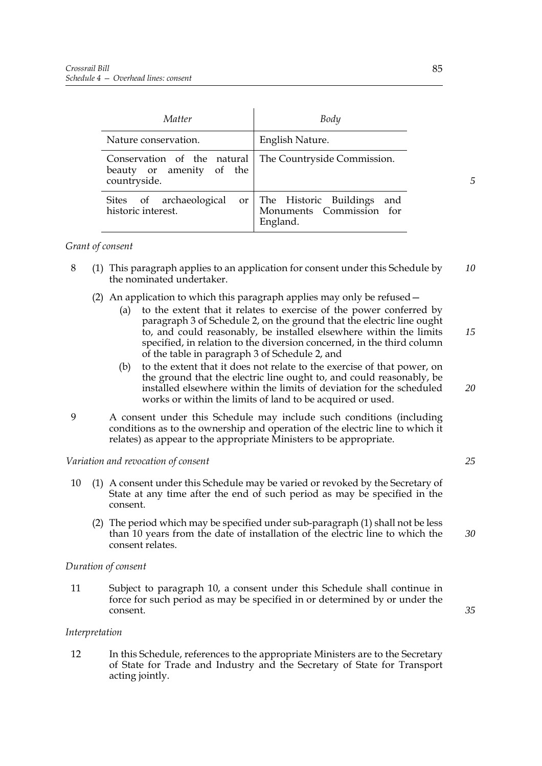| Matter                                                                  | Body                                                                     |
|-------------------------------------------------------------------------|--------------------------------------------------------------------------|
| Nature conservation.                                                    | English Nature.                                                          |
| Conservation of the natural<br>beauty or amenity of the<br>countryside. | The Countryside Commission.                                              |
| Sites of archaeological<br>historic interest.                           | or The Historic Buildings<br>and<br>Monuments Commission for<br>England. |

## *Grant of consent*

- 8 (1) This paragraph applies to an application for consent under this Schedule by the nominated undertaker. *10*
	- (2) An application to which this paragraph applies may only be refused—
		- (a) to the extent that it relates to exercise of the power conferred by paragraph 3 of Schedule 2, on the ground that the electric line ought to, and could reasonably, be installed elsewhere within the limits specified, in relation to the diversion concerned, in the third column of the table in paragraph 3 of Schedule 2, and
		- (b) to the extent that it does not relate to the exercise of that power, on the ground that the electric line ought to, and could reasonably, be installed elsewhere within the limits of deviation for the scheduled works or within the limits of land to be acquired or used.
- 9 A consent under this Schedule may include such conditions (including conditions as to the ownership and operation of the electric line to which it relates) as appear to the appropriate Ministers to be appropriate.

### *Variation and revocation of consent*

- 10 (1) A consent under this Schedule may be varied or revoked by the Secretary of State at any time after the end of such period as may be specified in the consent.
	- (2) The period which may be specified under sub-paragraph (1) shall not be less than 10 years from the date of installation of the electric line to which the consent relates.

### *Duration of consent*

11 Subject to paragraph 10, a consent under this Schedule shall continue in force for such period as may be specified in or determined by or under the consent.

### *Interpretation*

12 In this Schedule, references to the appropriate Ministers are to the Secretary of State for Trade and Industry and the Secretary of State for Transport acting jointly.

*5*

*15*

*20*

*25*

*30*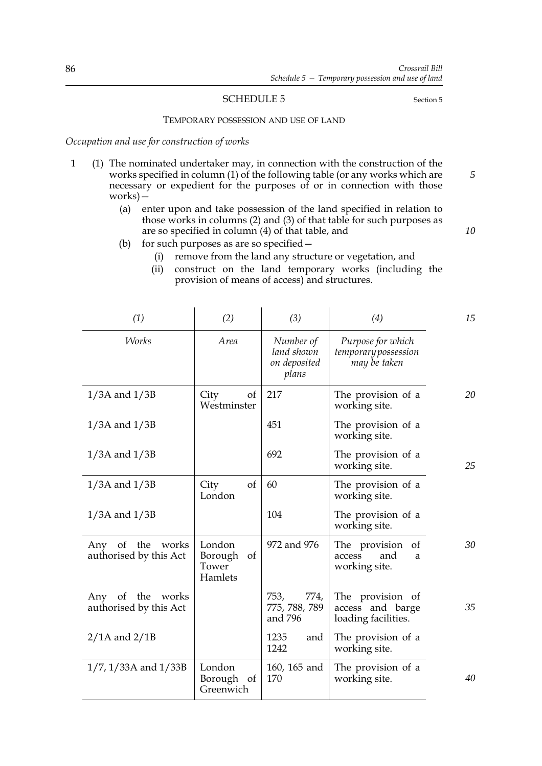### SCHEDULE 5 Section 5

*5*

*10*

### TEMPORARY POSSESSION AND USE OF LAND

*Occupation and use for construction of works*

1 (1) The nominated undertaker may, in connection with the construction of the works specified in column (1) of the following table (or any works which are necessary or expedient for the purposes of or in connection with those works)—

 $\mathcal{L}$ 

- (a) enter upon and take possession of the land specified in relation to those works in columns (2) and (3) of that table for such purposes as are so specified in column (4) of that table, and
- (b) for such purposes as are so specified—
	- (i) remove from the land any structure or vegetation, and
	- (ii) construct on the land temporary works (including the provision of means of access) and structures.

| (1)                                        | (2)                                      | (3)                                              | (4)                                                                   | 15 |
|--------------------------------------------|------------------------------------------|--------------------------------------------------|-----------------------------------------------------------------------|----|
| <b>Works</b>                               | Area                                     | Number of<br>land shown<br>on deposited<br>plans | Purpose for which<br>temporary possession<br>may be taken             |    |
| $1/3A$ and $1/3B$                          | City<br>of<br>Westminster                | 217                                              | The provision of a<br>working site.                                   | 20 |
| $1/3A$ and $1/3B$                          |                                          | 451                                              | The provision of a<br>working site.                                   |    |
| $1/3A$ and $1/3B$                          |                                          | 692                                              | The provision of a<br>working site.                                   | 25 |
| $1/3A$ and $1/3B$                          | City<br>of<br>London                     | 60                                               | The provision of a<br>working site.                                   |    |
| $1/3A$ and $1/3B$                          |                                          | 104                                              | The provision of a<br>working site.                                   |    |
| Any of the works<br>authorised by this Act | London<br>Borough of<br>Tower<br>Hamlets | 972 and 976                                      | The provision<br><sub>of</sub><br>and<br>access<br>a<br>working site. | 30 |
| Any of the works<br>authorised by this Act |                                          | 774,<br>753,<br>775, 788, 789<br>and 796         | The provision of<br>access and barge<br>loading facilities.           | 35 |
| $2/1A$ and $2/1B$                          |                                          | 1235<br>and<br>1242                              | The provision of a<br>working site.                                   |    |
| $1/7$ , $1/33A$ and $1/33B$                | London<br>Borough of<br>Greenwich        | 160, 165 and<br>170                              | The provision of a<br>working site.                                   | 40 |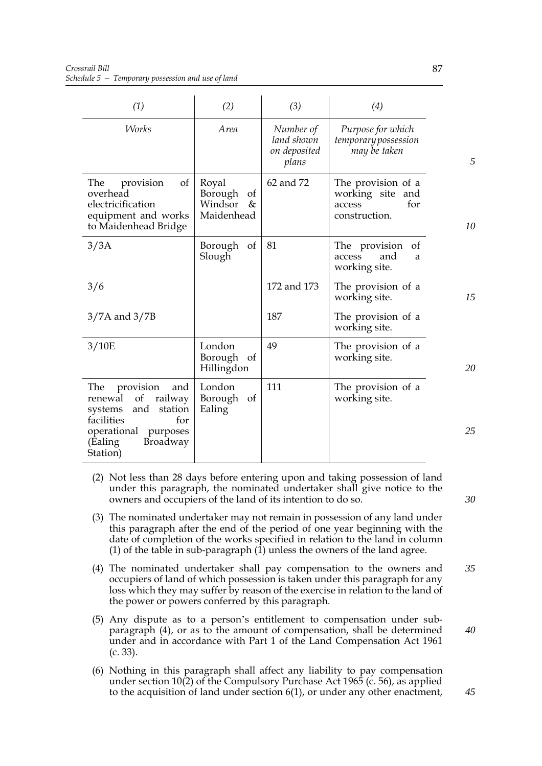| (1)                                                                                                                                                              | (2)                                                  | (3)                                              | (4)                                                                      |    |
|------------------------------------------------------------------------------------------------------------------------------------------------------------------|------------------------------------------------------|--------------------------------------------------|--------------------------------------------------------------------------|----|
| Works                                                                                                                                                            | Area                                                 | Number of<br>land shown<br>on deposited<br>plans | Purpose for which<br>temporary possession<br>may be taken                | 5  |
| provision<br>The<br>of<br>overhead<br>electricification<br>equipment and works<br>to Maidenhead Bridge                                                           | Royal<br>Borough<br>of<br>Windsor<br>&<br>Maidenhead | 62 and 72                                        | The provision of a<br>working site and<br>for<br>access<br>construction. | 10 |
| 3/3A                                                                                                                                                             | Borough<br>of<br>Slough                              | 81                                               | The provision<br>of<br>access<br>and<br>a<br>working site.               |    |
| 3/6                                                                                                                                                              |                                                      | 172 and 173                                      | The provision of a<br>working site.                                      | 15 |
| $3/7A$ and $3/7B$                                                                                                                                                |                                                      | 187                                              | The provision of a<br>working site.                                      |    |
| 3/10E                                                                                                                                                            | London<br>Borough of<br>Hillingdon                   | 49                                               | The provision of a<br>working site.                                      | 20 |
| provision<br>The<br>and<br>renewal<br>of<br>railway<br>systems<br>and<br>station<br>facilities<br>for<br>operational purposes<br>Broadway<br>(Ealing<br>Station) | London<br>Borough of<br>Ealing                       | 111                                              | The provision of a<br>working site.                                      | 25 |

- (2) Not less than 28 days before entering upon and taking possession of land under this paragraph, the nominated undertaker shall give notice to the owners and occupiers of the land of its intention to do so.
- (3) The nominated undertaker may not remain in possession of any land under this paragraph after the end of the period of one year beginning with the date of completion of the works specified in relation to the land in column (1) of the table in sub-paragraph  $(1)$  unless the owners of the land agree.
- (4) The nominated undertaker shall pay compensation to the owners and occupiers of land of which possession is taken under this paragraph for any loss which they may suffer by reason of the exercise in relation to the land of the power or powers conferred by this paragraph. *35*
- (5) Any dispute as to a person's entitlement to compensation under subparagraph (4), or as to the amount of compensation, shall be determined under and in accordance with Part 1 of the Land Compensation Act 1961 (c. 33).
- (6) Nothing in this paragraph shall affect any liability to pay compensation under section 10(2) of the Compulsory Purchase Act 1965 (c. 56), as applied to the acquisition of land under section 6(1), or under any other enactment,

*40*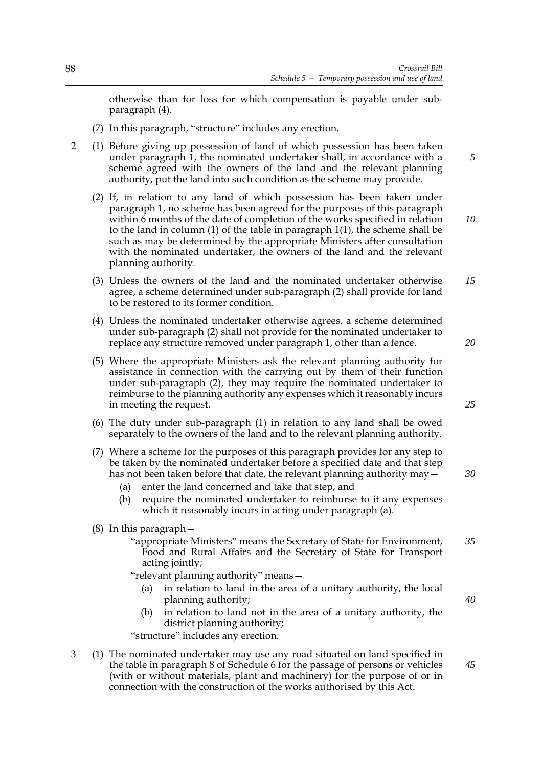otherwise than for loss for which compensation is payable under subparagraph (4).

- (7) In this paragraph, "structure" includes any erection.
- 2 (1) Before giving up possession of land of which possession has been taken under paragraph 1, the nominated undertaker shall, in accordance with a scheme agreed with the owners of the land and the relevant planning authority, put the land into such condition as the scheme may provide.
	- (2) If, in relation to any land of which possession has been taken under paragraph 1, no scheme has been agreed for the purposes of this paragraph within 6 months of the date of completion of the works specified in relation to the land in column (1) of the table in paragraph 1(1), the scheme shall be such as may be determined by the appropriate Ministers after consultation with the nominated undertaker, the owners of the land and the relevant planning authority.
	- (3) Unless the owners of the land and the nominated undertaker otherwise agree, a scheme determined under sub-paragraph (2) shall provide for land to be restored to its former condition. *15*
	- (4) Unless the nominated undertaker otherwise agrees, a scheme determined under sub-paragraph (2) shall not provide for the nominated undertaker to replace any structure removed under paragraph 1, other than a fence.
	- (5) Where the appropriate Ministers ask the relevant planning authority for assistance in connection with the carrying out by them of their function under sub-paragraph (2), they may require the nominated undertaker to reimburse to the planning authority any expenses which it reasonably incurs in meeting the request.
	- (6) The duty under sub-paragraph (1) in relation to any land shall be owed separately to the owners of the land and to the relevant planning authority.
	- (7) Where a scheme for the purposes of this paragraph provides for any step to be taken by the nominated undertaker before a specified date and that step has not been taken before that date, the relevant planning authority may  $-\frac{1}{2}$ 
		- (a) enter the land concerned and take that step, and
		- (b) require the nominated undertaker to reimburse to it any expenses which it reasonably incurs in acting under paragraph (a).
	- (8) In this paragraph—
		- "appropriate Ministers" means the Secretary of State for Environment, Food and Rural Affairs and the Secretary of State for Transport acting jointly; *35*

"relevant planning authority" means—

- (a) in relation to land in the area of a unitary authority, the local planning authority;
- (b) in relation to land not in the area of a unitary authority, the district planning authority;

"structure" includes any erection.

3 (1) The nominated undertaker may use any road situated on land specified in the table in paragraph 8 of Schedule 6 for the passage of persons or vehicles (with or without materials, plant and machinery) for the purpose of or in connection with the construction of the works authorised by this Act.

*25*

*30*

*20*

*5*

*10*

*40*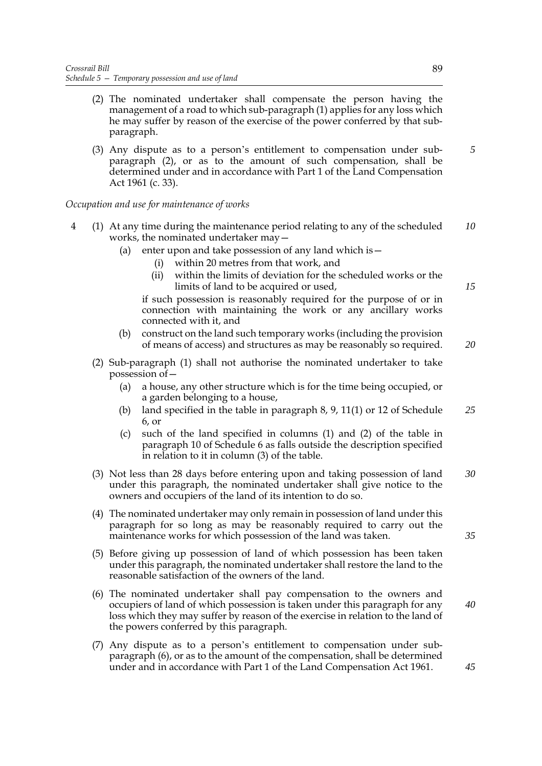- (2) The nominated undertaker shall compensate the person having the management of a road to which sub-paragraph (1) applies for any loss which he may suffer by reason of the exercise of the power conferred by that subparagraph.
- (3) Any dispute as to a person's entitlement to compensation under subparagraph (2), or as to the amount of such compensation, shall be determined under and in accordance with Part 1 of the Land Compensation Act 1961 (c. 33).

### *Occupation and use for maintenance of works*

- 4 (1) At any time during the maintenance period relating to any of the scheduled works, the nominated undertaker may— *10*
	- (a) enter upon and take possession of any land which is  $-$ 
		- (i) within 20 metres from that work, and
		- (ii) within the limits of deviation for the scheduled works or the limits of land to be acquired or used,

if such possession is reasonably required for the purpose of or in connection with maintaining the work or any ancillary works connected with it, and

- (b) construct on the land such temporary works (including the provision of means of access) and structures as may be reasonably so required. *20*
- (2) Sub-paragraph (1) shall not authorise the nominated undertaker to take possession of—
	- (a) a house, any other structure which is for the time being occupied, or a garden belonging to a house,
	- (b) land specified in the table in paragraph 8, 9, 11(1) or 12 of Schedule 6, or *25*
	- (c) such of the land specified in columns (1) and (2) of the table in paragraph 10 of Schedule 6 as falls outside the description specified in relation to it in column (3) of the table.
- (3) Not less than 28 days before entering upon and taking possession of land under this paragraph, the nominated undertaker shall give notice to the owners and occupiers of the land of its intention to do so. *30*
- (4) The nominated undertaker may only remain in possession of land under this paragraph for so long as may be reasonably required to carry out the maintenance works for which possession of the land was taken.
- (5) Before giving up possession of land of which possession has been taken under this paragraph, the nominated undertaker shall restore the land to the reasonable satisfaction of the owners of the land.
- (6) The nominated undertaker shall pay compensation to the owners and occupiers of land of which possession is taken under this paragraph for any loss which they may suffer by reason of the exercise in relation to the land of the powers conferred by this paragraph.
- (7) Any dispute as to a person's entitlement to compensation under subparagraph (6), or as to the amount of the compensation, shall be determined under and in accordance with Part 1 of the Land Compensation Act 1961.

*35*

*40*

*15*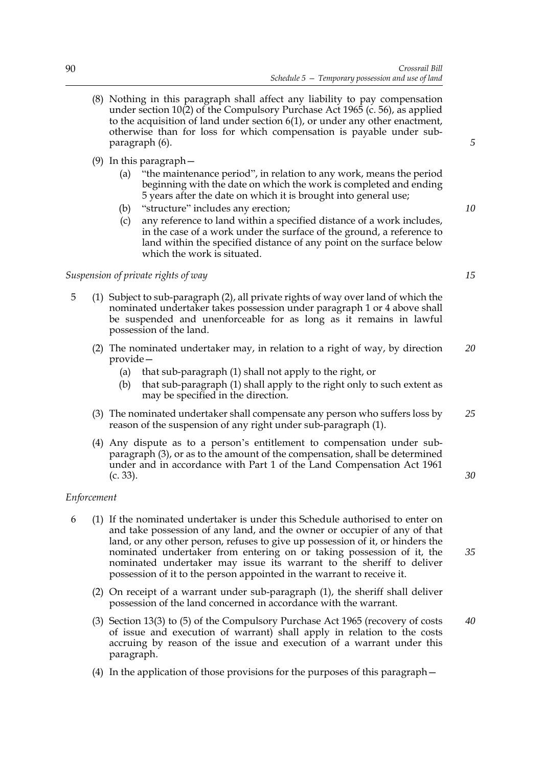- (8) Nothing in this paragraph shall affect any liability to pay compensation under section 10(2) of the Compulsory Purchase Act 1965 (c. 56), as applied to the acquisition of land under section 6(1), or under any other enactment, otherwise than for loss for which compensation is payable under subparagraph (6).
- (9) In this paragraph—
	- (a) "the maintenance period", in relation to any work, means the period beginning with the date on which the work is completed and ending 5 years after the date on which it is brought into general use;
	- (b) "structure" includes any erection;
	- (c) any reference to land within a specified distance of a work includes, in the case of a work under the surface of the ground, a reference to land within the specified distance of any point on the surface below which the work is situated.

## *Suspension of private rights of way*

- 5 (1) Subject to sub-paragraph (2), all private rights of way over land of which the nominated undertaker takes possession under paragraph 1 or 4 above shall be suspended and unenforceable for as long as it remains in lawful possession of the land.
	- (2) The nominated undertaker may, in relation to a right of way, by direction provide— *20*
		- (a) that sub-paragraph (1) shall not apply to the right, or
		- (b) that sub-paragraph (1) shall apply to the right only to such extent as may be specified in the direction.
	- (3) The nominated undertaker shall compensate any person who suffers loss by reason of the suspension of any right under sub-paragraph (1). *25*
	- (4) Any dispute as to a person's entitlement to compensation under subparagraph (3), or as to the amount of the compensation, shall be determined under and in accordance with Part 1 of the Land Compensation Act 1961 (c. 33).

### *Enforcement*

- 6 (1) If the nominated undertaker is under this Schedule authorised to enter on and take possession of any land, and the owner or occupier of any of that land, or any other person, refuses to give up possession of it, or hinders the nominated undertaker from entering on or taking possession of it, the nominated undertaker may issue its warrant to the sheriff to deliver possession of it to the person appointed in the warrant to receive it.
	- (2) On receipt of a warrant under sub-paragraph (1), the sheriff shall deliver possession of the land concerned in accordance with the warrant.
	- (3) Section 13(3) to (5) of the Compulsory Purchase Act 1965 (recovery of costs of issue and execution of warrant) shall apply in relation to the costs accruing by reason of the issue and execution of a warrant under this paragraph.
	- (4) In the application of those provisions for the purposes of this paragraph—

*15*

*30*

*35*

*40*

*10*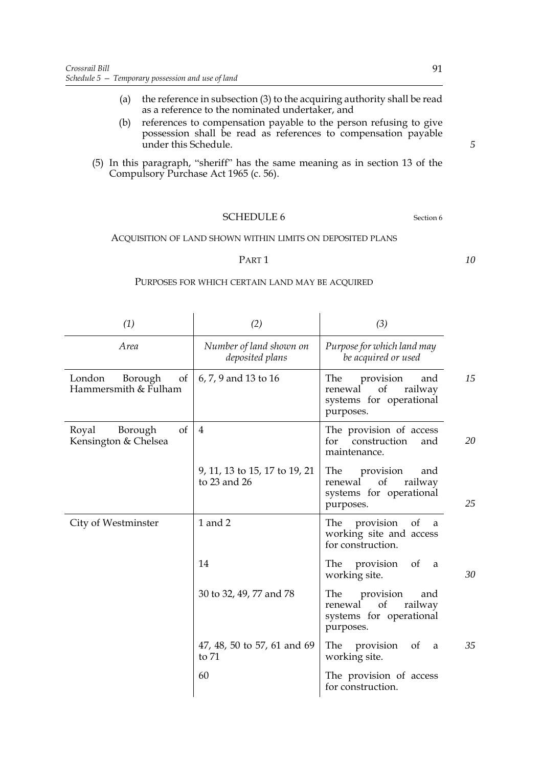- (a) the reference in subsection (3) to the acquiring authority shall be read as a reference to the nominated undertaker, and
- (b) references to compensation payable to the person refusing to give possession shall be read as references to compensation payable under this Schedule.
- (5) In this paragraph, "sheriff" has the same meaning as in section 13 of the Compulsory Purchase Act 1965 (c. 56).

## SCHEDULE 6 Section 6

ACQUISITION OF LAND SHOWN WITHIN LIMITS ON DEPOSITED PLANS

#### PART 1

#### PURPOSES FOR WHICH CERTAIN LAND MAY BE ACQUIRED

| (1)                                             | (2)                                           | (3)                                                                                               |
|-------------------------------------------------|-----------------------------------------------|---------------------------------------------------------------------------------------------------|
| Area                                            | Number of land shown on<br>deposited plans    | Purpose for which land may<br>be acquired or used                                                 |
| London<br>Borough<br>of<br>Hammersmith & Fulham | 6, 7, 9 and 13 to 16                          | 15<br>The<br>provision<br>and<br>of<br>railway<br>renewal<br>systems for operational<br>purposes. |
| of<br>Royal<br>Borough<br>Kensington & Chelsea  | $\overline{4}$                                | The provision of access<br>20<br>construction<br>for<br>and<br>maintenance.                       |
|                                                 | 9, 11, 13 to 15, 17 to 19, 21<br>to 23 and 26 | The<br>provision<br>and<br>railway<br>of<br>renewal<br>systems for operational<br>25<br>purposes. |
| City of Westminster                             | 1 and 2                                       | of<br>The<br>provision<br>a<br>working site and access<br>for construction.                       |
|                                                 | 14                                            | The provision<br>of<br>a a<br>30<br>working site.                                                 |
|                                                 | 30 to 32, 49, 77 and 78                       | The<br>provision<br>and<br>of<br>railway<br>renewal<br>systems for operational<br>purposes.       |
|                                                 | 47, 48, 50 to 57, 61 and 69<br>to 71          | 35<br>The<br>provision<br>of<br>a<br>working site.                                                |
|                                                 | 60                                            | The provision of access<br>for construction.                                                      |

*5*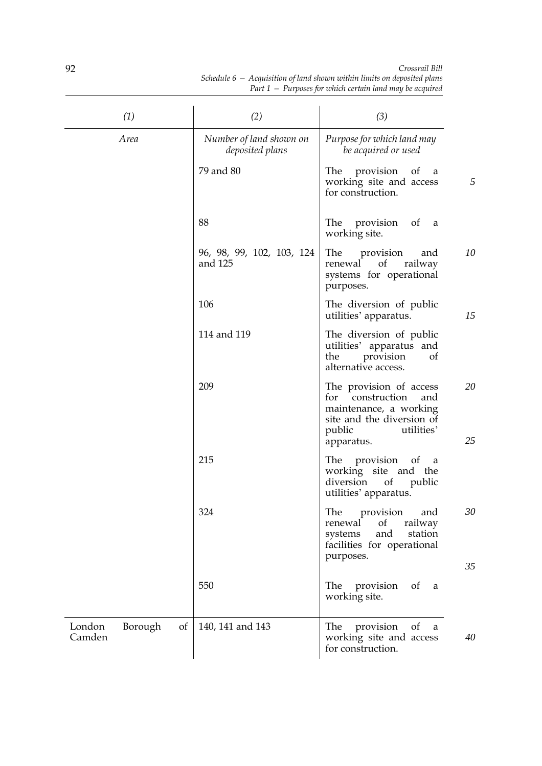| (1)                               | (2)                                        | (3)                                                                                                                                                |          |
|-----------------------------------|--------------------------------------------|----------------------------------------------------------------------------------------------------------------------------------------------------|----------|
| Area                              | Number of land shown on<br>deposited plans | Purpose for which land may<br>be acquired or used                                                                                                  |          |
|                                   | 79 and 80                                  | The<br>provision<br>of<br>a<br>working site and access<br>for construction.                                                                        | 5        |
|                                   | 88                                         | The provision<br>of<br>a<br>working site.                                                                                                          |          |
|                                   | 96, 98, 99, 102, 103, 124<br>and 125       | The<br>provision<br>and<br>of<br>railway<br>renewal<br>systems for operational<br>purposes.                                                        | 10       |
|                                   | 106                                        | The diversion of public<br>utilities' apparatus.                                                                                                   | 15       |
|                                   | 114 and 119                                | The diversion of public<br>utilities' apparatus and<br>the<br>provision<br>of<br>alternative access.                                               |          |
|                                   | 209                                        | The provision of access<br>for<br>construction<br>and<br>maintenance, a working<br>site and the diversion of<br>utilities'<br>public<br>apparatus. | 20<br>25 |
|                                   | 215                                        | The<br>provision<br>$\circ$ of<br>a<br>working site and the<br>diversion<br>of<br>public<br>utilities' apparatus.                                  |          |
|                                   | 324                                        | The provision and<br>of<br>renewal<br>railway<br>and<br>station<br>systems<br>facilities for operational<br>purposes.                              | 30       |
|                                   | 550                                        | provision<br>The<br><sub>of</sub><br>a<br>working site.                                                                                            | 35       |
| London<br>Borough<br>of<br>Camden | 140, 141 and 143                           | provision<br>The<br>of<br>a<br>working site and access<br>for construction.                                                                        | 40       |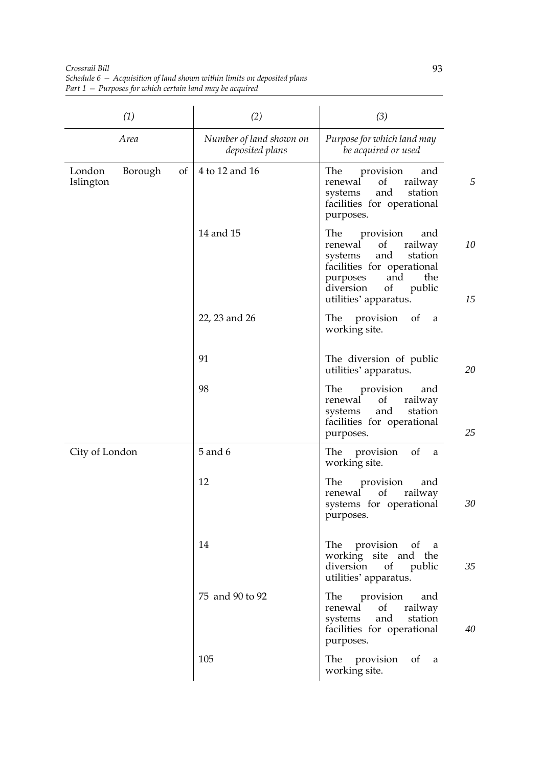| (1)                                  | (2)                                        | (3)                                                                                                                                                                                                        |
|--------------------------------------|--------------------------------------------|------------------------------------------------------------------------------------------------------------------------------------------------------------------------------------------------------------|
| Area                                 | Number of land shown on<br>deposited plans | Purpose for which land may<br>be acquired or used                                                                                                                                                          |
| of<br>London<br>Borough<br>Islington | 4 to 12 and 16                             | provision<br>The<br>and<br>5<br>renewal<br>of<br>railway<br>and<br>systems<br>station<br>facilities for operational<br>purposes.                                                                           |
|                                      | 14 and 15                                  | provision<br>The<br>and<br>10<br>of<br>railway<br>renewal<br>and<br>station<br>systems<br>facilities for operational<br>and<br>the<br>purposes<br>diversion<br>of<br>public<br>15<br>utilities' apparatus. |
|                                      | 22, 23 and 26                              | provision<br>The<br>of<br>a<br>working site.                                                                                                                                                               |
|                                      | 91                                         | The diversion of public<br>20<br>utilities' apparatus.                                                                                                                                                     |
|                                      | 98                                         | The<br>provision<br>and<br>railway<br>renewal<br>of<br>and<br>station<br>systems<br>facilities for operational<br>25<br>purposes.                                                                          |
| City of London                       | 5 and 6                                    | provision<br>of<br>The<br>a<br>working site.                                                                                                                                                               |
|                                      | 12                                         | The<br>provision<br>and<br>of<br>railway<br>renewal<br>30<br>systems for operational<br>purposes.                                                                                                          |
|                                      | 14                                         | The provision of a<br>working site and the<br>diversion of public<br>35<br>utilities' apparatus.                                                                                                           |
|                                      | 75 and 90 to 92                            | provision and<br>The<br>of<br>renewal<br>railway<br>and<br>systems<br>station<br>facilities for operational<br>40<br>purposes.                                                                             |
|                                      | 105                                        | The provision of<br>a a<br>working site.                                                                                                                                                                   |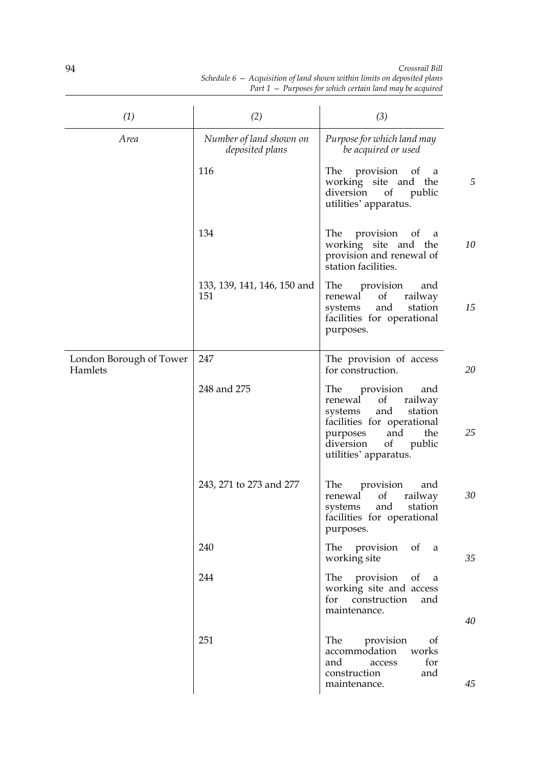| (1)                                | (2)                                        | (3)                                                                                                                                                                                                    |    |
|------------------------------------|--------------------------------------------|--------------------------------------------------------------------------------------------------------------------------------------------------------------------------------------------------------|----|
| Area                               | Number of land shown on<br>deposited plans | Purpose for which land may<br>be acquired or used                                                                                                                                                      |    |
|                                    | 116                                        | The provision of<br>a a<br>working site and the<br>diversion<br><sub>of</sub><br>public<br>utilities' apparatus.                                                                                       | 5  |
|                                    | 134                                        | The provision<br>of<br>a<br>working site and the<br>provision and renewal of<br>station facilities.                                                                                                    | 10 |
|                                    | 133, 139, 141, 146, 150 and<br>151         | <b>The</b><br>provision<br>and<br>of<br>renewal<br>railway<br>and<br>station<br>systems<br>facilities for operational<br>purposes.                                                                     | 15 |
| London Borough of Tower<br>Hamlets | 247                                        | The provision of access<br>for construction.                                                                                                                                                           | 20 |
|                                    | 248 and 275                                | The<br>provision<br>and<br>$\sigma f$<br>railway<br>renewal<br>and<br>station<br>systems<br>facilities for operational<br>and<br>the<br>purposes<br>of<br>diversion<br>public<br>utilities' apparatus. | 25 |
|                                    | 243, 271 to 273 and 277                    | The<br>provision<br>and<br>of<br>railway<br>renewal<br>and<br>station<br>systems<br>facilities for operational<br>purposes.                                                                            | 30 |
|                                    | 240                                        | The provision<br>of a<br>working site                                                                                                                                                                  | 35 |
|                                    | 244                                        | The provision of<br>a<br>working site and access<br>for construction<br>and<br>maintenance.                                                                                                            | 40 |
|                                    | 251                                        | <b>The</b><br>provision<br>of<br>accommodation<br>works<br>for<br>and<br>access<br>construction<br>and<br>maintenance.                                                                                 | 45 |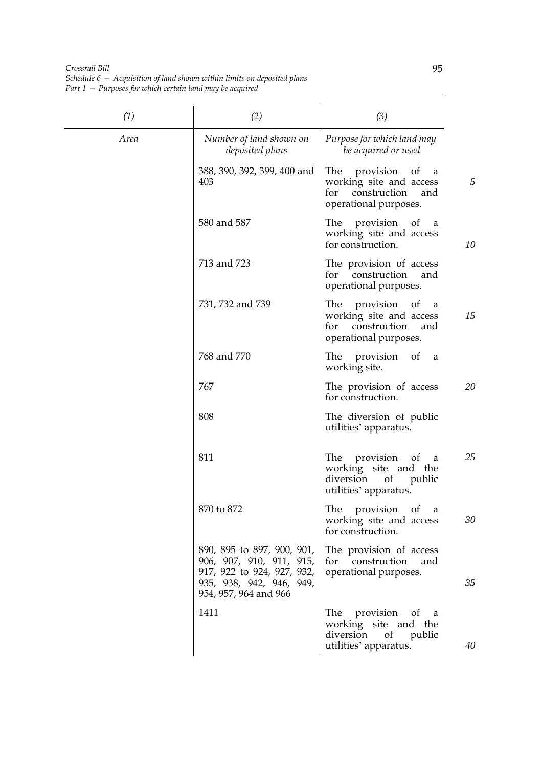*Crossrail Bill Schedule 6 — Acquisition of land shown within limits on deposited plans Part 1 — Purposes for which certain land may be acquired*

| (1)  | (2)                                                                                                                                       | (3)                                                                                                     |    |
|------|-------------------------------------------------------------------------------------------------------------------------------------------|---------------------------------------------------------------------------------------------------------|----|
| Area | Number of land shown on<br>deposited plans                                                                                                | Purpose for which land may<br>be acquired or used                                                       |    |
|      | 388, 390, 392, 399, 400 and<br>403                                                                                                        | The provision of<br>a<br>working site and access<br>for<br>construction<br>and<br>operational purposes. | 5  |
|      | 580 and 587                                                                                                                               | The provision of<br>- a<br>working site and access<br>for construction.                                 | 10 |
|      | 713 and 723                                                                                                                               | The provision of access<br>for construction<br>and<br>operational purposes.                             |    |
|      | 731, 732 and 739                                                                                                                          | The provision of a<br>working site and access<br>for construction<br>and<br>operational purposes.       | 15 |
|      | 768 and 770                                                                                                                               | The provision of a<br>working site.                                                                     |    |
|      | 767                                                                                                                                       | The provision of access<br>for construction.                                                            | 20 |
|      | 808                                                                                                                                       | The diversion of public<br>utilities' apparatus.                                                        |    |
|      | 811                                                                                                                                       | The provision of a<br>working site and the<br>diversion of public<br>utilities' apparatus.              | 25 |
|      | 870 to 872                                                                                                                                | The<br>provision of a<br>working site and access<br>for construction.                                   | 30 |
|      | 890, 895 to 897, 900, 901,<br>906, 907, 910, 911, 915,<br>917, 922 to 924, 927, 932,<br>935, 938, 942, 946, 949,<br>954, 957, 964 and 966 | The provision of access<br>for construction<br>and<br>operational purposes.                             | 35 |
|      | 1411                                                                                                                                      | The provision of a<br>working site and the<br>diversion<br>of<br>public<br>utilities' apparatus.        | 40 |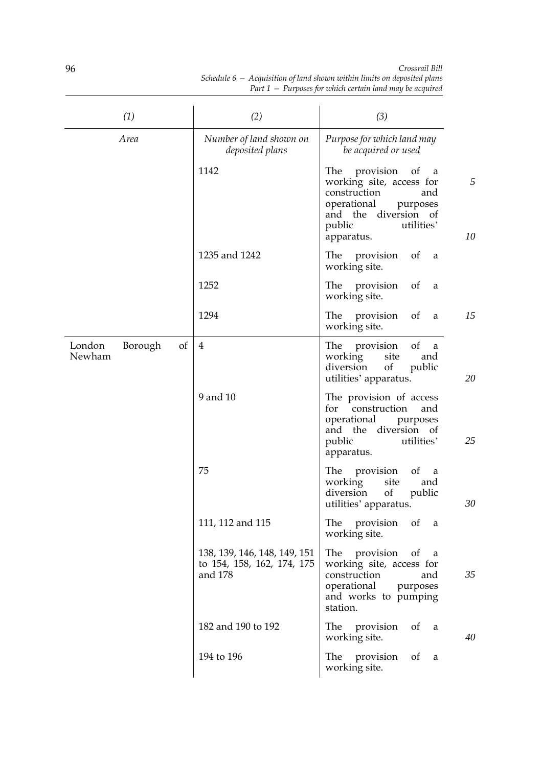| (1)                               | (2)                                                                   | (3)                                                                                                                                                                                |
|-----------------------------------|-----------------------------------------------------------------------|------------------------------------------------------------------------------------------------------------------------------------------------------------------------------------|
| Area                              | Number of land shown on<br>deposited plans                            | Purpose for which land may<br>be acquired or used                                                                                                                                  |
|                                   | 1142                                                                  | provision<br>The<br>of<br>a<br>5<br>working site, access for<br>construction<br>and<br>operational<br>purposes<br>and the diversion of<br>public<br>utilities'<br>10<br>apparatus. |
|                                   | 1235 and 1242                                                         | The provision<br>of<br>a<br>working site.                                                                                                                                          |
|                                   | 1252                                                                  | provision<br>of<br>The<br>a<br>working site.                                                                                                                                       |
|                                   | 1294                                                                  | 15<br>provision<br>of<br>The<br>a<br>working site.                                                                                                                                 |
| London<br>Borough<br>of<br>Newham | $\overline{4}$                                                        | of<br>The<br>provision<br>a<br>working<br>site<br>and<br>diversion<br>of<br>public<br>20<br>utilities' apparatus.                                                                  |
|                                   | 9 and 10                                                              | The provision of access<br>for<br>construction<br>and<br>operational<br>purposes<br>and the diversion of<br>public<br>utilities'<br>25<br>apparatus.                               |
|                                   | 75                                                                    | provision<br>of<br>The<br>a a<br>working<br>site<br>and<br>diversion<br>of<br>public<br>30<br>utilities' apparatus.                                                                |
|                                   | 111, 112 and 115                                                      | provision<br>of<br>The<br>a<br>working site.                                                                                                                                       |
|                                   | 138, 139, 146, 148, 149, 151<br>to 154, 158, 162, 174, 175<br>and 178 | provision<br>The<br>of<br>a<br>working site, access for<br>construction<br>35<br>and<br>operational<br>purposes<br>and works to pumping<br>station.                                |
|                                   | 182 and 190 to 192                                                    | The<br>provision<br>of<br>a<br>working site.<br>40                                                                                                                                 |
|                                   | 194 to 196                                                            | provision<br>The<br>of<br>a<br>working site.                                                                                                                                       |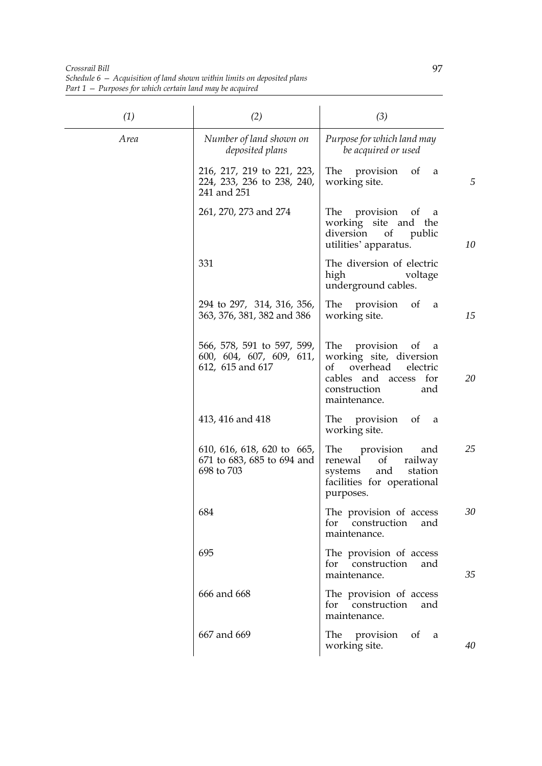*Crossrail Bill Schedule 6 — Acquisition of land shown within limits on deposited plans Part 1 — Purposes for which certain land may be acquired*

| (1)  | (2)                                                                        | (3)                                                                                                                                                     |
|------|----------------------------------------------------------------------------|---------------------------------------------------------------------------------------------------------------------------------------------------------|
| Area | Number of land shown on<br>deposited plans                                 | Purpose for which land may<br>be acquired or used                                                                                                       |
|      | 216, 217, 219 to 221, 223,<br>224, 233, 236 to 238, 240,<br>241 and 251    | The provision<br>of<br>a<br>5<br>working site.                                                                                                          |
|      | 261, 270, 273 and 274                                                      | The provision of a<br>working site and the<br>diversion<br>of public<br>10<br>utilities' apparatus.                                                     |
|      | 331                                                                        | The diversion of electric<br>high<br>voltage<br>underground cables.                                                                                     |
|      | 294 to 297, 314, 316, 356,<br>363, 376, 381, 382 and 386                   | The provision of<br>a<br>15<br>working site.                                                                                                            |
|      | 566, 578, 591 to 597, 599,<br>600, 604, 607, 609, 611,<br>612, 615 and 617 | The provision<br>of<br>a<br>working site, diversion<br>overhead<br>electric<br>оf<br>20<br>cables and access for<br>construction<br>and<br>maintenance. |
|      | 413, 416 and 418                                                           | The provision<br>of<br>a<br>working site.                                                                                                               |
|      | 610, 616, 618, 620 to 665,<br>671 to 683, 685 to 694 and<br>698 to 703     | The<br>25<br>provision<br>and<br>railway<br>renewal<br>of<br>and<br>systems<br>station<br>facilities for operational<br>purposes.                       |
|      | 684                                                                        | The provision of access<br>30<br>for<br>construction<br>and<br>maintenance.                                                                             |
|      | 695                                                                        | The provision of access<br>for construction<br>and<br>35<br>maintenance.                                                                                |
|      | 666 and 668                                                                | The provision of access<br>for construction<br>and<br>maintenance.                                                                                      |
|      | 667 and 669                                                                | The provision<br>$\circ$ of<br>a<br>working site.<br>40                                                                                                 |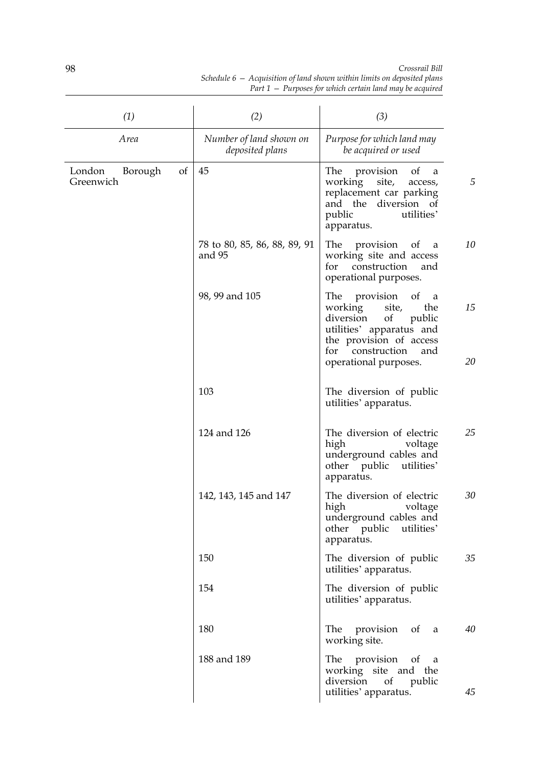| (1)                                  | (2)                                        | (3)                                                                                                                                                                                               |          |
|--------------------------------------|--------------------------------------------|---------------------------------------------------------------------------------------------------------------------------------------------------------------------------------------------------|----------|
| Area                                 | Number of land shown on<br>deposited plans | Purpose for which land may<br>be acquired or used                                                                                                                                                 |          |
| London<br>Borough<br>of<br>Greenwich | 45                                         | The<br>provision<br>of<br>a<br>working<br>site,<br>access,<br>replacement car parking<br>and the diversion of<br>public<br>utilities'<br>apparatus.                                               | 5        |
|                                      | 78 to 80, 85, 86, 88, 89, 91<br>and 95     | provision<br>The<br>of<br>a<br>working site and access<br>construction<br>for<br>and<br>operational purposes.                                                                                     | 10       |
|                                      | 98, 99 and 105                             | provision<br>The<br>of<br>a<br>working<br>site,<br>the<br>diversion<br>of<br>public<br>utilities' apparatus and<br>the provision of access<br>for<br>construction<br>and<br>operational purposes. | 15<br>20 |
|                                      | 103                                        | The diversion of public<br>utilities' apparatus.                                                                                                                                                  |          |
|                                      | 124 and 126                                | The diversion of electric<br>high<br>voltage<br>underground cables and<br>public<br>utilities'<br>other<br>apparatus.                                                                             | 25       |
|                                      | 142, 143, 145 and 147                      | The diversion of electric<br>high<br>voltage<br>underground cables and<br>other public<br>utilities'<br>apparatus.                                                                                | 30       |
|                                      | 150                                        | The diversion of public<br>utilities' apparatus.                                                                                                                                                  | 35       |
|                                      | 154                                        | The diversion of public<br>utilities' apparatus.                                                                                                                                                  |          |
|                                      | 180                                        | The provision<br>$\circ$ of<br>a<br>working site.                                                                                                                                                 | 40       |
|                                      | 188 and 189                                | The provision<br>$\circ$ f<br>a<br>working site and the<br>diversion<br>of<br>public<br>utilities' apparatus.                                                                                     | 45       |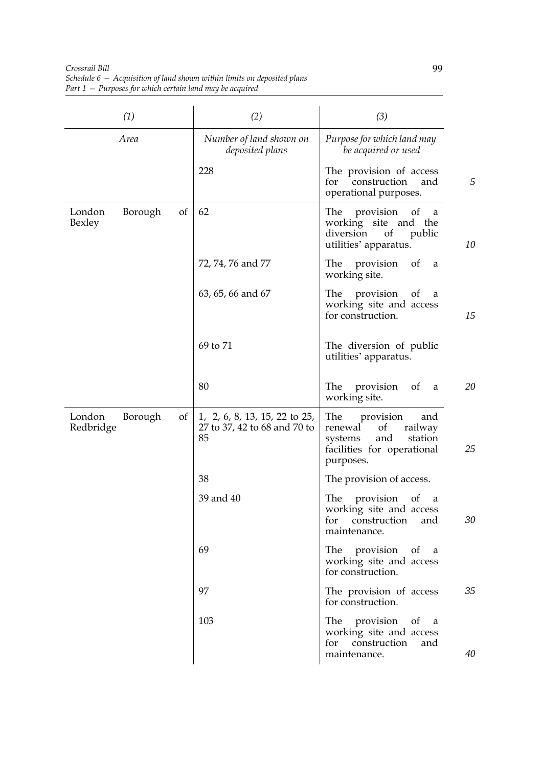*Crossrail Bill Schedule 6 — Acquisition of land shown within limits on deposited plans Part 1 — Purposes for which certain land may be acquired*

| (1)                                  | (2)                                                                 | (3)                                                                                                                                          |
|--------------------------------------|---------------------------------------------------------------------|----------------------------------------------------------------------------------------------------------------------------------------------|
| Area                                 | Number of land shown on<br>deposited plans                          | Purpose for which land may<br>be acquired or used                                                                                            |
|                                      | 228                                                                 | The provision of access<br>5<br>construction<br>for<br>and<br>operational purposes.                                                          |
| Borough<br>of<br>London<br>Bexley    | 62                                                                  | The<br>provision<br>of<br>a<br>working site and the<br>diversion<br>of<br>public<br>10<br>utilities' apparatus.                              |
|                                      | 72, 74, 76 and 77                                                   | provision<br>The<br>of<br>a<br>working site.                                                                                                 |
|                                      | 63, 65, 66 and 67                                                   | The<br>provision<br><sub>of</sub><br>a<br>working site and access<br>15<br>for construction.                                                 |
|                                      | 69 to 71                                                            | The diversion of public<br>utilities' apparatus.                                                                                             |
|                                      | 80                                                                  | 20<br>The<br>provision<br>- of<br>a<br>working site.                                                                                         |
| London<br>Borough<br>of<br>Redbridge | 1, 2, 6, 8, 13, 15, 22 to 25,<br>27 to 37, 42 to 68 and 70 to<br>85 | The<br>provision<br>and<br><sub>of</sub><br>railway<br>renewal<br>and<br>station<br>systems<br>25<br>facilities for operational<br>purposes. |
|                                      | 38                                                                  | The provision of access.                                                                                                                     |
|                                      | 39 and 40                                                           | The<br>provision<br><sub>ot</sub><br>a<br>working site and access<br>for construction<br>30<br>and<br>maintenance.                           |
|                                      | 69                                                                  | The provision of a<br>working site and access<br>for construction.                                                                           |
|                                      | 97                                                                  | The provision of access<br>35<br>for construction.                                                                                           |
|                                      | 103                                                                 | The provision of a<br>working site and access<br>for construction<br>and<br>40<br>maintenance.                                               |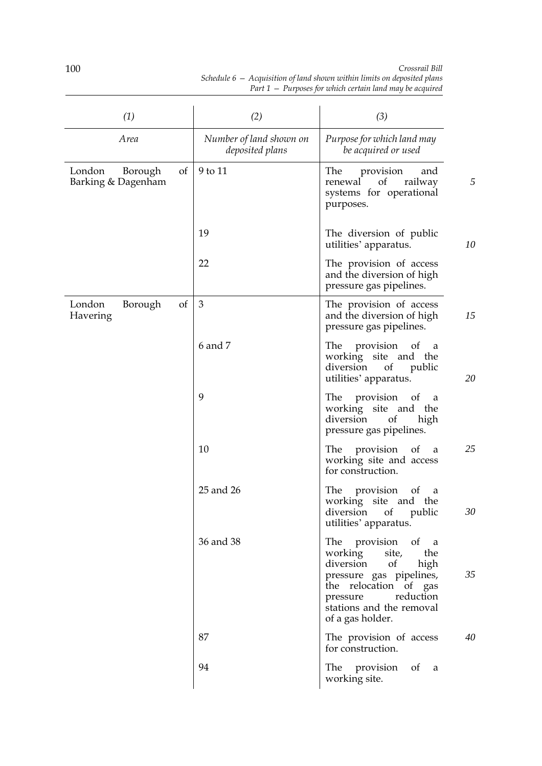| (1)                                           | (2)                                        | (3)                                                                                                                                                                                                   |
|-----------------------------------------------|--------------------------------------------|-------------------------------------------------------------------------------------------------------------------------------------------------------------------------------------------------------|
| Area                                          | Number of land shown on<br>deposited plans | Purpose for which land may<br>be acquired or used                                                                                                                                                     |
| of<br>London<br>Borough<br>Barking & Dagenham | 9 to 11                                    | The<br>provision<br>and<br>5<br>of<br>railway<br>renewal<br>systems for operational<br>purposes.                                                                                                      |
|                                               | 19                                         | The diversion of public<br>10<br>utilities' apparatus.                                                                                                                                                |
|                                               | 22                                         | The provision of access<br>and the diversion of high<br>pressure gas pipelines.                                                                                                                       |
| London<br>of<br>Borough<br>Havering           | 3                                          | The provision of access<br>15<br>and the diversion of high<br>pressure gas pipelines.                                                                                                                 |
|                                               | 6 and 7                                    | The provision of a<br>working site and the<br>diversion<br>of<br>public<br>20<br>utilities' apparatus.                                                                                                |
|                                               | 9                                          | The provision of a<br>working site and the<br>diversion<br>of<br>high<br>pressure gas pipelines.                                                                                                      |
|                                               | 10                                         | 25<br>The provision of<br>a<br>working site and access<br>for construction.                                                                                                                           |
|                                               | 25 and 26                                  | The provision<br>$\sigma$<br>a<br>working site and the<br>diversion of public<br>30<br>utilities' apparatus.                                                                                          |
|                                               | 36 and 38                                  | The provision of a<br>working site,<br>the<br>diversion of<br>high<br>35<br>pressure gas pipelines,<br>the relocation of gas<br>reduction<br>pressure<br>stations and the removal<br>of a gas holder. |
|                                               | 87                                         | The provision of access<br>40<br>for construction.                                                                                                                                                    |
|                                               | 94                                         | The provision of a<br>working site.                                                                                                                                                                   |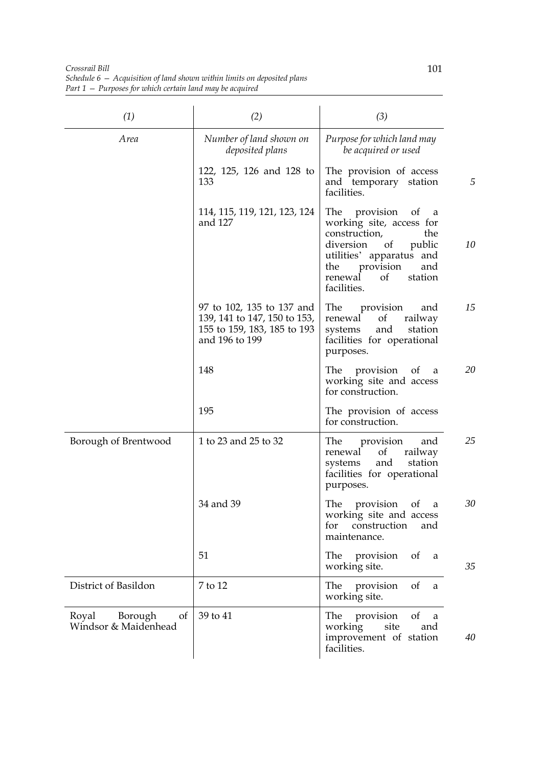*Crossrail Bill Schedule 6 — Acquisition of land shown within limits on deposited plans Part 1 — Purposes for which certain land may be acquired*

| (1)                                            | (2)                                                                                                        | (3)                                                                                                                                                                                                                  |
|------------------------------------------------|------------------------------------------------------------------------------------------------------------|----------------------------------------------------------------------------------------------------------------------------------------------------------------------------------------------------------------------|
| Area                                           | Number of land shown on<br>deposited plans                                                                 | Purpose for which land may<br>be acquired or used                                                                                                                                                                    |
|                                                | 122, 125, 126 and 128 to<br>133                                                                            | The provision of access<br>and temporary station<br>facilities.                                                                                                                                                      |
|                                                | 114, 115, 119, 121, 123, 124<br>and 127                                                                    | The<br>provision<br>of<br>a<br>working site, access for<br>construction,<br>the<br>10<br>diversion<br>public<br>of<br>utilities' apparatus and<br>the<br>provision<br>and<br>station<br>renewal<br>οf<br>facilities. |
|                                                | 97 to 102, 135 to 137 and<br>139, 141 to 147, 150 to 153,<br>155 to 159, 183, 185 to 193<br>and 196 to 199 | 15<br>provision<br>The<br>and<br>renewal<br>of<br>railway<br>and<br>systems<br>station<br>facilities for operational<br>purposes.                                                                                    |
|                                                | 148                                                                                                        | The provision of<br>20<br>a<br>working site and access<br>for construction.                                                                                                                                          |
|                                                | 195                                                                                                        | The provision of access<br>for construction.                                                                                                                                                                         |
| Borough of Brentwood                           | 1 to 23 and 25 to 32                                                                                       | 25<br>The<br>provision<br>and<br>renewal<br><sub>of</sub><br>railway<br>and<br>station<br>systems<br>facilities for operational<br>purposes.                                                                         |
|                                                | 34 and 39                                                                                                  | The<br>provision<br>30<br>of<br>a<br>working site and access<br>construction<br>and<br>for<br>maintenance.                                                                                                           |
|                                                | 51                                                                                                         | The provision<br>of<br>a<br>35<br>working site.                                                                                                                                                                      |
| District of Basildon                           | 7 to 12                                                                                                    | provision<br>of<br>The<br>a<br>working site.                                                                                                                                                                         |
| Royal<br>Borough<br>of<br>Windsor & Maidenhead | 39 to 41                                                                                                   | provision<br>of<br>The<br>a<br>working<br>site<br>and<br>improvement of station<br>40<br>facilities.                                                                                                                 |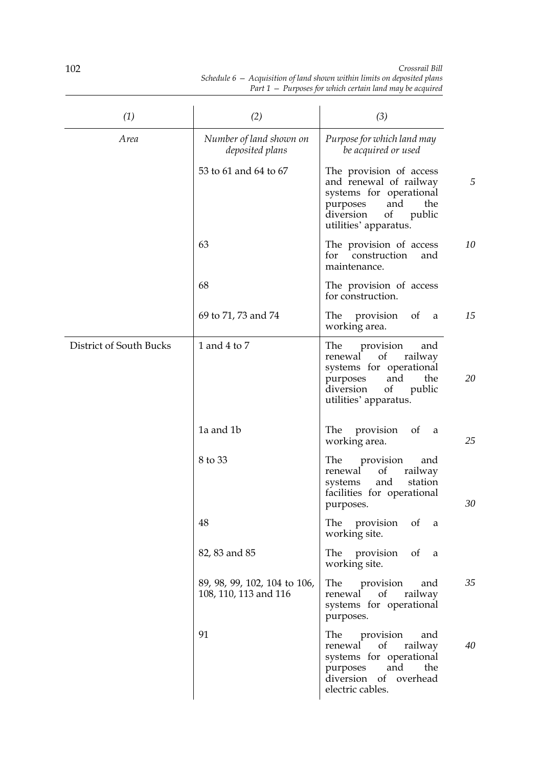| (1)                     | (2)                                                   | (3)                                                                                                                                                                  |
|-------------------------|-------------------------------------------------------|----------------------------------------------------------------------------------------------------------------------------------------------------------------------|
| Area                    | Number of land shown on<br>deposited plans            | Purpose for which land may<br>be acquired or used                                                                                                                    |
|                         | 53 to 61 and 64 to 67                                 | The provision of access<br>5<br>and renewal of railway<br>systems for operational<br>and<br>the<br>purposes<br>of<br>public<br>diversion<br>utilities' apparatus.    |
|                         | 63                                                    | 10<br>The provision of access<br>construction<br>and<br>for<br>maintenance.                                                                                          |
|                         | 68                                                    | The provision of access<br>for construction.                                                                                                                         |
|                         | 69 to 71, 73 and 74                                   | 15<br>The provision<br><sub>of</sub><br>a<br>working area.                                                                                                           |
| District of South Bucks | 1 and 4 to 7                                          | The<br>provision<br>and<br>of<br>railway<br>renewal<br>systems for operational<br>20<br>and<br>the<br>purposes<br>of<br>public<br>diversion<br>utilities' apparatus. |
|                         | 1a and 1b                                             | The provision<br>of<br>a<br>working area.<br>25                                                                                                                      |
|                         | 8 to 33                                               | The<br>provision<br>and<br><sub>of</sub><br>railway<br>renewal<br>and<br>station<br>systems<br>facilities for operational<br>30<br>purposes.                         |
|                         | 48                                                    | The provision<br>of<br>a<br>working site.                                                                                                                            |
|                         | 82, 83 and 85                                         | The provision<br>of<br>a<br>working site.                                                                                                                            |
|                         | 89, 98, 99, 102, 104 to 106,<br>108, 110, 113 and 116 | The<br>provision<br>35<br>and<br>of<br>renewal<br>railway<br>systems for operational<br>purposes.                                                                    |
|                         | 91                                                    | The<br>provision<br>and<br>of<br>40<br>renewal<br>railway<br>systems for operational<br>and<br>purposes<br>the<br>diversion of overhead<br>electric cables.          |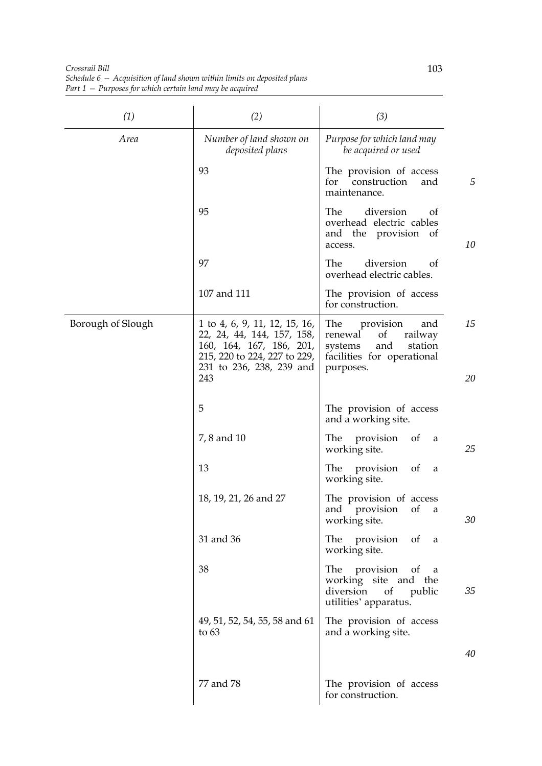*Crossrail Bill Schedule 6 — Acquisition of land shown within limits on deposited plans Part 1 — Purposes for which certain land may be acquired*

| (1)               | (2)                                                                                                                                                        | (3)                                                                                                                         |          |
|-------------------|------------------------------------------------------------------------------------------------------------------------------------------------------------|-----------------------------------------------------------------------------------------------------------------------------|----------|
| Area              | Number of land shown on<br>deposited plans                                                                                                                 | Purpose for which land may<br>be acquired or used                                                                           |          |
|                   | 93                                                                                                                                                         | The provision of access<br>for<br>construction<br>and<br>maintenance.                                                       | 5        |
|                   | 95                                                                                                                                                         | diversion<br>The<br>of<br>overhead electric cables<br>and the provision<br>of<br>access.                                    | 10       |
|                   | 97                                                                                                                                                         | The<br>diversion<br>of<br>overhead electric cables.                                                                         |          |
|                   | 107 and 111                                                                                                                                                | The provision of access<br>for construction.                                                                                |          |
| Borough of Slough | 1 to 4, 6, 9, 11, 12, 15, 16,<br>22, 24, 44, 144, 157, 158,<br>160, 164, 167, 186, 201,<br>215, 220 to 224, 227 to 229,<br>231 to 236, 238, 239 and<br>243 | The<br>provision<br>and<br>renewal<br>railway<br>of<br>and<br>station<br>systems<br>facilities for operational<br>purposes. | 15<br>20 |
|                   | 5                                                                                                                                                          | The provision of access<br>and a working site.                                                                              |          |
|                   | 7, 8 and 10                                                                                                                                                | The<br>provision<br>of<br>a<br>working site.                                                                                | 25       |
|                   | 13                                                                                                                                                         | The<br>provision<br>of<br>a<br>working site.                                                                                |          |
|                   | 18, 19, 21, 26 and 27                                                                                                                                      | The provision of access<br>and provision of a<br>working site.                                                              | 30       |
|                   | 31 and 36                                                                                                                                                  | The<br>provision of<br>a<br>working site.                                                                                   |          |
|                   | 38                                                                                                                                                         | The<br>provision<br>of<br>a<br>working site and<br>the<br>diversion<br>of<br>public<br>utilities' apparatus.                | 35       |
|                   | 49, 51, 52, 54, 55, 58 and 61<br>to $63$                                                                                                                   | The provision of access<br>and a working site.                                                                              |          |
|                   |                                                                                                                                                            |                                                                                                                             | 40       |
|                   | 77 and 78                                                                                                                                                  | The provision of access<br>for construction.                                                                                |          |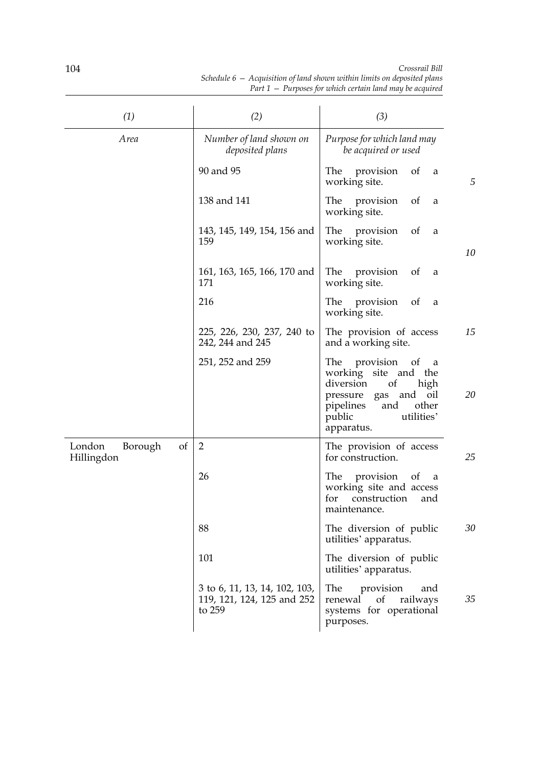| (1)                                   | (2)                                                                   | (3)                                                                                                                                                                                   |
|---------------------------------------|-----------------------------------------------------------------------|---------------------------------------------------------------------------------------------------------------------------------------------------------------------------------------|
| Area                                  | Number of land shown on<br>deposited plans                            | Purpose for which land may<br>be acquired or used                                                                                                                                     |
|                                       | 90 and 95                                                             | The<br>of<br>provision<br>a<br>5<br>working site.                                                                                                                                     |
|                                       | 138 and 141                                                           | The provision<br>of<br>a<br>working site.                                                                                                                                             |
|                                       | 143, 145, 149, 154, 156 and<br>159                                    | The<br>of<br>provision<br>a<br>working site.<br>10                                                                                                                                    |
|                                       | 161, 163, 165, 166, 170 and<br>171                                    | The<br>provision<br>of<br>a<br>working site.                                                                                                                                          |
|                                       | 216                                                                   | The<br>provision<br>of<br>a<br>working site.                                                                                                                                          |
|                                       | 225, 226, 230, 237, 240 to<br>242, 244 and 245                        | 15<br>The provision of access<br>and a working site.                                                                                                                                  |
|                                       | 251, 252 and 259                                                      | provision<br>The<br>of<br>a<br>working site and the<br>diversion<br>of<br>high<br>20<br>and oil<br>pressure<br>gas<br>pipelines<br>other<br>and<br>utilities'<br>public<br>apparatus. |
| London<br>Borough<br>of<br>Hillingdon | $\overline{2}$                                                        | The provision of access<br>for construction.<br>25                                                                                                                                    |
|                                       | 26                                                                    | The<br>provision<br>of<br>a<br>working site and access<br>construction<br>for<br>and<br>maintenance.                                                                                  |
|                                       | 88                                                                    | The diversion of public<br>30<br>utilities' apparatus.                                                                                                                                |
|                                       | 101                                                                   | The diversion of public<br>utilities' apparatus.                                                                                                                                      |
|                                       | 3 to 6, 11, 13, 14, 102, 103,<br>119, 121, 124, 125 and 252<br>to 259 | provision<br>The<br>and<br>of<br>renewal<br>railways<br>35<br>systems for operational<br>purposes.                                                                                    |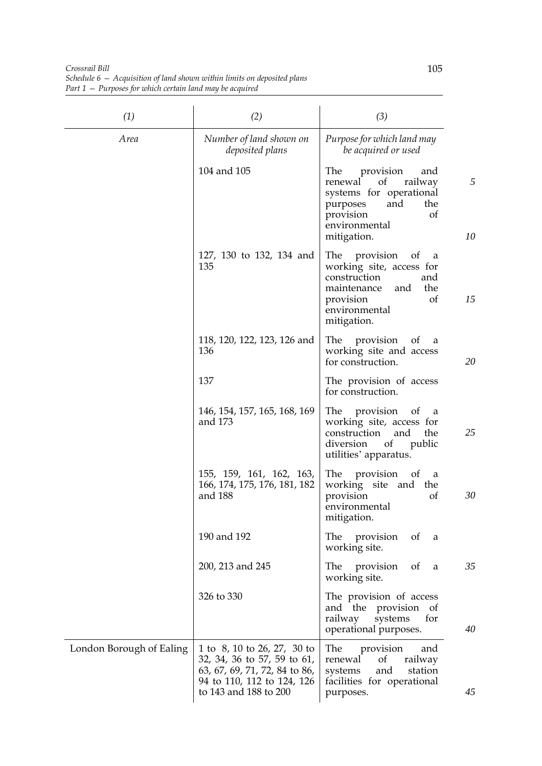*Crossrail Bill Schedule 6 — Acquisition of land shown within limits on deposited plans Part 1 — Purposes for which certain land may be acquired*

| (1)                      | (2)                                                                                                                                                | (3)                                                                                                                                                            |         |
|--------------------------|----------------------------------------------------------------------------------------------------------------------------------------------------|----------------------------------------------------------------------------------------------------------------------------------------------------------------|---------|
| Area                     | Number of land shown on<br>deposited plans                                                                                                         | Purpose for which land may<br>be acquired or used                                                                                                              |         |
|                          | 104 and 105                                                                                                                                        | The<br>provision<br>and<br>of<br>renewal<br>railway<br>systems for operational<br>and<br>the<br>purposes<br>provision<br>of<br>environmental<br>mitigation.    | 5<br>10 |
|                          | 127, 130 to 132, 134 and<br>135                                                                                                                    | The<br>provision<br>of<br>a<br>working site, access for<br>construction<br>and<br>maintenance<br>and<br>the<br>of<br>provision<br>environmental<br>mitigation. | 15      |
|                          | 118, 120, 122, 123, 126 and<br>136                                                                                                                 | The<br>provision<br>of<br>a<br>working site and access<br>for construction.                                                                                    | 20      |
|                          | 137                                                                                                                                                | The provision of access<br>for construction.                                                                                                                   |         |
|                          | 146, 154, 157, 165, 168, 169<br>and 173                                                                                                            | provision<br>The<br>of<br>a<br>working site, access for<br>the<br>construction<br>and<br>diversion<br>of<br>public<br>utilities' apparatus.                    | 25      |
|                          | 155, 159, 161, 162, 163,<br>166, 174, 175, 176, 181, 182<br>and 188                                                                                | The provision<br>- of<br>a<br>working site and<br>the<br>provision<br>of<br>environmental<br>mitigation.                                                       | 30      |
|                          | 190 and 192                                                                                                                                        | provision<br>The<br>of<br>a<br>working site.                                                                                                                   |         |
|                          | 200, 213 and 245                                                                                                                                   | The provision<br>of<br>a<br>working site.                                                                                                                      | 35      |
|                          | 326 to 330                                                                                                                                         | The provision of access<br>and the provision<br>of<br>railway<br>for<br>systems<br>operational purposes.                                                       | 40      |
| London Borough of Ealing | 1 to 8, 10 to 26, 27, 30 to<br>32, 34, 36 to 57, 59 to 61,<br>63, 67, 69, 71, 72, 84 to 86,<br>94 to 110, 112 to 124, 126<br>to 143 and 188 to 200 | provision<br>The<br>and<br>renewal<br>of<br>railway<br>and<br>systems<br>station<br>facilities for operational<br>purposes.                                    | 45      |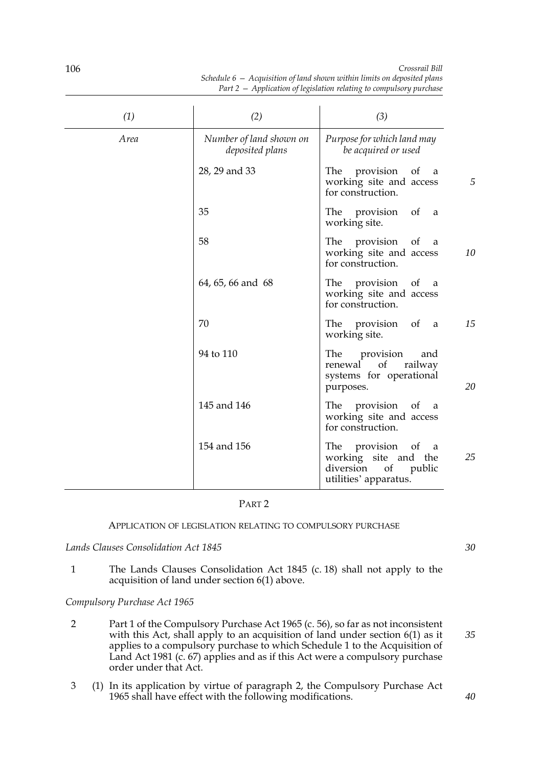| (1)  | (2)                                        | (3)                                                                                                         |
|------|--------------------------------------------|-------------------------------------------------------------------------------------------------------------|
| Area | Number of land shown on<br>deposited plans | Purpose for which land may<br>be acquired or used                                                           |
|      | 28, 29 and 33                              | The provision of<br><sub>a</sub><br>5<br>working site and access<br>for construction.                       |
|      | 35                                         | The provision of a<br>working site.                                                                         |
|      | 58                                         | The provision of<br><sub>a</sub><br>working site and access<br>10<br>for construction.                      |
|      | 64, 65, 66 and 68                          | The provision of<br>a a<br>working site and access<br>for construction.                                     |
|      | 70                                         | 15<br>The provision of a<br>working site.                                                                   |
|      | 94 to 110                                  | The<br>provision<br>and<br>of<br>railway<br>renewal<br>systems for operational<br>20<br>purposes.           |
|      | 145 and 146                                | The provision of<br><sub>a</sub><br>working site and access<br>for construction.                            |
|      | 154 and 156                                | The provision of<br>- a<br>25<br>working site and the<br>diversion<br>public<br>of<br>utilities' apparatus. |

## PART 2

# APPLICATION OF LEGISLATION RELATING TO COMPULSORY PURCHASE

# *Lands Clauses Consolidation Act 1845*

1 The Lands Clauses Consolidation Act 1845 (c. 18) shall not apply to the acquisition of land under section 6(1) above.

## *Compulsory Purchase Act 1965*

- 2 Part 1 of the Compulsory Purchase Act 1965 (c. 56), so far as not inconsistent with this Act, shall apply to an acquisition of land under section 6(1) as it applies to a compulsory purchase to which Schedule 1 to the Acquisition of Land Act 1981 (c. 67) applies and as if this Act were a compulsory purchase order under that Act.
- 3 (1) In its application by virtue of paragraph 2, the Compulsory Purchase Act 1965 shall have effect with the following modifications.

*30*

106

*40*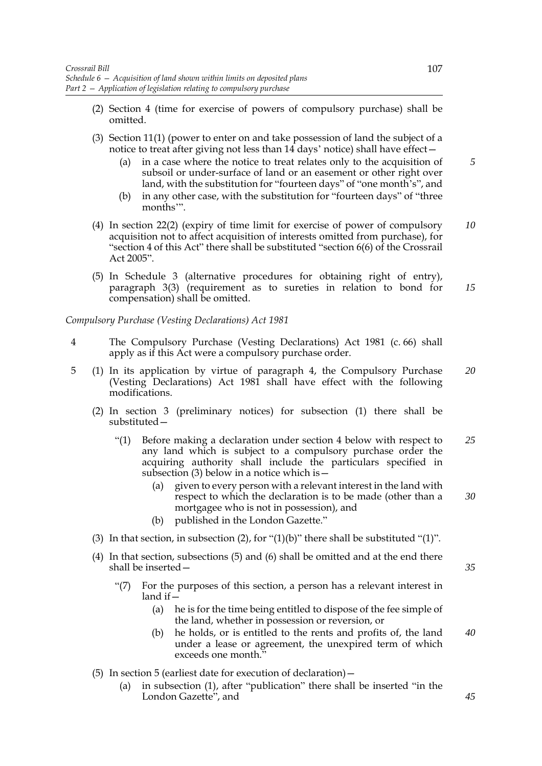- (2) Section 4 (time for exercise of powers of compulsory purchase) shall be omitted.
- (3) Section 11(1) (power to enter on and take possession of land the subject of a notice to treat after giving not less than 14 days' notice) shall have effect—
	- (a) in a case where the notice to treat relates only to the acquisition of subsoil or under-surface of land or an easement or other right over land, with the substitution for "fourteen days" of "one month's", and
	- (b) in any other case, with the substitution for "fourteen days" of "three months'".
- (4) In section 22(2) (expiry of time limit for exercise of power of compulsory acquisition not to affect acquisition of interests omitted from purchase), for "section 4 of this Act" there shall be substituted "section 6(6) of the Crossrail Act 2005". *10*
- (5) In Schedule 3 (alternative procedures for obtaining right of entry), paragraph 3(3) (requirement as to sureties in relation to bond for compensation) shall be omitted. *15*

## *Compulsory Purchase (Vesting Declarations) Act 1981*

- 4 The Compulsory Purchase (Vesting Declarations) Act 1981 (c. 66) shall apply as if this Act were a compulsory purchase order.
- 5 (1) In its application by virtue of paragraph 4, the Compulsory Purchase (Vesting Declarations) Act 1981 shall have effect with the following modifications. *20*
	- (2) In section 3 (preliminary notices) for subsection (1) there shall be substituted—
		- "(1) Before making a declaration under section 4 below with respect to any land which is subject to a compulsory purchase order the acquiring authority shall include the particulars specified in subsection (3) below in a notice which is  $-$ *25*
			- (a) given to every person with a relevant interest in the land with respect to which the declaration is to be made (other than a mortgagee who is not in possession), and *30*
			- (b) published in the London Gazette."
	- (3) In that section, in subsection (2), for "(1)(b)" there shall be substituted "(1)".
	- (4) In that section, subsections (5) and (6) shall be omitted and at the end there shall be inserted—
		- "(7) For the purposes of this section, a person has a relevant interest in land if—
			- (a) he is for the time being entitled to dispose of the fee simple of the land, whether in possession or reversion, or
			- (b) he holds, or is entitled to the rents and profits of, the land under a lease or agreement, the unexpired term of which exceeds one month." *40*
	- (5) In section 5 (earliest date for execution of declaration)—
		- (a) in subsection (1), after "publication" there shall be inserted "in the London Gazette", and

*5*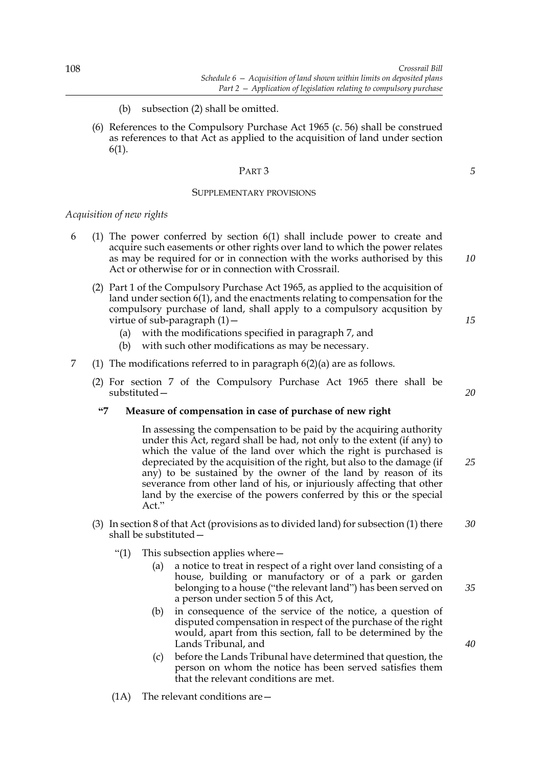- (b) subsection (2) shall be omitted.
- (6) References to the Compulsory Purchase Act 1965 (c. 56) shall be construed as references to that Act as applied to the acquisition of land under section 6(1).

#### PART 3

#### SUPPLEMENTARY PROVISIONS

### *Acquisition of new rights*

- 6 (1) The power conferred by section 6(1) shall include power to create and acquire such easements or other rights over land to which the power relates as may be required for or in connection with the works authorised by this Act or otherwise for or in connection with Crossrail.
	- (2) Part 1 of the Compulsory Purchase Act 1965, as applied to the acquisition of land under section 6(1), and the enactments relating to compensation for the compulsory purchase of land, shall apply to a compulsory acqusition by virtue of sub-paragraph (1)—
		- (a) with the modifications specified in paragraph 7, and
		- (b) with such other modifications as may be necessary.
- 7 (1) The modifications referred to in paragraph  $6(2)(a)$  are as follows.
	- (2) For section 7 of the Compulsory Purchase Act 1965 there shall be substituted—

### **"7 Measure of compensation in case of purchase of new right**

In assessing the compensation to be paid by the acquiring authority under this Act, regard shall be had, not only to the extent (if any) to which the value of the land over which the right is purchased is depreciated by the acquisition of the right, but also to the damage (if any) to be sustained by the owner of the land by reason of its severance from other land of his, or injuriously affecting that other land by the exercise of the powers conferred by this or the special Act."

- (3) In section 8 of that Act (provisions as to divided land) for subsection (1) there shall be substituted— *30*
	- "(1) This subsection applies where  $-$ 
		- (a) a notice to treat in respect of a right over land consisting of a house, building or manufactory or of a park or garden belonging to a house ("the relevant land") has been served on a person under section 5 of this Act,
		- (b) in consequence of the service of the notice, a question of disputed compensation in respect of the purchase of the right would, apart from this section, fall to be determined by the Lands Tribunal, and
		- (c) before the Lands Tribunal have determined that question, the person on whom the notice has been served satisfies them that the relevant conditions are met.
	- (1A) The relevant conditions are—

*10*

*5*

*15*

*20*

*25*

*35*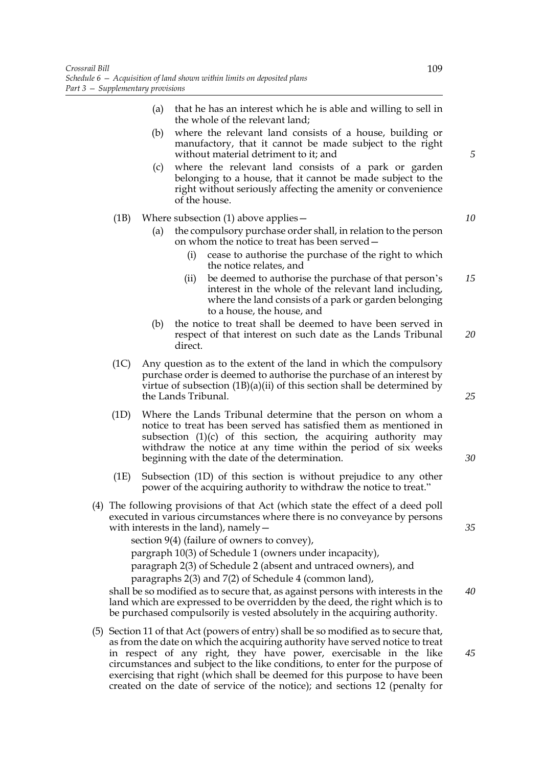- (a) that he has an interest which he is able and willing to sell in the whole of the relevant land;
- (b) where the relevant land consists of a house, building or manufactory, that it cannot be made subject to the right without material detriment to it; and
- (c) where the relevant land consists of a park or garden belonging to a house, that it cannot be made subject to the right without seriously affecting the amenity or convenience of the house.

# (1B) Where subsection (1) above applies—

- (a) the compulsory purchase order shall, in relation to the person on whom the notice to treat has been served—
	- (i) cease to authorise the purchase of the right to which the notice relates, and
	- (ii) be deemed to authorise the purchase of that person's interest in the whole of the relevant land including, where the land consists of a park or garden belonging to a house, the house, and *15*
- (b) the notice to treat shall be deemed to have been served in respect of that interest on such date as the Lands Tribunal direct. *20*
- (1C) Any question as to the extent of the land in which the compulsory purchase order is deemed to authorise the purchase of an interest by virtue of subsection  $(1B)(a)(ii)$  of this section shall be determined by the Lands Tribunal.
- (1D) Where the Lands Tribunal determine that the person on whom a notice to treat has been served has satisfied them as mentioned in subsection  $(1)(c)$  of this section, the acquiring authority may withdraw the notice at any time within the period of six weeks beginning with the date of the determination.
- (1E) Subsection (1D) of this section is without prejudice to any other power of the acquiring authority to withdraw the notice to treat."
- (4) The following provisions of that Act (which state the effect of a deed poll executed in various circumstances where there is no conveyance by persons with interests in the land), namely  $-$

section 9(4) (failure of owners to convey), pargraph 10(3) of Schedule 1 (owners under incapacity), paragraph 2(3) of Schedule 2 (absent and untraced owners), and paragraphs 2(3) and 7(2) of Schedule 4 (common land),

shall be so modified as to secure that, as against persons with interests in the land which are expressed to be overridden by the deed, the right which is to be purchased compulsorily is vested absolutely in the acquiring authority. *40*

(5) Section 11 of that Act (powers of entry) shall be so modified as to secure that, as from the date on which the acquiring authority have served notice to treat in respect of any right, they have power, exercisable in the like circumstances and subject to the like conditions, to enter for the purpose of exercising that right (which shall be deemed for this purpose to have been created on the date of service of the notice); and sections 12 (penalty for

*5*

*10*

*30*

*35*

*25*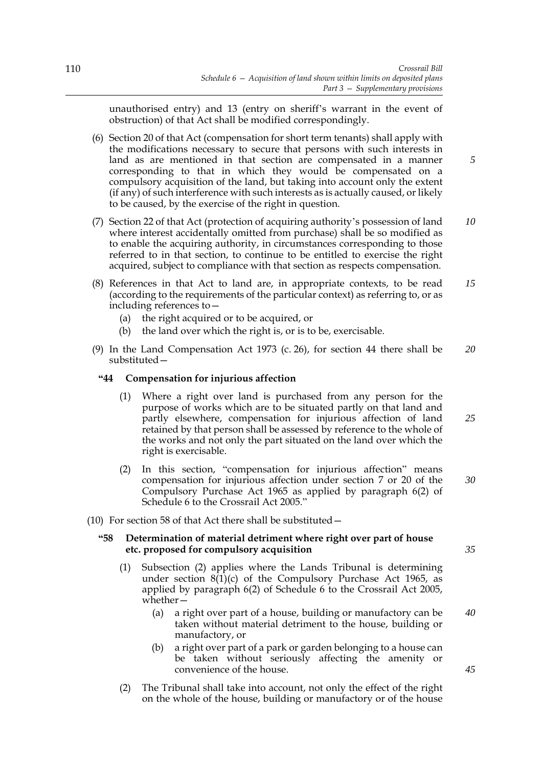unauthorised entry) and 13 (entry on sheriff's warrant in the event of obstruction) of that Act shall be modified correspondingly.

- (6) Section 20 of that Act (compensation for short term tenants) shall apply with the modifications necessary to secure that persons with such interests in land as are mentioned in that section are compensated in a manner corresponding to that in which they would be compensated on a compulsory acquisition of the land, but taking into account only the extent (if any) of such interference with such interests as is actually caused, or likely to be caused, by the exercise of the right in question.
- (7) Section 22 of that Act (protection of acquiring authority's possession of land where interest accidentally omitted from purchase) shall be so modified as to enable the acquiring authority, in circumstances corresponding to those referred to in that section, to continue to be entitled to exercise the right acquired, subject to compliance with that section as respects compensation. *10*
- (8) References in that Act to land are, in appropriate contexts, to be read (according to the requirements of the particular context) as referring to, or as including references to— *15*
	- (a) the right acquired or to be acquired, or
	- (b) the land over which the right is, or is to be, exercisable.
- (9) In the Land Compensation Act 1973 (c. 26), for section 44 there shall be substituted— *20*

## **"44 Compensation for injurious affection**

- (1) Where a right over land is purchased from any person for the purpose of works which are to be situated partly on that land and partly elsewhere, compensation for injurious affection of land retained by that person shall be assessed by reference to the whole of the works and not only the part situated on the land over which the right is exercisable. *25*
- (2) In this section, "compensation for injurious affection" means compensation for injurious affection under section 7 or 20 of the Compulsory Purchase Act 1965 as applied by paragraph 6(2) of Schedule 6 to the Crossrail Act 2005."
- (10) For section 58 of that Act there shall be substituted—

## **"58 Determination of material detriment where right over part of house etc. proposed for compulsory acquisition**

- (1) Subsection (2) applies where the Lands Tribunal is determining under section 8(1)(c) of the Compulsory Purchase Act 1965, as applied by paragraph 6(2) of Schedule 6 to the Crossrail Act 2005, whether—
	- (a) a right over part of a house, building or manufactory can be taken without material detriment to the house, building or manufactory, or *40*
	- (b) a right over part of a park or garden belonging to a house can be taken without seriously affecting the amenity or convenience of the house.
- (2) The Tribunal shall take into account, not only the effect of the right on the whole of the house, building or manufactory or of the house

*35*

*45*

*30*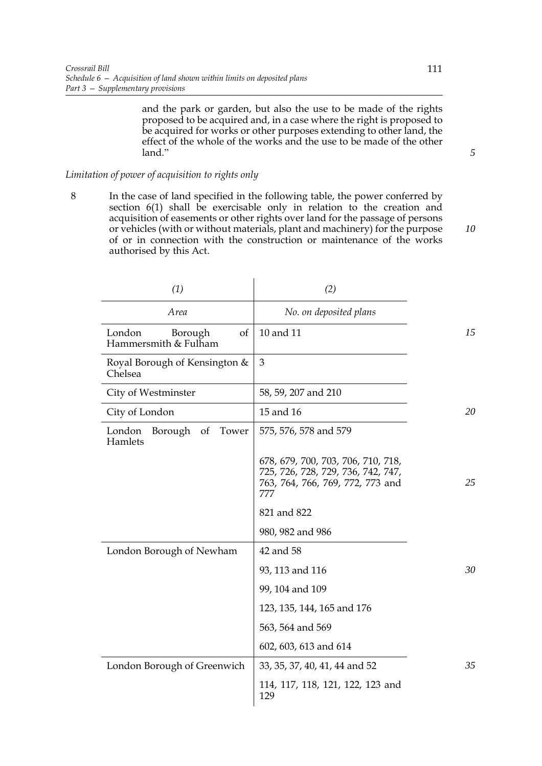and the park or garden, but also the use to be made of the rights proposed to be acquired and, in a case where the right is proposed to be acquired for works or other purposes extending to other land, the effect of the whole of the works and the use to be made of the other land."

# *Limitation of power of acquisition to rights only*

8 In the case of land specified in the following table, the power conferred by section 6(1) shall be exercisable only in relation to the creation and acquisition of easements or other rights over land for the passage of persons or vehicles (with or without materials, plant and machinery) for the purpose of or in connection with the construction or maintenance of the works authorised by this Act.

| (1)                                                    | (2)                                                                                                                 |    |
|--------------------------------------------------------|---------------------------------------------------------------------------------------------------------------------|----|
| Area                                                   | No. on deposited plans                                                                                              |    |
| London<br>Borough<br>of<br>Hammersmith & Fulham        | 10 and 11                                                                                                           | 15 |
| Royal Borough of Kensington &<br>Chelsea               | 3                                                                                                                   |    |
| City of Westminster                                    | 58, 59, 207 and 210                                                                                                 |    |
| City of London                                         | 15 and 16                                                                                                           | 20 |
| Borough<br>Tower<br>London<br><sub>of</sub><br>Hamlets | 575, 576, 578 and 579                                                                                               |    |
|                                                        | 678, 679, 700, 703, 706, 710, 718,<br>725, 726, 728, 729, 736, 742, 747,<br>763, 764, 766, 769, 772, 773 and<br>777 | 25 |
|                                                        | 821 and 822                                                                                                         |    |
|                                                        | 980, 982 and 986                                                                                                    |    |
| London Borough of Newham                               | 42 and 58                                                                                                           |    |
|                                                        | 93, 113 and 116                                                                                                     | 30 |
|                                                        | 99, 104 and 109                                                                                                     |    |
|                                                        | 123, 135, 144, 165 and 176                                                                                          |    |
|                                                        | 563, 564 and 569                                                                                                    |    |
|                                                        | 602, 603, 613 and 614                                                                                               |    |
| London Borough of Greenwich                            | 33, 35, 37, 40, 41, 44 and 52                                                                                       | 35 |
|                                                        | 114, 117, 118, 121, 122, 123 and<br>129                                                                             |    |

*10*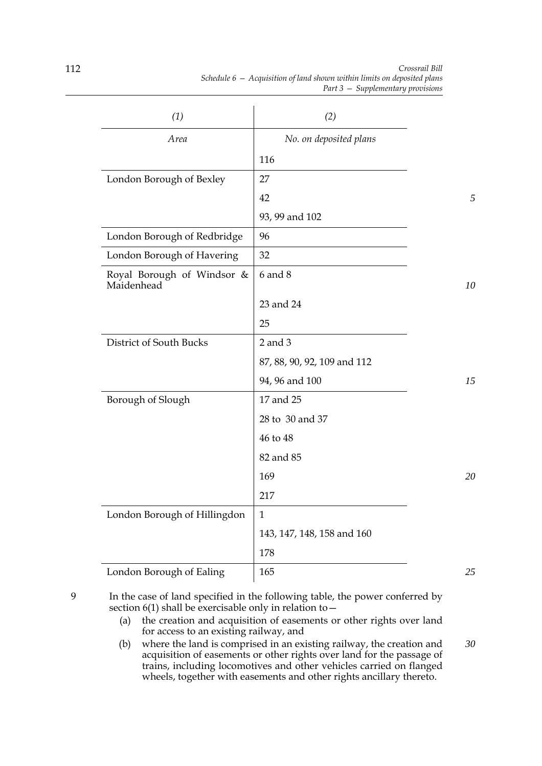| (1)                                      | (2)                         |    |
|------------------------------------------|-----------------------------|----|
| Area                                     | No. on deposited plans      |    |
|                                          | 116                         |    |
| London Borough of Bexley                 | 27                          |    |
|                                          | 42                          | 5  |
|                                          | 93, 99 and 102              |    |
| London Borough of Redbridge              | 96                          |    |
| London Borough of Havering               | 32                          |    |
| Royal Borough of Windsor &<br>Maidenhead | $6$ and $8$                 | 10 |
|                                          | 23 and 24                   |    |
|                                          | 25                          |    |
| District of South Bucks                  | $2$ and $3$                 |    |
|                                          | 87, 88, 90, 92, 109 and 112 |    |
|                                          | 94, 96 and 100              | 15 |
| Borough of Slough                        | 17 and 25                   |    |
|                                          | 28 to 30 and 37             |    |
|                                          | 46 to 48                    |    |
|                                          | 82 and 85                   |    |
|                                          | 169                         | 20 |
|                                          | 217                         |    |
| London Borough of Hillingdon             | $\mathbf{1}$                |    |
|                                          | 143, 147, 148, 158 and 160  |    |
|                                          | 178                         |    |
| London Borough of Ealing                 | 165                         | 25 |

9 In the case of land specified in the following table, the power conferred by section 6(1) shall be exercisable only in relation to—

- (a) the creation and acquisition of easements or other rights over land for access to an existing railway, and
- (b) where the land is comprised in an existing railway, the creation and acquisition of easements or other rights over land for the passage of trains, including locomotives and other vehicles carried on flanged wheels, together with easements and other rights ancillary thereto. *30*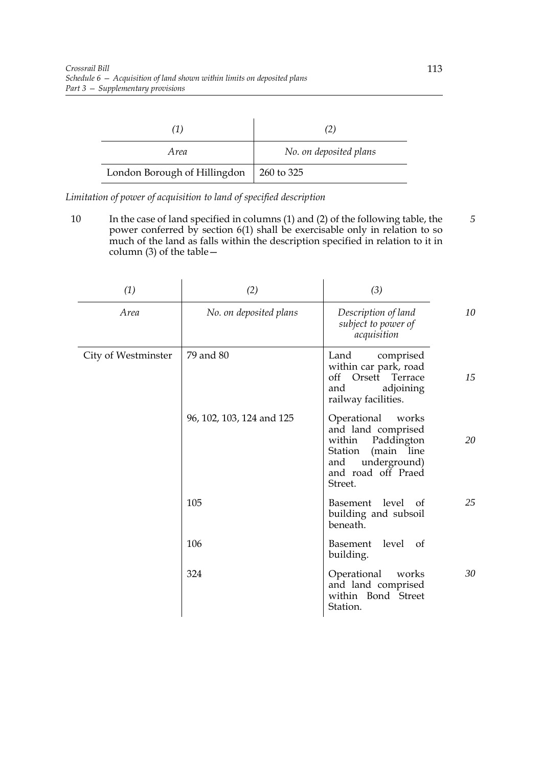|                              | 21                     |
|------------------------------|------------------------|
| Area                         | No. on deposited plans |
| London Borough of Hillingdon | 260 to 325             |

*Limitation of power of acquisition to land of specified description*

10 In the case of land specified in columns (1) and (2) of the following table, the power conferred by section 6(1) shall be exercisable only in relation to so much of the land as falls within the description specified in relation to it in column (3) of the table— *5*

| (1)                 | (2)                       | (3)                                                                                                                                                 |                 |
|---------------------|---------------------------|-----------------------------------------------------------------------------------------------------------------------------------------------------|-----------------|
| Area                | No. on deposited plans    | Description of land<br>subject to power of<br>acquisition                                                                                           | 10 <sup>2</sup> |
| City of Westminster | 79 and 80                 | Land<br>comprised<br>within car park, road<br>Orsett<br>off<br>Terrace<br>adjoining<br>and<br>railway facilities.                                   | 15              |
|                     | 96, 102, 103, 124 and 125 | Operational<br>works<br>and land comprised<br>Paddington<br>within<br>(main line<br>Station<br>underground)<br>and<br>and road off Praed<br>Street. | 20              |
|                     | 105                       | Basement level of<br>building and subsoil<br>beneath.                                                                                               | 25              |
|                     | 106                       | Basement level of<br>building.                                                                                                                      |                 |
|                     | 324                       | Operational<br>works<br>and land comprised<br>within Bond Street<br>Station.                                                                        | 30              |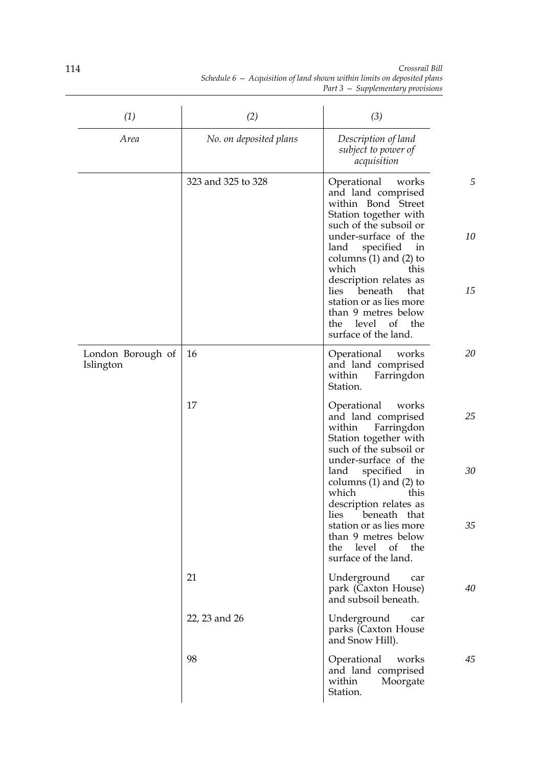| (1)                            | (2)                    | (3)                                                                                                                                                                                                                                                                                                                                                                      |               |
|--------------------------------|------------------------|--------------------------------------------------------------------------------------------------------------------------------------------------------------------------------------------------------------------------------------------------------------------------------------------------------------------------------------------------------------------------|---------------|
| Area                           | No. on deposited plans | Description of land<br>subject to power of<br>acquisition                                                                                                                                                                                                                                                                                                                |               |
|                                | 323 and 325 to 328     | Operational<br>works<br>and land comprised<br>within Bond Street<br>Station together with<br>such of the subsoil or<br>under-surface of the<br>specified<br>land<br>in<br>columns $(1)$ and $(2)$ to<br>which<br>this<br>description relates as<br>beneath<br>lies<br>that<br>station or as lies more<br>than 9 metres below<br>the level of the<br>surface of the land. | 5<br>10<br>15 |
| London Borough of<br>Islington | 16                     | Operational<br>works<br>and land comprised<br>within<br>Farringdon<br>Station.                                                                                                                                                                                                                                                                                           | 20            |
|                                | 17                     | Operational<br>works<br>and land comprised<br>within<br>Farringdon<br>Station together with<br>such of the subsoil or<br>under-surface of the<br>specified in<br>land<br>columns $(1)$ and $(2)$ to<br>which<br>this                                                                                                                                                     | 25<br>30      |
|                                |                        | description relates as<br>lies beneath that<br>station or as lies more<br>than 9 metres below<br>the level of the<br>surface of the land.                                                                                                                                                                                                                                | 35            |
|                                | 21                     | Underground<br>car<br>park (Caxton House)<br>and subsoil beneath.                                                                                                                                                                                                                                                                                                        | 40            |
|                                | 22, 23 and 26          | Underground<br>car<br>parks (Caxton House<br>and Snow Hill).                                                                                                                                                                                                                                                                                                             |               |
|                                | 98                     | Operational<br>works<br>and land comprised<br>within<br>Moorgate<br>Station.                                                                                                                                                                                                                                                                                             | 45            |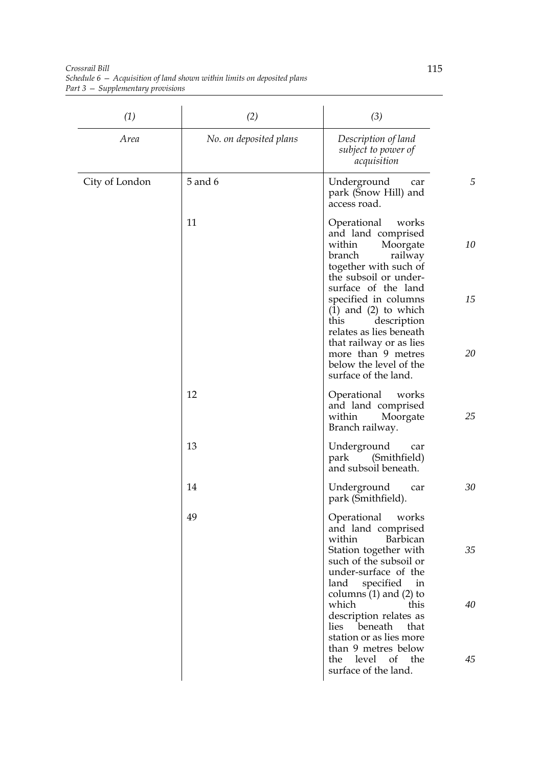*Crossrail Bill Schedule 6 — Acquisition of land shown within limits on deposited plans Part 3 — Supplementary provisions*

| (1)            | (2)                    | (3)                                                                                                                                                                                                   |          |
|----------------|------------------------|-------------------------------------------------------------------------------------------------------------------------------------------------------------------------------------------------------|----------|
| Area           | No. on deposited plans | Description of land<br>subject to power of<br>acquisition                                                                                                                                             |          |
| City of London | 5 and 6                | Underground<br>car<br>park (Snow Hill) and<br>access road.                                                                                                                                            | 5        |
|                | 11                     | Operational<br>works<br>and land comprised<br>within<br>Moorgate<br>branch<br>railway<br>together with such of<br>the subsoil or under-<br>surface of the land                                        | 10       |
|                |                        | specified in columns<br>$(1)$ and $(2)$ to which<br>this<br>description<br>relates as lies beneath<br>that railway or as lies<br>more than 9 metres<br>below the level of the<br>surface of the land. | 15<br>20 |
|                | 12                     | Operational<br>works<br>and land comprised<br>Moorgate<br>within<br>Branch railway.                                                                                                                   | 25       |
|                | 13                     | Underground<br>car<br>(Smithfield)<br>park<br>and subsoil beneath.                                                                                                                                    |          |
|                | 14                     | Underground<br>car<br>park (Smithfield).                                                                                                                                                              | 30       |
|                | 49                     | Operational<br>works<br>and land comprised<br>Barbican<br>within<br>Station together with<br>such of the subsoil or<br>under-surface of the                                                           | 35       |
|                |                        | specified<br>in<br>land<br>columns $(1)$ and $(2)$ to<br>which<br>this<br>description relates as<br>lies beneath<br>that<br>station or as lies more                                                   | 40       |
|                |                        | than 9 metres below<br>the level of the<br>surface of the land.                                                                                                                                       | 45       |

 $\overline{\phantom{a}}$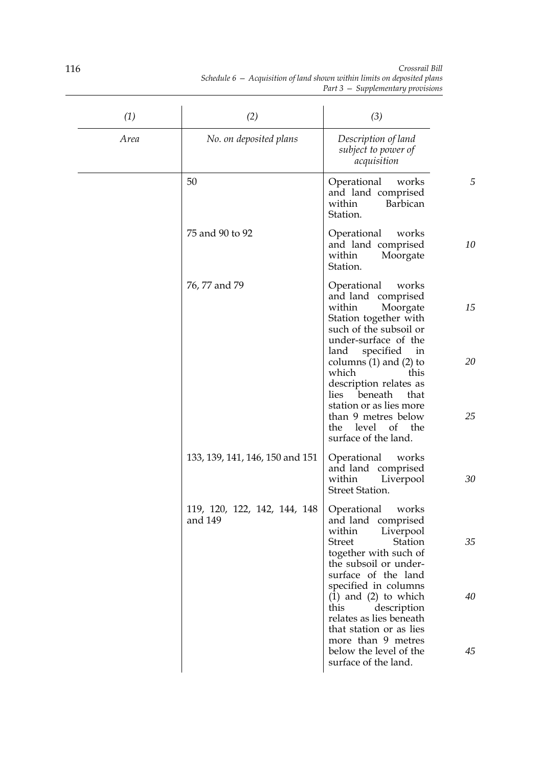|                                                                           |  | Crossrail Bill                      |  |
|---------------------------------------------------------------------------|--|-------------------------------------|--|
| Schedule $6 -$ Acquisition of land shown within limits on deposited plans |  |                                     |  |
|                                                                           |  | Part $3$ – Supplementary provisions |  |

| (1)  | (2)                                     | (3)                                                                                                                                                                                                                          |          |
|------|-----------------------------------------|------------------------------------------------------------------------------------------------------------------------------------------------------------------------------------------------------------------------------|----------|
| Area | No. on deposited plans                  | Description of land<br>subject to power of<br>acquisition                                                                                                                                                                    |          |
|      | 50                                      | Operational<br>works<br>and land comprised<br>Barbican<br>within<br>Station.                                                                                                                                                 | 5        |
|      | 75 and 90 to 92                         | Operational<br>works<br>and land comprised<br>Moorgate<br>within<br>Station.                                                                                                                                                 | 10       |
|      | 76, 77 and 79                           | Operational<br>works<br>and land comprised<br>within<br>Moorgate<br>Station together with<br>such of the subsoil or<br>under-surface of the                                                                                  | 15       |
|      |                                         | specified<br>in<br>land<br>columns $(1)$ and $(2)$ to<br>which<br>this<br>description relates as<br>beneath<br>lies<br>that<br>station or as lies more<br>than 9 metres below<br>level of the<br>the<br>surface of the land. | 20<br>25 |
|      | 133, 139, 141, 146, 150 and 151         | Operational<br>works<br>and land comprised<br>within<br>Liverpool<br><b>Street Station.</b>                                                                                                                                  | 30       |
|      | 119, 120, 122, 142, 144, 148<br>and 149 | Operational<br>works<br>and land comprised<br>within<br>Liverpool<br><b>Street</b><br>Station<br>together with such of<br>the subsoil or under-<br>surface of the land                                                       | 35       |
|      |                                         | specified in columns<br>$(1)$ and $(2)$ to which<br>this<br>description<br>relates as lies beneath<br>that station or as lies                                                                                                | 40       |
|      |                                         | more than 9 metres<br>below the level of the<br>surface of the land.                                                                                                                                                         | 45       |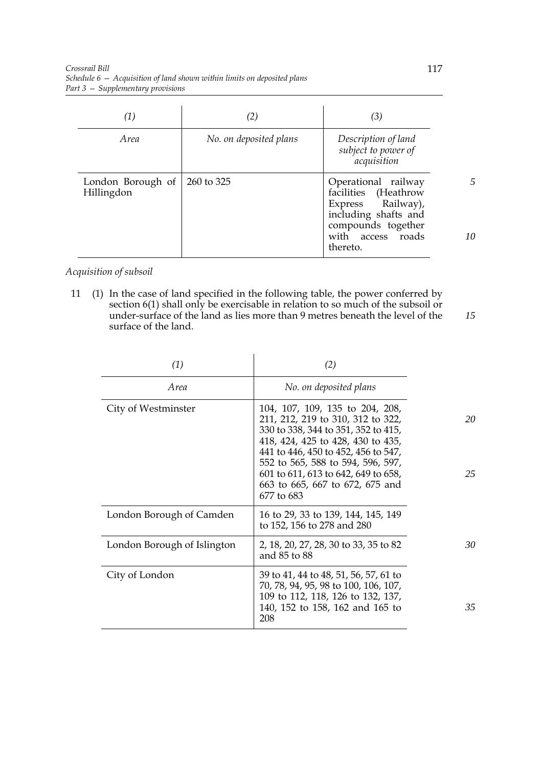| $\left( 1\right)$               | (2)                    | (3)                                                                                                                                             |    |
|---------------------------------|------------------------|-------------------------------------------------------------------------------------------------------------------------------------------------|----|
| <i>Area</i>                     | No. on deposited plans | Description of land<br>subject to power of<br>acquisition                                                                                       |    |
| London Borough of<br>Hillingdon | 260 to 325             | Operational railway<br>facilities (Heathrow<br>Express Railway),<br>including shafts and<br>compounds together<br>with access roads<br>thereto. | 10 |

# *Acquisition of subsoil*

11 (1) In the case of land specified in the following table, the power conferred by section 6(1) shall only be exercisable in relation to so much of the subsoil or under-surface of the land as lies more than 9 metres beneath the level of the surface of the land. *15*

| (1)                         | (2)                                                                                                                                                                                                                                                                                                                  |          |
|-----------------------------|----------------------------------------------------------------------------------------------------------------------------------------------------------------------------------------------------------------------------------------------------------------------------------------------------------------------|----------|
| Area                        | No. on deposited plans                                                                                                                                                                                                                                                                                               |          |
| City of Westminster         | 104, 107, 109, 135 to 204, 208,<br>211, 212, 219 to 310, 312 to 322,<br>330 to 338, 344 to 351, 352 to 415,<br>418, 424, 425 to 428, 430 to 435,<br>441 to 446, 450 to 452, 456 to 547,<br>552 to 565, 588 to 594, 596, 597,<br>601 to 611, 613 to 642, 649 to 658,<br>663 to 665, 667 to 672, 675 and<br>677 to 683 | 20<br>25 |
| London Borough of Camden    | 16 to 29, 33 to 139, 144, 145, 149<br>to 152, 156 to 278 and 280                                                                                                                                                                                                                                                     |          |
| London Borough of Islington | 2, 18, 20, 27, 28, 30 to 33, 35 to 82<br>and 85 to 88                                                                                                                                                                                                                                                                | 30       |
| City of London              | 39 to 41, 44 to 48, 51, 56, 57, 61 to<br>70, 78, 94, 95, 98 to 100, 106, 107,<br>109 to 112, 118, 126 to 132, 137,<br>140, 152 to 158, 162 and 165 to<br>208                                                                                                                                                         | 35       |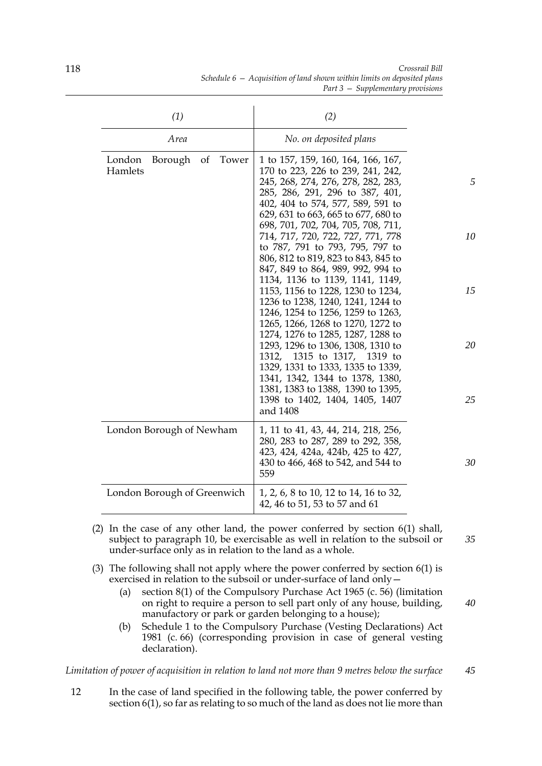| (1)                                                    | (2)                                                                                                                                                                                                                                                                                                                                                                                                                                                                                                                                                                                                                                                                                                                                                                                                                                                                      |                           |
|--------------------------------------------------------|--------------------------------------------------------------------------------------------------------------------------------------------------------------------------------------------------------------------------------------------------------------------------------------------------------------------------------------------------------------------------------------------------------------------------------------------------------------------------------------------------------------------------------------------------------------------------------------------------------------------------------------------------------------------------------------------------------------------------------------------------------------------------------------------------------------------------------------------------------------------------|---------------------------|
| Area                                                   | No. on deposited plans                                                                                                                                                                                                                                                                                                                                                                                                                                                                                                                                                                                                                                                                                                                                                                                                                                                   |                           |
| London<br>Borough<br>Tower<br><sub>of</sub><br>Hamlets | 1 to 157, 159, 160, 164, 166, 167,<br>170 to 223, 226 to 239, 241, 242,<br>245, 268, 274, 276, 278, 282, 283,<br>285, 286, 291, 296 to 387, 401,<br>402, 404 to 574, 577, 589, 591 to<br>629, 631 to 663, 665 to 677, 680 to<br>698, 701, 702, 704, 705, 708, 711,<br>714, 717, 720, 722, 727, 771, 778<br>to 787, 791 to 793, 795, 797 to<br>806, 812 to 819, 823 to 843, 845 to<br>847, 849 to 864, 989, 992, 994 to<br>1134, 1136 to 1139, 1141, 1149,<br>1153, 1156 to 1228, 1230 to 1234,<br>1236 to 1238, 1240, 1241, 1244 to<br>1246, 1254 to 1256, 1259 to 1263,<br>1265, 1266, 1268 to 1270, 1272 to<br>1274, 1276 to 1285, 1287, 1288 to<br>1293, 1296 to 1306, 1308, 1310 to<br>1315 to 1317, 1319 to<br>1312,<br>1329, 1331 to 1333, 1335 to 1339,<br>1341, 1342, 1344 to 1378, 1380,<br>1381, 1383 to 1388, 1390 to 1395,<br>1398 to 1402, 1404, 1405, 1407 | 5<br>10<br>15<br>20<br>25 |
| London Borough of Newham                               | and 1408<br>1, 11 to 41, 43, 44, 214, 218, 256,<br>280, 283 to 287, 289 to 292, 358,                                                                                                                                                                                                                                                                                                                                                                                                                                                                                                                                                                                                                                                                                                                                                                                     |                           |
|                                                        | 423, 424, 424a, 424b, 425 to 427,<br>430 to 466, 468 to 542, and 544 to<br>559                                                                                                                                                                                                                                                                                                                                                                                                                                                                                                                                                                                                                                                                                                                                                                                           | 30                        |
| London Borough of Greenwich                            | 1, 2, 6, 8 to 10, 12 to 14, 16 to 32,<br>42, 46 to 51, 53 to 57 and 61                                                                                                                                                                                                                                                                                                                                                                                                                                                                                                                                                                                                                                                                                                                                                                                                   |                           |

*Crossrail Bill Schedule 6 — Acquisition of land shown within limits on deposited plans Part 3 — Supplementary provisions*

- (2) In the case of any other land, the power conferred by section 6(1) shall, subject to paragraph 10, be exercisable as well in relation to the subsoil or under-surface only as in relation to the land as a whole.
- (3) The following shall not apply where the power conferred by section 6(1) is exercised in relation to the subsoil or under-surface of land only—
	- (a) section 8(1) of the Compulsory Purchase Act 1965 (c. 56) (limitation on right to require a person to sell part only of any house, building, manufactory or park or garden belonging to a house);
	- (b) Schedule 1 to the Compulsory Purchase (Vesting Declarations) Act 1981 (c. 66) (corresponding provision in case of general vesting declaration).

*Limitation of power of acquisition in relation to land not more than 9 metres below the surface 45*

12 In the case of land specified in the following table, the power conferred by section 6(1), so far as relating to so much of the land as does not lie more than

118

*40*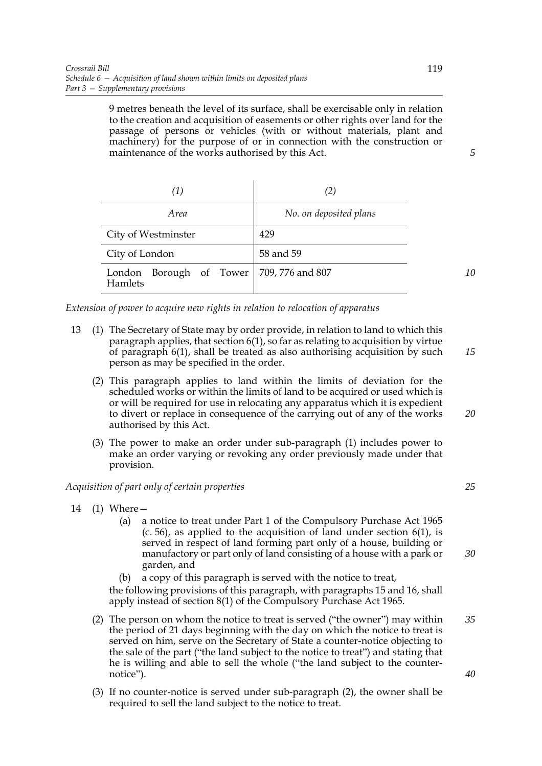9 metres beneath the level of its surface, shall be exercisable only in relation to the creation and acquisition of easements or other rights over land for the passage of persons or vehicles (with or without materials, plant and machinery) for the purpose of or in connection with the construction or maintenance of the works authorised by this Act.

| (1)                                                   | (2)                    |
|-------------------------------------------------------|------------------------|
| <i>Area</i>                                           | No. on deposited plans |
| City of Westminster                                   | 429                    |
| City of London                                        | 58 and 59              |
| London Borough of Tower   709, 776 and 807<br>Hamlets |                        |

*Extension of power to acquire new rights in relation to relocation of apparatus*

- 13 (1) The Secretary of State may by order provide, in relation to land to which this paragraph applies, that section  $6(1)$ , so far as relating to acquisition by virtue of paragraph 6(1), shall be treated as also authorising acquisition by such person as may be specified in the order.
	- (2) This paragraph applies to land within the limits of deviation for the scheduled works or within the limits of land to be acquired or used which is or will be required for use in relocating any apparatus which it is expedient to divert or replace in consequence of the carrying out of any of the works authorised by this Act.
	- (3) The power to make an order under sub-paragraph (1) includes power to make an order varying or revoking any order previously made under that provision.

## *Acquisition of part only of certain properties*

- 14 (1) Where—
	- (a) a notice to treat under Part 1 of the Compulsory Purchase Act 1965  $(c. 56)$ , as applied to the acquisition of land under section  $6(1)$ , is served in respect of land forming part only of a house, building or manufactory or part only of land consisting of a house with a park or garden, and
	- (b) a copy of this paragraph is served with the notice to treat,

the following provisions of this paragraph, with paragraphs 15 and 16, shall apply instead of section 8(1) of the Compulsory Purchase Act 1965.

- (2) The person on whom the notice to treat is served ("the owner") may within the period of 21 days beginning with the day on which the notice to treat is served on him, serve on the Secretary of State a counter-notice objecting to the sale of the part ("the land subject to the notice to treat") and stating that he is willing and able to sell the whole ("the land subject to the counternotice"). *35 40*
- (3) If no counter-notice is served under sub-paragraph (2), the owner shall be required to sell the land subject to the notice to treat.

*5*

*10*

*15*

*20*

*25*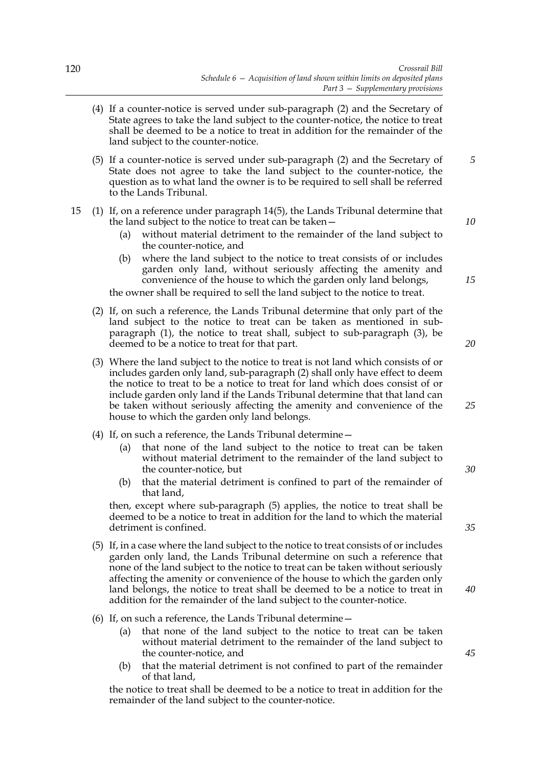- (4) If a counter-notice is served under sub-paragraph (2) and the Secretary of State agrees to take the land subject to the counter-notice, the notice to treat shall be deemed to be a notice to treat in addition for the remainder of the land subject to the counter-notice.
- (5) If a counter-notice is served under sub-paragraph (2) and the Secretary of State does not agree to take the land subject to the counter-notice, the question as to what land the owner is to be required to sell shall be referred to the Lands Tribunal.

## 15 (1) If, on a reference under paragraph 14(5), the Lands Tribunal determine that the land subject to the notice to treat can be taken—

- (a) without material detriment to the remainder of the land subject to the counter-notice, and
- (b) where the land subject to the notice to treat consists of or includes garden only land, without seriously affecting the amenity and convenience of the house to which the garden only land belongs,

the owner shall be required to sell the land subject to the notice to treat.

- (2) If, on such a reference, the Lands Tribunal determine that only part of the land subject to the notice to treat can be taken as mentioned in subparagraph (1), the notice to treat shall, subject to sub-paragraph (3), be deemed to be a notice to treat for that part.
- (3) Where the land subject to the notice to treat is not land which consists of or includes garden only land, sub-paragraph (2) shall only have effect to deem the notice to treat to be a notice to treat for land which does consist of or include garden only land if the Lands Tribunal determine that that land can be taken without seriously affecting the amenity and convenience of the house to which the garden only land belongs.
- (4) If, on such a reference, the Lands Tribunal determine—
	- (a) that none of the land subject to the notice to treat can be taken without material detriment to the remainder of the land subject to the counter-notice, but
	- (b) that the material detriment is confined to part of the remainder of that land,

then, except where sub-paragraph (5) applies, the notice to treat shall be deemed to be a notice to treat in addition for the land to which the material detriment is confined.

- (5) If, in a case where the land subject to the notice to treat consists of or includes garden only land, the Lands Tribunal determine on such a reference that none of the land subject to the notice to treat can be taken without seriously affecting the amenity or convenience of the house to which the garden only land belongs, the notice to treat shall be deemed to be a notice to treat in addition for the remainder of the land subject to the counter-notice.
- (6) If, on such a reference, the Lands Tribunal determine—
	- (a) that none of the land subject to the notice to treat can be taken without material detriment to the remainder of the land subject to the counter-notice, and
	- (b) that the material detriment is not confined to part of the remainder of that land,

the notice to treat shall be deemed to be a notice to treat in addition for the remainder of the land subject to the counter-notice.

*30*

*5*

*10*

*15*

*20*

*25*

*35*

*40*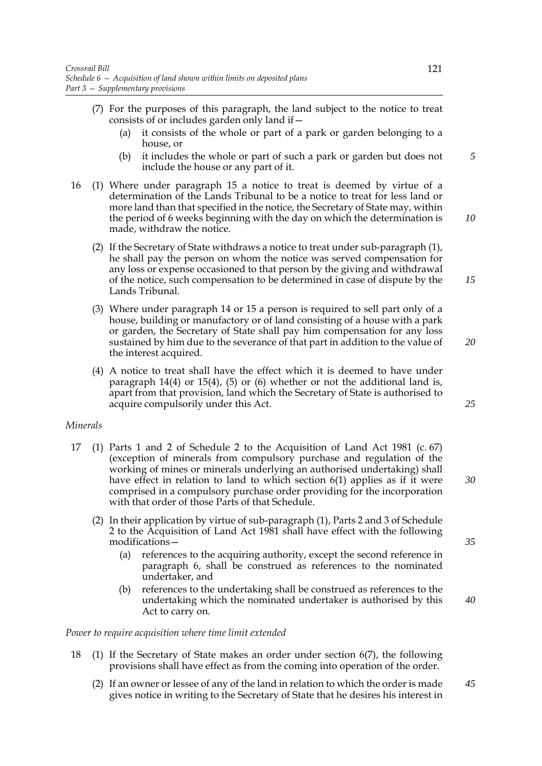- (7) For the purposes of this paragraph, the land subject to the notice to treat consists of or includes garden only land if—
	- (a) it consists of the whole or part of a park or garden belonging to a house, or
	- (b) it includes the whole or part of such a park or garden but does not include the house or any part of it.
- 16 (1) Where under paragraph 15 a notice to treat is deemed by virtue of a determination of the Lands Tribunal to be a notice to treat for less land or more land than that specified in the notice, the Secretary of State may, within the period of 6 weeks beginning with the day on which the determination is made, withdraw the notice.
	- (2) If the Secretary of State withdraws a notice to treat under sub-paragraph (1), he shall pay the person on whom the notice was served compensation for any loss or expense occasioned to that person by the giving and withdrawal of the notice, such compensation to be determined in case of dispute by the Lands Tribunal.
	- (3) Where under paragraph 14 or 15 a person is required to sell part only of a house, building or manufactory or of land consisting of a house with a park or garden, the Secretary of State shall pay him compensation for any loss sustained by him due to the severance of that part in addition to the value of the interest acquired.
	- (4) A notice to treat shall have the effect which it is deemed to have under paragraph 14(4) or 15(4), (5) or (6) whether or not the additional land is, apart from that provision, land which the Secretary of State is authorised to acquire compulsorily under this Act.

## *Minerals*

- 17 (1) Parts 1 and 2 of Schedule 2 to the Acquisition of Land Act 1981 (c. 67) (exception of minerals from compulsory purchase and regulation of the working of mines or minerals underlying an authorised undertaking) shall have effect in relation to land to which section 6(1) applies as if it were comprised in a compulsory purchase order providing for the incorporation with that order of those Parts of that Schedule.
	- (2) In their application by virtue of sub-paragraph (1), Parts 2 and 3 of Schedule 2 to the Acquisition of Land Act 1981 shall have effect with the following modifications—
		- (a) references to the acquiring authority, except the second reference in paragraph 6, shall be construed as references to the nominated undertaker, and
		- (b) references to the undertaking shall be construed as references to the undertaking which the nominated undertaker is authorised by this Act to carry on.

## *Power to require acquisition where time limit extended*

- 18 (1) If the Secretary of State makes an order under section 6(7), the following provisions shall have effect as from the coming into operation of the order.
	- (2) If an owner or lessee of any of the land in relation to which the order is made gives notice in writing to the Secretary of State that he desires his interest in *45*

*5*

*10*

*15*

*20*

*25*

*30*

*35*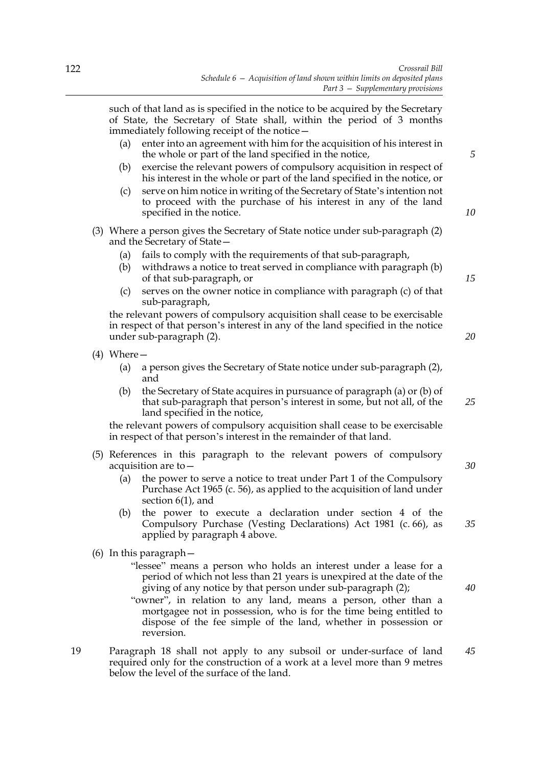such of that land as is specified in the notice to be acquired by the Secretary of State, the Secretary of State shall, within the period of 3 months immediately following receipt of the notice—

- (a) enter into an agreement with him for the acquisition of his interest in the whole or part of the land specified in the notice,
- (b) exercise the relevant powers of compulsory acquisition in respect of his interest in the whole or part of the land specified in the notice, or
- (c) serve on him notice in writing of the Secretary of State's intention not to proceed with the purchase of his interest in any of the land specified in the notice.
- (3) Where a person gives the Secretary of State notice under sub-paragraph (2) and the Secretary of State—
	- (a) fails to comply with the requirements of that sub-paragraph,
	- (b) withdraws a notice to treat served in compliance with paragraph (b) of that sub-paragraph, or
	- (c) serves on the owner notice in compliance with paragraph (c) of that sub-paragraph,

the relevant powers of compulsory acquisition shall cease to be exercisable in respect of that person's interest in any of the land specified in the notice under sub-paragraph (2).

- (4) Where—
	- (a) a person gives the Secretary of State notice under sub-paragraph (2), and
	- (b) the Secretary of State acquires in pursuance of paragraph (a) or (b) of that sub-paragraph that person's interest in some, but not all, of the land specified in the notice,

the relevant powers of compulsory acquisition shall cease to be exercisable in respect of that person's interest in the remainder of that land.

- (5) References in this paragraph to the relevant powers of compulsory acquisition are to—
	- (a) the power to serve a notice to treat under Part 1 of the Compulsory Purchase Act 1965 (c. 56), as applied to the acquisition of land under section 6(1), and
	- (b) the power to execute a declaration under section 4 of the Compulsory Purchase (Vesting Declarations) Act 1981 (c. 66), as applied by paragraph 4 above.
- (6) In this paragraph—

"lessee" means a person who holds an interest under a lease for a period of which not less than 21 years is unexpired at the date of the giving of any notice by that person under sub-paragraph (2);

"owner", in relation to any land, means a person, other than a mortgagee not in possession, who is for the time being entitled to dispose of the fee simple of the land, whether in possession or reversion.

19 Paragraph 18 shall not apply to any subsoil or under-surface of land required only for the construction of a work at a level more than 9 metres below the level of the surface of the land. *45*

*5*

*10*

*15*

*20*

*30*

*25*

*40*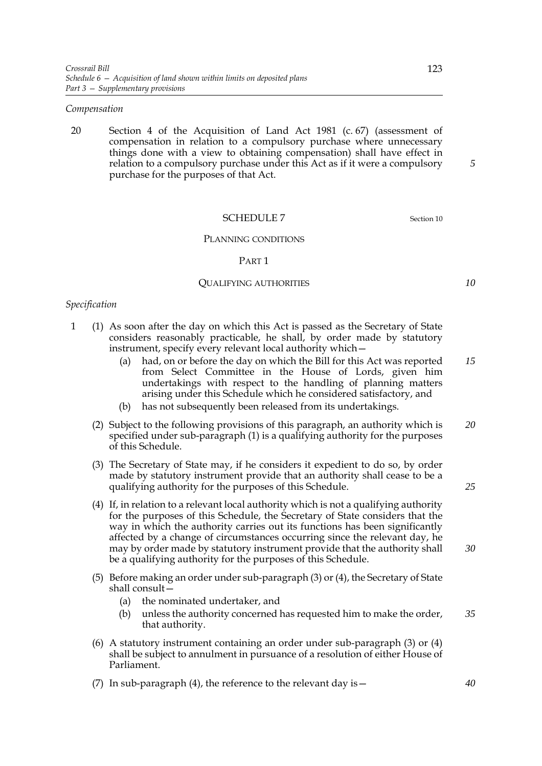### *Compensation*

20 Section 4 of the Acquisition of Land Act 1981 (c. 67) (assessment of compensation in relation to a compulsory purchase where unnecessary things done with a view to obtaining compensation) shall have effect in relation to a compulsory purchase under this Act as if it were a compulsory purchase for the purposes of that Act.

## SCHEDULE 7 Section 10

#### PLANNING CONDITIONS

#### PART 1

#### QUALIFYING AUTHORITIES

### *Specification*

- 1 (1) As soon after the day on which this Act is passed as the Secretary of State considers reasonably practicable, he shall, by order made by statutory instrument, specify every relevant local authority which—
	- (a) had, on or before the day on which the Bill for this Act was reported from Select Committee in the House of Lords, given him undertakings with respect to the handling of planning matters arising under this Schedule which he considered satisfactory, and *15*
	- (b) has not subsequently been released from its undertakings.
	- (2) Subject to the following provisions of this paragraph, an authority which is specified under sub-paragraph (1) is a qualifying authority for the purposes of this Schedule. *20*
	- (3) The Secretary of State may, if he considers it expedient to do so, by order made by statutory instrument provide that an authority shall cease to be a qualifying authority for the purposes of this Schedule.
	- (4) If, in relation to a relevant local authority which is not a qualifying authority for the purposes of this Schedule, the Secretary of State considers that the way in which the authority carries out its functions has been significantly affected by a change of circumstances occurring since the relevant day, he may by order made by statutory instrument provide that the authority shall be a qualifying authority for the purposes of this Schedule.
	- (5) Before making an order under sub-paragraph (3) or (4), the Secretary of State shall consult—
		- (a) the nominated undertaker, and
		- (b) unless the authority concerned has requested him to make the order, that authority. *35*
	- (6) A statutory instrument containing an order under sub-paragraph (3) or (4) shall be subject to annulment in pursuance of a resolution of either House of Parliament.
	- (7) In sub-paragraph (4), the reference to the relevant day is  $-$

*5*

*10*

*25*

*30*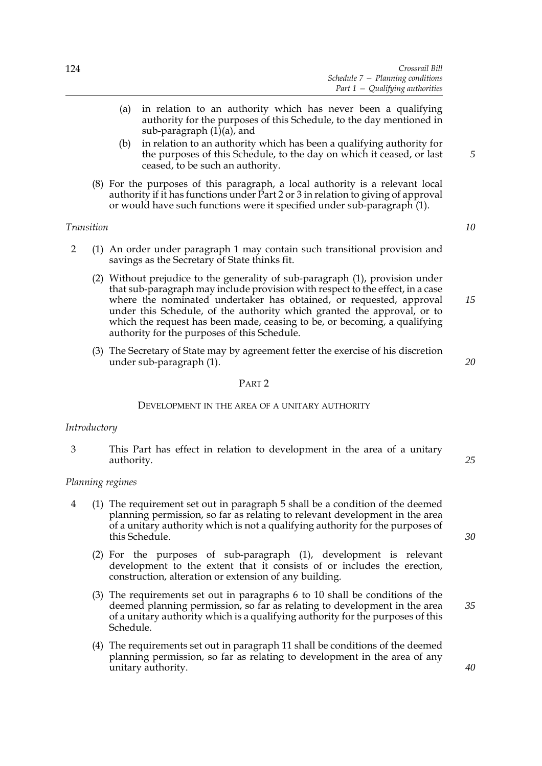- (a) in relation to an authority which has never been a qualifying authority for the purposes of this Schedule, to the day mentioned in sub-paragraph (1)(a), and
- (b) in relation to an authority which has been a qualifying authority for the purposes of this Schedule, to the day on which it ceased, or last ceased, to be such an authority.
- (8) For the purposes of this paragraph, a local authority is a relevant local authority if it has functions under Part 2 or 3 in relation to giving of approval or would have such functions were it specified under sub-paragraph (1).

## *Transition*

- 2 (1) An order under paragraph 1 may contain such transitional provision and savings as the Secretary of State thinks fit.
	- (2) Without prejudice to the generality of sub-paragraph (1), provision under that sub-paragraph may include provision with respect to the effect, in a case where the nominated undertaker has obtained, or requested, approval under this Schedule, of the authority which granted the approval, or to which the request has been made, ceasing to be, or becoming, a qualifying authority for the purposes of this Schedule.
	- (3) The Secretary of State may by agreement fetter the exercise of his discretion under sub-paragraph (1).

#### *20*

*15*

## PART 2

#### DEVELOPMENT IN THE AREA OF A UNITARY AUTHORITY

#### *Introductory*

3 This Part has effect in relation to development in the area of a unitary authority.

#### *25*

*30*

*35*

*40*

#### *Planning regimes*

- 4 (1) The requirement set out in paragraph 5 shall be a condition of the deemed planning permission, so far as relating to relevant development in the area of a unitary authority which is not a qualifying authority for the purposes of this Schedule.
	- (2) For the purposes of sub-paragraph (1), development is relevant development to the extent that it consists of or includes the erection, construction, alteration or extension of any building.
	- (3) The requirements set out in paragraphs 6 to 10 shall be conditions of the deemed planning permission, so far as relating to development in the area of a unitary authority which is a qualifying authority for the purposes of this Schedule.
	- (4) The requirements set out in paragraph 11 shall be conditions of the deemed planning permission, so far as relating to development in the area of any unitary authority.

*10*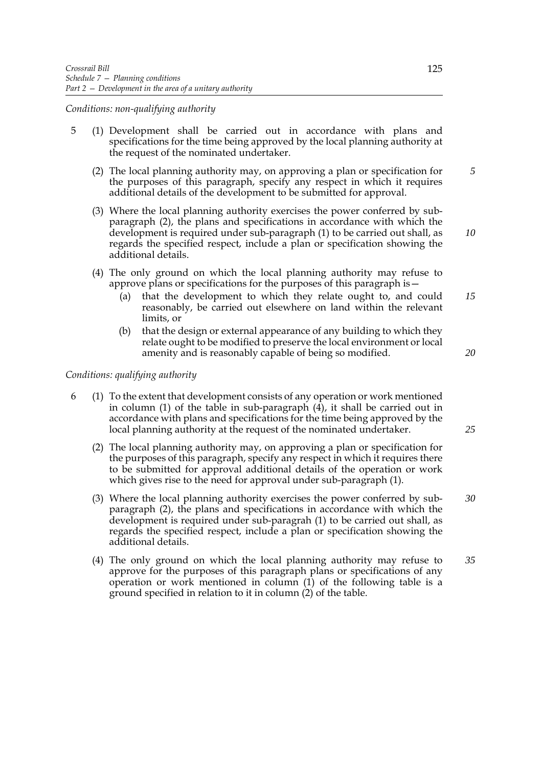*Conditions: non-qualifying authority*

- 5 (1) Development shall be carried out in accordance with plans and specifications for the time being approved by the local planning authority at the request of the nominated undertaker.
	- (2) The local planning authority may, on approving a plan or specification for the purposes of this paragraph, specify any respect in which it requires additional details of the development to be submitted for approval.
	- (3) Where the local planning authority exercises the power conferred by subparagraph (2), the plans and specifications in accordance with which the development is required under sub-paragraph (1) to be carried out shall, as regards the specified respect, include a plan or specification showing the additional details.
	- (4) The only ground on which the local planning authority may refuse to approve plans or specifications for the purposes of this paragraph is—
		- (a) that the development to which they relate ought to, and could reasonably, be carried out elsewhere on land within the relevant limits, or *15*
		- (b) that the design or external appearance of any building to which they relate ought to be modified to preserve the local environment or local amenity and is reasonably capable of being so modified.

## *Conditions: qualifying authority*

- 6 (1) To the extent that development consists of any operation or work mentioned in column (1) of the table in sub-paragraph  $(\hat{4})$ , it shall be carried out in accordance with plans and specifications for the time being approved by the local planning authority at the request of the nominated undertaker.
	- (2) The local planning authority may, on approving a plan or specification for the purposes of this paragraph, specify any respect in which it requires there to be submitted for approval additional details of the operation or work which gives rise to the need for approval under sub-paragraph (1).
	- (3) Where the local planning authority exercises the power conferred by subparagraph (2), the plans and specifications in accordance with which the development is required under sub-paragrah (1) to be carried out shall, as regards the specified respect, include a plan or specification showing the additional details. *30*
	- (4) The only ground on which the local planning authority may refuse to approve for the purposes of this paragraph plans or specifications of any operation or work mentioned in column (1) of the following table is a ground specified in relation to it in column (2) of the table. *35*

*10*

*5*

*20*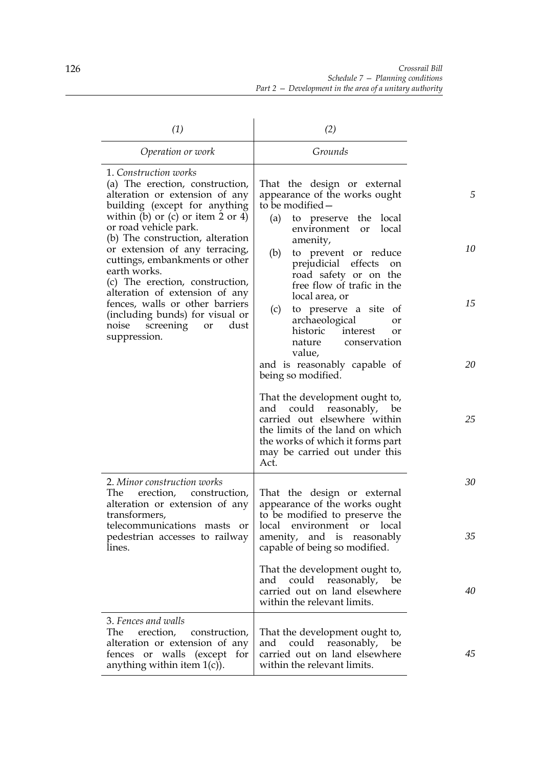| (1)                                                                                                                                                                                                                                                                                                                                                                                                                                                                                                                | (2)                                                                                                                                                                                                                                                                                                                                                                                                                                                                                    |                     |
|--------------------------------------------------------------------------------------------------------------------------------------------------------------------------------------------------------------------------------------------------------------------------------------------------------------------------------------------------------------------------------------------------------------------------------------------------------------------------------------------------------------------|----------------------------------------------------------------------------------------------------------------------------------------------------------------------------------------------------------------------------------------------------------------------------------------------------------------------------------------------------------------------------------------------------------------------------------------------------------------------------------------|---------------------|
| Operation or work                                                                                                                                                                                                                                                                                                                                                                                                                                                                                                  | Grounds                                                                                                                                                                                                                                                                                                                                                                                                                                                                                |                     |
| 1. Construction works<br>(a) The erection, construction,<br>alteration or extension of any<br>building (except for anything<br>within (b) or (c) or item $2$ or $4$ )<br>or road vehicle park.<br>(b) The construction, alteration<br>or extension of any terracing,<br>cuttings, embankments or other<br>earth works.<br>(c) The erection, construction,<br>alteration of extension of any<br>fences, walls or other barriers<br>(including bunds) for visual or<br>noise screening<br>dust<br>or<br>suppression. | That the design or external<br>appearance of the works ought<br>to be modified -<br>(a)<br>to preserve the local<br>environment<br>local<br>or<br>amenity,<br>to prevent or reduce<br>(b)<br>prejudicial effects<br>on<br>road safety or on the<br>free flow of trafic in the<br>local area, or<br>to preserve a site of<br>(c)<br>archaeological<br>or<br>historic<br>interest<br><b>or</b><br>conservation<br>nature<br>value,<br>and is reasonably capable of<br>being so modified. | 5<br>10<br>15<br>20 |
|                                                                                                                                                                                                                                                                                                                                                                                                                                                                                                                    | That the development ought to,<br>and could reasonably,<br>be<br>carried out elsewhere within<br>the limits of the land on which<br>the works of which it forms part<br>may be carried out under this<br>Act.                                                                                                                                                                                                                                                                          | 25                  |
| 2. Minor construction works<br>The<br>erection,<br>construction,<br>alteration or extension of any<br>transformers,<br>telecommunications masts<br>or<br>pedestrian accesses to railway<br>lines.                                                                                                                                                                                                                                                                                                                  | That the design or external<br>appearance of the works ought<br>to be modified to preserve the<br>local<br>environment<br>or local<br>amenity, and is reasonably<br>capable of being so modified.                                                                                                                                                                                                                                                                                      | 30<br>35            |
|                                                                                                                                                                                                                                                                                                                                                                                                                                                                                                                    | That the development ought to,<br>and could reasonably, be<br>carried out on land elsewhere<br>within the relevant limits.                                                                                                                                                                                                                                                                                                                                                             | 40                  |
| 3. Fences and walls<br>The<br>erection,<br>construction,<br>alteration or extension of any<br>or walls (except for<br>fences<br>anything within item $1(c)$ ).                                                                                                                                                                                                                                                                                                                                                     | That the development ought to,<br>could reasonably,<br>and<br>be<br>carried out on land elsewhere<br>within the relevant limits.                                                                                                                                                                                                                                                                                                                                                       | 45                  |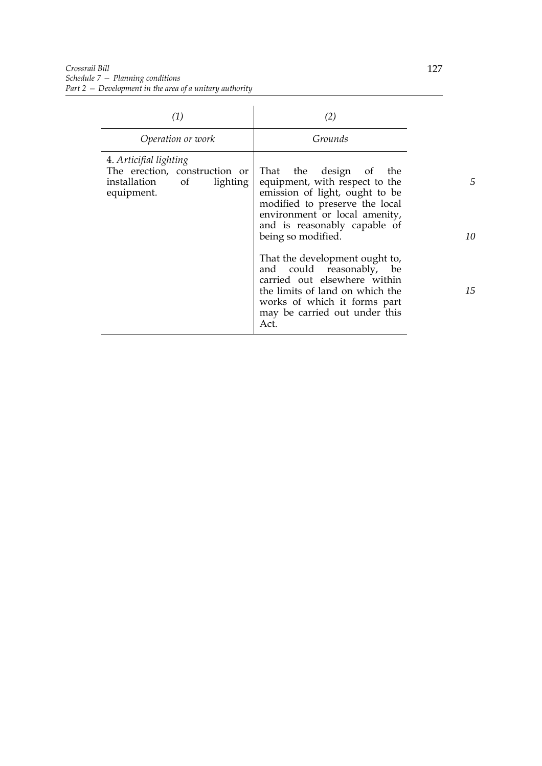| (1)                                                                                                  | (2)                                                                                                                                                                                                                                                                                                                                                                                                                              |
|------------------------------------------------------------------------------------------------------|----------------------------------------------------------------------------------------------------------------------------------------------------------------------------------------------------------------------------------------------------------------------------------------------------------------------------------------------------------------------------------------------------------------------------------|
| Operation or work                                                                                    | Grounds                                                                                                                                                                                                                                                                                                                                                                                                                          |
| 4. Articifial lighting<br>The erection, construction or<br>installation of<br>lighting<br>equipment. | That the design of the<br>equipment, with respect to the<br>emission of light, ought to be<br>modified to preserve the local<br>environment or local amenity,<br>and is reasonably capable of<br>being so modified.<br>That the development ought to,<br>and could reasonably,<br>be<br>carried out elsewhere within<br>the limits of land on which the<br>works of which it forms part<br>may be carried out under this<br>Act. |

*5*

*10*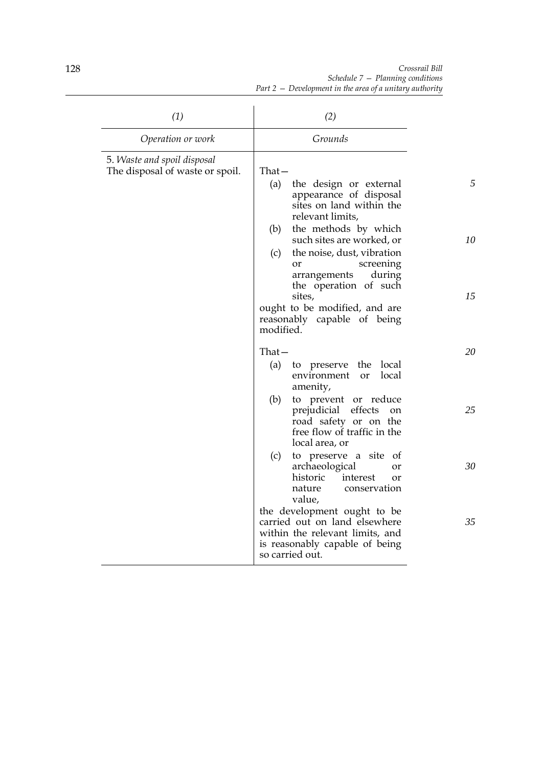*Crossrail Bill Schedule 7 — Planning conditions Part 2 — Development in the area of a unitary authority*

| (1)                                                            | (2)                                                                                                                                                                                                                                                                                                                                                                            |               |
|----------------------------------------------------------------|--------------------------------------------------------------------------------------------------------------------------------------------------------------------------------------------------------------------------------------------------------------------------------------------------------------------------------------------------------------------------------|---------------|
| Operation or work                                              | Grounds                                                                                                                                                                                                                                                                                                                                                                        |               |
| 5. Waste and spoil disposal<br>The disposal of waste or spoil. | $That -$<br>(a)<br>the design or external<br>appearance of disposal<br>sites on land within the<br>relevant limits,<br>(b) the methods by which<br>such sites are worked, or<br>the noise, dust, vibration<br>(c)<br>screening<br>or<br>arrangements<br>during<br>the operation of such<br>sites,<br>ought to be modified, and are<br>reasonably capable of being<br>modified. | 5<br>10<br>15 |
|                                                                | $That -$<br>to preserve the local<br>(a)<br>local<br>environment<br>or<br>amenity,                                                                                                                                                                                                                                                                                             | 20            |
|                                                                | (b)<br>to prevent or reduce<br>prejudicial effects<br>on<br>road safety or on the<br>free flow of traffic in the<br>local area, or                                                                                                                                                                                                                                             | 25            |
|                                                                | (c)<br>to preserve a site<br>- of<br>archaeological<br>or<br>historic<br>interest<br>or<br>nature<br>conservation<br>value,                                                                                                                                                                                                                                                    | 30            |
|                                                                | the development ought to be<br>carried out on land elsewhere<br>within the relevant limits, and<br>is reasonably capable of being<br>so carried out.                                                                                                                                                                                                                           | 35            |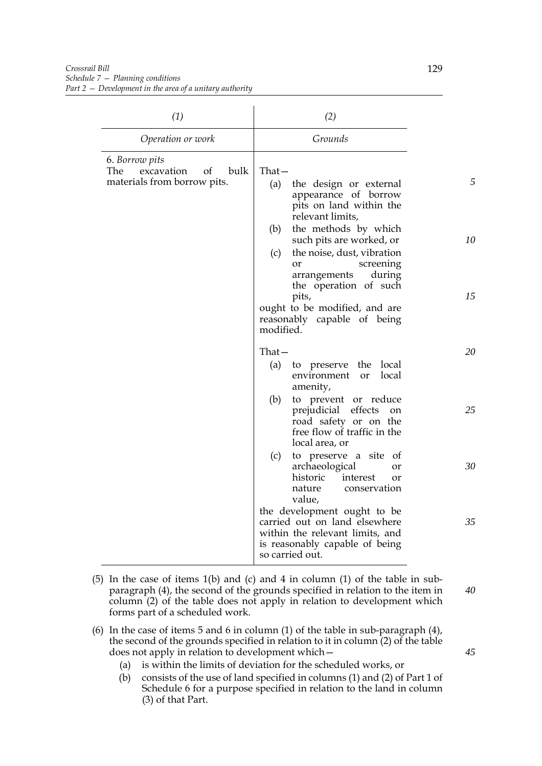| (1)                                                                              | (2)                                                                                                                                                                |    |
|----------------------------------------------------------------------------------|--------------------------------------------------------------------------------------------------------------------------------------------------------------------|----|
| Operation or work                                                                | Grounds                                                                                                                                                            |    |
| 6. Borrow pits<br>bulk<br>The<br>excavation<br>of<br>materials from borrow pits. | $That -$<br>(a)<br>the design or external<br>appearance of borrow<br>pits on land within the<br>relevant limits,                                                   | 5  |
|                                                                                  | the methods by which<br>(b)<br>such pits are worked, or<br>(c)<br>the noise, dust, vibration<br>screening<br>or<br>during<br>arrangements<br>the operation of such | 10 |
|                                                                                  | pits,<br>ought to be modified, and are<br>reasonably capable of being<br>modified.                                                                                 | 15 |
|                                                                                  | $That -$<br>to preserve the local<br>(a)<br>local<br>environment<br><sub>or</sub><br>amenity,                                                                      | 20 |
|                                                                                  | (b)<br>to prevent or reduce<br>prejudicial effects<br>on<br>road safety or on the<br>free flow of traffic in the<br>local area, or                                 | 25 |
|                                                                                  | (c)<br>to preserve a site of<br>archaeological<br>or<br>historic<br>interest<br>or<br>conservation<br>nature<br>value,                                             | 30 |
|                                                                                  | the development ought to be<br>carried out on land elsewhere<br>within the relevant limits, and<br>is reasonably capable of being<br>so carried out.               | 35 |

- (5) In the case of items 1(b) and (c) and 4 in column (1) of the table in subparagraph (4), the second of the grounds specified in relation to the item in column (2) of the table does not apply in relation to development which forms part of a scheduled work.
- (6) In the case of items 5 and 6 in column (1) of the table in sub-paragraph (4), the second of the grounds specified in relation to it in column (2) of the table does not apply in relation to development which—
	- (a) is within the limits of deviation for the scheduled works, or
	- (b) consists of the use of land specified in columns (1) and (2) of Part 1 of Schedule 6 for a purpose specified in relation to the land in column (3) of that Part.

*45*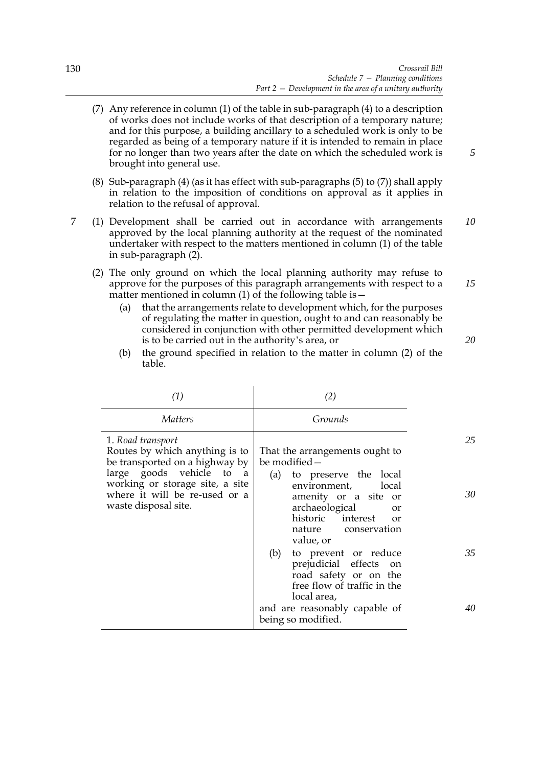*5*

*15*

- (7) Any reference in column (1) of the table in sub-paragraph (4) to a description of works does not include works of that description of a temporary nature; and for this purpose, a building ancillary to a scheduled work is only to be regarded as being of a temporary nature if it is intended to remain in place for no longer than two years after the date on which the scheduled work is brought into general use.
- (8) Sub-paragraph (4) (as it has effect with sub-paragraphs (5) to (7)) shall apply in relation to the imposition of conditions on approval as it applies in relation to the refusal of approval.
- 7 (1) Development shall be carried out in accordance with arrangements approved by the local planning authority at the request of the nominated undertaker with respect to the matters mentioned in column (1) of the table in sub-paragraph (2). *10*
	- (2) The only ground on which the local planning authority may refuse to approve for the purposes of this paragraph arrangements with respect to a matter mentioned in column (1) of the following table is  $-$ 
		- (a) that the arrangements relate to development which, for the purposes of regulating the matter in question, ought to and can reasonably be considered in conjunction with other permitted development which is to be carried out in the authority's area, or
		- (b) the ground specified in relation to the matter in column (2) of the table.

| (1)                                                                                                                  | (2)                                                                                                                                                                               |    |
|----------------------------------------------------------------------------------------------------------------------|-----------------------------------------------------------------------------------------------------------------------------------------------------------------------------------|----|
| <i>Matters</i>                                                                                                       | Grounds                                                                                                                                                                           |    |
| 1. Road transport<br>Routes by which anything is to<br>be transported on a highway by                                | That the arrangements ought to<br>be modified -                                                                                                                                   | 25 |
| large goods vehicle to a<br>working or storage site, a site<br>where it will be re-used or a<br>waste disposal site. | to preserve the local<br>(a)<br>environment,<br>local<br>amenity or a site or<br>archaeological<br><b>or</b><br>historic interest<br>$\alpha$<br>nature conservation<br>value, or | 30 |
|                                                                                                                      | (b)<br>to prevent or reduce<br>prejudicial effects on<br>road safety or on the<br>free flow of traffic in the<br>local area,                                                      | 35 |
|                                                                                                                      | and are reasonably capable of<br>being so modified.                                                                                                                               | 40 |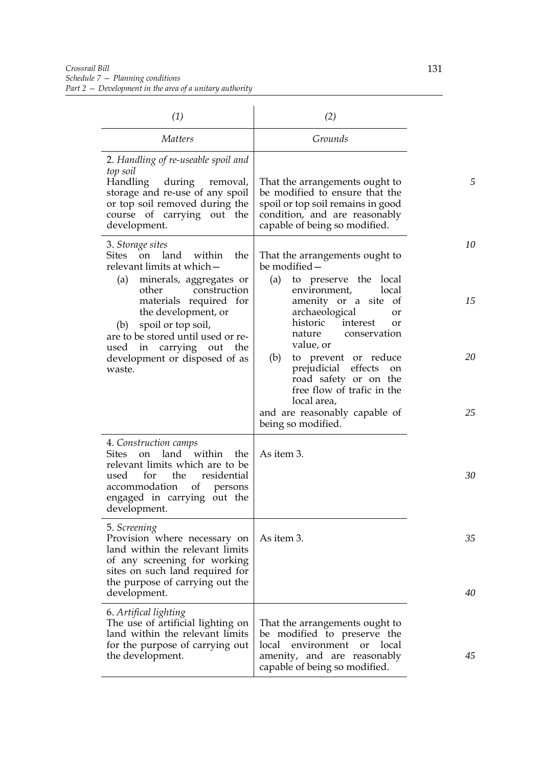| (1)                                                                                                                                                                                                                                   | (2)                                                                                                                                                                                |          |
|---------------------------------------------------------------------------------------------------------------------------------------------------------------------------------------------------------------------------------------|------------------------------------------------------------------------------------------------------------------------------------------------------------------------------------|----------|
| <i>Matters</i>                                                                                                                                                                                                                        | Grounds                                                                                                                                                                            |          |
| 2. Handling of re-useable spoil and<br>top soil<br>Handling during removal,<br>storage and re-use of any spoil<br>or top soil removed during the<br>course of carrying out the<br>development.                                        | That the arrangements ought to<br>be modified to ensure that the<br>spoil or top soil remains in good<br>condition, and are reasonably<br>capable of being so modified.            | 5        |
| 3. Storage sites<br><b>Sites</b><br>land within<br>the<br>on<br>relevant limits at which-                                                                                                                                             | That the arrangements ought to<br>be modified -<br>to preserve the local<br>(a)                                                                                                    | 10       |
| minerals, aggregates or<br>(a)<br>other<br>construction<br>materials required for<br>the development, or<br>spoil or top soil,<br>(b)<br>are to be stored until used or re-<br>used in carrying out the                               | environment,<br>local<br>amenity or a site<br><sub>of</sub><br>archaeological<br>or<br>historic<br>interest<br>or<br>nature<br>conservation<br>value, or                           | 15       |
| development or disposed of as<br>waste.                                                                                                                                                                                               | (b)<br>to prevent or reduce<br>prejudicial effects on<br>road safety or on the<br>free flow of trafic in the<br>local area,<br>and are reasonably capable of<br>being so modified. | 20<br>25 |
| 4. Construction camps<br>land within<br><b>Sites</b><br>the<br><sub>on</sub><br>relevant limits which are to be<br>residential<br>for<br>the<br>used<br>accommodation<br>of<br>persons<br>engaged in carrying out the<br>development. | As item 3.                                                                                                                                                                         | 30       |
| 5. Screening<br>Provision where necessary on<br>land within the relevant limits<br>of any screening for working<br>sites on such land required for<br>the purpose of carrying out the<br>development.                                 | As item 3.                                                                                                                                                                         | 35<br>40 |
| 6. Artifical lighting<br>The use of artificial lighting on<br>land within the relevant limits<br>for the purpose of carrying out<br>the development.                                                                                  | That the arrangements ought to<br>be modified to preserve the<br>local<br>environment<br>local<br><sub>or</sub><br>amenity, and are reasonably<br>capable of being so modified.    | 45       |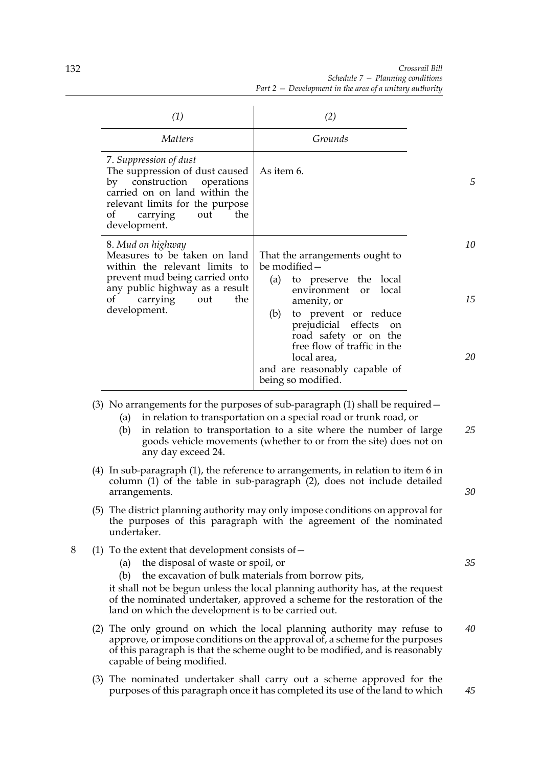*Crossrail Bill Schedule 7 — Planning conditions Part 2 — Development in the area of a unitary authority*

|   | (1)                                                                                                                                                                                                                 | (2)                                                                                                                                                                                                                                                                                              |          |
|---|---------------------------------------------------------------------------------------------------------------------------------------------------------------------------------------------------------------------|--------------------------------------------------------------------------------------------------------------------------------------------------------------------------------------------------------------------------------------------------------------------------------------------------|----------|
|   | <i>Matters</i>                                                                                                                                                                                                      | Grounds                                                                                                                                                                                                                                                                                          |          |
|   | 7. Suppression of dust<br>The suppression of dust caused<br>by construction operations<br>carried on on land within the<br>relevant limits for the purpose<br>of<br>the<br>carrying<br>out<br>development.          | As item 6.                                                                                                                                                                                                                                                                                       | 5        |
|   | 8. Mud on highway<br>Measures to be taken on land<br>within the relevant limits to<br>prevent mud being carried onto<br>any public highway as a result                                                              | That the arrangements ought to<br>be modified -<br>(a)<br>to preserve the local<br>environment<br>local<br><sub>or</sub>                                                                                                                                                                         | 10       |
|   | the<br>$\sigma f$<br>carrying<br>out<br>development.                                                                                                                                                                | amenity, or<br>to prevent or reduce<br>(b)<br>prejudicial effects<br>on<br>road safety or on the<br>free flow of traffic in the<br>local area,                                                                                                                                                   | 15<br>20 |
|   |                                                                                                                                                                                                                     | and are reasonably capable of<br>being so modified.                                                                                                                                                                                                                                              |          |
|   | (a)<br>(b)<br>any day exceed 24.                                                                                                                                                                                    | (3) No arrangements for the purposes of sub-paragraph $(1)$ shall be required $-$<br>in relation to transportation on a special road or trunk road, or<br>in relation to transportation to a site where the number of large<br>goods vehicle movements (whether to or from the site) does not on | 25       |
|   | arrangements.                                                                                                                                                                                                       | (4) In sub-paragraph (1), the reference to arrangements, in relation to item 6 in<br>column (1) of the table in sub-paragraph (2), does not include detailed                                                                                                                                     | 30       |
|   | undertaker.                                                                                                                                                                                                         | (5) The district planning authority may only impose conditions on approval for<br>the purposes of this paragraph with the agreement of the nominated                                                                                                                                             |          |
| 8 | (1) To the extent that development consists of $-$<br>the disposal of waste or spoil, or<br>(a)<br>the excavation of bulk materials from borrow pits,<br>(b)<br>land on which the development is to be carried out. | it shall not be begun unless the local planning authority has, at the request<br>of the nominated undertaker, approved a scheme for the restoration of the                                                                                                                                       | 35       |

(2) The only ground on which the local planning authority may refuse to approve, or impose conditions on the approval of, a scheme for the purposes of this paragraph is that the scheme ought to be modified, and is reasonably capable of being modified. *40*

*45*

(3) The nominated undertaker shall carry out a scheme approved for the purposes of this paragraph once it has completed its use of the land to which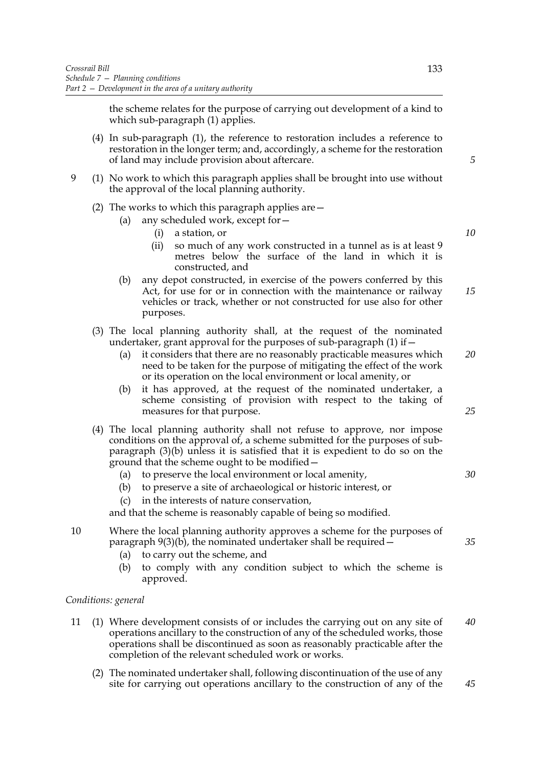the scheme relates for the purpose of carrying out development of a kind to which sub-paragraph (1) applies.

- (4) In sub-paragraph (1), the reference to restoration includes a reference to restoration in the longer term; and, accordingly, a scheme for the restoration of land may include provision about aftercare.
- 9 (1) No work to which this paragraph applies shall be brought into use without the approval of the local planning authority.
	- (2) The works to which this paragraph applies are—
		- (a) any scheduled work, except for—
			- (i) a station, or
			- (ii) so much of any work constructed in a tunnel as is at least 9 metres below the surface of the land in which it is constructed, and
		- (b) any depot constructed, in exercise of the powers conferred by this Act, for use for or in connection with the maintenance or railway vehicles or track, whether or not constructed for use also for other purposes. *15*
	- (3) The local planning authority shall, at the request of the nominated undertaker, grant approval for the purposes of sub-paragraph  $(1)$  if  $-$ 
		- (a) it considers that there are no reasonably practicable measures which need to be taken for the purpose of mitigating the effect of the work or its operation on the local environment or local amenity, or *20*
		- (b) it has approved, at the request of the nominated undertaker, a scheme consisting of provision with respect to the taking of measures for that purpose.
	- (4) The local planning authority shall not refuse to approve, nor impose conditions on the approval of, a scheme submitted for the purposes of subparagraph (3)(b) unless it is satisfied that it is expedient to do so on the ground that the scheme ought to be modified—
		- (a) to preserve the local environment or local amenity, *30*
		- (b) to preserve a site of archaeological or historic interest, or
		- (c) in the interests of nature conservation,

and that the scheme is reasonably capable of being so modified.

- 10 Where the local planning authority approves a scheme for the purposes of paragraph  $9(3)(b)$ , the nominated undertaker shall be required  $-\frac{1}{2}$ 
	- (a) to carry out the scheme, and
	- (b) to comply with any condition subject to which the scheme is approved.

### *Conditions: general*

- 11 (1) Where development consists of or includes the carrying out on any site of operations ancillary to the construction of any of the scheduled works, those operations shall be discontinued as soon as reasonably practicable after the completion of the relevant scheduled work or works. *40*
	- (2) The nominated undertaker shall, following discontinuation of the use of any site for carrying out operations ancillary to the construction of any of the

*5*

*10*

*25*

*35*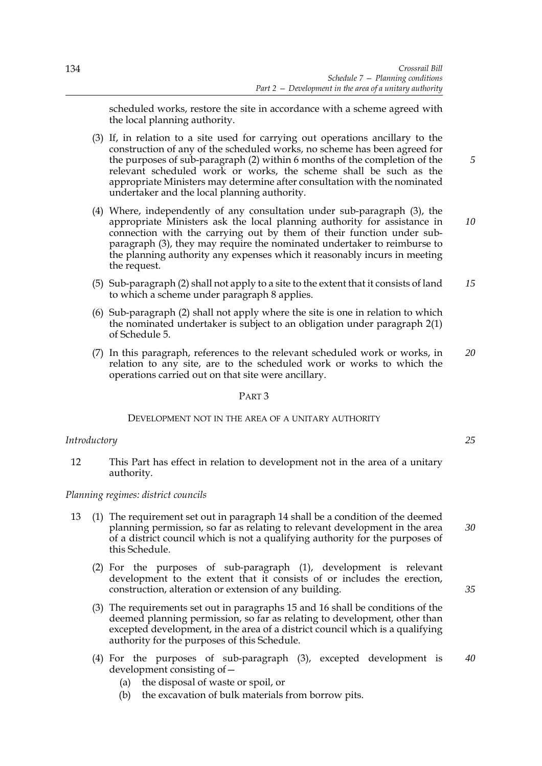scheduled works, restore the site in accordance with a scheme agreed with the local planning authority.

- (3) If, in relation to a site used for carrying out operations ancillary to the construction of any of the scheduled works, no scheme has been agreed for the purposes of sub-paragraph (2) within 6 months of the completion of the relevant scheduled work or works, the scheme shall be such as the appropriate Ministers may determine after consultation with the nominated undertaker and the local planning authority.
- (4) Where, independently of any consultation under sub-paragraph (3), the appropriate Ministers ask the local planning authority for assistance in connection with the carrying out by them of their function under subparagraph (3), they may require the nominated undertaker to reimburse to the planning authority any expenses which it reasonably incurs in meeting the request.
- (5) Sub-paragraph (2) shall not apply to a site to the extent that it consists of land to which a scheme under paragraph 8 applies. *15*
- (6) Sub-paragraph (2) shall not apply where the site is one in relation to which the nominated undertaker is subject to an obligation under paragraph 2(1) of Schedule 5.
- (7) In this paragraph, references to the relevant scheduled work or works, in relation to any site, are to the scheduled work or works to which the operations carried out on that site were ancillary. *20*

# PART 3

## DEVELOPMENT NOT IN THE AREA OF A UNITARY AUTHORITY

## *Introductory*

12 This Part has effect in relation to development not in the area of a unitary authority.

## *Planning regimes: district councils*

- 13 (1) The requirement set out in paragraph 14 shall be a condition of the deemed planning permission, so far as relating to relevant development in the area of a district council which is not a qualifying authority for the purposes of this Schedule.
	- (2) For the purposes of sub-paragraph (1), development is relevant development to the extent that it consists of or includes the erection, construction, alteration or extension of any building.
	- (3) The requirements set out in paragraphs 15 and 16 shall be conditions of the deemed planning permission, so far as relating to development, other than excepted development, in the area of a district council which is a qualifying authority for the purposes of this Schedule.
	- (4) For the purposes of sub-paragraph (3), excepted development is development consisting of— *40*
		- (a) the disposal of waste or spoil, or
		- (b) the excavation of bulk materials from borrow pits.

*25*

*5*

*10*

*30*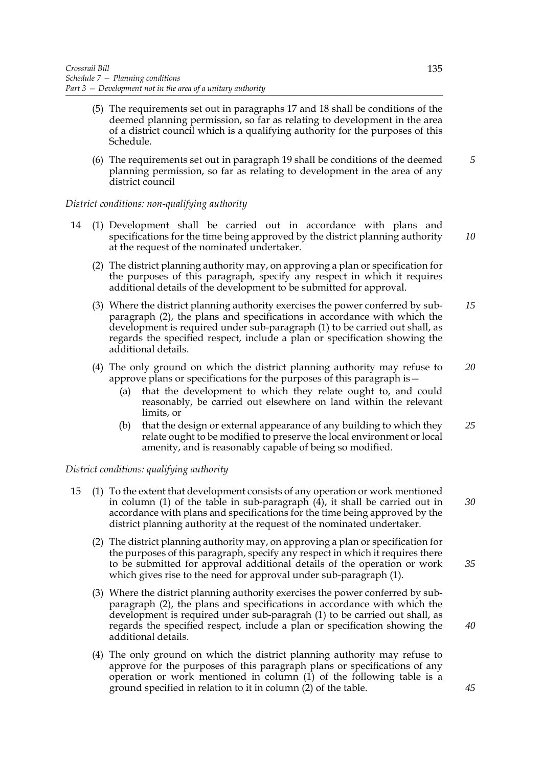- (5) The requirements set out in paragraphs 17 and 18 shall be conditions of the deemed planning permission, so far as relating to development in the area of a district council which is a qualifying authority for the purposes of this Schedule.
- (6) The requirements set out in paragraph 19 shall be conditions of the deemed planning permission, so far as relating to development in the area of any district council

## *District conditions: non-qualifying authority*

- 14 (1) Development shall be carried out in accordance with plans and specifications for the time being approved by the district planning authority at the request of the nominated undertaker.
	- (2) The district planning authority may, on approving a plan or specification for the purposes of this paragraph, specify any respect in which it requires additional details of the development to be submitted for approval.
	- (3) Where the district planning authority exercises the power conferred by subparagraph (2), the plans and specifications in accordance with which the development is required under sub-paragraph (1) to be carried out shall, as regards the specified respect, include a plan or specification showing the additional details. *15*
	- (4) The only ground on which the district planning authority may refuse to approve plans or specifications for the purposes of this paragraph is— *20*
		- (a) that the development to which they relate ought to, and could reasonably, be carried out elsewhere on land within the relevant limits, or
		- (b) that the design or external appearance of any building to which they relate ought to be modified to preserve the local environment or local amenity, and is reasonably capable of being so modified. *25*

## *District conditions: qualifying authority*

- 15 (1) To the extent that development consists of any operation or work mentioned in column (1) of the table in sub-paragraph (4), it shall be carried out in accordance with plans and specifications for the time being approved by the district planning authority at the request of the nominated undertaker. *30*
	- (2) The district planning authority may, on approving a plan or specification for the purposes of this paragraph, specify any respect in which it requires there to be submitted for approval additional details of the operation or work which gives rise to the need for approval under sub-paragraph (1). *35*
	- (3) Where the district planning authority exercises the power conferred by subparagraph (2), the plans and specifications in accordance with which the development is required under sub-paragrah (1) to be carried out shall, as regards the specified respect, include a plan or specification showing the additional details.
	- (4) The only ground on which the district planning authority may refuse to approve for the purposes of this paragraph plans or specifications of any operation or work mentioned in column (1) of the following table is a ground specified in relation to it in column (2) of the table.

*5*

*10*

*40*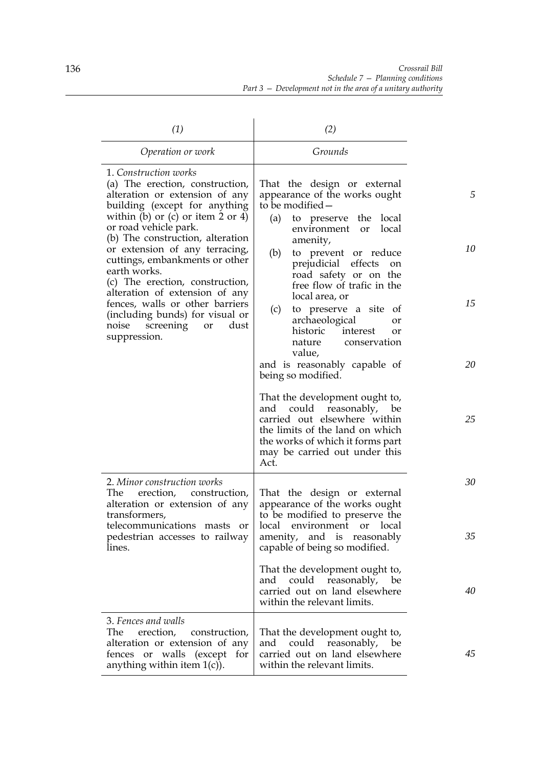| (1)                                                                                                                                                                                                                                                                                                                                                                                                                                                                                                                   | (2)                                                                                                                                                                                                                                                                                                                                                                                                                                                                                               |                     |
|-----------------------------------------------------------------------------------------------------------------------------------------------------------------------------------------------------------------------------------------------------------------------------------------------------------------------------------------------------------------------------------------------------------------------------------------------------------------------------------------------------------------------|---------------------------------------------------------------------------------------------------------------------------------------------------------------------------------------------------------------------------------------------------------------------------------------------------------------------------------------------------------------------------------------------------------------------------------------------------------------------------------------------------|---------------------|
| Operation or work                                                                                                                                                                                                                                                                                                                                                                                                                                                                                                     | Grounds                                                                                                                                                                                                                                                                                                                                                                                                                                                                                           |                     |
| 1. Construction works<br>(a) The erection, construction,<br>alteration or extension of any<br>building (except for anything<br>within (b) or (c) or item $2$ or $4$ )<br>or road vehicle park.<br>(b) The construction, alteration<br>or extension of any terracing,<br>cuttings, embankments or other<br>earth works.<br>(c) The erection, construction,<br>alteration of extension of any<br>fences, walls or other barriers<br>(including bunds) for visual or<br>noise<br>screening<br>dust<br>or<br>suppression. | That the design or external<br>appearance of the works ought<br>to be modified -<br>(a)<br>to preserve the local<br>local<br>environment<br><sub>or</sub><br>amenity,<br>(b)<br>to prevent or reduce<br>prejudicial effects<br>on<br>road safety or on the<br>free flow of trafic in the<br>local area, or<br>(c)<br>to preserve a site of<br>archaeological<br>or<br>historic<br>interest<br><b>or</b><br>conservation<br>nature<br>value,<br>and is reasonably capable of<br>being so modified. | 5<br>10<br>15<br>20 |
|                                                                                                                                                                                                                                                                                                                                                                                                                                                                                                                       | That the development ought to,<br>and could reasonably, be<br>carried out elsewhere within<br>the limits of the land on which<br>the works of which it forms part<br>may be carried out under this<br>Act.                                                                                                                                                                                                                                                                                        | 25                  |
| 2. Minor construction works<br>The erection, construction,<br>alteration or extension of any<br>transformers,<br>telecommunications masts or<br>pedestrian accesses to railway<br>lines.                                                                                                                                                                                                                                                                                                                              | That the design or external<br>appearance of the works ought<br>to be modified to preserve the<br>local environment or local<br>amenity, and is reasonably<br>capable of being so modified.                                                                                                                                                                                                                                                                                                       | 30<br>35            |
|                                                                                                                                                                                                                                                                                                                                                                                                                                                                                                                       | That the development ought to,<br>and could reasonably, be<br>carried out on land elsewhere<br>within the relevant limits.                                                                                                                                                                                                                                                                                                                                                                        | 40                  |
| 3. Fences and walls<br>The<br>erection,<br>construction,<br>alteration or extension of any<br>fences or walls (except<br>for<br>anything within item $1(c)$ ).                                                                                                                                                                                                                                                                                                                                                        | That the development ought to,<br>and could reasonably, be<br>carried out on land elsewhere<br>within the relevant limits.                                                                                                                                                                                                                                                                                                                                                                        | 45                  |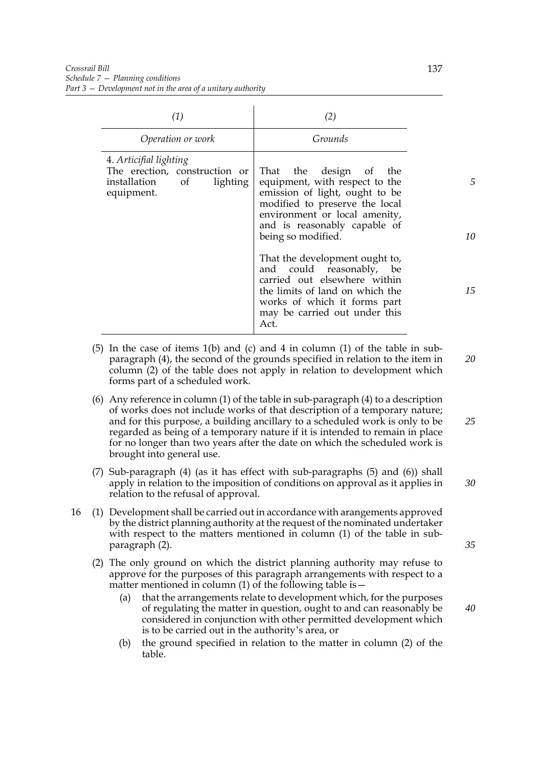| (1)                                                                                                  | (2)                                                                                                                                                                                                                    |    |
|------------------------------------------------------------------------------------------------------|------------------------------------------------------------------------------------------------------------------------------------------------------------------------------------------------------------------------|----|
| Operation or work                                                                                    | Grounds                                                                                                                                                                                                                |    |
| 4. Articifial lighting<br>The erection, construction or<br>installation of<br>lighting<br>equipment. | That the design of<br>the<br>equipment, with respect to the<br>emission of light, ought to be<br>modified to preserve the local<br>environment or local amenity,<br>and is reasonably capable of<br>being so modified. | 10 |
|                                                                                                      | That the development ought to,<br>and could reasonably,<br>be<br>carried out elsewhere within<br>the limits of land on which the<br>works of which it forms part<br>may be carried out under this<br>Act.              | 15 |

- (5) In the case of items  $1(b)$  and (c) and 4 in column (1) of the table in subparagraph (4), the second of the grounds specified in relation to the item in column (2) of the table does not apply in relation to development which forms part of a scheduled work. *20*
- (6) Any reference in column (1) of the table in sub-paragraph (4) to a description of works does not include works of that description of a temporary nature; and for this purpose, a building ancillary to a scheduled work is only to be regarded as being of a temporary nature if it is intended to remain in place for no longer than two years after the date on which the scheduled work is brought into general use. *25*
- (7) Sub-paragraph (4) (as it has effect with sub-paragraphs (5) and (6)) shall apply in relation to the imposition of conditions on approval as it applies in relation to the refusal of approval. *30*
- 16 (1) Development shall be carried out in accordance with arangements approved by the district planning authority at the request of the nominated undertaker with respect to the matters mentioned in column (1) of the table in subparagraph (2).
	- (2) The only ground on which the district planning authority may refuse to approve for the purposes of this paragraph arrangements with respect to a matter mentioned in column  $(1)$  of the following table is  $-$ 
		- (a) that the arrangements relate to development which, for the purposes of regulating the matter in question, ought to and can reasonably be considered in conjunction with other permitted development which is to be carried out in the authority's area, or
		- (b) the ground specified in relation to the matter in column (2) of the table.

*35*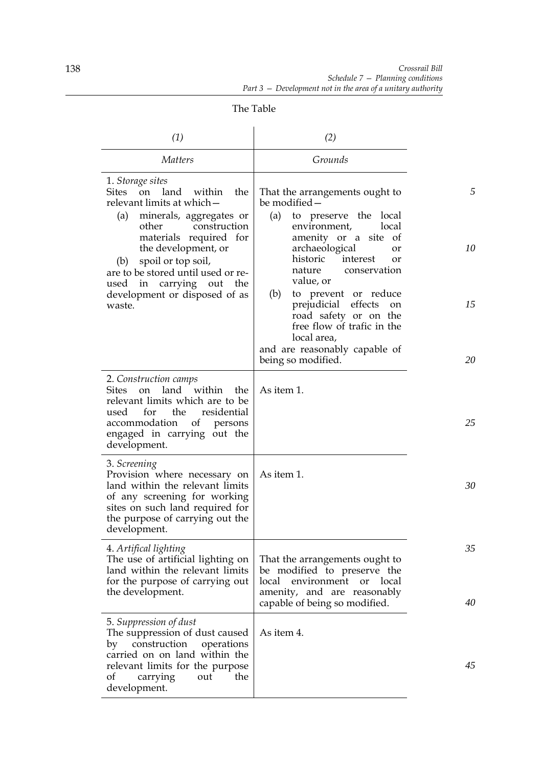| (1)                                                                                                                                                                                                                                                                                                                                            | (2)                                                                                                                                                                                                                                                                                                                                                                                                                              |                     |
|------------------------------------------------------------------------------------------------------------------------------------------------------------------------------------------------------------------------------------------------------------------------------------------------------------------------------------------------|----------------------------------------------------------------------------------------------------------------------------------------------------------------------------------------------------------------------------------------------------------------------------------------------------------------------------------------------------------------------------------------------------------------------------------|---------------------|
| <i>Matters</i>                                                                                                                                                                                                                                                                                                                                 | Grounds                                                                                                                                                                                                                                                                                                                                                                                                                          |                     |
| 1. Storage sites<br>on land<br>Sites<br>within<br>the<br>relevant limits at which-<br>minerals, aggregates or<br>(a)<br>other<br>construction<br>materials required for<br>the development, or<br>spoil or top soil,<br>(b)<br>are to be stored until used or re-<br>carrying out the<br>used<br>in<br>development or disposed of as<br>waste. | That the arrangements ought to<br>be modified –<br>to preserve the local<br>(a)<br>environment,<br>local<br>amenity or a site of<br>archaeological<br>or<br>historic<br>interest<br><b>or</b><br>nature<br>conservation<br>value, or<br>(b)<br>to prevent or reduce<br>prejudicial<br>effects<br>on<br>road safety or on the<br>free flow of trafic in the<br>local area,<br>and are reasonably capable of<br>being so modified. | 5<br>10<br>15<br>20 |
| 2. Construction camps<br>on land within<br>the<br>Sites<br>relevant limits which are to be<br>for<br>the<br>residential<br>used<br>of<br>accommodation<br>persons<br>engaged in carrying out the<br>development.                                                                                                                               | As item 1.                                                                                                                                                                                                                                                                                                                                                                                                                       | 25                  |
| 3. Screening<br>Provision where necessary on<br>land within the relevant limits<br>of any screening for working<br>sites on such land required for<br>the purpose of carrying out the<br>development.                                                                                                                                          | As item 1.                                                                                                                                                                                                                                                                                                                                                                                                                       | 30                  |
| 4. Artifical lighting<br>The use of artificial lighting on<br>land within the relevant limits<br>for the purpose of carrying out<br>the development.                                                                                                                                                                                           | That the arrangements ought to<br>be modified to preserve the<br>local<br>environment<br>or local<br>amenity, and are reasonably<br>capable of being so modified.                                                                                                                                                                                                                                                                | 35<br>40            |
| 5. Suppression of dust<br>The suppression of dust caused<br>construction<br>operations<br>by<br>carried on on land within the<br>relevant limits for the purpose<br>out<br>the<br>οf<br>carrying<br>development.                                                                                                                               | As item 4.                                                                                                                                                                                                                                                                                                                                                                                                                       | 45                  |

The Table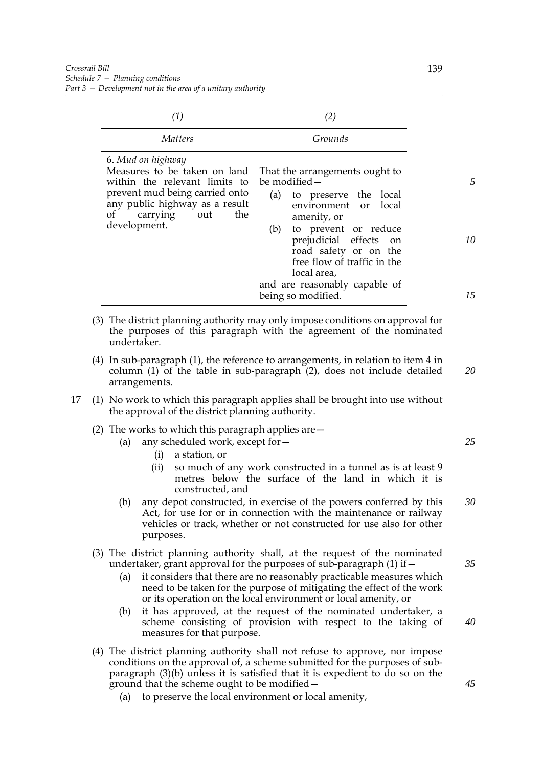| (1)                                                                                                                                                                                                 | (2)                                                                                                                                                                                                                                                                                                           |               |
|-----------------------------------------------------------------------------------------------------------------------------------------------------------------------------------------------------|---------------------------------------------------------------------------------------------------------------------------------------------------------------------------------------------------------------------------------------------------------------------------------------------------------------|---------------|
| <i>Matters</i>                                                                                                                                                                                      | Grounds                                                                                                                                                                                                                                                                                                       |               |
| 6. Mud on highway<br>Measures to be taken on land<br>within the relevant limits to<br>prevent mud being carried onto<br>any public highway as a result<br>of<br>carrying out<br>the<br>development. | That the arrangements ought to<br>be modified -<br>to preserve the local<br>(a)<br>environment or local<br>amenity, or<br>(b)<br>to prevent or reduce<br>prejudicial effects on<br>road safety or on the<br>free flow of traffic in the<br>local area,<br>and are reasonably capable of<br>being so modified. | 5<br>10<br>15 |

- (3) The district planning authority may only impose conditions on approval for the purposes of this paragraph with the agreement of the nominated undertaker.
- (4) In sub-paragraph (1), the reference to arrangements, in relation to item 4 in column (1) of the table in sub-paragraph (2), does not include detailed arrangements. *20*
- 17 (1) No work to which this paragraph applies shall be brought into use without the approval of the district planning authority.
	- (2) The works to which this paragraph applies are—
		- (a) any scheduled work, except for—
			- (i) a station, or
			- (ii) so much of any work constructed in a tunnel as is at least 9 metres below the surface of the land in which it is constructed, and
		- (b) any depot constructed, in exercise of the powers conferred by this Act, for use for or in connection with the maintenance or railway vehicles or track, whether or not constructed for use also for other purposes. *30*
	- (3) The district planning authority shall, at the request of the nominated undertaker, grant approval for the purposes of sub-paragraph  $(1)$  if  $-$ 
		- (a) it considers that there are no reasonably practicable measures which need to be taken for the purpose of mitigating the effect of the work or its operation on the local environment or local amenity, or
		- (b) it has approved, at the request of the nominated undertaker, a scheme consisting of provision with respect to the taking of measures for that purpose.
	- (4) The district planning authority shall not refuse to approve, nor impose conditions on the approval of, a scheme submitted for the purposes of subparagraph (3)(b) unless it is satisfied that it is expedient to do so on the ground that the scheme ought to be modified—
		- (a) to preserve the local environment or local amenity,

*35*

*25*

*40*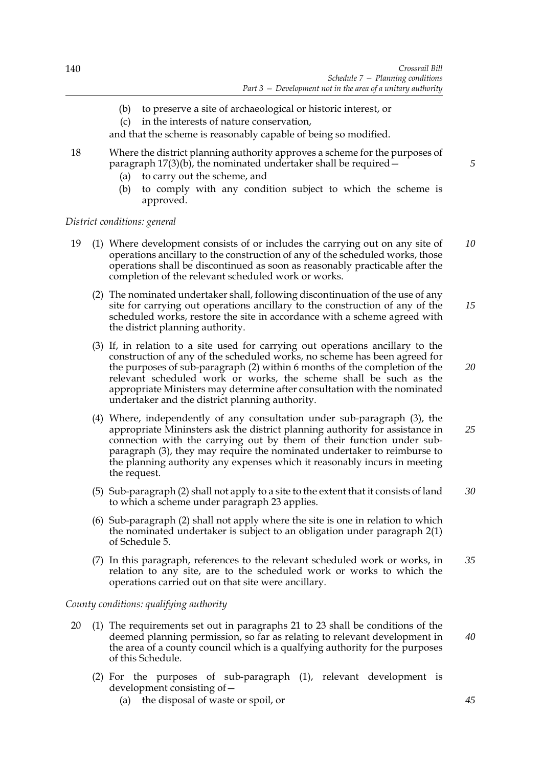- (b) to preserve a site of archaeological or historic interest, or
- (c) in the interests of nature conservation,

and that the scheme is reasonably capable of being so modified.

- 18 Where the district planning authority approves a scheme for the purposes of paragraph  $17(3)(b)$ , the nominated undertaker shall be required  $\sim$ 
	- (a) to carry out the scheme, and
	- (b) to comply with any condition subject to which the scheme is approved.

## *District conditions: general*

- 19 (1) Where development consists of or includes the carrying out on any site of operations ancillary to the construction of any of the scheduled works, those operations shall be discontinued as soon as reasonably practicable after the completion of the relevant scheduled work or works. *10*
	- (2) The nominated undertaker shall, following discontinuation of the use of any site for carrying out operations ancillary to the construction of any of the scheduled works, restore the site in accordance with a scheme agreed with the district planning authority. *15*
	- (3) If, in relation to a site used for carrying out operations ancillary to the construction of any of the scheduled works, no scheme has been agreed for the purposes of sub-paragraph (2) within 6 months of the completion of the relevant scheduled work or works, the scheme shall be such as the appropriate Ministers may determine after consultation with the nominated undertaker and the district planning authority.
	- (4) Where, independently of any consultation under sub-paragraph (3), the appropriate Mininsters ask the district planning authority for assistance in connection with the carrying out by them of their function under subparagraph (3), they may require the nominated undertaker to reimburse to the planning authority any expenses which it reasonably incurs in meeting the request.
	- (5) Sub-paragraph (2) shall not apply to a site to the extent that it consists of land to which a scheme under paragraph 23 applies. *30*
	- (6) Sub-paragraph (2) shall not apply where the site is one in relation to which the nominated undertaker is subject to an obligation under paragraph 2(1) of Schedule 5.
	- (7) In this paragraph, references to the relevant scheduled work or works, in relation to any site, are to the scheduled work or works to which the operations carried out on that site were ancillary. *35*

## *County conditions: qualifying authority*

- 20 (1) The requirements set out in paragraphs 21 to 23 shall be conditions of the deemed planning permission, so far as relating to relevant development in the area of a county council which is a qualfying authority for the purposes of this Schedule.
	- (2) For the purposes of sub-paragraph (1), relevant development is development consisting of—
		- (a) the disposal of waste or spoil, or

*5*

*20*

*25*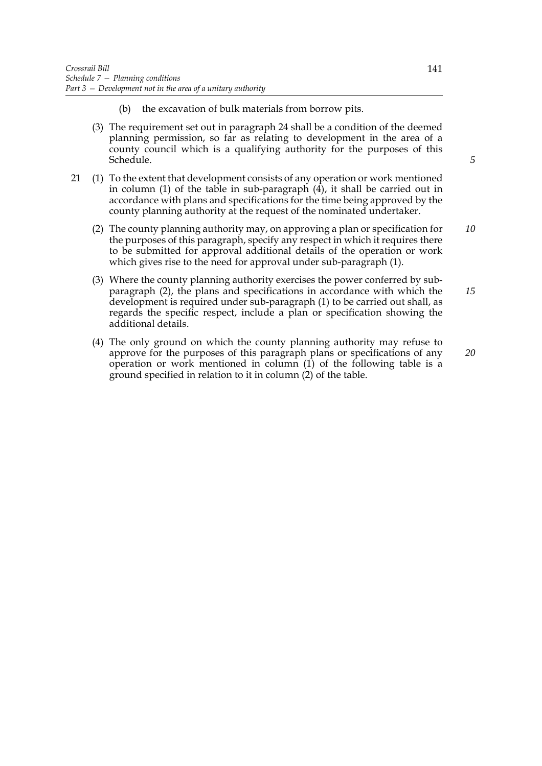- (b) the excavation of bulk materials from borrow pits.
- (3) The requirement set out in paragraph 24 shall be a condition of the deemed planning permission, so far as relating to development in the area of a county council which is a qualifying authority for the purposes of this Schedule.
- 21 (1) To the extent that development consists of any operation or work mentioned in column (1) of the table in sub-paragraph  $(4)$ , it shall be carried out in accordance with plans and specifications for the time being approved by the county planning authority at the request of the nominated undertaker.
	- (2) The county planning authority may, on approving a plan or specification for the purposes of this paragraph, specify any respect in which it requires there to be submitted for approval additional details of the operation or work which gives rise to the need for approval under sub-paragraph (1). *10*
	- (3) Where the county planning authority exercises the power conferred by subparagraph (2), the plans and specifications in accordance with which the development is required under sub-paragraph (1) to be carried out shall, as regards the specific respect, include a plan or specification showing the additional details. *15*
	- (4) The only ground on which the county planning authority may refuse to approve for the purposes of this paragraph plans or specifications of any operation or work mentioned in column (1) of the following table is a ground specified in relation to it in column (2) of the table.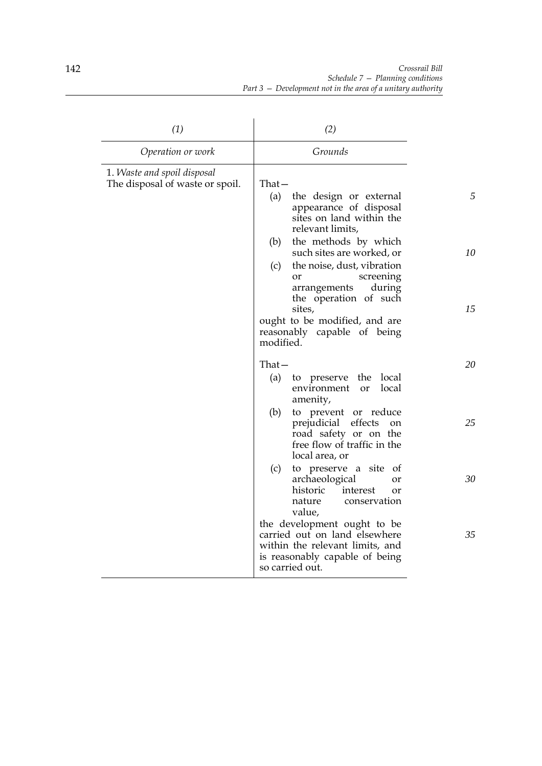| (1)                                                            | (2)                                                                                                                                                  |    |
|----------------------------------------------------------------|------------------------------------------------------------------------------------------------------------------------------------------------------|----|
| Operation or work                                              | Grounds                                                                                                                                              |    |
| 1. Waste and spoil disposal<br>The disposal of waste or spoil. | $That -$<br>(a)<br>the design or external                                                                                                            | 5  |
|                                                                | appearance of disposal<br>sites on land within the<br>relevant limits,                                                                               |    |
|                                                                | the methods by which<br>(b)<br>such sites are worked, or<br>the noise, dust, vibration<br>(c)                                                        | 10 |
|                                                                | screening<br>or<br>arrangements<br>during<br>the operation of such                                                                                   |    |
|                                                                | sites,<br>ought to be modified, and are<br>reasonably capable of being<br>modified.                                                                  | 15 |
|                                                                | $That -$<br>(a)<br>to preserve<br>the<br>local<br>local<br>environment<br><b>or</b><br>amenity,                                                      | 20 |
|                                                                | (b)<br>to prevent or reduce<br>prejudicial effects<br>on<br>road safety or on the<br>free flow of traffic in the<br>local area, or                   | 25 |
|                                                                | (c)<br>to preserve a site<br><sub>ot</sub><br>archaeological<br>or<br>historic<br>interest<br>or<br>nature<br>conservation<br>value,                 | 30 |
|                                                                | the development ought to be<br>carried out on land elsewhere<br>within the relevant limits, and<br>is reasonably capable of being<br>so carried out. | 35 |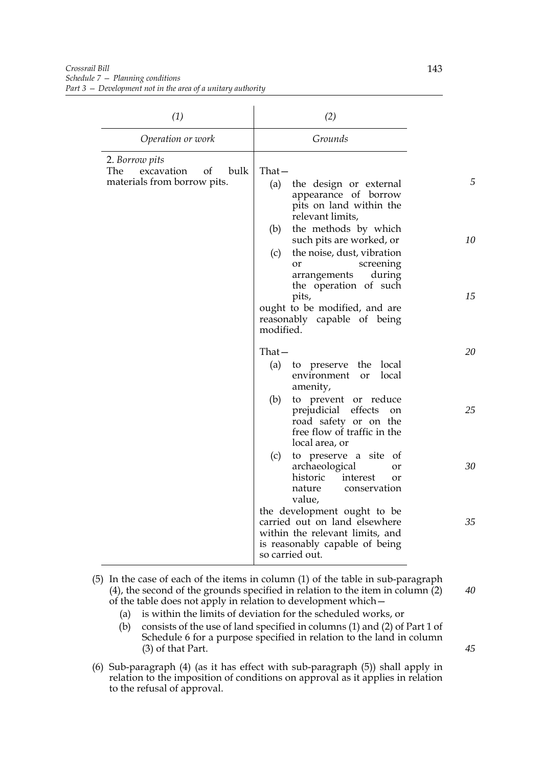| (1)                                                                              | (2)                                                                                                                                                                       |    |
|----------------------------------------------------------------------------------|---------------------------------------------------------------------------------------------------------------------------------------------------------------------------|----|
| Operation or work                                                                | Grounds                                                                                                                                                                   |    |
| 2. Borrow pits<br>bulk<br>The<br>excavation<br>of<br>materials from borrow pits. | $That -$<br>the design or external<br>(a)<br>appearance of borrow<br>pits on land within the<br>relevant limits,                                                          | 5  |
|                                                                                  | the methods by which<br>(b)<br>such pits are worked, or<br>the noise, dust, vibration<br>(c)<br>screening<br><b>or</b><br>during<br>arrangements<br>the operation of such | 10 |
|                                                                                  | pits,<br>ought to be modified, and are<br>reasonably capable of being<br>modified.                                                                                        | 15 |
|                                                                                  | That —<br>to preserve the local<br>(a)<br>local<br>environment<br><sub>or</sub><br>amenity,                                                                               | 20 |
|                                                                                  | (b)<br>to prevent or reduce<br>prejudicial effects<br><sub>on</sub><br>road safety or on the<br>free flow of traffic in the<br>local area, or                             | 25 |
|                                                                                  | to preserve a site of<br>(c)<br>archaeological<br>or<br>historic<br>interest<br>or<br>conservation<br>nature<br>value,                                                    | 30 |
|                                                                                  | the development ought to be<br>carried out on land elsewhere<br>within the relevant limits, and<br>is reasonably capable of being<br>so carried out.                      | 35 |

- (5) In the case of each of the items in column (1) of the table in sub-paragraph (4), the second of the grounds specified in relation to the item in column (2) of the table does not apply in relation to development which— *40*
	- (a) is within the limits of deviation for the scheduled works, or
	- (b) consists of the use of land specified in columns (1) and (2) of Part 1 of Schedule 6 for a purpose specified in relation to the land in column (3) of that Part.
- (6) Sub-paragraph (4) (as it has effect with sub-paragraph (5)) shall apply in relation to the imposition of conditions on approval as it applies in relation to the refusal of approval.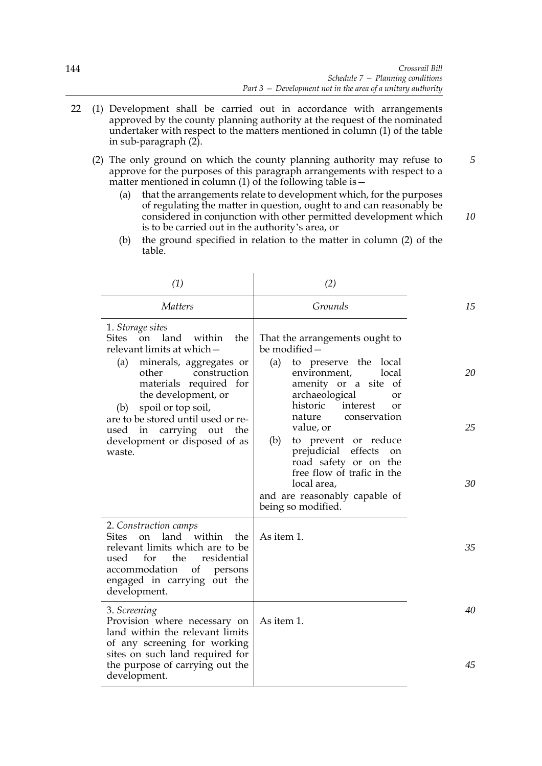- 22 (1) Development shall be carried out in accordance with arrangements approved by the county planning authority at the request of the nominated undertaker with respect to the matters mentioned in column (1) of the table in sub-paragraph (2).
	- (2) The only ground on which the county planning authority may refuse to approve for the purposes of this paragraph arrangements with respect to a matter mentioned in column  $(1)$  of the following table is  $-$ 
		- (a) that the arrangements relate to development which, for the purposes of regulating the matter in question, ought to and can reasonably be considered in conjunction with other permitted development which is to be carried out in the authority's area, or *10*
		- (b) the ground specified in relation to the matter in column (2) of the table.

| (1)                                                                                                                                                                                                                                                                                                                                      | (2)                                                                                                                                                                                                                                                                                                                                                                                                                                  |                |
|------------------------------------------------------------------------------------------------------------------------------------------------------------------------------------------------------------------------------------------------------------------------------------------------------------------------------------------|--------------------------------------------------------------------------------------------------------------------------------------------------------------------------------------------------------------------------------------------------------------------------------------------------------------------------------------------------------------------------------------------------------------------------------------|----------------|
| <b>Matters</b>                                                                                                                                                                                                                                                                                                                           | Grounds                                                                                                                                                                                                                                                                                                                                                                                                                              | 15             |
| 1. Storage sites<br>Sites on<br>land<br>within<br>the<br>relevant limits at which-<br>(a)<br>minerals, aggregates or<br>construction<br>other<br>materials required for<br>the development, or<br>spoil or top soil,<br>(b)<br>are to be stored until used or re-<br>used in carrying out the<br>development or disposed of as<br>waste. | That the arrangements ought to<br>be modified -<br>(a)<br>to preserve the local<br>environment,<br>local<br>amenity or a site<br>of<br>archaeological<br>or<br>historic<br>interest<br>or<br>nature<br>conservation<br>value, or<br>to prevent or reduce<br>(b)<br>prejudicial effects<br><sub>on</sub><br>road safety or on the<br>free flow of trafic in the<br>local area,<br>and are reasonably capable of<br>being so modified. | 20<br>25<br>30 |
| 2. Construction camps<br>within<br>land<br>the<br><b>Sites</b><br>on<br>relevant limits which are to be<br>the<br>used<br>for<br>residential<br>accommodation of<br>persons<br>engaged in carrying out the<br>development.                                                                                                               | As item 1.                                                                                                                                                                                                                                                                                                                                                                                                                           | 35             |
| 3. Screening<br>Provision where necessary on<br>land within the relevant limits<br>of any screening for working<br>sites on such land required for<br>the purpose of carrying out the<br>development.                                                                                                                                    | As item 1.                                                                                                                                                                                                                                                                                                                                                                                                                           | 40<br>45       |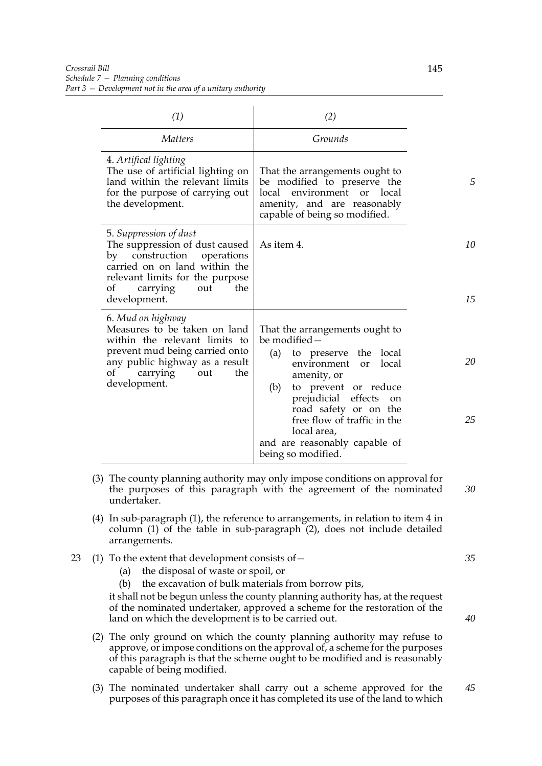| (1)                                                                                                                                                                                                           | (2)                                                                                                                                                                                                                                                                                                                                 |           |
|---------------------------------------------------------------------------------------------------------------------------------------------------------------------------------------------------------------|-------------------------------------------------------------------------------------------------------------------------------------------------------------------------------------------------------------------------------------------------------------------------------------------------------------------------------------|-----------|
| <i>Matters</i>                                                                                                                                                                                                | Grounds                                                                                                                                                                                                                                                                                                                             |           |
| 4. Artifical lighting<br>The use of artificial lighting on<br>land within the relevant limits<br>for the purpose of carrying out<br>the development.                                                          | That the arrangements ought to<br>be modified to preserve the<br>local environment or local<br>amenity, and are reasonably<br>capable of being so modified.                                                                                                                                                                         | 5         |
| 5. Suppression of dust<br>The suppression of dust caused<br>by construction<br>operations<br>carried on on land within the<br>relevant limits for the purpose<br>the<br>οf<br>carrying<br>out<br>development. | As item 4.                                                                                                                                                                                                                                                                                                                          | 10<br>15  |
| 6. Mud on highway<br>Measures to be taken on land<br>within the relevant limits to<br>prevent mud being carried onto<br>any public highway as a result<br>carrying<br>out<br>the<br>оf<br>development.        | That the arrangements ought to<br>be modified-<br>to preserve the local<br>(a)<br>environment<br>local<br>or<br>amenity, or<br>to prevent or reduce<br>(b)<br>prejudicial<br>effects<br><sub>on</sub><br>road safety or on the<br>free flow of traffic in the<br>local area,<br>and are reasonably capable of<br>being so modified. | 20<br>2.5 |

- (3) The county planning authority may only impose conditions on approval for the purposes of this paragraph with the agreement of the nominated undertaker. *30*
- (4) In sub-paragraph (1), the reference to arrangements, in relation to item 4 in column (1) of the table in sub-paragraph (2), does not include detailed arrangements.
- 23 (1) To the extent that development consists of—
	- (a) the disposal of waste or spoil, or
	- (b) the excavation of bulk materials from borrow pits,

it shall not be begun unless the county planning authority has, at the request of the nominated undertaker, approved a scheme for the restoration of the land on which the development is to be carried out.

- (2) The only ground on which the county planning authority may refuse to approve, or impose conditions on the approval of, a scheme for the purposes of this paragraph is that the scheme ought to be modified and is reasonably capable of being modified.
- (3) The nominated undertaker shall carry out a scheme approved for the purposes of this paragraph once it has completed its use of the land to which *45*

*40*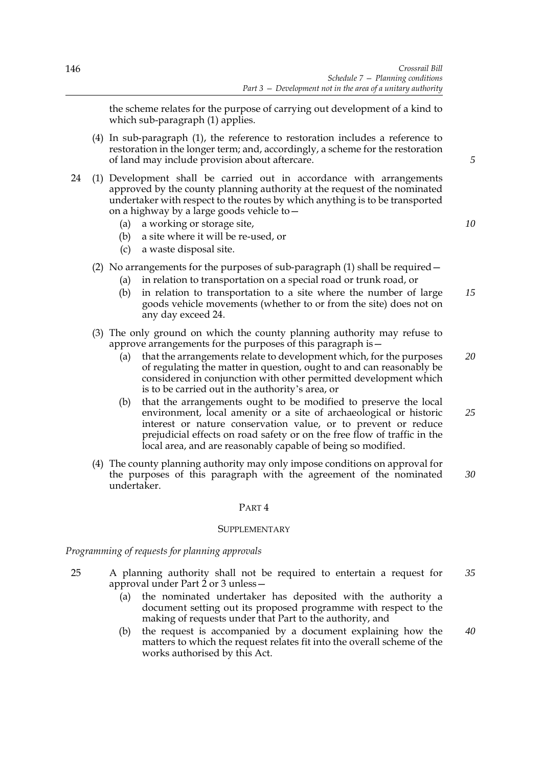the scheme relates for the purpose of carrying out development of a kind to which sub-paragraph (1) applies.

- (4) In sub-paragraph (1), the reference to restoration includes a reference to restoration in the longer term; and, accordingly, a scheme for the restoration of land may include provision about aftercare.
- 24 (1) Development shall be carried out in accordance with arrangements approved by the county planning authority at the request of the nominated undertaker with respect to the routes by which anything is to be transported on a highway by a large goods vehicle to—
	- (a) a working or storage site,
	- (b) a site where it will be re-used, or
	- (c) a waste disposal site.

# (2) No arrangements for the purposes of sub-paragraph  $(1)$  shall be required  $-$

- (a) in relation to transportation on a special road or trunk road, or
- (b) in relation to transportation to a site where the number of large goods vehicle movements (whether to or from the site) does not on any day exceed 24. *15*

## (3) The only ground on which the county planning authority may refuse to approve arrangements for the purposes of this paragraph is—

- (a) that the arrangements relate to development which, for the purposes of regulating the matter in question, ought to and can reasonably be considered in conjunction with other permitted development which is to be carried out in the authority's area, or *20*
- (b) that the arrangements ought to be modified to preserve the local environment, local amenity or a site of archaeological or historic interest or nature conservation value, or to prevent or reduce prejudicial effects on road safety or on the free flow of traffic in the local area, and are reasonably capable of being so modified.
- (4) The county planning authority may only impose conditions on approval for the purposes of this paragraph with the agreement of the nominated undertaker. *30*

## PART 4

## **SUPPLEMENTARY**

## *Programming of requests for planning approvals*

- 25 A planning authority shall not be required to entertain a request for approval under Part 2 or 3 unless— *35*
	- (a) the nominated undertaker has deposited with the authority a document setting out its proposed programme with respect to the making of requests under that Part to the authority, and
	- (b) the request is accompanied by a document explaining how the matters to which the request relates fit into the overall scheme of the works authorised by this Act.

*5*

*10*

*25*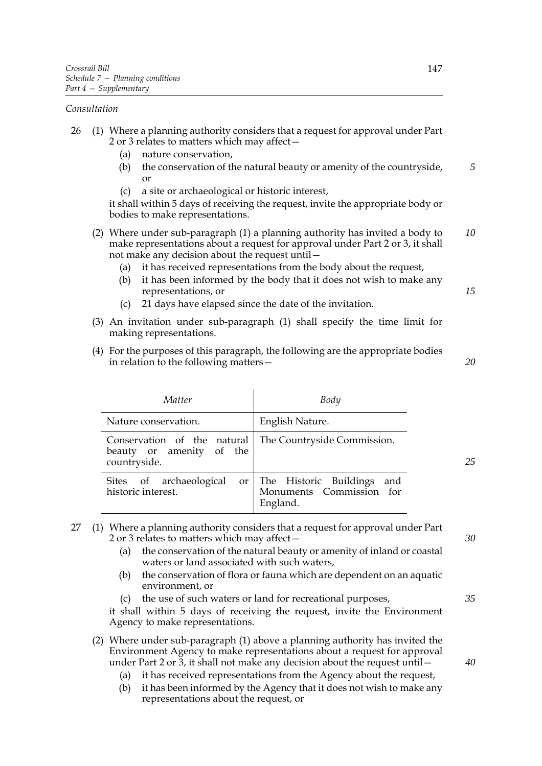## *Consultation*

- 26 (1) Where a planning authority considers that a request for approval under Part 2 or 3 relates to matters which may affect—
	- (a) nature conservation,
	- (b) the conservation of the natural beauty or amenity of the countryside, or *5*
	- (c) a site or archaeological or historic interest,

it shall within 5 days of receiving the request, invite the appropriate body or bodies to make representations.

- (2) Where under sub-paragraph (1) a planning authority has invited a body to make representations about a request for approval under Part 2 or 3, it shall not make any decision about the request until— *10*
	- (a) it has received representations from the body about the request,
	- (b) it has been informed by the body that it does not wish to make any representations, or
	- (c) 21 days have elapsed since the date of the invitation.
- (3) An invitation under sub-paragraph (1) shall specify the time limit for making representations.
- (4) For the purposes of this paragraph, the following are the appropriate bodies in relation to the following matters—

| Matter                                                                  | Body                                                                     |    |
|-------------------------------------------------------------------------|--------------------------------------------------------------------------|----|
| Nature conservation.                                                    | English Nature.                                                          |    |
| Conservation of the natural<br>beauty or amenity of the<br>countryside. | The Countryside Commission.                                              | 25 |
| Sites of archaeological<br>historic interest.                           | or The Historic Buildings<br>and<br>Monuments Commission for<br>England. |    |

- 27 (1) Where a planning authority considers that a request for approval under Part 2 or 3 relates to matters which may affect—
	- (a) the conservation of the natural beauty or amenity of inland or coastal waters or land associated with such waters,
	- (b) the conservation of flora or fauna which are dependent on an aquatic environment, or
	- (c) the use of such waters or land for recreational purposes,

it shall within 5 days of receiving the request, invite the Environment Agency to make representations.

- (2) Where under sub-paragraph (1) above a planning authority has invited the Environment Agency to make representations about a request for approval under Part 2 or 3, it shall not make any decision about the request until—
	- (a) it has received representations from the Agency about the request,
	- (b) it has been informed by the Agency that it does not wish to make any representations about the request, or

*30*

*15*

*20*

*35*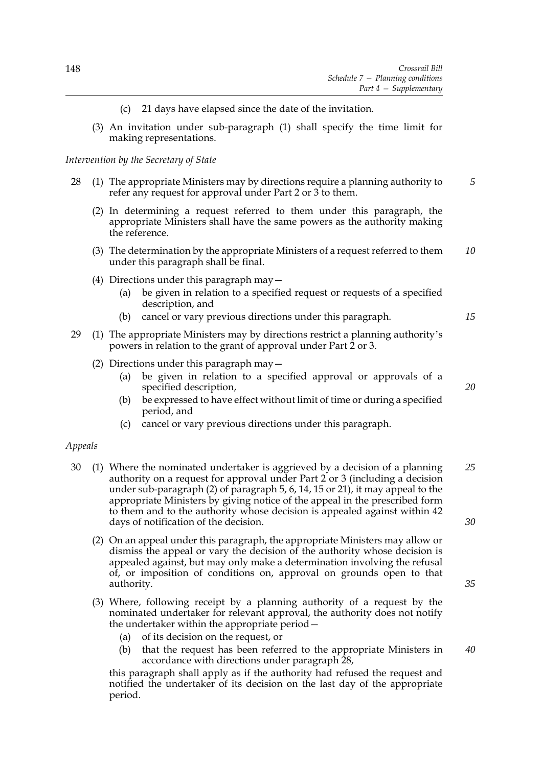- 21 days have elapsed since the date of the invitation.
- (3) An invitation under sub-paragraph (1) shall specify the time limit for making representations.

## *Intervention by the Secretary of State*

- 28 (1) The appropriate Ministers may by directions require a planning authority to refer any request for approval under Part 2 or 3 to them. *5*
	- (2) In determining a request referred to them under this paragraph, the appropriate Ministers shall have the same powers as the authority making the reference.
	- (3) The determination by the appropriate Ministers of a request referred to them under this paragraph shall be final. *10*
	- (4) Directions under this paragraph may—
		- (a) be given in relation to a specified request or requests of a specified description, and
		- (b) cancel or vary previous directions under this paragraph.
- 29 (1) The appropriate Ministers may by directions restrict a planning authority's powers in relation to the grant of approval under Part 2 or 3.
	- (2) Directions under this paragraph may—
		- (a) be given in relation to a specified approval or approvals of a specified description,
		- (b) be expressed to have effect without limit of time or during a specified period, and
		- (c) cancel or vary previous directions under this paragraph.

#### *Appeals*

- 30 (1) Where the nominated undertaker is aggrieved by a decision of a planning authority on a request for approval under Part 2 or 3 (including a decision under sub-paragraph (2) of paragraph 5, 6, 14, 15 or 21), it may appeal to the appropriate Ministers by giving notice of the appeal in the prescribed form to them and to the authority whose decision is appealed against within 42 days of notification of the decision. *25 30*
	- (2) On an appeal under this paragraph, the appropriate Ministers may allow or dismiss the appeal or vary the decision of the authority whose decision is appealed against, but may only make a determination involving the refusal of, or imposition of conditions on, approval on grounds open to that authority.
	- (3) Where, following receipt by a planning authority of a request by the nominated undertaker for relevant approval, the authority does not notify the undertaker within the appropriate period—
		- (a) of its decision on the request, or
		- (b) that the request has been referred to the appropriate Ministers in accordance with directions under paragraph 28,

this paragraph shall apply as if the authority had refused the request and notified the undertaker of its decision on the last day of the appropriate period.

*20*

*15*

*35*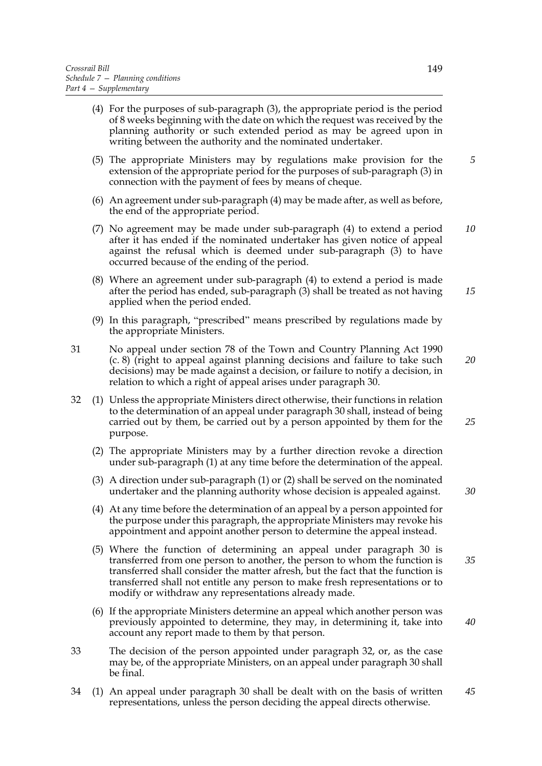- (4) For the purposes of sub-paragraph (3), the appropriate period is the period of 8 weeks beginning with the date on which the request was received by the planning authority or such extended period as may be agreed upon in writing between the authority and the nominated undertaker.
- (5) The appropriate Ministers may by regulations make provision for the extension of the appropriate period for the purposes of sub-paragraph (3) in connection with the payment of fees by means of cheque.
- (6) An agreement under sub-paragraph (4) may be made after, as well as before, the end of the appropriate period.
- (7) No agreement may be made under sub-paragraph (4) to extend a period after it has ended if the nominated undertaker has given notice of appeal against the refusal which is deemed under sub-paragraph (3) to have occurred because of the ending of the period. *10*
- (8) Where an agreement under sub-paragraph (4) to extend a period is made after the period has ended, sub-paragraph (3) shall be treated as not having applied when the period ended.
- (9) In this paragraph, "prescribed" means prescribed by regulations made by the appropriate Ministers.
- 31 No appeal under section 78 of the Town and Country Planning Act 1990 (c. 8) (right to appeal against planning decisions and failure to take such decisions) may be made against a decision, or failure to notify a decision, in relation to which a right of appeal arises under paragraph 30. *20*
- 32 (1) Unless the appropriate Ministers direct otherwise, their functions in relation to the determination of an appeal under paragraph 30 shall, instead of being carried out by them, be carried out by a person appointed by them for the purpose.
	- (2) The appropriate Ministers may by a further direction revoke a direction under sub-paragraph (1) at any time before the determination of the appeal.
	- (3) A direction under sub-paragraph (1) or (2) shall be served on the nominated undertaker and the planning authority whose decision is appealed against.
	- (4) At any time before the determination of an appeal by a person appointed for the purpose under this paragraph, the appropriate Ministers may revoke his appointment and appoint another person to determine the appeal instead.
	- (5) Where the function of determining an appeal under paragraph 30 is transferred from one person to another, the person to whom the function is transferred shall consider the matter afresh, but the fact that the function is transferred shall not entitle any person to make fresh representations or to modify or withdraw any representations already made. *35*
	- (6) If the appropriate Ministers determine an appeal which another person was previously appointed to determine, they may, in determining it, take into account any report made to them by that person.
- 33 The decision of the person appointed under paragraph 32, or, as the case may be, of the appropriate Ministers, on an appeal under paragraph 30 shall be final.
- 34 (1) An appeal under paragraph 30 shall be dealt with on the basis of written representations, unless the person deciding the appeal directs otherwise. *45*

*15*

*30*

*40*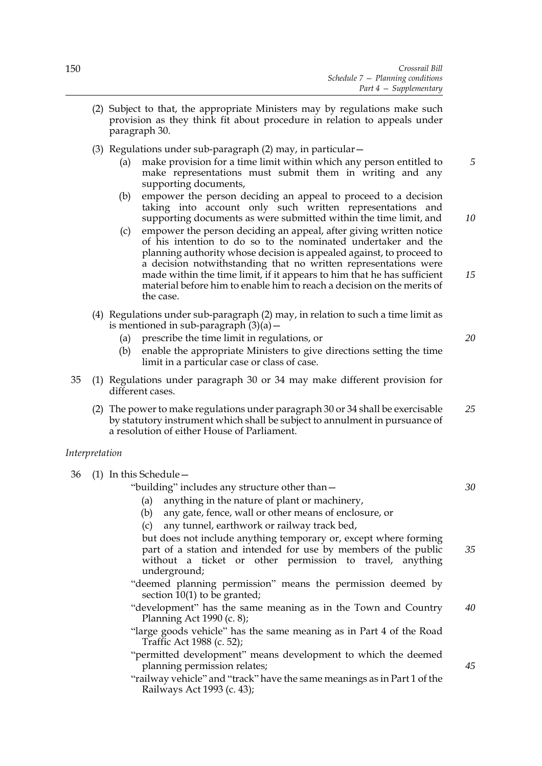- (2) Subject to that, the appropriate Ministers may by regulations make such provision as they think fit about procedure in relation to appeals under paragraph 30.
- (3) Regulations under sub-paragraph (2) may, in particular—
	- (a) make provision for a time limit within which any person entitled to make representations must submit them in writing and any supporting documents, *5*
	- (b) empower the person deciding an appeal to proceed to a decision taking into account only such written representations and supporting documents as were submitted within the time limit, and
	- (c) empower the person deciding an appeal, after giving written notice of his intention to do so to the nominated undertaker and the planning authority whose decision is appealed against, to proceed to a decision notwithstanding that no written representations were made within the time limit, if it appears to him that he has sufficient material before him to enable him to reach a decision on the merits of the case. *15*
- (4) Regulations under sub-paragraph (2) may, in relation to such a time limit as is mentioned in sub-paragraph  $(3)(a)$  –
	- (a) prescribe the time limit in regulations, or
	- (b) enable the appropriate Ministers to give directions setting the time limit in a particular case or class of case.
- 35 (1) Regulations under paragraph 30 or 34 may make different provision for different cases.
	- (2) The power to make regulations under paragraph 30 or 34 shall be exercisable by statutory instrument which shall be subject to annulment in pursuance of a resolution of either House of Parliament. *25*

## *Interpretation*

36 (1) In this Schedule—

"building" includes any structure other than—

- (a) anything in the nature of plant or machinery,
- (b) any gate, fence, wall or other means of enclosure, or
- (c) any tunnel, earthwork or railway track bed,

but does not include anything temporary or, except where forming part of a station and intended for use by members of the public without a ticket or other permission to travel, anything underground; *35*

- "deemed planning permission" means the permission deemed by section  $10(1)$  to be granted;
- "development" has the same meaning as in the Town and Country Planning Act 1990 (c. 8); *40*
- "large goods vehicle" has the same meaning as in Part 4 of the Road Traffic Act 1988 (c. 52);
- "permitted development" means development to which the deemed planning permission relates;
- "railway vehicle" and "track" have the same meanings as in Part 1 of the Railways Act 1993 (c. 43);

*45*

*20*

*10*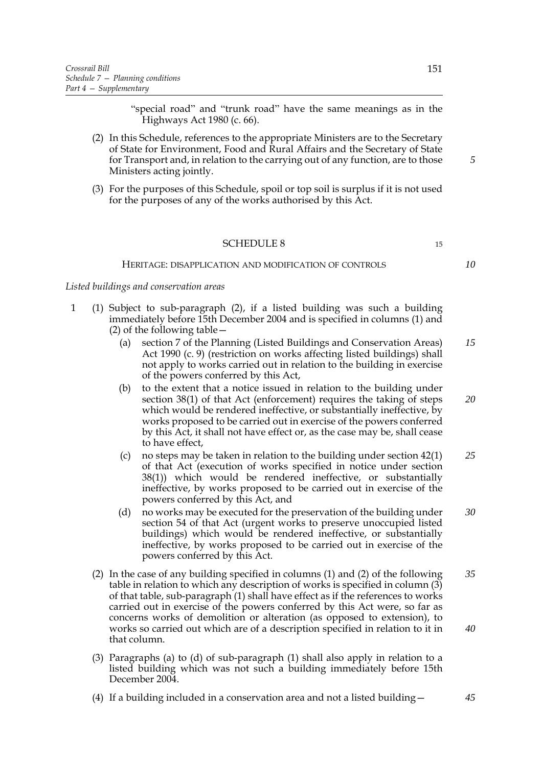"special road" and "trunk road" have the same meanings as in the Highways Act 1980 (c. 66).

- (2) In this Schedule, references to the appropriate Ministers are to the Secretary of State for Environment, Food and Rural Affairs and the Secretary of State for Transport and, in relation to the carrying out of any function, are to those Ministers acting jointly.
- (3) For the purposes of this Schedule, spoil or top soil is surplus if it is not used for the purposes of any of the works authorised by this Act.

## SCHEDULE 8 15

#### HERITAGE: DISAPPLICATION AND MODIFICATION OF CONTROLS

*10*

*5*

*Listed buildings and conservation areas*

- 1 (1) Subject to sub-paragraph (2), if a listed building was such a building immediately before 15th December 2004 and is specified in columns (1) and (2) of the following table—
	- (a) section 7 of the Planning (Listed Buildings and Conservation Areas) Act 1990 (c. 9) (restriction on works affecting listed buildings) shall not apply to works carried out in relation to the building in exercise of the powers conferred by this Act, *15*
	- (b) to the extent that a notice issued in relation to the building under section 38(1) of that Act (enforcement) requires the taking of steps which would be rendered ineffective, or substantially ineffective, by works proposed to be carried out in exercise of the powers conferred by this Act, it shall not have effect or, as the case may be, shall cease to have effect, *20*
	- (c) no steps may be taken in relation to the building under section 42(1) of that Act (execution of works specified in notice under section 38(1)) which would be rendered ineffective, or substantially ineffective, by works proposed to be carried out in exercise of the powers conferred by this Act, and *25*
	- (d) no works may be executed for the preservation of the building under section 54 of that Act (urgent works to preserve unoccupied listed buildings) which would be rendered ineffective, or substantially ineffective, by works proposed to be carried out in exercise of the powers conferred by this Act. *30*
	- (2) In the case of any building specified in columns (1) and (2) of the following table in relation to which any description of works is specified in column (3) of that table, sub-paragraph (1) shall have effect as if the references to works carried out in exercise of the powers conferred by this Act were, so far as concerns works of demolition or alteration (as opposed to extension), to works so carried out which are of a description specified in relation to it in that column. *35 40*
	- (3) Paragraphs (a) to (d) of sub-paragraph (1) shall also apply in relation to a listed building which was not such a building immediately before 15th December 2004.
	- (4) If a building included in a conservation area and not a listed building—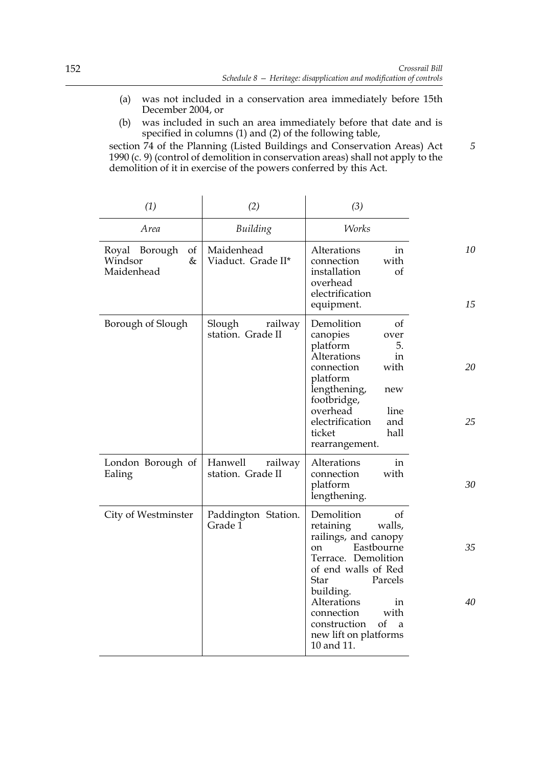- (a) was not included in a conservation area immediately before 15th December 2004, or
- (b) was included in such an area immediately before that date and is specified in columns (1) and (2) of the following table,

section 74 of the Planning (Listed Buildings and Conservation Areas) Act 1990 (c. 9) (control of demolition in conservation areas) shall not apply to the demolition of it in exercise of the powers conferred by this Act.

| (1)                                                  | (2)                                     | (3)                                                                                                                                                                                                                                                                             |          |
|------------------------------------------------------|-----------------------------------------|---------------------------------------------------------------------------------------------------------------------------------------------------------------------------------------------------------------------------------------------------------------------------------|----------|
| Area                                                 | Building                                | <b>Works</b>                                                                                                                                                                                                                                                                    |          |
| of<br>Royal Borough<br>$\&$<br>Windsor<br>Maidenhead | Maidenhead<br>Viaduct. Grade II*        | Alterations<br>in<br>with<br>connection<br>installation<br>of<br>overhead<br>electrification<br>equipment.                                                                                                                                                                      | 10<br>15 |
| Borough of Slough                                    | Slough<br>railway<br>station. Grade II  | Demolition<br>of<br>canopies<br>over<br>platform<br>5.<br><b>Alterations</b><br>in<br>connection<br>with<br>platform<br>lengthening,<br>new<br>footbridge,<br>overhead<br>line<br>electrification<br>and<br>hall<br>ticket<br>rearrangement.                                    | 20<br>25 |
| London Borough of<br>Ealing                          | Hanwell<br>railway<br>station. Grade II | Alterations<br>in<br>with<br>connection<br>platform<br>lengthening.                                                                                                                                                                                                             | 30       |
| City of Westminster                                  | Paddington Station.<br>Grade 1          | Demolition<br>οf<br>retaining<br>walls,<br>railings, and canopy<br>Eastbourne<br>on.<br>Terrace. Demolition<br>of end walls of Red<br>Star<br>Parcels<br>building.<br>Alterations<br>in<br>with<br>connection<br>of<br>construction<br>a<br>new lift on platforms<br>10 and 11. | 35<br>40 |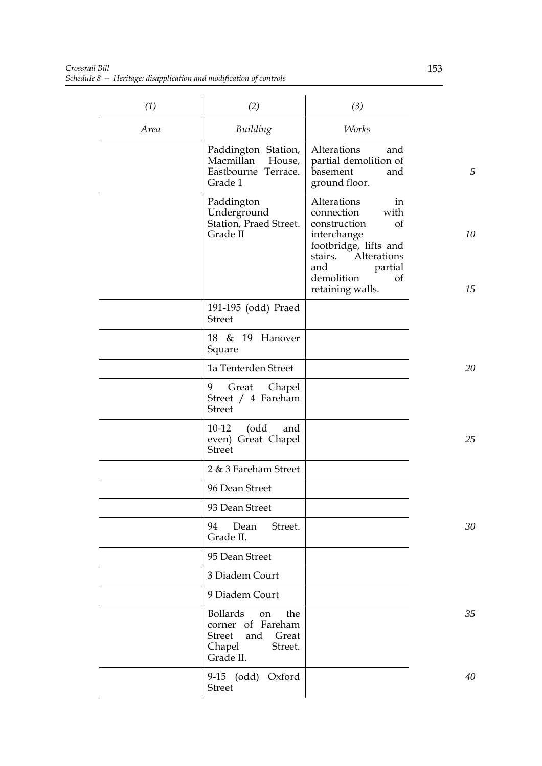*Crossrail Bill Schedule 8 — Heritage: disapplication and modification of controls*

| (1)  | (2)                                                                                                                  | (3)                                                                                                                                                                                       |          |
|------|----------------------------------------------------------------------------------------------------------------------|-------------------------------------------------------------------------------------------------------------------------------------------------------------------------------------------|----------|
| Area | Building                                                                                                             | <b>Works</b>                                                                                                                                                                              |          |
|      | Paddington Station,<br>Macmillan<br>House,<br>Eastbourne Terrace.<br>Grade 1                                         | Alterations<br>and<br>partial demolition of<br>basement<br>and<br>ground floor.                                                                                                           | 5        |
|      | Paddington<br>Underground<br>Station, Praed Street.<br>Grade II                                                      | Alterations<br>in<br>with<br>connection<br>construction<br>of<br>interchange<br>footbridge, lifts and<br>Alterations<br>stairs.<br>partial<br>and<br>demolition<br>of<br>retaining walls. | 10<br>15 |
|      | 191-195 (odd) Praed<br><b>Street</b>                                                                                 |                                                                                                                                                                                           |          |
|      | 18 & 19 Hanover<br>Square                                                                                            |                                                                                                                                                                                           |          |
|      | 1a Tenterden Street                                                                                                  |                                                                                                                                                                                           | 20       |
|      | 9<br>Great Chapel<br>Street / 4 Fareham<br><b>Street</b>                                                             |                                                                                                                                                                                           |          |
|      | (odd<br>$10-12$<br>and<br>even) Great Chapel<br><b>Street</b>                                                        |                                                                                                                                                                                           | 25       |
|      | 2 & 3 Fareham Street                                                                                                 |                                                                                                                                                                                           |          |
|      | 96 Dean Street                                                                                                       |                                                                                                                                                                                           |          |
|      | 93 Dean Street                                                                                                       |                                                                                                                                                                                           |          |
|      | 94<br>Dean<br>Street.<br>Grade II.                                                                                   |                                                                                                                                                                                           | 30       |
|      | 95 Dean Street                                                                                                       |                                                                                                                                                                                           |          |
|      | 3 Diadem Court                                                                                                       |                                                                                                                                                                                           |          |
|      | 9 Diadem Court                                                                                                       |                                                                                                                                                                                           |          |
|      | <b>Bollards</b><br>the<br>on<br>corner of Fareham<br><b>Street</b><br>and<br>Great<br>Chapel<br>Street.<br>Grade II. |                                                                                                                                                                                           | 35       |
|      | 9-15 (odd) Oxford<br><b>Street</b>                                                                                   |                                                                                                                                                                                           | 40       |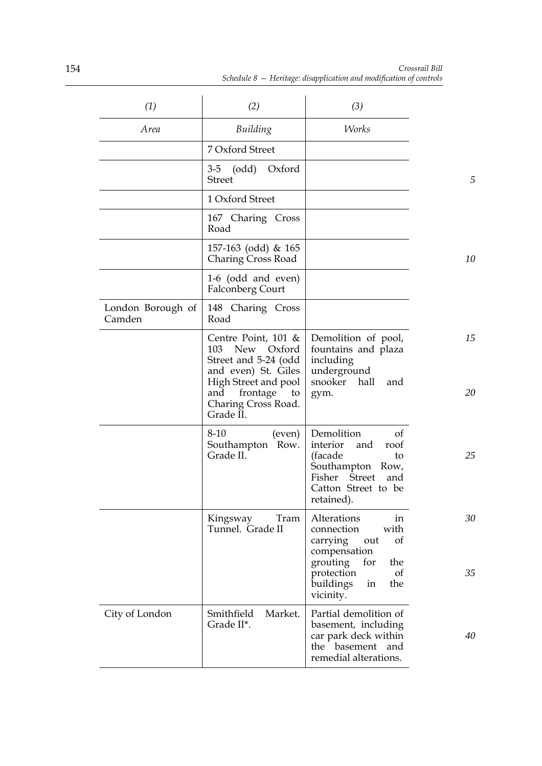| (1)                         | (2)                                                                                                                                                                             | (3)                                                                                                                                                                   |          |
|-----------------------------|---------------------------------------------------------------------------------------------------------------------------------------------------------------------------------|-----------------------------------------------------------------------------------------------------------------------------------------------------------------------|----------|
| Area                        | Building                                                                                                                                                                        | <b>Works</b>                                                                                                                                                          |          |
|                             | 7 Oxford Street                                                                                                                                                                 |                                                                                                                                                                       |          |
|                             | 3-5 (odd)<br>Oxford<br><b>Street</b>                                                                                                                                            |                                                                                                                                                                       | 5        |
|                             | 1 Oxford Street                                                                                                                                                                 |                                                                                                                                                                       |          |
|                             | 167 Charing Cross<br>Road                                                                                                                                                       |                                                                                                                                                                       |          |
|                             | 157-163 (odd) & 165<br><b>Charing Cross Road</b>                                                                                                                                |                                                                                                                                                                       | 10       |
|                             | 1-6 (odd and even)<br><b>Falconberg Court</b>                                                                                                                                   |                                                                                                                                                                       |          |
| London Borough of<br>Camden | 148 Charing Cross<br>Road                                                                                                                                                       |                                                                                                                                                                       |          |
|                             | Centre Point, $101 \&$<br>New Oxford<br>103<br>Street and 5-24 (odd<br>and even) St. Giles<br>High Street and pool<br>frontage<br>and<br>to<br>Charing Cross Road.<br>Grade II. | Demolition of pool,<br>fountains and plaza<br>including<br>underground<br>snooker hall<br>and<br>gym.                                                                 | 15<br>20 |
|                             | 8-10<br>(even)<br>Southampton Row.<br>Grade II.                                                                                                                                 | Demolition<br>of<br>interior<br>roof<br>and<br>(facade<br>to<br>Southampton Row,<br>Fisher<br>Street<br>and<br>Catton Street to be<br>retained).                      | 25       |
|                             | Kingsway<br>Tram<br>Tunnel. Grade II                                                                                                                                            | Alterations<br>in<br>with<br>connection<br>carrying<br>of<br>out<br>compensation<br>grouting<br>for<br>the<br>of<br>protection<br>buildings<br>the<br>in<br>vicinity. | 30<br>35 |
| City of London              | Market.<br>Smithfield<br>Grade II*.                                                                                                                                             | Partial demolition of<br>basement, including<br>car park deck within<br>the<br>basement<br>and<br>remedial alterations.                                               | 40       |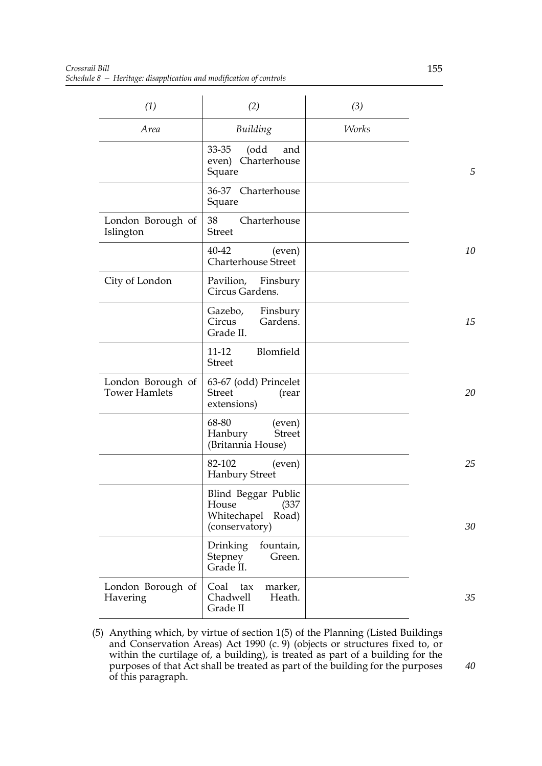| (1)                                       | (2)                                                                             | (3)          |    |
|-------------------------------------------|---------------------------------------------------------------------------------|--------------|----|
| Area                                      | Building                                                                        | <b>Works</b> |    |
|                                           | 33-35<br>(odd<br>and<br>Charterhouse<br>even)<br>Square                         |              | 5  |
|                                           | 36-37 Charterhouse<br>Square                                                    |              |    |
| London Borough of<br>Islington            | 38<br>Charterhouse<br><b>Street</b>                                             |              |    |
|                                           | 40-42<br>(even)<br>Charterhouse Street                                          |              | 10 |
| City of London                            | Pavilion, Finsbury<br>Circus Gardens.                                           |              |    |
|                                           | Gazebo,<br>Finsbury<br>Gardens.<br>Circus<br>Grade II.                          |              | 15 |
|                                           | Blomfield<br>$11 - 12$<br><b>Street</b>                                         |              |    |
| London Borough of<br><b>Tower Hamlets</b> | 63-67 (odd) Princelet<br><b>Street</b><br>(rear<br>extensions)                  |              | 20 |
|                                           | 68-80<br>(even)<br>Hanbury<br><b>Street</b><br>(Britannia House)                |              |    |
|                                           | 82-102<br>(even)<br><b>Hanbury Street</b>                                       |              | 25 |
|                                           | Blind Beggar Public<br>House<br>(337)<br>Whitechapel<br>Road)<br>(conservatory) |              | 30 |
|                                           | Drinking<br>fountain,<br><b>Stepney</b><br>Green.<br>Grade II.                  |              |    |
| London Borough of<br>Havering             | Coal<br>marker,<br>tax<br>Chadwell<br>Heath.<br>Grade II                        |              | 35 |

(5) Anything which, by virtue of section 1(5) of the Planning (Listed Buildings and Conservation Areas) Act 1990 (c. 9) (objects or structures fixed to, or within the curtilage of, a building), is treated as part of a building for the purposes of that Act shall be treated as part of the building for the purposes of this paragraph.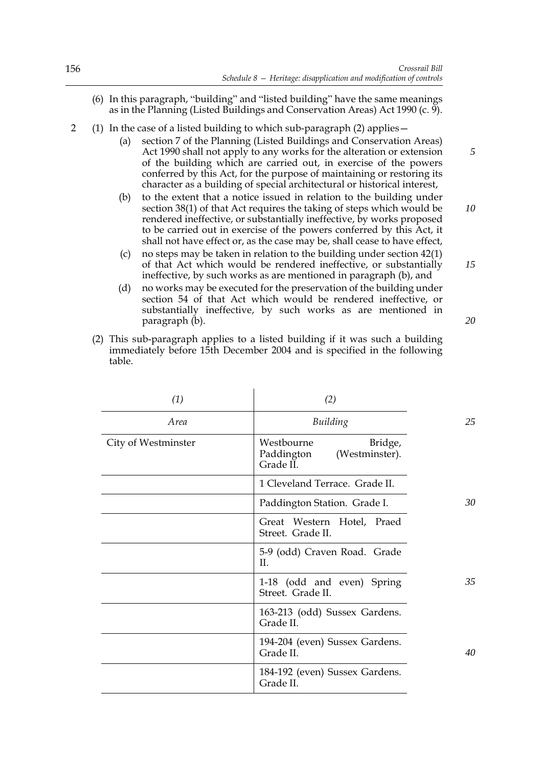*15*

*20*

- (6) In this paragraph, "building" and "listed building" have the same meanings as in the Planning (Listed Buildings and Conservation Areas) Act 1990 (c. 9).
- 2 (1) In the case of a listed building to which sub-paragraph (2) applies—
	- (a) section 7 of the Planning (Listed Buildings and Conservation Areas) Act 1990 shall not apply to any works for the alteration or extension of the building which are carried out, in exercise of the powers conferred by this Act, for the purpose of maintaining or restoring its character as a building of special architectural or historical interest,
	- (b) to the extent that a notice issued in relation to the building under section 38(1) of that Act requires the taking of steps which would be rendered ineffective, or substantially ineffective, by works proposed to be carried out in exercise of the powers conferred by this Act, it shall not have effect or, as the case may be, shall cease to have effect, *10*
	- (c) no steps may be taken in relation to the building under section 42(1) of that Act which would be rendered ineffective, or substantially ineffective, by such works as are mentioned in paragraph (b), and
	- (d) no works may be executed for the preservation of the building under section 54 of that Act which would be rendered ineffective, or substantially ineffective, by such works as are mentioned in paragraph (b).
	- (2) This sub-paragraph applies to a listed building if it was such a building immediately before 15th December 2004 and is specified in the following table.

 $\mathbf{r}$ 

| (1)                 | (2)                                                                |    |
|---------------------|--------------------------------------------------------------------|----|
| Area                | Building                                                           | 25 |
| City of Westminster | Westbourne<br>Bridge,<br>Paddington<br>(Westminster).<br>Grade II. |    |
|                     | 1 Cleveland Terrace. Grade II.                                     |    |
|                     | Paddington Station. Grade I.                                       | 30 |
|                     | Great Western Hotel, Praed<br>Street. Grade II.                    |    |
|                     | 5-9 (odd) Craven Road. Grade<br>H.                                 |    |
|                     | 1-18 (odd and even) Spring<br>Street. Grade II.                    | 35 |
|                     | 163-213 (odd) Sussex Gardens.<br>Grade II.                         |    |
|                     | 194-204 (even) Sussex Gardens.<br>Grade II.                        | 40 |
|                     | 184-192 (even) Sussex Gardens.<br>Grade II.                        |    |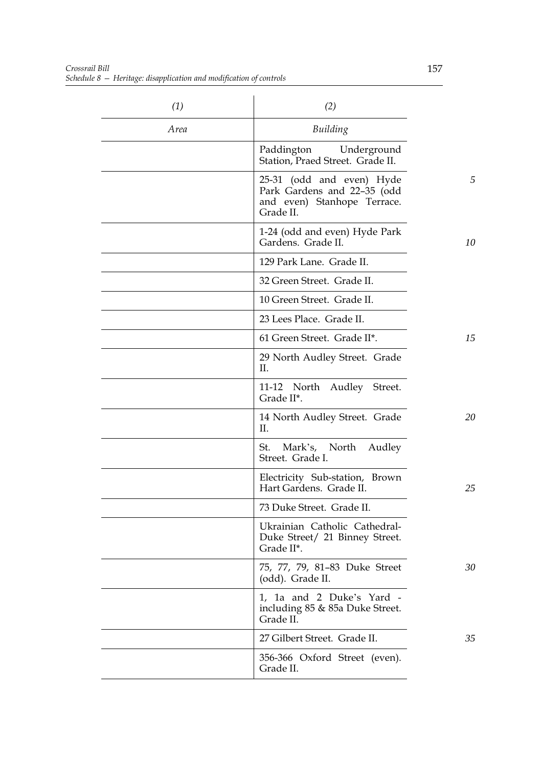| (1)  | (2)                                                                                                  |    |
|------|------------------------------------------------------------------------------------------------------|----|
| Area | Building                                                                                             |    |
|      | Paddington Underground<br>Station, Praed Street. Grade II.                                           |    |
|      | 25-31 (odd and even) Hyde<br>Park Gardens and 22-35 (odd<br>and even) Stanhope Terrace.<br>Grade II. | 5  |
|      | 1-24 (odd and even) Hyde Park<br>Gardens. Grade II.                                                  | 10 |
|      | 129 Park Lane. Grade II.                                                                             |    |
|      | 32 Green Street. Grade II.                                                                           |    |
|      | 10 Green Street. Grade II.                                                                           |    |
|      | 23 Lees Place. Grade II.                                                                             |    |
|      | 61 Green Street. Grade II*.                                                                          | 15 |
|      | 29 North Audley Street. Grade<br>П.                                                                  |    |
|      | 11-12 North Audley Street.<br>Grade II*.                                                             |    |
|      | 14 North Audley Street. Grade<br>H.                                                                  | 20 |
|      | St. Mark's, North Audley<br>Street. Grade I.                                                         |    |
|      | Electricity Sub-station, Brown<br>Hart Gardens. Grade II.                                            | 25 |
|      | 73 Duke Street. Grade II.                                                                            |    |
|      | Ukrainian Catholic Cathedral-<br>Duke Street/ 21 Binney Street.<br>Grade II*.                        |    |
|      | 75, 77, 79, 81–83 Duke Street<br>(odd). Grade II.                                                    | 30 |
|      | 1, 1a and 2 Duke's Yard -<br>including 85 & 85a Duke Street.<br>Grade II.                            |    |
|      | 27 Gilbert Street. Grade II.                                                                         | 35 |
|      | 356-366 Oxford Street (even).<br>Grade II.                                                           |    |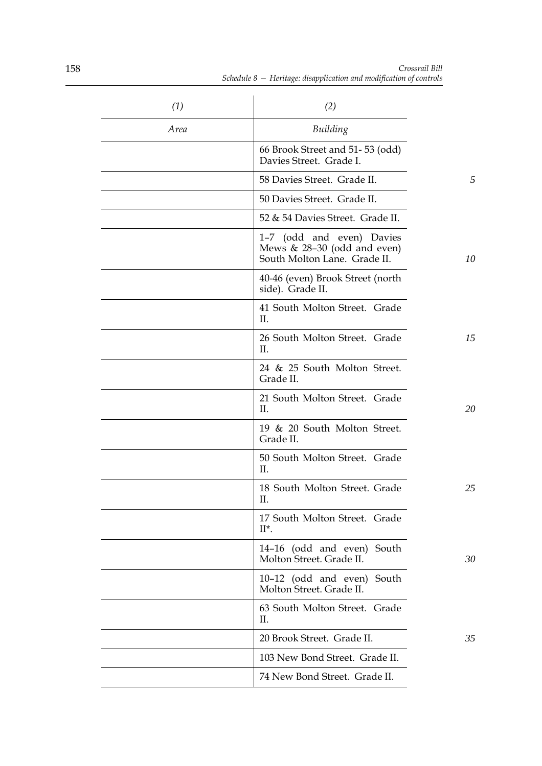| (1)         | (2)                                                                                        |    |
|-------------|--------------------------------------------------------------------------------------------|----|
| <i>Area</i> | Building                                                                                   |    |
|             | 66 Brook Street and 51-53 (odd)<br>Davies Street. Grade I.                                 |    |
|             | 58 Davies Street. Grade II.                                                                | 5  |
|             | 50 Davies Street. Grade II.                                                                |    |
|             | 52 & 54 Davies Street. Grade II.                                                           |    |
|             | 1-7 (odd and even) Davies<br>Mews $& 28-30$ (odd and even)<br>South Molton Lane. Grade II. | 10 |
|             | 40-46 (even) Brook Street (north<br>side). Grade II.                                       |    |
|             | 41 South Molton Street. Grade<br>П.                                                        |    |
|             | 26 South Molton Street. Grade<br>II.                                                       | 15 |
|             | 24 & 25 South Molton Street.<br>Grade II.                                                  |    |
|             | 21 South Molton Street. Grade<br>II.                                                       | 20 |
|             | 19 & 20 South Molton Street.<br>Grade II.                                                  |    |
|             | 50 South Molton Street. Grade<br>II.                                                       |    |
|             | 18 South Molton Street. Grade<br>II.                                                       | 25 |
|             | 17 South Molton Street. Grade<br>$II^*$ .                                                  |    |
|             | 14-16 (odd and even) South<br>Molton Street. Grade II.                                     | 30 |
|             | 10-12 (odd and even) South<br>Molton Street. Grade II.                                     |    |
|             | 63 South Molton Street. Grade<br>П.                                                        |    |
|             | 20 Brook Street. Grade II.                                                                 | 35 |
|             | 103 New Bond Street. Grade II.                                                             |    |
|             | 74 New Bond Street. Grade II.                                                              |    |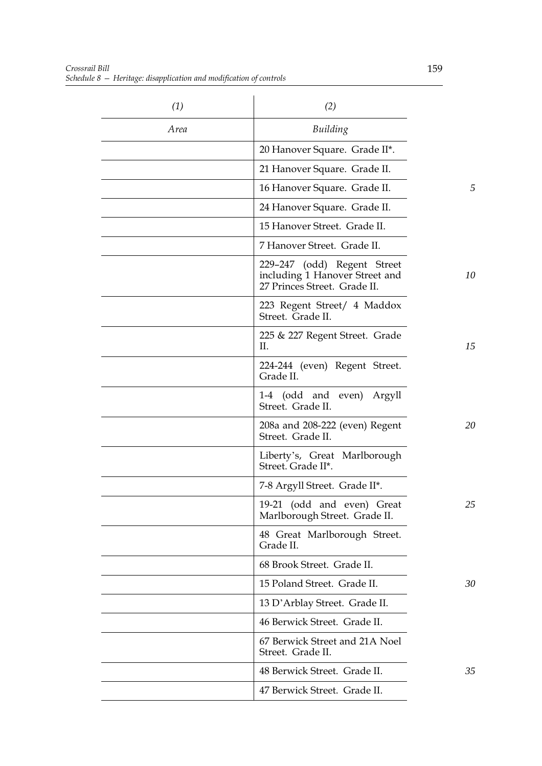| (1)  | (2)                                                                                           |    |
|------|-----------------------------------------------------------------------------------------------|----|
| Area | Building                                                                                      |    |
|      | 20 Hanover Square. Grade II*.                                                                 |    |
|      | 21 Hanover Square. Grade II.                                                                  |    |
|      | 16 Hanover Square. Grade II.                                                                  | 5  |
|      | 24 Hanover Square. Grade II.                                                                  |    |
|      | 15 Hanover Street. Grade II.                                                                  |    |
|      | 7 Hanover Street. Grade II.                                                                   |    |
|      | 229–247 (odd) Regent Street<br>including 1 Hanover Street and<br>27 Princes Street. Grade II. | 10 |
|      | 223 Regent Street/ 4 Maddox<br>Street. Grade II.                                              |    |
|      | 225 & 227 Regent Street. Grade<br>П.                                                          | 15 |
|      | 224-244 (even) Regent Street.<br>Grade II.                                                    |    |
|      | 1-4 (odd and even) Argyll<br>Street. Grade II.                                                |    |
|      | $208a$ and $208-222$ (even) Regent<br>Street. Grade II.                                       | 20 |
|      | Liberty's, Great Marlborough<br>Street. Grade II*.                                            |    |
|      | 7-8 Argyll Street. Grade II*.                                                                 |    |
|      | 19-21 (odd and even) Great<br>Marlborough Street. Grade II.                                   | 25 |
|      | 48 Great Marlborough Street.<br>Grade II.                                                     |    |
|      | 68 Brook Street. Grade II.                                                                    |    |
|      | 15 Poland Street. Grade II.                                                                   | 30 |
|      | 13 D'Arblay Street. Grade II.                                                                 |    |
|      | 46 Berwick Street. Grade II.                                                                  |    |
|      | 67 Berwick Street and 21A Noel<br>Street. Grade II.                                           |    |
|      | 48 Berwick Street. Grade II.                                                                  | 35 |
|      | 47 Berwick Street. Grade II.                                                                  |    |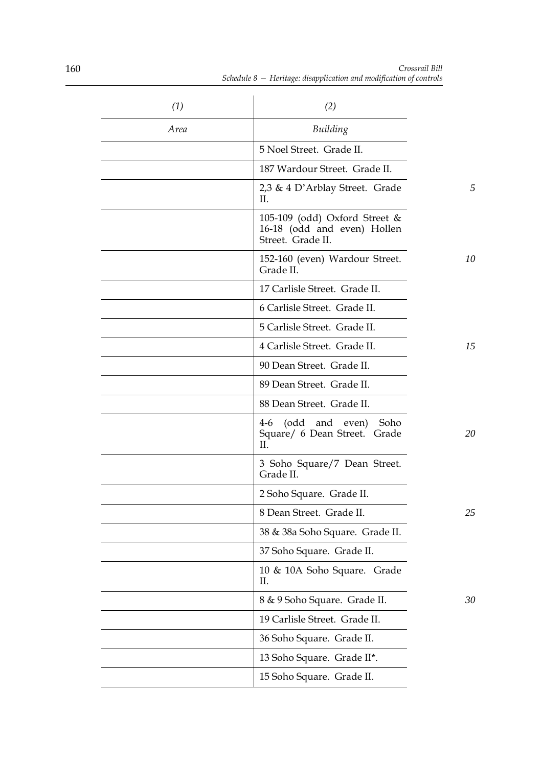| (1)  | (2)                                                                               |    |
|------|-----------------------------------------------------------------------------------|----|
| Area | Building                                                                          |    |
|      | 5 Noel Street. Grade II.                                                          |    |
|      | 187 Wardour Street. Grade II.                                                     |    |
|      | 2,3 & 4 D'Arblay Street. Grade<br>H.                                              | 5  |
|      | 105-109 (odd) Oxford Street &<br>16-18 (odd and even) Hollen<br>Street. Grade II. |    |
|      | 152-160 (even) Wardour Street.<br>Grade II.                                       | 10 |
|      | 17 Carlisle Street. Grade II.                                                     |    |
|      | 6 Carlisle Street. Grade II.                                                      |    |
|      | 5 Carlisle Street. Grade II.                                                      |    |
|      | 4 Carlisle Street. Grade II.                                                      | 15 |
|      | 90 Dean Street. Grade II.                                                         |    |
|      | 89 Dean Street. Grade II.                                                         |    |
|      | 88 Dean Street. Grade II.                                                         |    |
|      | (odd and even)<br>Soho<br>$4-6$<br>Square/ 6 Dean Street. Grade<br>II.            | 20 |
|      | 3 Soho Square/7 Dean Street.<br>Grade II.                                         |    |
|      | 2 Soho Square. Grade II.                                                          |    |
|      | 8 Dean Street. Grade II.                                                          | 25 |
|      | 38 & 38a Soho Square. Grade II.                                                   |    |
|      | 37 Soho Square. Grade II.                                                         |    |
|      | 10 & 10A Soho Square. Grade<br>П.                                                 |    |
|      | 8 & 9 Soho Square. Grade II.                                                      | 30 |
|      | 19 Carlisle Street. Grade II.                                                     |    |
|      | 36 Soho Square. Grade II.                                                         |    |
|      | 13 Soho Square. Grade II*.                                                        |    |
|      | 15 Soho Square. Grade II.                                                         |    |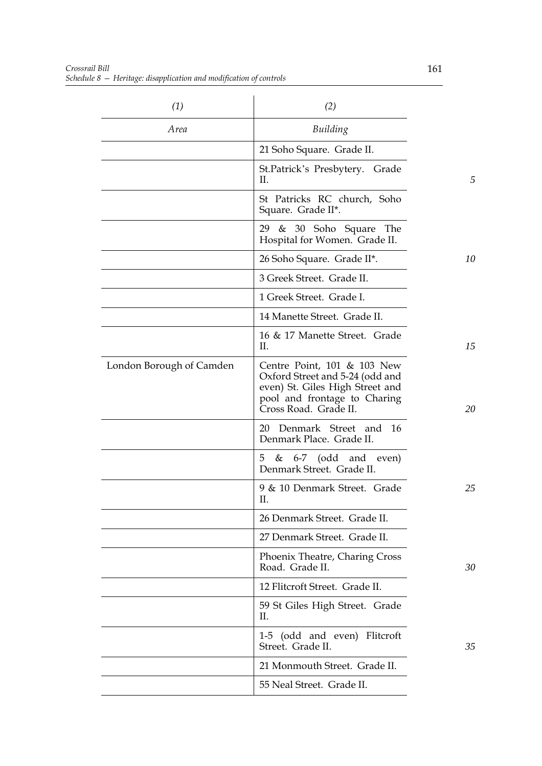| (1)                      | (2)                                                                                                                                                        |    |
|--------------------------|------------------------------------------------------------------------------------------------------------------------------------------------------------|----|
| Area                     | Building                                                                                                                                                   |    |
|                          | 21 Soho Square. Grade II.                                                                                                                                  |    |
|                          | St.Patrick's Presbytery. Grade<br>П.                                                                                                                       | 5  |
|                          | St Patricks RC church, Soho<br>Square. Grade II*.                                                                                                          |    |
|                          | & 30 Soho Square The<br>29<br>Hospital for Women. Grade II.                                                                                                |    |
|                          | 26 Soho Square. Grade II*.                                                                                                                                 | 10 |
|                          | 3 Greek Street. Grade II.                                                                                                                                  |    |
|                          | 1 Greek Street. Grade I.                                                                                                                                   |    |
|                          | 14 Manette Street. Grade II.                                                                                                                               |    |
|                          | 16 & 17 Manette Street. Grade<br>П.                                                                                                                        | 15 |
| London Borough of Camden | Centre Point, 101 & 103 New<br>Oxford Street and 5-24 (odd and<br>even) St. Giles High Street and<br>pool and frontage to Charing<br>Cross Road. Grade II. | 20 |
|                          | 16<br>20 Denmark Street and<br>Denmark Place. Grade II.                                                                                                    |    |
|                          | 5<br>$\&$ 6-7 (odd and even)<br>Denmark Street. Grade II.                                                                                                  |    |
|                          | 9 & 10 Denmark Street. Grade<br>П.                                                                                                                         | 25 |
|                          | 26 Denmark Street. Grade II.                                                                                                                               |    |
|                          | 27 Denmark Street. Grade II.                                                                                                                               |    |
|                          | Phoenix Theatre, Charing Cross<br>Road. Grade II.                                                                                                          | 30 |
|                          | 12 Flitcroft Street. Grade II.                                                                                                                             |    |
|                          | 59 St Giles High Street. Grade<br>Π.                                                                                                                       |    |
|                          | 1-5 (odd and even) Flitcroft<br>Street. Grade II.                                                                                                          | 35 |
|                          | 21 Monmouth Street. Grade II.                                                                                                                              |    |
|                          | 55 Neal Street. Grade II.                                                                                                                                  |    |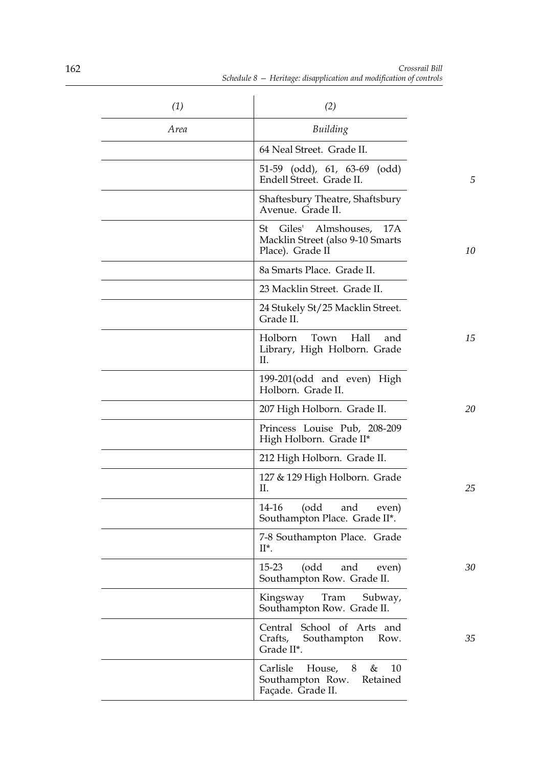| (1)  | (2)                                                                                  |    |
|------|--------------------------------------------------------------------------------------|----|
| Area | Building                                                                             |    |
|      | 64 Neal Street. Grade II.                                                            |    |
|      | 51-59 (odd), 61, 63-69 (odd)<br>Endell Street. Grade II.                             | 5  |
|      | Shaftesbury Theatre, Shaftsbury<br>Avenue. Grade II.                                 |    |
|      | St<br>Giles' Almshouses, 17A<br>Macklin Street (also 9-10 Smarts<br>Place). Grade II | 10 |
|      | 8a Smarts Place. Grade II.                                                           |    |
|      | 23 Macklin Street. Grade II.                                                         |    |
|      | 24 Stukely St/25 Macklin Street.<br>Grade II.                                        |    |
|      | Holborn<br>Town<br>Hall<br>and<br>Library, High Holborn. Grade<br>II.                | 15 |
|      | 199-201 (odd and even) High<br>Holborn. Grade II.                                    |    |
|      | 207 High Holborn. Grade II.                                                          | 20 |
|      | Princess Louise Pub, 208-209<br>High Holborn. Grade II*                              |    |
|      | 212 High Holborn. Grade II.                                                          |    |
|      | 127 & 129 High Holborn. Grade<br>П.                                                  | 25 |
|      | 14-16<br>(odd<br>and even)<br>Southampton Place. Grade II*.                          |    |
|      | 7-8 Southampton Place. Grade<br>$II^*$ .                                             |    |
|      | $15 - 23$<br>(odd<br>and<br>even)<br>Southampton Row. Grade II.                      | 30 |
|      | Kingsway<br>Tram<br>Subway,<br>Southampton Row. Grade II.                            |    |
|      | Central School of Arts and<br>Crafts, Southampton Row.<br>Grade II*.                 | 35 |
|      | Carlisle House, 8<br>10<br>&<br>Southampton Row. Retained<br>Façade. Grade II.       |    |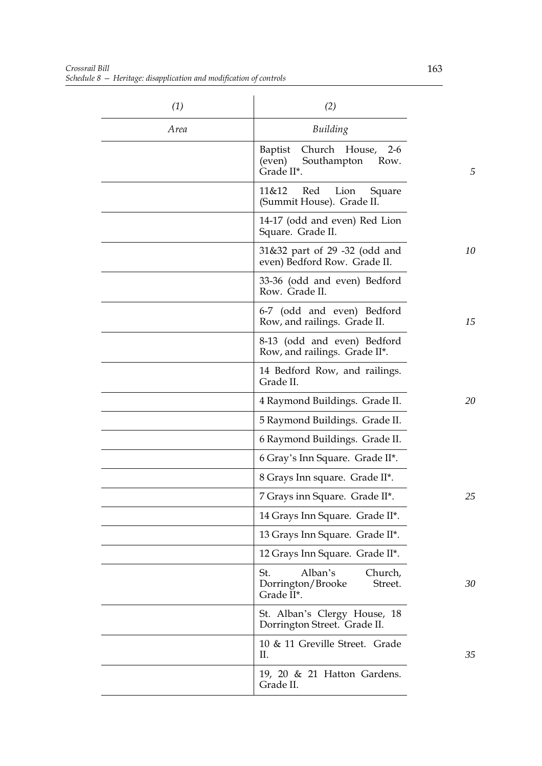| (1)  | (2)                                                                              |    |
|------|----------------------------------------------------------------------------------|----|
| Area | Building                                                                         |    |
|      | Baptist<br>Church House,<br>$2-6$<br>Southampton<br>(even)<br>Row.<br>Grade II*. | 5  |
|      | 11&12<br>Red<br>Lion<br>Square<br>(Summit House). Grade II.                      |    |
|      | 14-17 (odd and even) Red Lion<br>Square. Grade II.                               |    |
|      | 31&32 part of 29 -32 (odd and<br>even) Bedford Row. Grade II.                    | 10 |
|      | 33-36 (odd and even) Bedford<br>Row. Grade II.                                   |    |
|      | 6-7 (odd and even) Bedford<br>Row, and railings. Grade II.                       | 15 |
|      | 8-13 (odd and even) Bedford<br>Row, and railings. Grade II*.                     |    |
|      | 14 Bedford Row, and railings.<br>Grade II.                                       |    |
|      | 4 Raymond Buildings. Grade II.                                                   | 20 |
|      | 5 Raymond Buildings. Grade II.                                                   |    |
|      | 6 Raymond Buildings. Grade II.                                                   |    |
|      | 6 Gray's Inn Square. Grade II*.                                                  |    |
|      | 8 Grays Inn square. Grade II*.                                                   |    |
|      | 7 Grays inn Square. Grade II*.                                                   | 25 |
|      | 14 Grays Inn Square. Grade II*.                                                  |    |
|      | 13 Grays Inn Square. Grade II*.                                                  |    |
|      | 12 Grays Inn Square. Grade II*.                                                  |    |
|      | Alban's<br>St.<br>Church,<br>Dorrington/Brooke<br>Street.<br>Grade II*.          | 30 |
|      | St. Alban's Clergy House, 18<br>Dorrington Street. Grade II.                     |    |
|      | 10 & 11 Greville Street. Grade<br>П.                                             | 35 |
|      | 19, 20 & 21 Hatton Gardens.<br>Grade II.                                         |    |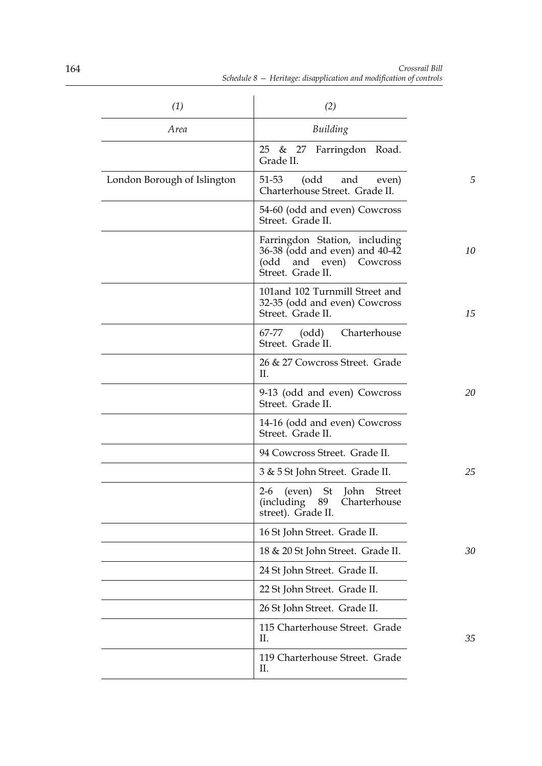| (1)                         | (2)                                                                                                             |    |
|-----------------------------|-----------------------------------------------------------------------------------------------------------------|----|
| Area                        | Building                                                                                                        |    |
|                             | 25 & 27 Farringdon Road.<br>Grade II.                                                                           |    |
| London Borough of Islington | (odd and<br>51-53<br>even)<br>Charterhouse Street. Grade II.                                                    | 5  |
|                             | 54-60 (odd and even) Cowcross<br>Street. Grade II.                                                              |    |
|                             | Farringdon Station, including<br>36-38 (odd and even) and 40-42<br>(odd and even) Cowcross<br>Street. Grade II. | 10 |
|                             | 101 and 102 Turnmill Street and<br>32-35 (odd and even) Cowcross<br>Street. Grade II.                           | 15 |
|                             | (odd) Charterhouse<br>67-77<br>Street. Grade II.                                                                |    |
|                             | 26 & 27 Cowcross Street. Grade<br>Η.                                                                            |    |
|                             | 9-13 (odd and even) Cowcross<br>Street. Grade II.                                                               | 20 |
|                             | 14-16 (odd and even) Cowcross<br>Street. Grade II.                                                              |    |
|                             | 94 Cowcross Street. Grade II.                                                                                   |    |
|                             | 3 & 5 St John Street. Grade II.                                                                                 | 25 |
|                             | (even) St John<br><b>Street</b><br>$2-6$<br>(including 89 Charterhouse<br>street). Grade II.                    |    |
|                             | 16 St John Street. Grade II.                                                                                    |    |
|                             | 18 & 20 St John Street. Grade II.                                                                               | 30 |
|                             | 24 St John Street. Grade II.                                                                                    |    |
|                             | 22 St John Street. Grade II.                                                                                    |    |
|                             | 26 St John Street. Grade II.                                                                                    |    |
|                             | 115 Charterhouse Street. Grade<br>П.                                                                            | 35 |
|                             | 119 Charterhouse Street. Grade<br>П.                                                                            |    |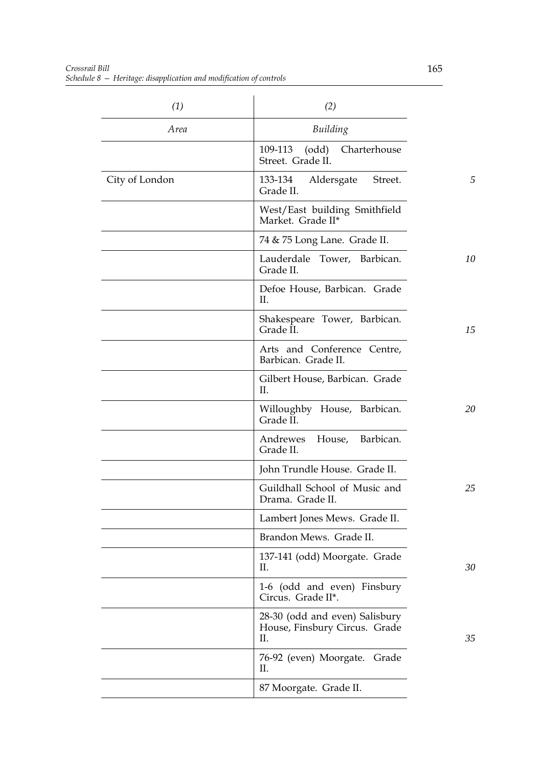| (1)            | (2)                                                                   |    |
|----------------|-----------------------------------------------------------------------|----|
| Area           | Building                                                              |    |
|                | 109-113<br>Charterhouse<br>(odd)<br>Street. Grade II.                 |    |
| City of London | 133-134<br>Aldersgate<br>Street.<br>Grade II.                         | 5  |
|                | West/East building Smithfield<br>Market. Grade II*                    |    |
|                | 74 & 75 Long Lane. Grade II.                                          |    |
|                | Lauderdale Tower, Barbican.<br>Grade II.                              | 10 |
|                | Defoe House, Barbican. Grade<br>П.                                    |    |
|                | Shakespeare Tower, Barbican.<br>Grade II.                             | 15 |
|                | Arts and Conference Centre,<br>Barbican. Grade II.                    |    |
|                | Gilbert House, Barbican. Grade<br>П.                                  |    |
|                | Willoughby House, Barbican.<br>Grade II.                              | 20 |
|                | House, Barbican.<br>Andrewes<br>Grade II.                             |    |
|                | John Trundle House. Grade II.                                         |    |
|                | Guildhall School of Music and<br>Drama. Grade II.                     | 25 |
|                | Lambert Jones Mews. Grade II.                                         |    |
|                | Brandon Mews. Grade II.                                               |    |
|                | 137-141 (odd) Moorgate. Grade<br>Π.                                   | 30 |
|                | 1-6 (odd and even) Finsbury<br>Circus. Grade II*.                     |    |
|                | 28-30 (odd and even) Salisbury<br>House, Finsbury Circus. Grade<br>Π. | 35 |
|                | 76-92 (even) Moorgate. Grade<br>П.                                    |    |
|                | 87 Moorgate. Grade II.                                                |    |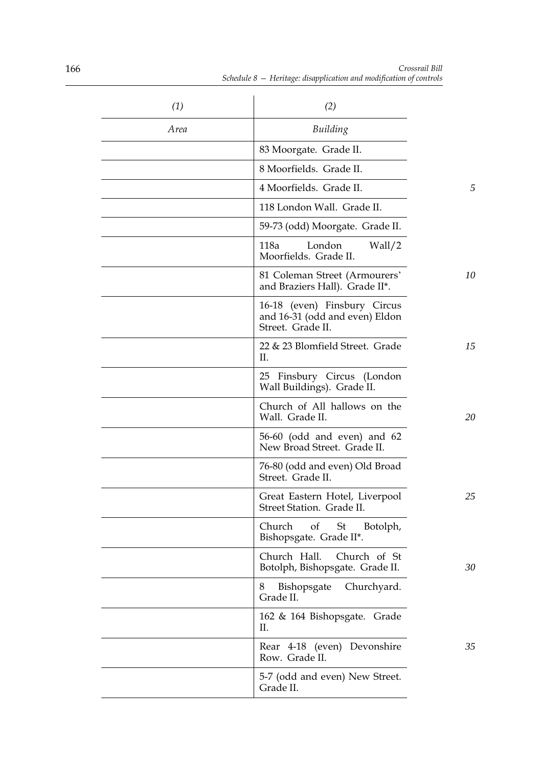| (1)  | (2)                                                                                 |    |
|------|-------------------------------------------------------------------------------------|----|
| Area | Building                                                                            |    |
|      | 83 Moorgate. Grade II.                                                              |    |
|      | 8 Moorfields. Grade II.                                                             |    |
|      | 4 Moorfields. Grade II.                                                             | 5  |
|      | 118 London Wall. Grade II.                                                          |    |
|      | 59-73 (odd) Moorgate. Grade II.                                                     |    |
|      | London<br>118a<br>Wall/2<br>Moorfields. Grade II.                                   |    |
|      | 81 Coleman Street (Armourers'<br>and Braziers Hall). Grade II*.                     | 10 |
|      | 16-18 (even) Finsbury Circus<br>and 16-31 (odd and even) Eldon<br>Street. Grade II. |    |
|      | 22 & 23 Blomfield Street. Grade<br>II.                                              | 15 |
|      | 25 Finsbury Circus (London<br>Wall Buildings). Grade II.                            |    |
|      | Church of All hallows on the<br>Wall. Grade II.                                     | 20 |
|      | 56-60 (odd and even) and 62<br>New Broad Street. Grade II.                          |    |
|      | 76-80 (odd and even) Old Broad<br>Street. Grade II.                                 |    |
|      | Great Eastern Hotel, Liverpool<br>Street Station. Grade II.                         | 25 |
|      | Church<br>St<br>Botolph,<br>of<br>Bishopsgate. Grade II*.                           |    |
|      | Church Hall.<br>Church of St<br>Botolph, Bishopsgate. Grade II.                     | 30 |
|      | Bishopsgate<br>Churchyard.<br>8<br>Grade II.                                        |    |
|      | 162 & 164 Bishopsgate. Grade<br>П.                                                  |    |
|      | Rear 4-18 (even) Devonshire<br>Row. Grade II.                                       | 35 |
|      | 5-7 (odd and even) New Street.<br>Grade II.                                         |    |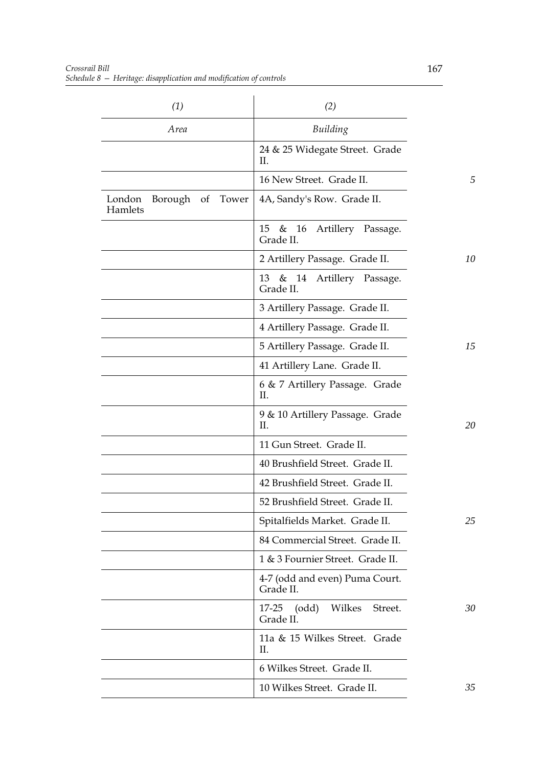| (1)                                   | (2)                                              |    |
|---------------------------------------|--------------------------------------------------|----|
| Area                                  | Building                                         |    |
|                                       | 24 & 25 Widegate Street. Grade<br>П.             |    |
|                                       | 16 New Street. Grade II.                         | 5  |
| Borough of Tower<br>London<br>Hamlets | 4A, Sandy's Row. Grade II.                       |    |
|                                       | 15<br>& 16<br>Artillery Passage.<br>Grade II.    |    |
|                                       | 2 Artillery Passage. Grade II.                   | 10 |
|                                       | 13 & 14 Artillery Passage.<br>Grade II.          |    |
|                                       | 3 Artillery Passage. Grade II.                   |    |
|                                       | 4 Artillery Passage. Grade II.                   |    |
|                                       | 5 Artillery Passage. Grade II.                   | 15 |
|                                       | 41 Artillery Lane. Grade II.                     |    |
|                                       | 6 & 7 Artillery Passage. Grade<br>П.             |    |
|                                       | 9 & 10 Artillery Passage. Grade<br>П.            | 20 |
|                                       | 11 Gun Street. Grade II.                         |    |
|                                       | 40 Brushfield Street. Grade II.                  |    |
|                                       | 42 Brushfield Street. Grade II.                  |    |
|                                       | 52 Brushfield Street. Grade II.                  |    |
|                                       | Spitalfields Market. Grade II.                   | 25 |
|                                       | 84 Commercial Street. Grade II.                  |    |
|                                       | 1 & 3 Fournier Street. Grade II.                 |    |
|                                       | 4-7 (odd and even) Puma Court.<br>Grade II.      |    |
|                                       | (odd)<br>Wilkes<br>Street.<br>17-25<br>Grade II. | 30 |
|                                       | 11a & 15 Wilkes Street. Grade<br>П.              |    |
|                                       | 6 Wilkes Street. Grade II.                       |    |
|                                       | 10 Wilkes Street. Grade II.                      | 35 |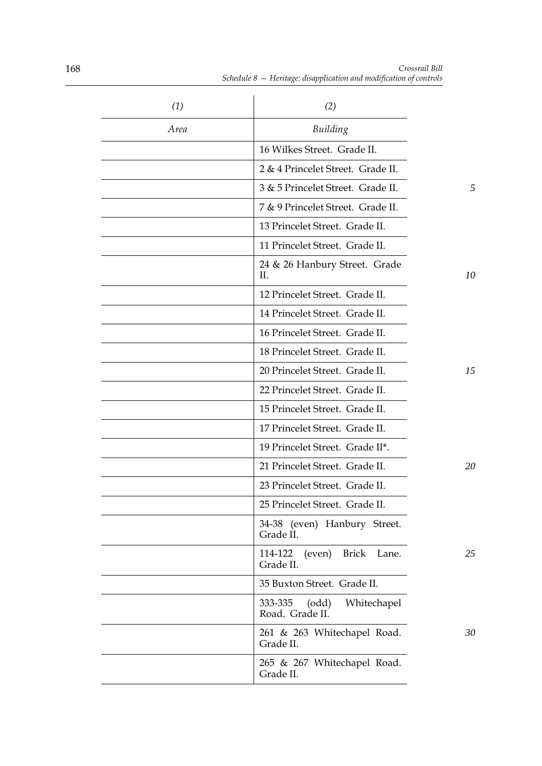| (1)  | (2)                                                     |    |
|------|---------------------------------------------------------|----|
| Area | Building                                                |    |
|      | 16 Wilkes Street. Grade II.                             |    |
|      | 2 & 4 Princelet Street. Grade II.                       |    |
|      | 3 & 5 Princelet Street. Grade II.                       | 5  |
|      | 7 & 9 Princelet Street. Grade II.                       |    |
|      | 13 Princelet Street. Grade II.                          |    |
|      | 11 Princelet Street. Grade II.                          |    |
|      | 24 & 26 Hanbury Street. Grade<br>II.                    | 10 |
|      | 12 Princelet Street. Grade II.                          |    |
|      | 14 Princelet Street. Grade II.                          |    |
|      | 16 Princelet Street. Grade II.                          |    |
|      | 18 Princelet Street. Grade II.                          |    |
|      | 20 Princelet Street. Grade II.                          | 15 |
|      | 22 Princelet Street. Grade II.                          |    |
|      | 15 Princelet Street. Grade II.                          |    |
|      | 17 Princelet Street. Grade II.                          |    |
|      | 19 Princelet Street. Grade II*.                         |    |
|      | 21 Princelet Street. Grade II.                          | 20 |
|      | 23 Princelet Street. Grade II.                          |    |
|      | 25 Princelet Street. Grade II.                          |    |
|      | 34-38 (even) Hanbury Street.<br>Grade II.               |    |
|      | <b>Brick</b><br>114-122<br>(even)<br>Lane.<br>Grade II. | 25 |
|      | 35 Buxton Street. Grade II.                             |    |
|      | 333-335<br>(odd)<br>Whitechapel<br>Road. Grade II.      |    |
|      | 261 & 263 Whitechapel Road.<br>Grade II.                | 30 |
|      | 265 & 267 Whitechapel Road.<br>Grade II.                |    |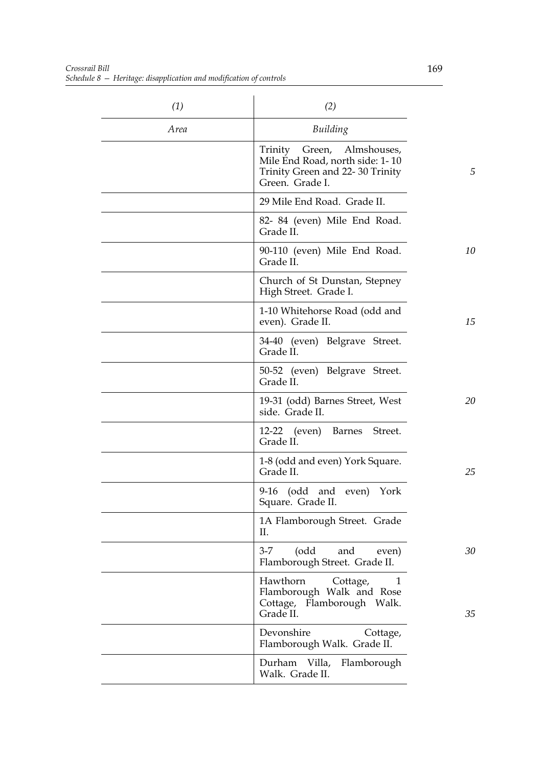*Crossrail Bill Schedule 8 — Heritage: disapplication and modification of controls*

| (1)  | (2)                                                                                                                 |    |
|------|---------------------------------------------------------------------------------------------------------------------|----|
| Area | Building                                                                                                            |    |
|      | Trinity Green, Almshouses,<br>Mile End Road, north side: 1-10<br>Trinity Green and 22-30 Trinity<br>Green. Grade I. | 5  |
|      | 29 Mile End Road. Grade II.                                                                                         |    |
|      | 82- 84 (even) Mile End Road.<br>Grade II.                                                                           |    |
|      | 90-110 (even) Mile End Road.<br>Grade II.                                                                           | 10 |
|      | Church of St Dunstan, Stepney<br>High Street. Grade I.                                                              |    |
|      | 1-10 Whitehorse Road (odd and<br>even). Grade II.                                                                   | 15 |
|      | 34-40 (even) Belgrave Street.<br>Grade II.                                                                          |    |
|      | 50-52 (even) Belgrave Street.<br>Grade II.                                                                          |    |
|      | 19-31 (odd) Barnes Street, West<br>side. Grade II.                                                                  | 20 |
|      | 12-22 (even)<br>Barnes Street.<br>Grade II.                                                                         |    |
|      | 1-8 (odd and even) York Square.<br>Grade II.                                                                        | 25 |
|      | 9-16 (odd and even) York<br>Square. Grade II.                                                                       |    |
|      | 1A Flamborough Street. Grade<br>П.                                                                                  |    |
|      | (odd<br>and<br>$3 - 7$<br>even)<br>Flamborough Street. Grade II.                                                    | 30 |
|      | Hawthorn<br>$\mathbf{1}$<br>Cottage,<br>Flamborough Walk and Rose<br>Cottage, Flamborough Walk.<br>Grade II.        | 35 |
|      | Devonshire<br>Cottage,<br>Flamborough Walk. Grade II.                                                               |    |
|      | Durham Villa, Flamborough<br>Walk. Grade II.                                                                        |    |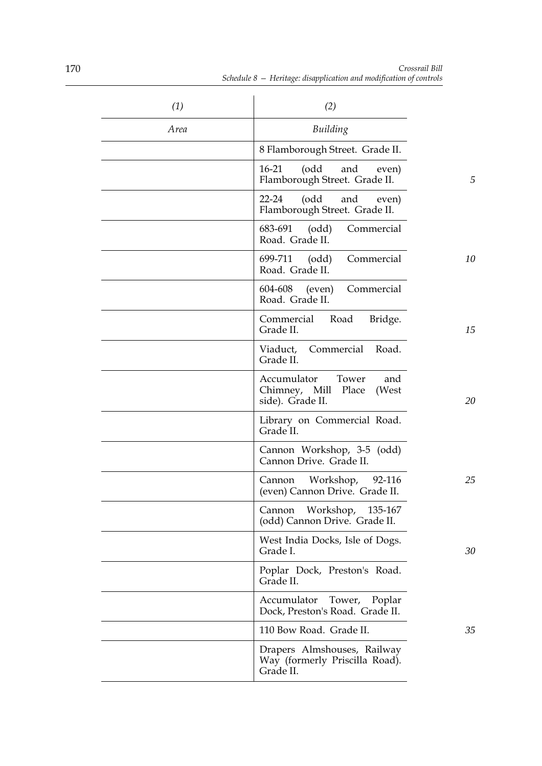| (1)  | (2)                                                                             |    |
|------|---------------------------------------------------------------------------------|----|
| Area | Building                                                                        |    |
|      | 8 Flamborough Street. Grade II.                                                 |    |
|      | (odd<br>$16-21$<br>and<br>even)<br>Flamborough Street. Grade II.                | 5  |
|      | (odd<br>$22 - 24$<br>and<br>even)<br>Flamborough Street. Grade II.              |    |
|      | 683-691<br>(odd)<br>Commercial<br>Road. Grade II.                               |    |
|      | 699-711<br>Commercial<br>(odd)<br>Road. Grade II.                               | 10 |
|      | Commercial<br>604-608<br>(even)<br>Road. Grade II.                              |    |
|      | Commercial<br>Road<br>Bridge.<br>Grade II.                                      | 15 |
|      | Viaduct, Commercial Road.<br>Grade II.                                          |    |
|      | Accumulator<br>Tower<br>and<br>Chimney, Mill Place<br>(West<br>side). Grade II. | 20 |
|      | Library on Commercial Road.<br>Grade II.                                        |    |
|      | Cannon Workshop, 3-5 (odd)<br>Cannon Drive. Grade II.                           |    |
|      | Workshop,<br>92-116<br>Cannon<br>(even) Cannon Drive. Grade II.                 | 25 |
|      | Workshop,<br>Cannon<br>135-167<br>(odd) Cannon Drive. Grade II.                 |    |
|      | West India Docks, Isle of Dogs.<br>Grade I.                                     | 30 |
|      | Poplar Dock, Preston's Road.<br>Grade II.                                       |    |
|      | Tower,<br>Poplar<br>Accumulator<br>Dock, Preston's Road. Grade II.              |    |
|      | 110 Bow Road. Grade II.                                                         | 35 |
|      | Drapers Almshouses, Railway<br>Way (formerly Priscilla Road).<br>Grade II.      |    |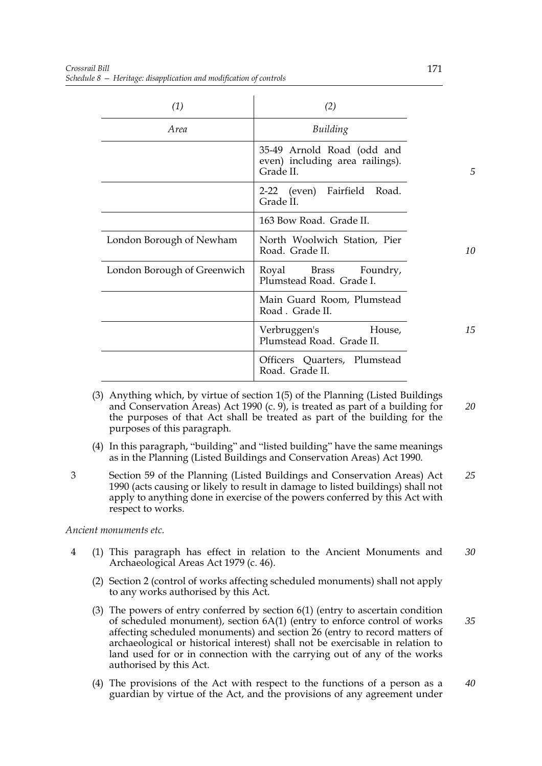| (1)                         | (2)                                                                        |    |
|-----------------------------|----------------------------------------------------------------------------|----|
| <i>Area</i>                 | Building                                                                   |    |
|                             | 35-49 Arnold Road (odd and<br>even) including area railings).<br>Grade II. | 5  |
|                             | 2-22 (even) Fairfield Road.<br>Grade II.                                   |    |
|                             | 163 Bow Road. Grade II.                                                    |    |
| London Borough of Newham    | North Woolwich Station, Pier<br>Road. Grade II.                            | 10 |
| London Borough of Greenwich | Royal Brass Foundry,<br>Plumstead Road. Grade I.                           |    |
|                             | Main Guard Room, Plumstead<br>Road. Grade II.                              |    |
|                             | Verbruggen's<br>House,<br>Plumstead Road. Grade II.                        | 15 |
|                             | Officers Quarters, Plumstead<br>Road. Grade II.                            |    |

- (3) Anything which, by virtue of section 1(5) of the Planning (Listed Buildings and Conservation Areas) Act 1990 (c. 9), is treated as part of a building for the purposes of that Act shall be treated as part of the building for the purposes of this paragraph. *20*
- (4) In this paragraph, "building" and "listed building" have the same meanings as in the Planning (Listed Buildings and Conservation Areas) Act 1990.
- 3 Section 59 of the Planning (Listed Buildings and Conservation Areas) Act 1990 (acts causing or likely to result in damage to listed buildings) shall not apply to anything done in exercise of the powers conferred by this Act with respect to works. *25*

*Ancient monuments etc.*

- 4 (1) This paragraph has effect in relation to the Ancient Monuments and Archaeological Areas Act 1979 (c. 46). *30*
	- (2) Section 2 (control of works affecting scheduled monuments) shall not apply to any works authorised by this Act.
	- (3) The powers of entry conferred by section 6(1) (entry to ascertain condition of scheduled monument), section 6A(1) (entry to enforce control of works affecting scheduled monuments) and section 26 (entry to record matters of archaeological or historical interest) shall not be exercisable in relation to land used for or in connection with the carrying out of any of the works authorised by this Act. *35*
	- (4) The provisions of the Act with respect to the functions of a person as a guardian by virtue of the Act, and the provisions of any agreement under *40*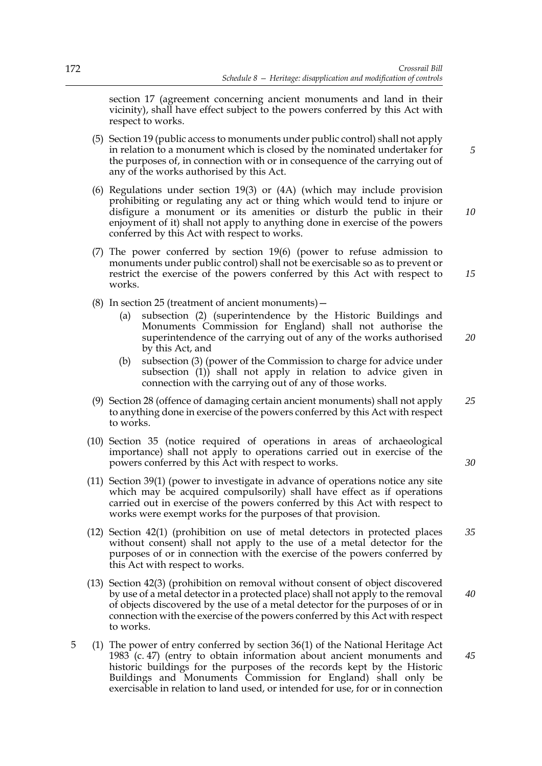section 17 (agreement concerning ancient monuments and land in their vicinity), shall have effect subject to the powers conferred by this Act with respect to works.

- (5) Section 19 (public access to monuments under public control) shall not apply in relation to a monument which is closed by the nominated undertaker for the purposes of, in connection with or in consequence of the carrying out of any of the works authorised by this Act.
- (6) Regulations under section 19(3) or (4A) (which may include provision prohibiting or regulating any act or thing which would tend to injure or disfigure a monument or its amenities or disturb the public in their enjoyment of it) shall not apply to anything done in exercise of the powers conferred by this Act with respect to works.
- (7) The power conferred by section 19(6) (power to refuse admission to monuments under public control) shall not be exercisable so as to prevent or restrict the exercise of the powers conferred by this Act with respect to works. *15*
- (8) In section 25 (treatment of ancient monuments)—
	- (a) subsection (2) (superintendence by the Historic Buildings and Monuments Commission for England) shall not authorise the superintendence of the carrying out of any of the works authorised by this Act, and *20*
	- (b) subsection (3) (power of the Commission to charge for advice under subsection (1)) shall not apply in relation to advice given in connection with the carrying out of any of those works.
- (9) Section 28 (offence of damaging certain ancient monuments) shall not apply to anything done in exercise of the powers conferred by this Act with respect to works. *25*
- (10) Section 35 (notice required of operations in areas of archaeological importance) shall not apply to operations carried out in exercise of the powers conferred by this Act with respect to works.
- (11) Section 39(1) (power to investigate in advance of operations notice any site which may be acquired compulsorily) shall have effect as if operations carried out in exercise of the powers conferred by this Act with respect to works were exempt works for the purposes of that provision.
- (12) Section 42(1) (prohibition on use of metal detectors in protected places without consent) shall not apply to the use of a metal detector for the purposes of or in connection with the exercise of the powers conferred by this Act with respect to works. *35*
- (13) Section 42(3) (prohibition on removal without consent of object discovered by use of a metal detector in a protected place) shall not apply to the removal of objects discovered by the use of a metal detector for the purposes of or in connection with the exercise of the powers conferred by this Act with respect to works. *40*
- 5 (1) The power of entry conferred by section 36(1) of the National Heritage Act 1983 (c. 47) (entry to obtain information about ancient monuments and historic buildings for the purposes of the records kept by the Historic Buildings and Monuments Commission for England) shall only be exercisable in relation to land used, or intended for use, for or in connection *45*

*10*

*5*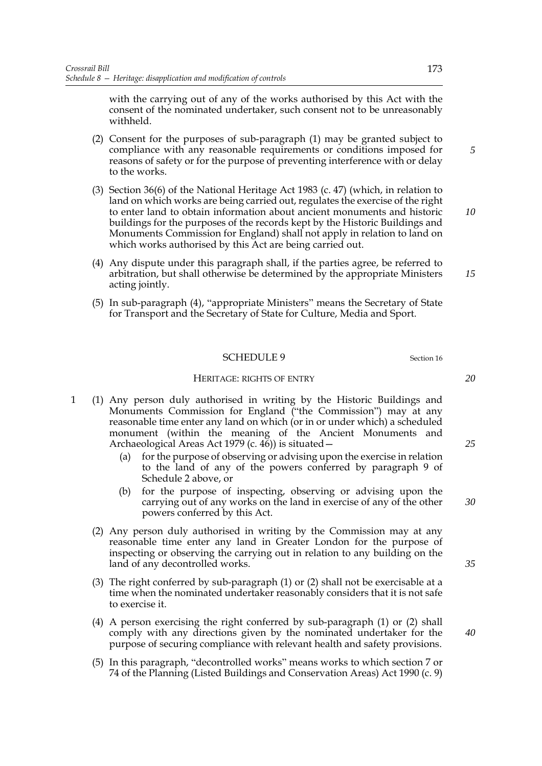with the carrying out of any of the works authorised by this Act with the consent of the nominated undertaker, such consent not to be unreasonably withheld.

- (2) Consent for the purposes of sub-paragraph (1) may be granted subject to compliance with any reasonable requirements or conditions imposed for reasons of safety or for the purpose of preventing interference with or delay to the works.
- (3) Section 36(6) of the National Heritage Act 1983 (c. 47) (which, in relation to land on which works are being carried out, regulates the exercise of the right to enter land to obtain information about ancient monuments and historic buildings for the purposes of the records kept by the Historic Buildings and Monuments Commission for England) shall not apply in relation to land on which works authorised by this Act are being carried out.
- (4) Any dispute under this paragraph shall, if the parties agree, be referred to arbitration, but shall otherwise be determined by the appropriate Ministers acting jointly.
- (5) In sub-paragraph (4), "appropriate Ministers" means the Secretary of State for Transport and the Secretary of State for Culture, Media and Sport.

#### SCHEDULE 9 Section 16

#### HERITAGE: RIGHTS OF ENTRY

- 1 (1) Any person duly authorised in writing by the Historic Buildings and Monuments Commission for England ("the Commission") may at any reasonable time enter any land on which (or in or under which) a scheduled monument (within the meaning of the Ancient Monuments and Archaeological Areas Act 1979 (c. 46)) is situated
	- for the purpose of observing or advising upon the exercise in relation to the land of any of the powers conferred by paragraph 9 of Schedule 2 above, or
	- (b) for the purpose of inspecting, observing or advising upon the carrying out of any works on the land in exercise of any of the other powers conferred by this Act.
	- (2) Any person duly authorised in writing by the Commission may at any reasonable time enter any land in Greater London for the purpose of inspecting or observing the carrying out in relation to any building on the land of any decontrolled works.
	- (3) The right conferred by sub-paragraph (1) or (2) shall not be exercisable at a time when the nominated undertaker reasonably considers that it is not safe to exercise it.
	- (4) A person exercising the right conferred by sub-paragraph (1) or (2) shall comply with any directions given by the nominated undertaker for the purpose of securing compliance with relevant health and safety provisions.
	- (5) In this paragraph, "decontrolled works" means works to which section 7 or 74 of the Planning (Listed Buildings and Conservation Areas) Act 1990 (c. 9)

*35*

*40*

*20*

*25*

*30*

*5*

*10*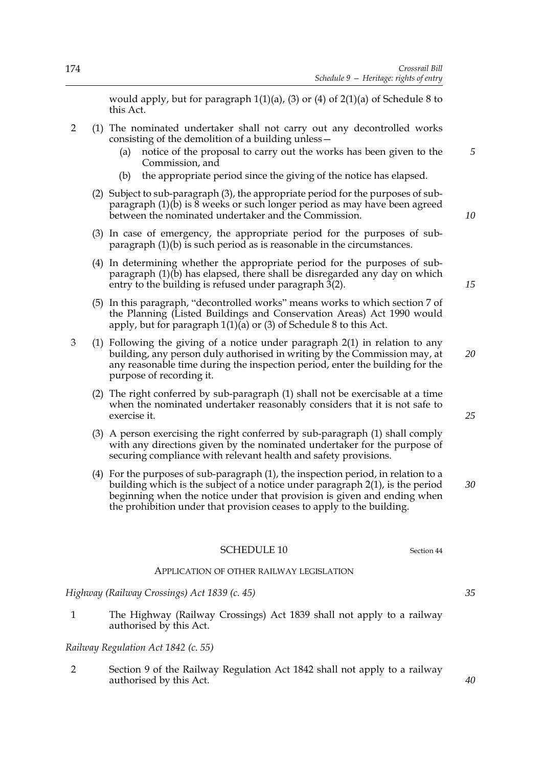would apply, but for paragraph 1(1)(a), (3) or (4) of 2(1)(a) of Schedule 8 to this Act.

- 2 (1) The nominated undertaker shall not carry out any decontrolled works consisting of the demolition of a building unless—
	- (a) notice of the proposal to carry out the works has been given to the Commission, and
	- (b) the appropriate period since the giving of the notice has elapsed.
	- (2) Subject to sub-paragraph (3), the appropriate period for the purposes of subparagraph  $(1)(\tilde{b})$  is  $\tilde{8}$  weeks or such longer period as may have been agreed between the nominated undertaker and the Commission.
	- (3) In case of emergency, the appropriate period for the purposes of subparagraph (1)(b) is such period as is reasonable in the circumstances.
	- (4) In determining whether the appropriate period for the purposes of subparagraph (1)(b) has elapsed, there shall be disregarded any day on which entry to the building is refused under paragraph  $3(2)$ .
	- (5) In this paragraph, "decontrolled works" means works to which section 7 of the Planning (Listed Buildings and Conservation Areas) Act 1990 would apply, but for paragraph  $1(1)(a)$  or (3) of Schedule 8 to this Act.
- 3 (1) Following the giving of a notice under paragraph 2(1) in relation to any building, any person duly authorised in writing by the Commission may, at any reasonable time during the inspection period, enter the building for the purpose of recording it.
	- (2) The right conferred by sub-paragraph (1) shall not be exercisable at a time when the nominated undertaker reasonably considers that it is not safe to exercise it.
	- (3) A person exercising the right conferred by sub-paragraph (1) shall comply with any directions given by the nominated undertaker for the purpose of securing compliance with relevant health and safety provisions.
	- (4) For the purposes of sub-paragraph (1), the inspection period, in relation to a building which is the subject of a notice under paragraph 2(1), is the period beginning when the notice under that provision is given and ending when the prohibition under that provision ceases to apply to the building. *30*

## SCHEDULE 10 Section 44

#### APPLICATION OF OTHER RAILWAY LEGISLATION

*Highway (Railway Crossings) Act 1839 (c. 45)*

1 The Highway (Railway Crossings) Act 1839 shall not apply to a railway authorised by this Act.

## *Railway Regulation Act 1842 (c. 55)*

2 Section 9 of the Railway Regulation Act 1842 shall not apply to a railway authorised by this Act.

*10*

*15*

*5*

*20*

*25*

*35*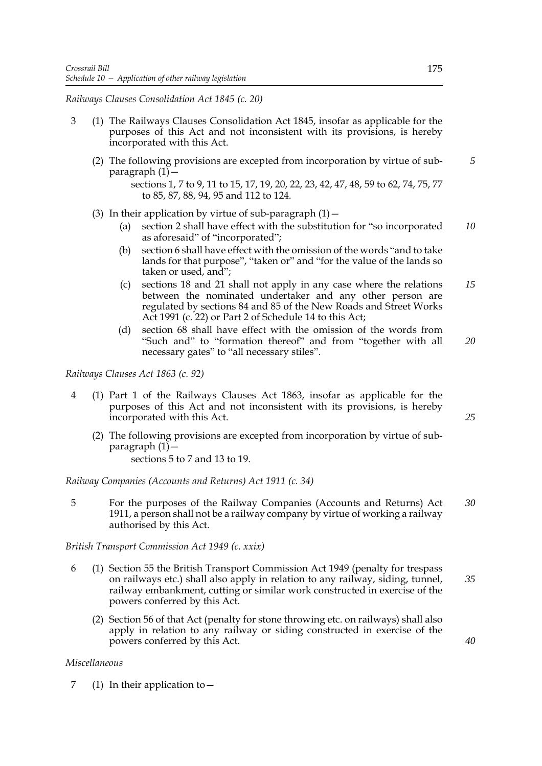*Railways Clauses Consolidation Act 1845 (c. 20)*

- 3 (1) The Railways Clauses Consolidation Act 1845, insofar as applicable for the purposes of this Act and not inconsistent with its provisions, is hereby incorporated with this Act.
	- (2) The following provisions are excepted from incorporation by virtue of subparagraph  $(1)$  – *5*

- (3) In their application by virtue of sub-paragraph  $(1)$  -
	- (a) section 2 shall have effect with the substitution for "so incorporated as aforesaid" of "incorporated"; *10*
	- (b) section 6 shall have effect with the omission of the words "and to take lands for that purpose", "taken or" and "for the value of the lands so taken or used, and";
	- (c) sections 18 and 21 shall not apply in any case where the relations between the nominated undertaker and any other person are regulated by sections 84 and 85 of the New Roads and Street Works Act 1991 (c. 22) or Part 2 of Schedule 14 to this Act; *15*
	- (d) section 68 shall have effect with the omission of the words from "Such and" to "formation thereof" and from "together with all necessary gates" to "all necessary stiles". *20*

*Railways Clauses Act 1863 (c. 92)*

- 4 (1) Part 1 of the Railways Clauses Act 1863, insofar as applicable for the purposes of this Act and not inconsistent with its provisions, is hereby incorporated with this Act.
	- (2) The following provisions are excepted from incorporation by virtue of subparagraph  $(1)$  -

sections 5 to 7 and 13 to 19.

*Railway Companies (Accounts and Returns) Act 1911 (c. 34)*

5 For the purposes of the Railway Companies (Accounts and Returns) Act 1911, a person shall not be a railway company by virtue of working a railway authorised by this Act. *30*

*British Transport Commission Act 1949 (c. xxix)*

- 6 (1) Section 55 the British Transport Commission Act 1949 (penalty for trespass on railways etc.) shall also apply in relation to any railway, siding, tunnel, railway embankment, cutting or similar work constructed in exercise of the powers conferred by this Act. *35*
	- (2) Section 56 of that Act (penalty for stone throwing etc. on railways) shall also apply in relation to any railway or siding constructed in exercise of the powers conferred by this Act.

## *Miscellaneous*

7 (1) In their application to—

*25*

sections 1, 7 to 9, 11 to 15, 17, 19, 20, 22, 23, 42, 47, 48, 59 to 62, 74, 75, 77 to 85, 87, 88, 94, 95 and 112 to 124.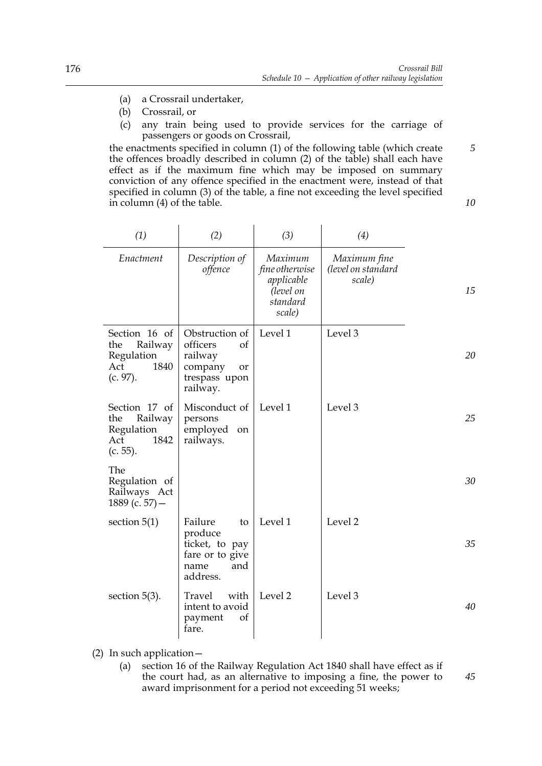*10*

- (a) a Crossrail undertaker,
- (b) Crossrail, or
- (c) any train being used to provide services for the carriage of passengers or goods on Crossrail,

the enactments specified in column (1) of the following table (which create the offences broadly described in column (2) of the table) shall each have effect as if the maximum fine which may be imposed on summary conviction of any offence specified in the enactment were, instead of that specified in column (3) of the table, a fine not exceeding the level specified in column (4) of the table.

| (1)                                                                         | (2)                                                                                       | (3)                                                                        | (4)                                          |    |
|-----------------------------------------------------------------------------|-------------------------------------------------------------------------------------------|----------------------------------------------------------------------------|----------------------------------------------|----|
| Enactment                                                                   | Description of<br>offence                                                                 | Maximum<br>fine otherwise<br>applicable<br>(level on<br>standard<br>scale) | Maximum fine<br>(level on standard<br>scale) | 15 |
| Section 16 of<br>Railway<br>the<br>Regulation<br>Act<br>1840<br>(c. 97).    | Obstruction of<br>officers<br>of<br>railway<br>company<br>or<br>trespass upon<br>railway. | Level 1                                                                    | Level 3                                      | 20 |
| Section 17 of<br>Railway<br>the<br>Regulation<br>1842<br>Act<br>$(c. 55)$ . | Misconduct of<br>persons<br>employed<br>on<br>railways.                                   | Level 1                                                                    | Level 3                                      | 25 |
| The<br>Regulation of<br>Railways Act<br>1889 (c. 57) $-$                    |                                                                                           |                                                                            |                                              | 30 |
| section $5(1)$                                                              | Failure<br>to<br>produce<br>ticket, to pay<br>fare or to give<br>and<br>name<br>address.  | Level 1                                                                    | Level 2                                      | 35 |
| section $5(3)$ .                                                            | with<br>Travel<br>intent to avoid<br>payment<br>of<br>fare.                               | Level 2                                                                    | Level 3                                      | 40 |

(2) In such application—

(a) section 16 of the Railway Regulation Act 1840 shall have effect as if the court had, as an alternative to imposing a fine, the power to award imprisonment for a period not exceeding 51 weeks; *45*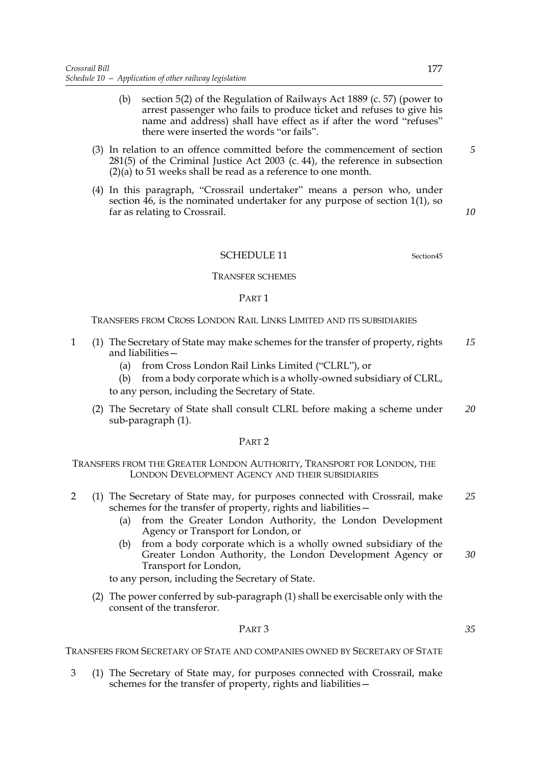- (b) section 5(2) of the Regulation of Railways Act 1889 (c. 57) (power to arrest passenger who fails to produce ticket and refuses to give his name and address) shall have effect as if after the word "refuses" there were inserted the words "or fails".
- (3) In relation to an offence committed before the commencement of section 281(5) of the Criminal Justice Act 2003 (c. 44), the reference in subsection (2)(a) to 51 weeks shall be read as a reference to one month.
- (4) In this paragraph, "Crossrail undertaker" means a person who, under section 46, is the nominated undertaker for any purpose of section 1(1), so far as relating to Crossrail.

*5*

*10*

## SCHEDULE 11 Section45

#### TRANSFER SCHEMES

#### PART 1

TRANSFERS FROM CROSS LONDON RAIL LINKS LIMITED AND ITS SUBSIDIARIES

- 1 (1) The Secretary of State may make schemes for the transfer of property, rights and liabilities— *15*
	- (a) from Cross London Rail Links Limited ("CLRL"), or

(b) from a body corporate which is a wholly-owned subsidiary of CLRL, to any person, including the Secretary of State.

(2) The Secretary of State shall consult CLRL before making a scheme under sub-paragraph (1). *20*

## PART 2

TRANSFERS FROM THE GREATER LONDON AUTHORITY, TRANSPORT FOR LONDON, THE LONDON DEVELOPMENT AGENCY AND THEIR SUBSIDIARIES

- 2 (1) The Secretary of State may, for purposes connected with Crossrail, make schemes for the transfer of property, rights and liabilities— *25*
	- (a) from the Greater London Authority, the London Development Agency or Transport for London, or
	- (b) from a body corporate which is a wholly owned subsidiary of the Greater London Authority, the London Development Agency or Transport for London, *30*

to any person, including the Secretary of State.

(2) The power conferred by sub-paragraph (1) shall be exercisable only with the consent of the transferor.

#### PART 3

TRANSFERS FROM SECRETARY OF STATE AND COMPANIES OWNED BY SECRETARY OF STATE

3 (1) The Secretary of State may, for purposes connected with Crossrail, make schemes for the transfer of property, rights and liabilities—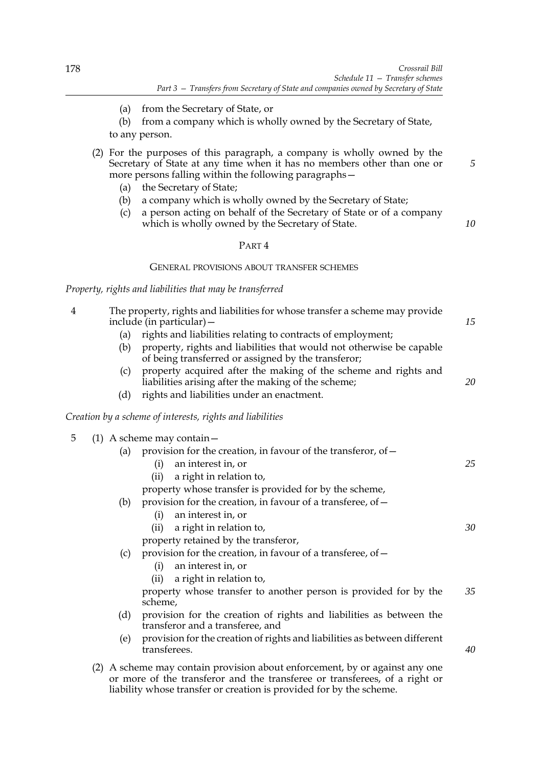*5*

*10*

- (a) from the Secretary of State, or
- (b) from a company which is wholly owned by the Secretary of State, to any person.
- (2) For the purposes of this paragraph, a company is wholly owned by the Secretary of State at any time when it has no members other than one or more persons falling within the following paragraphs—
	- (a) the Secretary of State;
	- (b) a company which is wholly owned by the Secretary of State;
	- (c) a person acting on behalf of the Secretary of State or of a company which is wholly owned by the Secretary of State.

## PART 4

#### GENERAL PROVISIONS ABOUT TRANSFER SCHEMES

*Property, rights and liabilities that may be transferred*

| 4 | The property, rights and liabilities for whose transfer a scheme may provide<br>include (in particular) – |                                                                                                                                                                                                                                  |    |
|---|-----------------------------------------------------------------------------------------------------------|----------------------------------------------------------------------------------------------------------------------------------------------------------------------------------------------------------------------------------|----|
|   | (a)                                                                                                       | rights and liabilities relating to contracts of employment;                                                                                                                                                                      |    |
|   | (b)                                                                                                       | property, rights and liabilities that would not otherwise be capable<br>of being transferred or assigned by the transferor;                                                                                                      |    |
|   | (c)                                                                                                       | property acquired after the making of the scheme and rights and<br>liabilities arising after the making of the scheme;                                                                                                           | 20 |
|   | (d)                                                                                                       | rights and liabilities under an enactment.                                                                                                                                                                                       |    |
|   |                                                                                                           | Creation by a scheme of interests, rights and liabilities                                                                                                                                                                        |    |
| 5 |                                                                                                           | (1) A scheme may contain $-$                                                                                                                                                                                                     |    |
|   | (a)                                                                                                       | provision for the creation, in favour of the transferor, of -                                                                                                                                                                    |    |
|   |                                                                                                           | an interest in, or<br>(i)                                                                                                                                                                                                        | 25 |
|   |                                                                                                           | a right in relation to,<br>(ii)                                                                                                                                                                                                  |    |
|   |                                                                                                           | property whose transfer is provided for by the scheme,                                                                                                                                                                           |    |
|   | (b)                                                                                                       | provision for the creation, in favour of a transferee, of -                                                                                                                                                                      |    |
|   |                                                                                                           | an interest in, or<br>(i)                                                                                                                                                                                                        |    |
|   |                                                                                                           | a right in relation to,<br>(ii)                                                                                                                                                                                                  | 30 |
|   |                                                                                                           | property retained by the transferor,                                                                                                                                                                                             |    |
|   | (c)                                                                                                       | provision for the creation, in favour of a transferee, of -                                                                                                                                                                      |    |
|   |                                                                                                           | an interest in, or<br>(i)                                                                                                                                                                                                        |    |
|   |                                                                                                           | a right in relation to,<br>(ii)                                                                                                                                                                                                  |    |
|   |                                                                                                           | property whose transfer to another person is provided for by the<br>scheme,                                                                                                                                                      | 35 |
|   | (d)                                                                                                       | provision for the creation of rights and liabilities as between the<br>transferor and a transferee, and                                                                                                                          |    |
|   | (e)                                                                                                       | provision for the creation of rights and liabilities as between different<br>transferees.                                                                                                                                        | 40 |
|   |                                                                                                           | (2) A scheme may contain provision about enforcement, by or against any one<br>or more of the transferor and the transferee or transferees, of a right or<br>liability whose transfer or creation is provided for by the scheme. |    |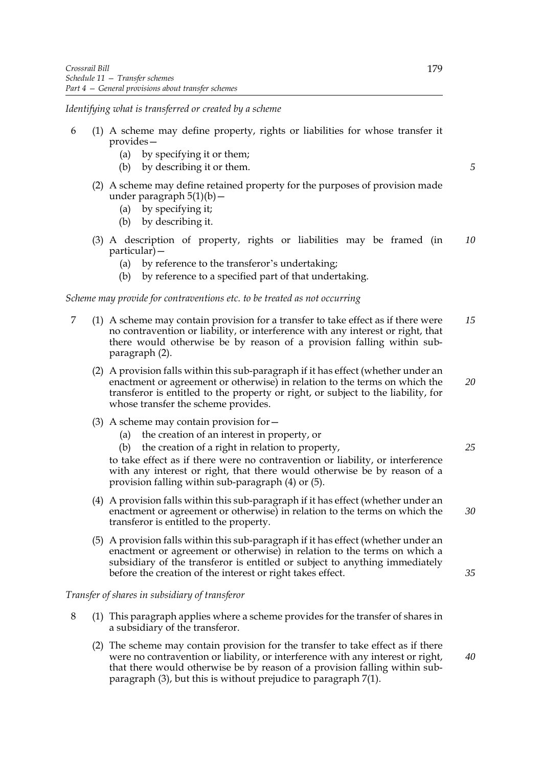*Identifying what is transferred or created by a scheme*

- 6 (1) A scheme may define property, rights or liabilities for whose transfer it provides—
	- (a) by specifying it or them;
	- (b) by describing it or them.
	- (2) A scheme may define retained property for the purposes of provision made under paragraph  $5(1)(b)$  —
		- (a) by specifying it;
		- (b) by describing it.
	- (3) A description of property, rights or liabilities may be framed (in particular)— *10*
		- (a) by reference to the transferor's undertaking;
		- (b) by reference to a specified part of that undertaking.

## *Scheme may provide for contraventions etc. to be treated as not occurring*

- 7 (1) A scheme may contain provision for a transfer to take effect as if there were no contravention or liability, or interference with any interest or right, that there would otherwise be by reason of a provision falling within subparagraph (2). *15*
	- (2) A provision falls within this sub-paragraph if it has effect (whether under an enactment or agreement or otherwise) in relation to the terms on which the transferor is entitled to the property or right, or subject to the liability, for whose transfer the scheme provides.
	- (3) A scheme may contain provision for—
		- (a) the creation of an interest in property, or
		- (b) the creation of a right in relation to property,

to take effect as if there were no contravention or liability, or interference with any interest or right, that there would otherwise be by reason of a provision falling within sub-paragraph (4) or (5).

- (4) A provision falls within this sub-paragraph if it has effect (whether under an enactment or agreement or otherwise) in relation to the terms on which the transferor is entitled to the property. *30*
- (5) A provision falls within this sub-paragraph if it has effect (whether under an enactment or agreement or otherwise) in relation to the terms on which a subsidiary of the transferor is entitled or subject to anything immediately before the creation of the interest or right takes effect.

*Transfer of shares in subsidiary of transferor*

- 8 (1) This paragraph applies where a scheme provides for the transfer of shares in a subsidiary of the transferor.
	- (2) The scheme may contain provision for the transfer to take effect as if there were no contravention or liability, or interference with any interest or right, that there would otherwise be by reason of a provision falling within subparagraph (3), but this is without prejudice to paragraph 7(1).

*5*

*20*

*25*

*40*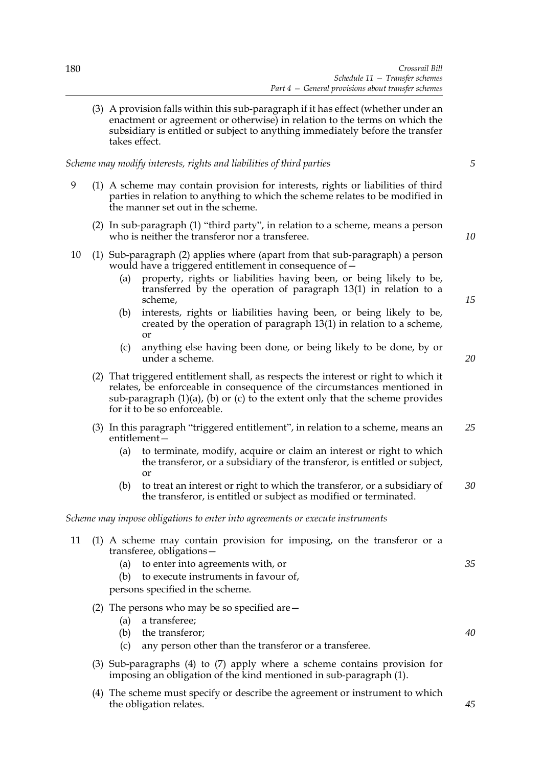(3) A provision falls within this sub-paragraph if it has effect (whether under an enactment or agreement or otherwise) in relation to the terms on which the subsidiary is entitled or subject to anything immediately before the transfer takes effect.

*Scheme may modify interests, rights and liabilities of third parties*

- 9 (1) A scheme may contain provision for interests, rights or liabilities of third parties in relation to anything to which the scheme relates to be modified in the manner set out in the scheme.
	- (2) In sub-paragraph (1) "third party", in relation to a scheme, means a person who is neither the transferor nor a transferee.
- 10 (1) Sub-paragraph (2) applies where (apart from that sub-paragraph) a person would have a triggered entitlement in consequence of—
	- (a) property, rights or liabilities having been, or being likely to be, transferred by the operation of paragraph 13(1) in relation to a scheme,
	- (b) interests, rights or liabilities having been, or being likely to be, created by the operation of paragraph 13(1) in relation to a scheme, or
	- (c) anything else having been done, or being likely to be done, by or under a scheme.
- *20*

*15*

*5*

*10*

- (2) That triggered entitlement shall, as respects the interest or right to which it relates, be enforceable in consequence of the circumstances mentioned in sub-paragraph  $(1)(a)$ ,  $(b)$  or  $(c)$  to the extent only that the scheme provides for it to be so enforceable.
- (3) In this paragraph "triggered entitlement", in relation to a scheme, means an entitlement— *25*
	- (a) to terminate, modify, acquire or claim an interest or right to which the transferor, or a subsidiary of the transferor, is entitled or subject, or
	- (b) to treat an interest or right to which the transferor, or a subsidiary of the transferor, is entitled or subject as modified or terminated. *30*

### *Scheme may impose obligations to enter into agreements or execute instruments*

- 11 (1) A scheme may contain provision for imposing, on the transferor or a transferee, obligations—
	- (a) to enter into agreements with, or
	- (b) to execute instruments in favour of,

persons specified in the scheme.

- (2) The persons who may be so specified are—
	- (a) a transferee;
	- (b) the transferor;
	- (c) any person other than the transferor or a transferee.
- (3) Sub-paragraphs (4) to (7) apply where a scheme contains provision for imposing an obligation of the kind mentioned in sub-paragraph (1).
- (4) The scheme must specify or describe the agreement or instrument to which the obligation relates.

*40*

*45*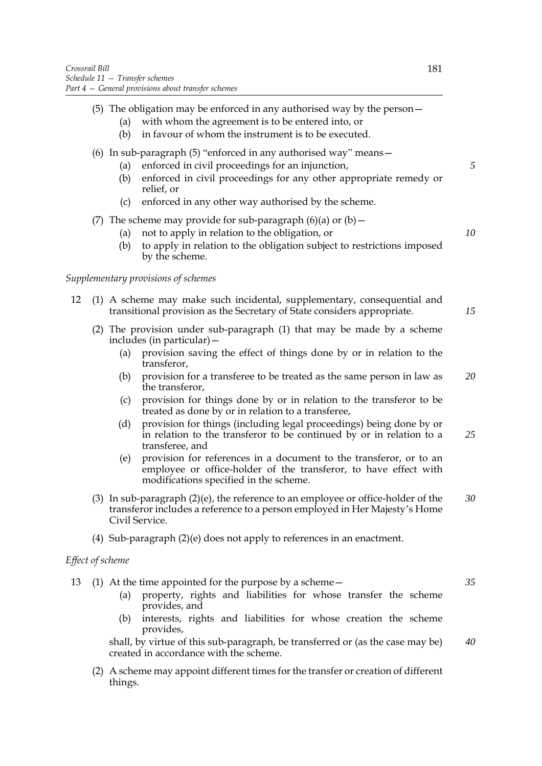- (a) with whom the agreement is to be entered into, or
- (b) in favour of whom the instrument is to be executed.

# (6) In sub-paragraph (5) "enforced in any authorised way" means—

- (a) enforced in civil proceedings for an injunction,
- (b) enforced in civil proceedings for any other appropriate remedy or relief, or
- (c) enforced in any other way authorised by the scheme.
- (7) The scheme may provide for sub-paragraph  $(6)(a)$  or  $(b)$  -
	- (a) not to apply in relation to the obligation, or

*5*

*10*

*15*

(b) to apply in relation to the obligation subject to restrictions imposed by the scheme.

## *Supplementary provisions of schemes*

- 12 (1) A scheme may make such incidental, supplementary, consequential and transitional provision as the Secretary of State considers appropriate.
	- (2) The provision under sub-paragraph (1) that may be made by a scheme includes (in particular)—
		- (a) provision saving the effect of things done by or in relation to the transferor,
		- (b) provision for a transferee to be treated as the same person in law as the transferor, *20*
		- (c) provision for things done by or in relation to the transferor to be treated as done by or in relation to a transferee,
		- (d) provision for things (including legal proceedings) being done by or in relation to the transferor to be continued by or in relation to a transferee, and *25*
		- (e) provision for references in a document to the transferor, or to an employee or office-holder of the transferor, to have effect with modifications specified in the scheme.
	- (3) In sub-paragraph (2)(e), the reference to an employee or office-holder of the transferor includes a reference to a person employed in Her Majesty's Home Civil Service. *30*
	- (4) Sub-paragraph (2)(e) does not apply to references in an enactment.

## *Effect of scheme*

- 13 (1) At the time appointed for the purpose by a scheme—
	- (a) property, rights and liabilities for whose transfer the scheme provides, and
	- (b) interests, rights and liabilities for whose creation the scheme provides,

shall, by virtue of this sub-paragraph, be transferred or (as the case may be) created in accordance with the scheme. *40*

(2) A scheme may appoint different times for the transfer or creation of different things.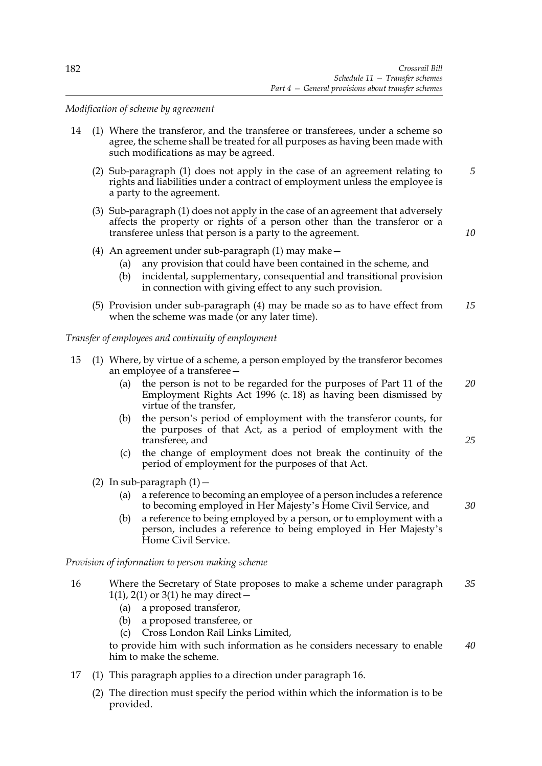*Modification of scheme by agreement*

- 14 (1) Where the transferor, and the transferee or transferees, under a scheme so agree, the scheme shall be treated for all purposes as having been made with such modifications as may be agreed.
	- (2) Sub-paragraph (1) does not apply in the case of an agreement relating to rights and liabilities under a contract of employment unless the employee is a party to the agreement. *5*
	- (3) Sub-paragraph (1) does not apply in the case of an agreement that adversely affects the property or rights of a person other than the transferor or a transferee unless that person is a party to the agreement.

*10*

*25*

*30*

- (4) An agreement under sub-paragraph (1) may make—
	- (a) any provision that could have been contained in the scheme, and
	- (b) incidental, supplementary, consequential and transitional provision in connection with giving effect to any such provision.
- (5) Provision under sub-paragraph (4) may be made so as to have effect from when the scheme was made (or any later time). *15*

*Transfer of employees and continuity of employment*

- 15 (1) Where, by virtue of a scheme, a person employed by the transferor becomes an employee of a transferee—
	- (a) the person is not to be regarded for the purposes of Part 11 of the Employment Rights Act 1996 (c. 18) as having been dismissed by virtue of the transfer, *20*
	- (b) the person's period of employment with the transferor counts, for the purposes of that Act, as a period of employment with the transferee, and
	- (c) the change of employment does not break the continuity of the period of employment for the purposes of that Act.
	- (2) In sub-paragraph  $(1)$  -
		- (a) a reference to becoming an employee of a person includes a reference to becoming employed in Her Majesty's Home Civil Service, and
		- (b) a reference to being employed by a person, or to employment with a person, includes a reference to being employed in Her Majesty's Home Civil Service.

*Provision of information to person making scheme*

- 16 Where the Secretary of State proposes to make a scheme under paragraph 1(1), 2(1) or 3(1) he may direct  $-$ *35*
	- (a) a proposed transferor,
	- (b) a proposed transferee, or
	- (c) Cross London Rail Links Limited,

to provide him with such information as he considers necessary to enable him to make the scheme. *40*

- 17 (1) This paragraph applies to a direction under paragraph 16.
	- (2) The direction must specify the period within which the information is to be provided.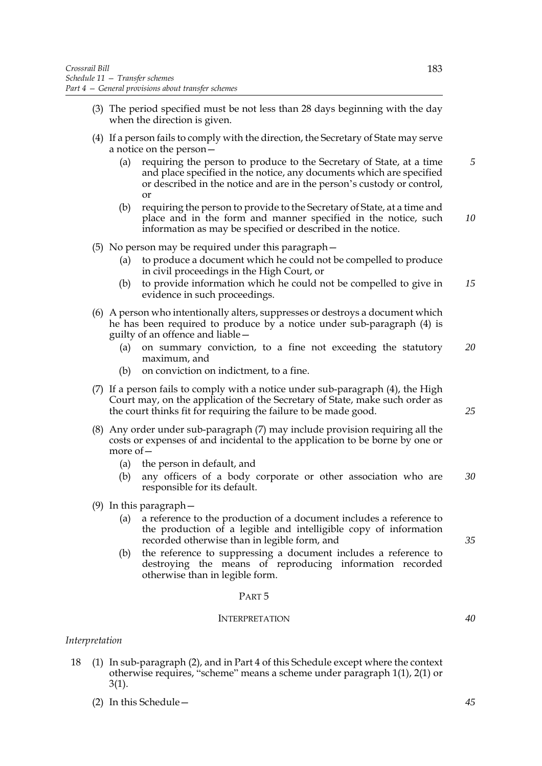- (3) The period specified must be not less than 28 days beginning with the day when the direction is given.
- (4) If a person fails to comply with the direction, the Secretary of State may serve a notice on the person—
	- (a) requiring the person to produce to the Secretary of State, at a time and place specified in the notice, any documents which are specified or described in the notice and are in the person's custody or control, or *5*
	- (b) requiring the person to provide to the Secretary of State, at a time and place and in the form and manner specified in the notice, such information as may be specified or described in the notice. *10*
- (5) No person may be required under this paragraph—
	- (a) to produce a document which he could not be compelled to produce in civil proceedings in the High Court, or
	- (b) to provide information which he could not be compelled to give in evidence in such proceedings. *15*
- (6) A person who intentionally alters, suppresses or destroys a document which he has been required to produce by a notice under sub-paragraph  $(4)$  is guilty of an offence and liable—
	- (a) on summary conviction, to a fine not exceeding the statutory maximum, and *20*
	- (b) on conviction on indictment, to a fine.
- (7) If a person fails to comply with a notice under sub-paragraph (4), the High Court may, on the application of the Secretary of State, make such order as the court thinks fit for requiring the failure to be made good.
- (8) Any order under sub-paragraph (7) may include provision requiring all the costs or expenses of and incidental to the application to be borne by one or more of—
	- (a) the person in default, and
	- (b) any officers of a body corporate or other association who are responsible for its default. *30*
- (9) In this paragraph—
	- (a) a reference to the production of a document includes a reference to the production of a legible and intelligible copy of information recorded otherwise than in legible form, and
	- (b) the reference to suppressing a document includes a reference to destroying the means of reproducing information recorded otherwise than in legible form.

### PART 5

## INTERPRETATION

### *Interpretation*

- 18 (1) In sub-paragraph (2), and in Part 4 of this Schedule except where the context otherwise requires, "scheme" means a scheme under paragraph 1(1), 2(1) or 3(1).
	- (2) In this Schedule—

*35*

*25*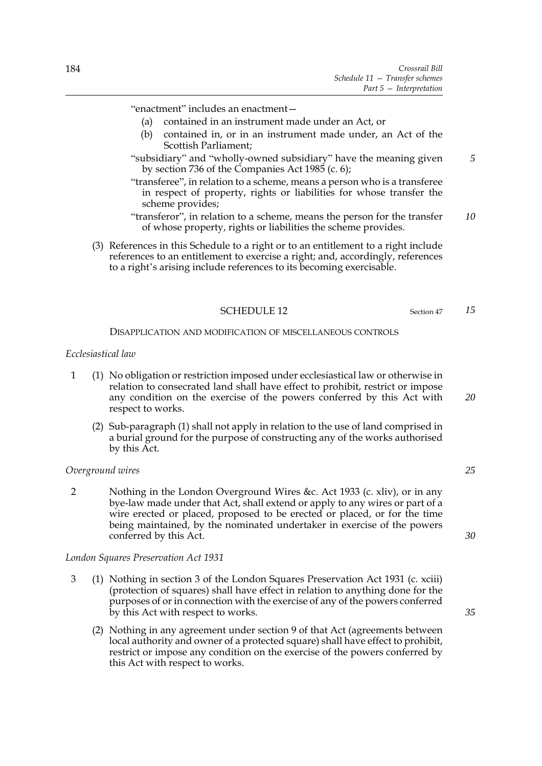- (a) contained in an instrument made under an Act, or
- (b) contained in, or in an instrument made under, an Act of the Scottish Parliament;
- "subsidiary" and "wholly-owned subsidiary" have the meaning given by section 736 of the Companies Act 1985 (c. 6);
- "transferee", in relation to a scheme, means a person who is a transferee in respect of property, rights or liabilities for whose transfer the scheme provides;
- "transferor", in relation to a scheme, means the person for the transfer of whose property, rights or liabilities the scheme provides. *10*
- (3) References in this Schedule to a right or to an entitlement to a right include references to an entitlement to exercise a right; and, accordingly, references to a right's arising include references to its becoming exercisable.

#### SCHEDULE 12 Section 47

DISAPPLICATION AND MODIFICATION OF MISCELLANEOUS CONTROLS

## *Ecclesiastical law*

- 1 (1) No obligation or restriction imposed under ecclesiastical law or otherwise in relation to consecrated land shall have effect to prohibit, restrict or impose any condition on the exercise of the powers conferred by this Act with respect to works.
	- (2) Sub-paragraph (1) shall not apply in relation to the use of land comprised in a burial ground for the purpose of constructing any of the works authorised by this Act.

### *Overground wires*

2 Nothing in the London Overground Wires &c. Act 1933 (c. xliv), or in any bye-law made under that Act, shall extend or apply to any wires or part of a wire erected or placed, proposed to be erected or placed, or for the time being maintained, by the nominated undertaker in exercise of the powers conferred by this Act.

#### *London Squares Preservation Act 1931*

- 3 (1) Nothing in section 3 of the London Squares Preservation Act 1931 (c. xciii) (protection of squares) shall have effect in relation to anything done for the purposes of or in connection with the exercise of any of the powers conferred by this Act with respect to works.
	- (2) Nothing in any agreement under section 9 of that Act (agreements between local authority and owner of a protected square) shall have effect to prohibit, restrict or impose any condition on the exercise of the powers conferred by this Act with respect to works.

*20*

*15*

*5*

*25*

*30*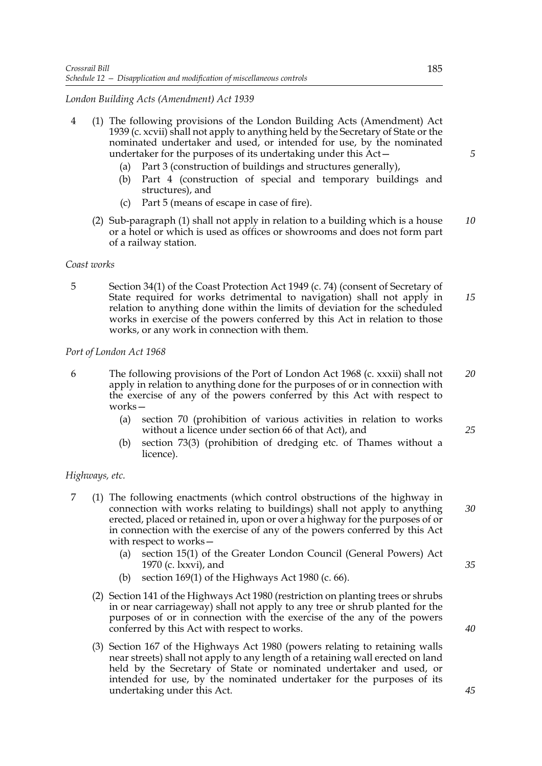## *London Building Acts (Amendment) Act 1939*

- 4 (1) The following provisions of the London Building Acts (Amendment) Act 1939 (c. xcvii) shall not apply to anything held by the Secretary of State or the nominated undertaker and used, or intended for use, by the nominated undertaker for the purposes of its undertaking under this Act—
	- (a) Part 3 (construction of buildings and structures generally),
	- (b) Part 4 (construction of special and temporary buildings and structures), and
	- (c) Part 5 (means of escape in case of fire).
	- (2) Sub-paragraph (1) shall not apply in relation to a building which is a house or a hotel or which is used as offices or showrooms and does not form part of a railway station. *10*

### *Coast works*

5 Section 34(1) of the Coast Protection Act 1949 (c. 74) (consent of Secretary of State required for works detrimental to navigation) shall not apply in relation to anything done within the limits of deviation for the scheduled works in exercise of the powers conferred by this Act in relation to those works, or any work in connection with them. *15*

### *Port of London Act 1968*

- 6 The following provisions of the Port of London Act 1968 (c. xxxii) shall not apply in relation to anything done for the purposes of or in connection with the exercise of any of the powers conferred by this Act with respect to works— *20*
	- (a) section 70 (prohibition of various activities in relation to works without a licence under section 66 of that Act), and
	- (b) section 73(3) (prohibition of dredging etc. of Thames without a licence).

### *Highways, etc.*

- 7 (1) The following enactments (which control obstructions of the highway in connection with works relating to buildings) shall not apply to anything erected, placed or retained in, upon or over a highway for the purposes of or in connection with the exercise of any of the powers conferred by this Act with respect to works—
	- (a) section 15(1) of the Greater London Council (General Powers) Act 1970 (c. lxxvi), and
	- (b) section 169(1) of the Highways Act 1980 (c. 66).
	- (2) Section 141 of the Highways Act 1980 (restriction on planting trees or shrubs in or near carriageway) shall not apply to any tree or shrub planted for the purposes of or in connection with the exercise of the any of the powers conferred by this Act with respect to works.
	- (3) Section 167 of the Highways Act 1980 (powers relating to retaining walls near streets) shall not apply to any length of a retaining wall erected on land held by the Secretary of State or nominated undertaker and used, or intended for use, by the nominated undertaker for the purposes of its undertaking under this Act.

*5*

*25*

*35*

*30*

*40*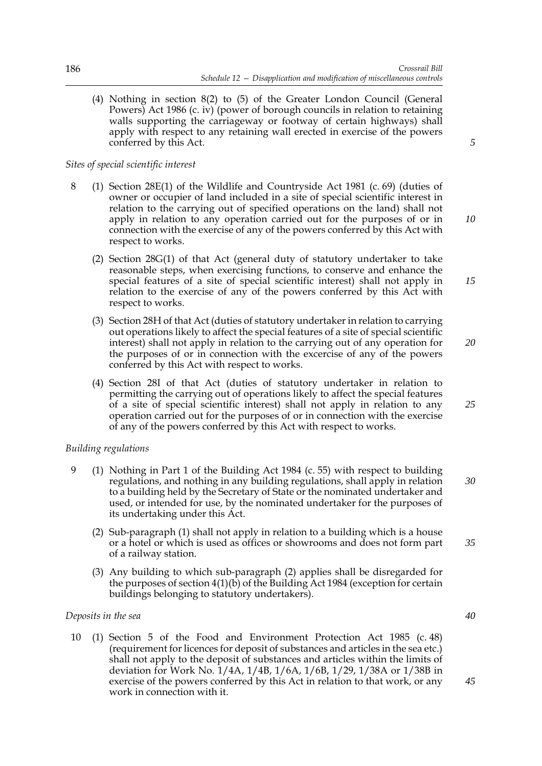(4) Nothing in section 8(2) to (5) of the Greater London Council (General Powers) Act 1986 (c. iv) (power of borough councils in relation to retaining walls supporting the carriageway or footway of certain highways) shall apply with respect to any retaining wall erected in exercise of the powers conferred by this Act.

## *Sites of special scientific interest*

- 8 (1) Section 28E(1) of the Wildlife and Countryside Act 1981 (c. 69) (duties of owner or occupier of land included in a site of special scientific interest in relation to the carrying out of specified operations on the land) shall not apply in relation to any operation carried out for the purposes of or in connection with the exercise of any of the powers conferred by this Act with respect to works.
	- (2) Section 28G(1) of that Act (general duty of statutory undertaker to take reasonable steps, when exercising functions, to conserve and enhance the special features of a site of special scientific interest) shall not apply in relation to the exercise of any of the powers conferred by this Act with respect to works.
	- (3) Section 28H of that Act (duties of statutory undertaker in relation to carrying out operations likely to affect the special features of a site of special scientific interest) shall not apply in relation to the carrying out of any operation for the purposes of or in connection with the excercise of any of the powers conferred by this Act with respect to works.
	- (4) Section 28I of that Act (duties of statutory undertaker in relation to permitting the carrying out of operations likely to affect the special features of a site of special scientific interest) shall not apply in relation to any operation carried out for the purposes of or in connection with the exercise of any of the powers conferred by this Act with respect to works.

# *Building regulations*

- 9 (1) Nothing in Part 1 of the Building Act 1984 (c. 55) with respect to building regulations, and nothing in any building regulations, shall apply in relation to a building held by the Secretary of State or the nominated undertaker and used, or intended for use, by the nominated undertaker for the purposes of its undertaking under this Act. *30*
	- (2) Sub-paragraph (1) shall not apply in relation to a building which is a house or a hotel or which is used as offices or showrooms and does not form part of a railway station.
	- (3) Any building to which sub-paragraph (2) applies shall be disregarded for the purposes of section 4(1)(b) of the Building Act 1984 (exception for certain buildings belonging to statutory undertakers).

## *Deposits in the sea*

10 (1) Section 5 of the Food and Environment Protection Act 1985 (c. 48) (requirement for licences for deposit of substances and articles in the sea etc.) shall not apply to the deposit of substances and articles within the limits of deviation for Work No. 1/4A, 1/4B, 1/6A, 1/6B, 1/29, 1/38A or 1/38B in exercise of the powers conferred by this Act in relation to that work, or any work in connection with it.

*5*

*15*

*10*

*20*

*25*

*35*

*40*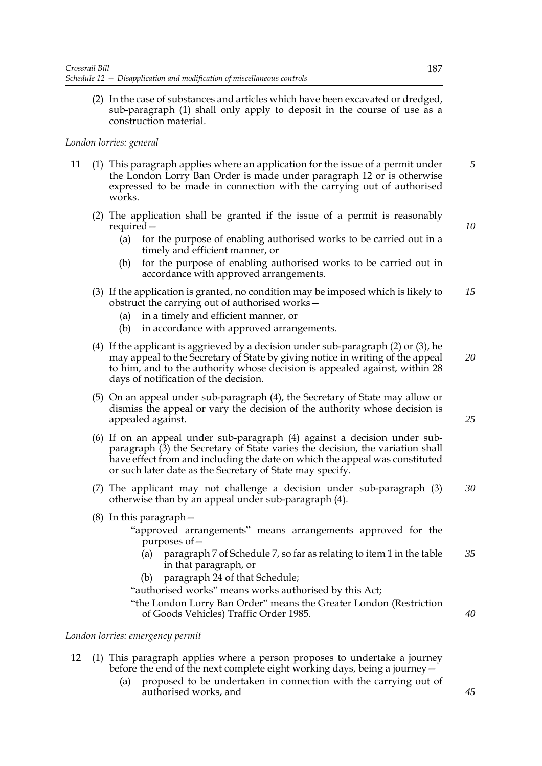(2) In the case of substances and articles which have been excavated or dredged, sub-paragraph (1) shall only apply to deposit in the course of use as a construction material.

## *London lorries: general*

- 11 (1) This paragraph applies where an application for the issue of a permit under the London Lorry Ban Order is made under paragraph 12 or is otherwise expressed to be made in connection with the carrying out of authorised works. *5*
	- (2) The application shall be granted if the issue of a permit is reasonably required—
		- (a) for the purpose of enabling authorised works to be carried out in a timely and efficient manner, or
		- (b) for the purpose of enabling authorised works to be carried out in accordance with approved arrangements.
	- (3) If the application is granted, no condition may be imposed which is likely to obstruct the carrying out of authorised works— *15*
		- (a) in a timely and efficient manner, or
		- (b) in accordance with approved arrangements.
	- (4) If the applicant is aggrieved by a decision under sub-paragraph (2) or (3), he may appeal to the Secretary of State by giving notice in writing of the appeal to him, and to the authority whose decision is appealed against, within 28 days of notification of the decision. *20*
	- (5) On an appeal under sub-paragraph (4), the Secretary of State may allow or dismiss the appeal or vary the decision of the authority whose decision is appealed against.
	- (6) If on an appeal under sub-paragraph (4) against a decision under subparagraph (3) the Secretary of State varies the decision, the variation shall have effect from and including the date on which the appeal was constituted or such later date as the Secretary of State may specify.
	- (7) The applicant may not challenge a decision under sub-paragraph (3) otherwise than by an appeal under sub-paragraph (4). *30*
	- (8) In this paragraph—
		- "approved arrangements" means arrangements approved for the purposes of—
			- (a) paragraph 7 of Schedule 7, so far as relating to item 1 in the table in that paragraph, or *35*
			- (b) paragraph 24 of that Schedule;
		- "authorised works" means works authorised by this Act;
		- "the London Lorry Ban Order" means the Greater London (Restriction of Goods Vehicles) Traffic Order 1985.

## *London lorries: emergency permit*

- 12 (1) This paragraph applies where a person proposes to undertake a journey before the end of the next complete eight working days, being a journey—
	- (a) proposed to be undertaken in connection with the carrying out of authorised works, and

*25*

*40*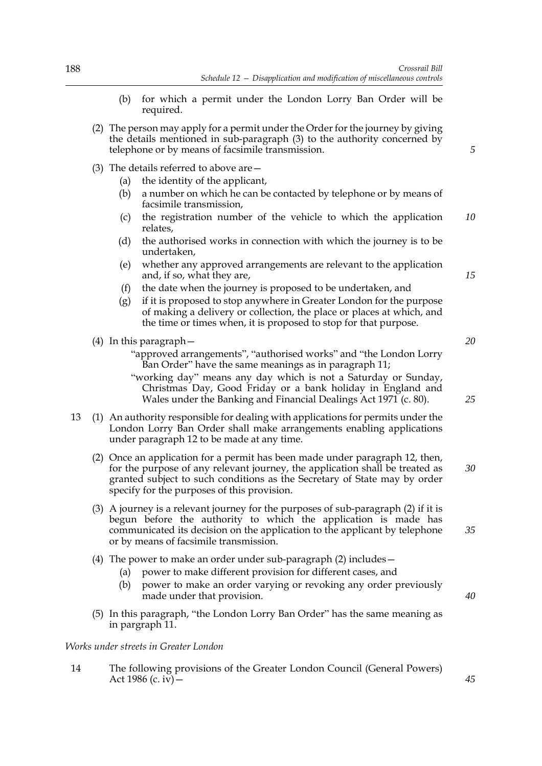- (b) for which a permit under the London Lorry Ban Order will be required.
- (2) The person may apply for a permit under the Order for the journey by giving the details mentioned in sub-paragraph (3) to the authority concerned by telephone or by means of facsimile transmission.
- (3) The details referred to above are—
	- (a) the identity of the applicant,
	- (b) a number on which he can be contacted by telephone or by means of facsimile transmission,
	- (c) the registration number of the vehicle to which the application relates, *10*
	- (d) the authorised works in connection with which the journey is to be undertaken,
	- (e) whether any approved arrangements are relevant to the application and, if so, what they are,
	- (f) the date when the journey is proposed to be undertaken, and
	- (g) if it is proposed to stop anywhere in Greater London for the purpose of making a delivery or collection, the place or places at which, and the time or times when, it is proposed to stop for that purpose.
- (4) In this paragraph—
	- "approved arrangements", "authorised works" and "the London Lorry Ban Order" have the same meanings as in paragraph 11;
	- "working day" means any day which is not a Saturday or Sunday, Christmas Day, Good Friday or a bank holiday in England and Wales under the Banking and Financial Dealings Act 1971 (c. 80).
- 13 (1) An authority responsible for dealing with applications for permits under the London Lorry Ban Order shall make arrangements enabling applications under paragraph 12 to be made at any time.
	- (2) Once an application for a permit has been made under paragraph 12, then, for the purpose of any relevant journey, the application shall be treated as granted subject to such conditions as the Secretary of State may by order specify for the purposes of this provision.
	- (3) A journey is a relevant journey for the purposes of sub-paragraph (2) if it is begun before the authority to which the application is made has communicated its decision on the application to the applicant by telephone or by means of facsimile transmission.
	- (4) The power to make an order under sub-paragraph (2) includes—
		- (a) power to make different provision for different cases, and
		- (b) power to make an order varying or revoking any order previously made under that provision.
	- (5) In this paragraph, "the London Lorry Ban Order" has the same meaning as in pargraph 11.

### *Works under streets in Greater London*

14 The following provisions of the Greater London Council (General Powers) Act 1986 (c. iv)  $-$ 

*20*

*15*

*5*

*25*

*30*

*35*

*40*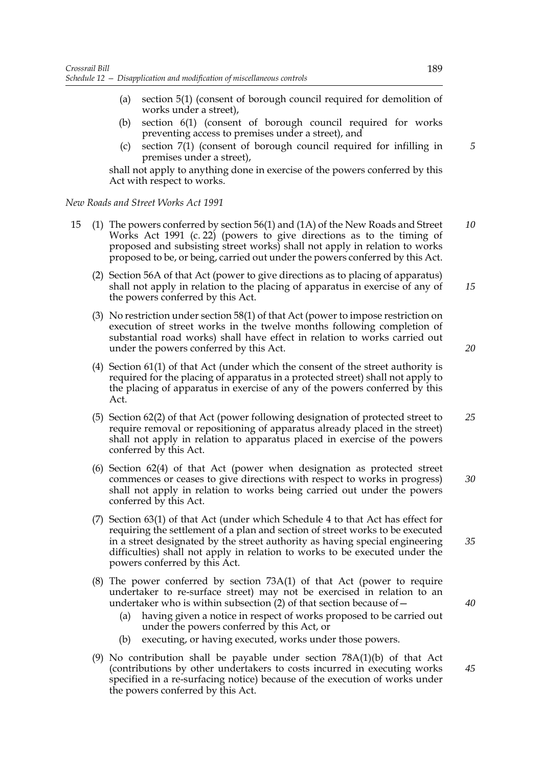- (a) section 5(1) (consent of borough council required for demolition of works under a street),
- (b) section 6(1) (consent of borough council required for works preventing access to premises under a street), and
- (c) section 7(1) (consent of borough council required for infilling in premises under a street),

shall not apply to anything done in exercise of the powers conferred by this Act with respect to works.

*New Roads and Street Works Act 1991*

- 15 (1) The powers conferred by section 56(1) and (1A) of the New Roads and Street Works Act 1991 (c. 22) (powers to give directions as to the timing of proposed and subsisting street works) shall not apply in relation to works proposed to be, or being, carried out under the powers conferred by this Act. *10*
	- (2) Section 56A of that Act (power to give directions as to placing of apparatus) shall not apply in relation to the placing of apparatus in exercise of any of the powers conferred by this Act.
	- (3) No restriction under section 58(1) of that Act (power to impose restriction on execution of street works in the twelve months following completion of substantial road works) shall have effect in relation to works carried out under the powers conferred by this Act.
	- (4) Section 61(1) of that Act (under which the consent of the street authority is required for the placing of apparatus in a protected street) shall not apply to the placing of apparatus in exercise of any of the powers conferred by this Act.
	- (5) Section 62(2) of that Act (power following designation of protected street to require removal or repositioning of apparatus already placed in the street) shall not apply in relation to apparatus placed in exercise of the powers conferred by this Act. *25*
	- (6) Section 62(4) of that Act (power when designation as protected street commences or ceases to give directions with respect to works in progress) shall not apply in relation to works being carried out under the powers conferred by this Act.
	- (7) Section 63(1) of that Act (under which Schedule 4 to that Act has effect for requiring the settlement of a plan and section of street works to be executed in a street designated by the street authority as having special engineering difficulties) shall not apply in relation to works to be executed under the powers conferred by this Act.
	- (8) The power conferred by section 73A(1) of that Act (power to require undertaker to re-surface street) may not be exercised in relation to an undertaker who is within subsection  $(2)$  of that section because of  $-$ 
		- (a) having given a notice in respect of works proposed to be carried out under the powers conferred by this Act, or
		- (b) executing, or having executed, works under those powers.
	- (9) No contribution shall be payable under section 78A(1)(b) of that Act (contributions by other undertakers to costs incurred in executing works specified in a re-surfacing notice) because of the execution of works under the powers conferred by this Act.

*5*

*15*

*20*

*40*

*45*

*30*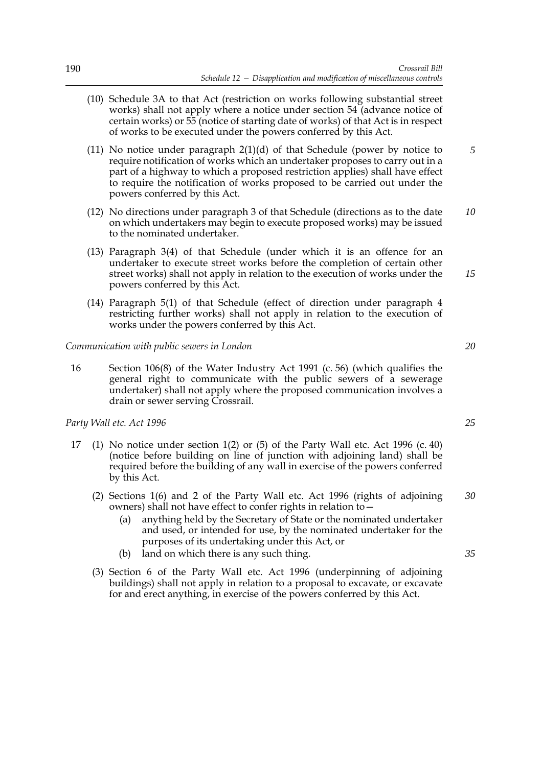- (10) Schedule 3A to that Act (restriction on works following substantial street works) shall not apply where a notice under section 54 (advance notice of certain works) or 55 (notice of starting date of works) of that Act is in respect of works to be executed under the powers conferred by this Act.
- (11) No notice under paragraph  $2(1)(d)$  of that Schedule (power by notice to require notification of works which an undertaker proposes to carry out in a part of a highway to which a proposed restriction applies) shall have effect to require the notification of works proposed to be carried out under the powers conferred by this Act. *5*
- (12) No directions under paragraph 3 of that Schedule (directions as to the date on which undertakers may begin to execute proposed works) may be issued to the nominated undertaker. *10*
- (13) Paragraph 3(4) of that Schedule (under which it is an offence for an undertaker to execute street works before the completion of certain other street works) shall not apply in relation to the execution of works under the powers conferred by this Act.
- (14) Paragraph 5(1) of that Schedule (effect of direction under paragraph 4 restricting further works) shall not apply in relation to the execution of works under the powers conferred by this Act.

*Communication with public sewers in London*

16 Section 106(8) of the Water Industry Act 1991 (c. 56) (which qualifies the general right to communicate with the public sewers of a sewerage undertaker) shall not apply where the proposed communication involves a drain or sewer serving Crossrail.

*Party Wall etc. Act 1996*

- 17 (1) No notice under section 1(2) or (5) of the Party Wall etc. Act 1996 (c. 40) (notice before building on line of junction with adjoining land) shall be required before the building of any wall in exercise of the powers conferred by this Act.
	- (2) Sections 1(6) and 2 of the Party Wall etc. Act 1996 (rights of adjoining owners) shall not have effect to confer rights in relation to— *30*
		- (a) anything held by the Secretary of State or the nominated undertaker and used, or intended for use, by the nominated undertaker for the purposes of its undertaking under this Act, or
		- (b) land on which there is any such thing.
	- (3) Section 6 of the Party Wall etc. Act 1996 (underpinning of adjoining buildings) shall not apply in relation to a proposal to excavate, or excavate for and erect anything, in exercise of the powers conferred by this Act.

*20*

*15*

*25*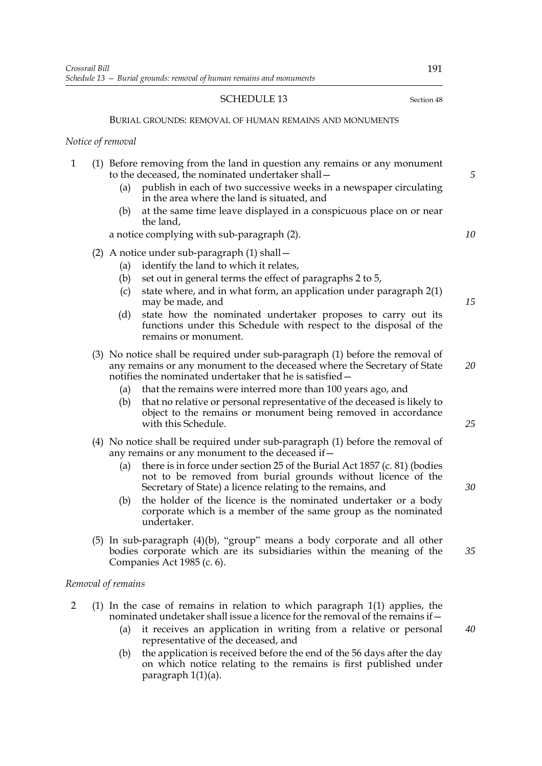## SCHEDULE 13 Section 48

#### BURIAL GROUNDS: REMOVAL OF HUMAN REMAINS AND MONUMENTS

#### *Notice of removal*

|  | (1) Before removing from the land in question any remains or any monument |
|--|---------------------------------------------------------------------------|
|  | to the deceased, the nominated undertaker shall –                         |
|  |                                                                           |

- (a) publish in each of two successive weeks in a newspaper circulating in the area where the land is situated, and
- (b) at the same time leave displayed in a conspicuous place on or near the land,

a notice complying with sub-paragraph (2).

- (2) A notice under sub-paragraph (1) shall—
	- (a) identify the land to which it relates,
	- (b) set out in general terms the effect of paragraphs 2 to 5,
	- (c) state where, and in what form, an application under paragraph 2(1) may be made, and
	- (d) state how the nominated undertaker proposes to carry out its functions under this Schedule with respect to the disposal of the remains or monument.
- (3) No notice shall be required under sub-paragraph (1) before the removal of any remains or any monument to the deceased where the Secretary of State notifies the nominated undertaker that he is satisfied—
	- (a) that the remains were interred more than 100 years ago, and
	- (b) that no relative or personal representative of the deceased is likely to object to the remains or monument being removed in accordance with this Schedule.
- (4) No notice shall be required under sub-paragraph (1) before the removal of any remains or any monument to the deceased if—
	- (a) there is in force under section 25 of the Burial Act 1857 (c. 81) (bodies not to be removed from burial grounds without licence of the Secretary of State) a licence relating to the remains, and
	- (b) the holder of the licence is the nominated undertaker or a body corporate which is a member of the same group as the nominated undertaker.
- (5) In sub-paragraph (4)(b), "group" means a body corporate and all other bodies corporate which are its subsidiaries within the meaning of the Companies Act 1985 (c. 6).

#### *Removal of remains*

- 2 (1) In the case of remains in relation to which paragraph 1(1) applies, the nominated undetaker shall issue a licence for the removal of the remains if—
	- (a) it receives an application in writing from a relative or personal representative of the deceased, and
	- (b) the application is received before the end of the 56 days after the day on which notice relating to the remains is first published under paragraph 1(1)(a).

*5*

*10*

*15*

*20*

*25*

*30*

*35*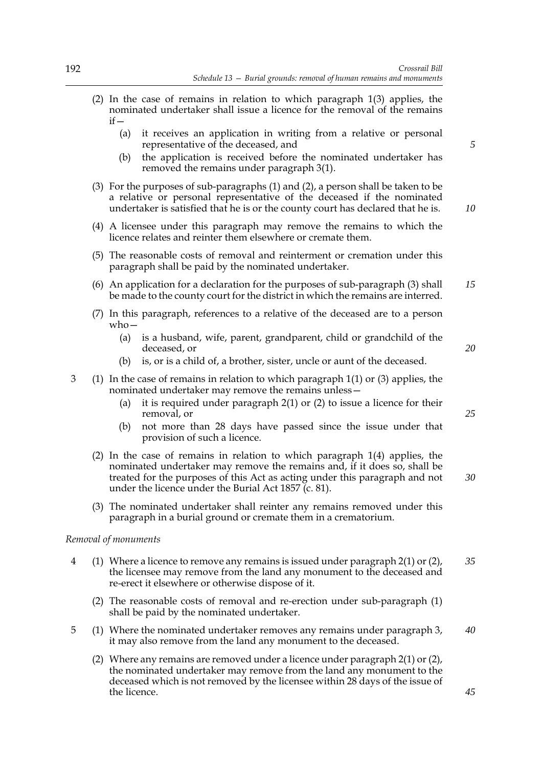- (2) In the case of remains in relation to which paragraph 1(3) applies, the nominated undertaker shall issue a licence for the removal of the remains  $if -$ 
	- (a) it receives an application in writing from a relative or personal representative of the deceased, and
	- (b) the application is received before the nominated undertaker has removed the remains under paragraph 3(1).
- (3) For the purposes of sub-paragraphs (1) and (2), a person shall be taken to be a relative or personal representative of the deceased if the nominated undertaker is satisfied that he is or the county court has declared that he is.
- (4) A licensee under this paragraph may remove the remains to which the licence relates and reinter them elsewhere or cremate them.
- (5) The reasonable costs of removal and reinterment or cremation under this paragraph shall be paid by the nominated undertaker.
- (6) An application for a declaration for the purposes of sub-paragraph (3) shall be made to the county court for the district in which the remains are interred. *15*
- (7) In this paragraph, references to a relative of the deceased are to a person who—
	- (a) is a husband, wife, parent, grandparent, child or grandchild of the deceased, or
	- (b) is, or is a child of, a brother, sister, uncle or aunt of the deceased.
- 3 (1) In the case of remains in relation to which paragraph 1(1) or (3) applies, the nominated undertaker may remove the remains unless—
	- (a) it is required under paragraph 2(1) or (2) to issue a licence for their removal, or
	- (b) not more than 28 days have passed since the issue under that provision of such a licence.
	- (2) In the case of remains in relation to which paragraph 1(4) applies, the nominated undertaker may remove the remains and, if it does so, shall be treated for the purposes of this Act as acting under this paragraph and not under the licence under the Burial Act 1857 (c. 81).
	- (3) The nominated undertaker shall reinter any remains removed under this paragraph in a burial ground or cremate them in a crematorium.

## *Removal of monuments*

- 4 (1) Where a licence to remove any remains is issued under paragraph 2(1) or (2), the licensee may remove from the land any monument to the deceased and re-erect it elsewhere or otherwise dispose of it. *35*
	- (2) The reasonable costs of removal and re-erection under sub-paragraph (1) shall be paid by the nominated undertaker.
- 5 (1) Where the nominated undertaker removes any remains under paragraph 3, it may also remove from the land any monument to the deceased. *40*
	- (2) Where any remains are removed under a licence under paragraph 2(1) or (2), the nominated undertaker may remove from the land any monument to the deceased which is not removed by the licensee within 28 days of the issue of the licence.

*10*

*5*

*25*

*20*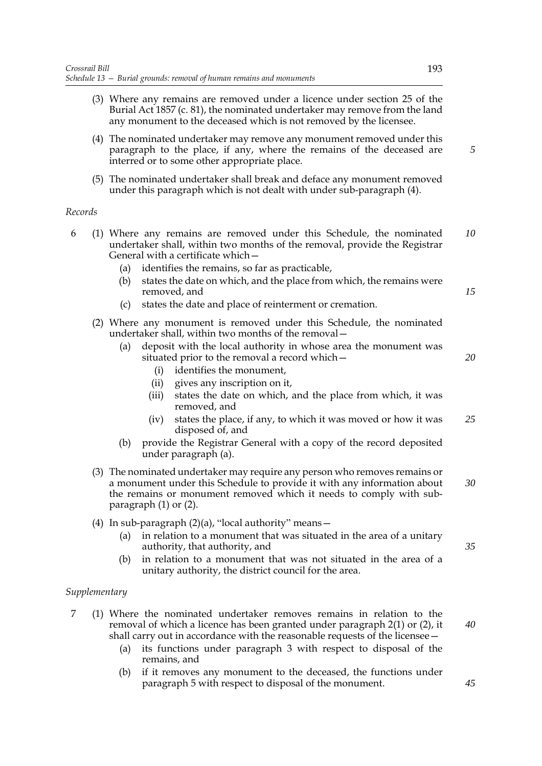- (3) Where any remains are removed under a licence under section 25 of the Burial Act 1857 (c. 81), the nominated undertaker may remove from the land any monument to the deceased which is not removed by the licensee.
- (4) The nominated undertaker may remove any monument removed under this paragraph to the place, if any, where the remains of the deceased are interred or to some other appropriate place.
- (5) The nominated undertaker shall break and deface any monument removed under this paragraph which is not dealt with under sub-paragraph (4).

## *Records*

- 6 (1) Where any remains are removed under this Schedule, the nominated undertaker shall, within two months of the removal, provide the Registrar General with a certificate which— *10*
	- (a) identifies the remains, so far as practicable,
	- (b) states the date on which, and the place from which, the remains were removed, and
	- (c) states the date and place of reinterment or cremation.
	- (2) Where any monument is removed under this Schedule, the nominated undertaker shall, within two months of the removal—
		- (a) deposit with the local authority in whose area the monument was situated prior to the removal a record which—
			- (i) identifies the monument,
			- (ii) gives any inscription on it,
			- (iii) states the date on which, and the place from which, it was removed, and
			- (iv) states the place, if any, to which it was moved or how it was disposed of, and *25*
		- (b) provide the Registrar General with a copy of the record deposited under paragraph (a).
	- (3) The nominated undertaker may require any person who removes remains or a monument under this Schedule to provide it with any information about the remains or monument removed which it needs to comply with subparagraph (1) or (2). *30*
	- (4) In sub-paragraph  $(2)(a)$ , "local authority" means -
		- (a) in relation to a monument that was situated in the area of a unitary authority, that authority, and
		- (b) in relation to a monument that was not situated in the area of a unitary authority, the district council for the area.

## *Supplementary*

- 7 (1) Where the nominated undertaker removes remains in relation to the removal of which a licence has been granted under paragraph 2(1) or (2), it shall carry out in accordance with the reasonable requests of the licensee—
	- (a) its functions under paragraph 3 with respect to disposal of the remains, and
	- (b) if it removes any monument to the deceased, the functions under paragraph 5 with respect to disposal of the monument.

*5*

*15*

*20*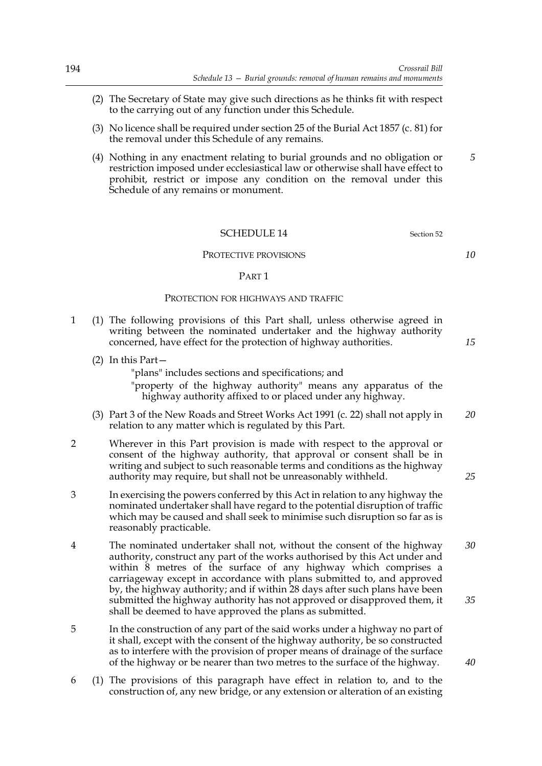- (2) The Secretary of State may give such directions as he thinks fit with respect to the carrying out of any function under this Schedule.
- (3) No licence shall be required under section 25 of the Burial Act 1857 (c. 81) for the removal under this Schedule of any remains.
- (4) Nothing in any enactment relating to burial grounds and no obligation or restriction imposed under ecclesiastical law or otherwise shall have effect to prohibit, restrict or impose any condition on the removal under this Schedule of any remains or monument.

### SCHEDULE 14 Section 52

#### PROTECTIVE PROVISIONS

#### PART 1

#### PROTECTION FOR HIGHWAYS AND TRAFFIC

- 1 (1) The following provisions of this Part shall, unless otherwise agreed in writing between the nominated undertaker and the highway authority concerned, have effect for the protection of highway authorities.
	- (2) In this Part—

"plans" includes sections and specifications; and

"property of the highway authority" means any apparatus of the highway authority affixed to or placed under any highway.

- (3) Part 3 of the New Roads and Street Works Act 1991 (c. 22) shall not apply in relation to any matter which is regulated by this Part. *20*
- 2 Wherever in this Part provision is made with respect to the approval or consent of the highway authority, that approval or consent shall be in writing and subject to such reasonable terms and conditions as the highway authority may require, but shall not be unreasonably withheld.
- 3 In exercising the powers conferred by this Act in relation to any highway the nominated undertaker shall have regard to the potential disruption of traffic which may be caused and shall seek to minimise such disruption so far as is reasonably practicable.
- 4 The nominated undertaker shall not, without the consent of the highway authority, construct any part of the works authorised by this Act under and within 8 metres of the surface of any highway which comprises a carriageway except in accordance with plans submitted to, and approved by, the highway authority; and if within 28 days after such plans have been submitted the highway authority has not approved or disapproved them, it shall be deemed to have approved the plans as submitted. *30 35*
- 5 In the construction of any part of the said works under a highway no part of it shall, except with the consent of the highway authority, be so constructed as to interfere with the provision of proper means of drainage of the surface of the highway or be nearer than two metres to the surface of the highway.
- 6 (1) The provisions of this paragraph have effect in relation to, and to the construction of, any new bridge, or any extension or alteration of an existing

*10*

*15*

*25*

*40*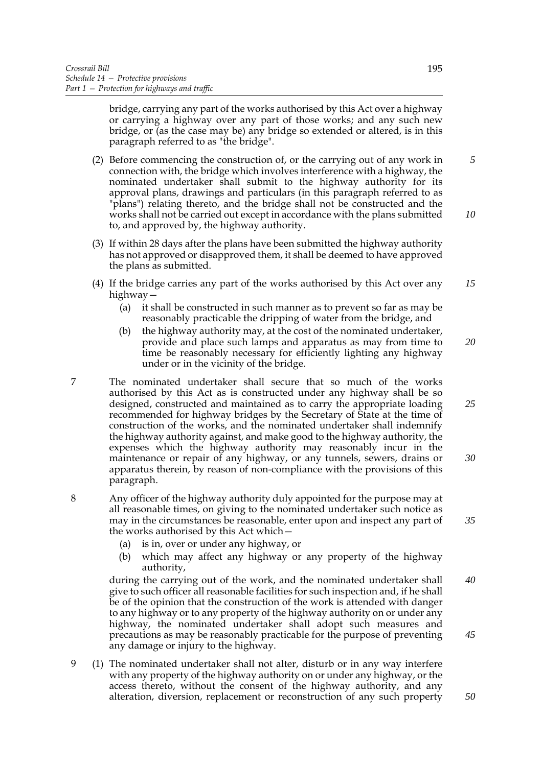bridge, carrying any part of the works authorised by this Act over a highway or carrying a highway over any part of those works; and any such new bridge, or (as the case may be) any bridge so extended or altered, is in this paragraph referred to as "the bridge".

- (2) Before commencing the construction of, or the carrying out of any work in connection with, the bridge which involves interference with a highway, the nominated undertaker shall submit to the highway authority for its approval plans, drawings and particulars (in this paragraph referred to as "plans") relating thereto, and the bridge shall not be constructed and the works shall not be carried out except in accordance with the plans submitted to, and approved by, the highway authority.
- (3) If within 28 days after the plans have been submitted the highway authority has not approved or disapproved them, it shall be deemed to have approved the plans as submitted.
- (4) If the bridge carries any part of the works authorised by this Act over any highway— *15*
	- (a) it shall be constructed in such manner as to prevent so far as may be reasonably practicable the dripping of water from the bridge, and
	- (b) the highway authority may, at the cost of the nominated undertaker, provide and place such lamps and apparatus as may from time to time be reasonably necessary for efficiently lighting any highway under or in the vicinity of the bridge. *20*
- 7 The nominated undertaker shall secure that so much of the works authorised by this Act as is constructed under any highway shall be so designed, constructed and maintained as to carry the appropriate loading recommended for highway bridges by the Secretary of State at the time of construction of the works, and the nominated undertaker shall indemnify the highway authority against, and make good to the highway authority, the expenses which the highway authority may reasonably incur in the maintenance or repair of any highway, or any tunnels, sewers, drains or apparatus therein, by reason of non-compliance with the provisions of this paragraph.
- 8 Any officer of the highway authority duly appointed for the purpose may at all reasonable times, on giving to the nominated undertaker such notice as may in the circumstances be reasonable, enter upon and inspect any part of the works authorised by this Act which—
	- (a) is in, over or under any highway, or
	- (b) which may affect any highway or any property of the highway authority,

during the carrying out of the work, and the nominated undertaker shall give to such officer all reasonable facilities for such inspection and, if he shall be of the opinion that the construction of the work is attended with danger to any highway or to any property of the highway authority on or under any highway, the nominated undertaker shall adopt such measures and precautions as may be reasonably practicable for the purpose of preventing any damage or injury to the highway. *40 45*

9 (1) The nominated undertaker shall not alter, disturb or in any way interfere with any property of the highway authority on or under any highway, or the access thereto, without the consent of the highway authority, and any alteration, diversion, replacement or reconstruction of any such property *10*

*5*

*25*

*30*

*35*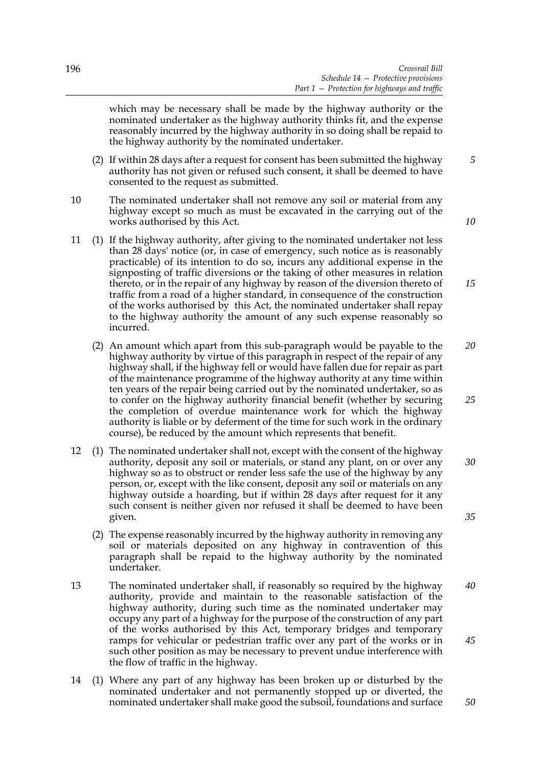which may be necessary shall be made by the highway authority or the nominated undertaker as the highway authority thinks fit, and the expense reasonably incurred by the highway authority in so doing shall be repaid to the highway authority by the nominated undertaker.

- (2) If within 28 days after a request for consent has been submitted the highway authority has not given or refused such consent, it shall be deemed to have consented to the request as submitted.
- 10 The nominated undertaker shall not remove any soil or material from any highway except so much as must be excavated in the carrying out of the works authorised by this Act.
- 11 (1) If the highway authority, after giving to the nominated undertaker not less than 28 days' notice (or, in case of emergency, such notice as is reasonably practicable) of its intention to do so, incurs any additional expense in the signposting of traffic diversions or the taking of other measures in relation thereto, or in the repair of any highway by reason of the diversion thereto of traffic from a road of a higher standard, in consequence of the construction of the works authorised by this Act, the nominated undertaker shall repay to the highway authority the amount of any such expense reasonably so incurred.
	- (2) An amount which apart from this sub-paragraph would be payable to the highway authority by virtue of this paragraph in respect of the repair of any highway shall, if the highway fell or would have fallen due for repair as part of the maintenance programme of the highway authority at any time within ten years of the repair being carried out by the nominated undertaker, so as to confer on the highway authority financial benefit (whether by securing the completion of overdue maintenance work for which the highway authority is liable or by deferment of the time for such work in the ordinary course), be reduced by the amount which represents that benefit. *20*
- 12 (1) The nominated undertaker shall not, except with the consent of the highway authority, deposit any soil or materials, or stand any plant, on or over any highway so as to obstruct or render less safe the use of the highway by any person, or, except with the like consent, deposit any soil or materials on any highway outside a hoarding, but if within 28 days after request for it any such consent is neither given nor refused it shall be deemed to have been given. *30*
	- (2) The expense reasonably incurred by the highway authority in removing any soil or materials deposited on any highway in contravention of this paragraph shall be repaid to the highway authority by the nominated undertaker.
- 13 The nominated undertaker shall, if reasonably so required by the highway authority, provide and maintain to the reasonable satisfaction of the highway authority, during such time as the nominated undertaker may occupy any part of a highway for the purpose of the construction of any part of the works authorised by this Act, temporary bridges and temporary ramps for vehicular or pedestrian traffic over any part of the works or in such other position as may be necessary to prevent undue interference with the flow of traffic in the highway. *40 45*
- 14 (1) Where any part of any highway has been broken up or disturbed by the nominated undertaker and not permanently stopped up or diverted, the nominated undertaker shall make good the subsoil, foundations and surface

*10*

*15*

*5*

*25*

*35*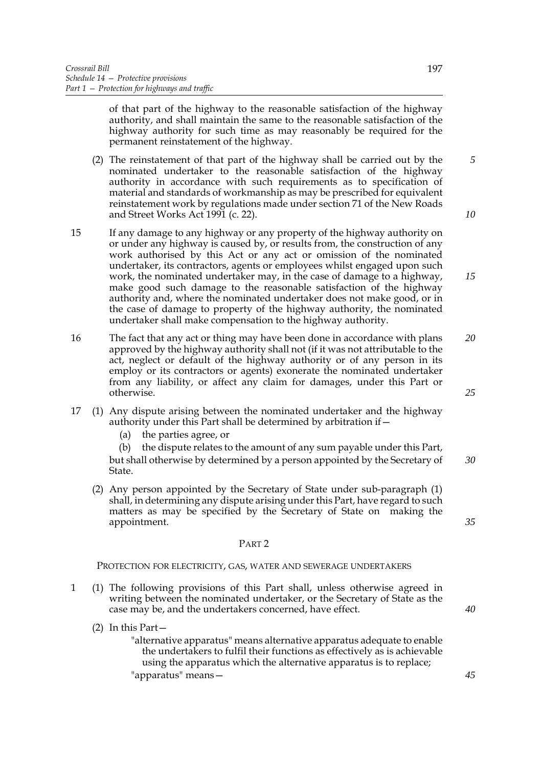of that part of the highway to the reasonable satisfaction of the highway authority, and shall maintain the same to the reasonable satisfaction of the highway authority for such time as may reasonably be required for the permanent reinstatement of the highway.

- (2) The reinstatement of that part of the highway shall be carried out by the nominated undertaker to the reasonable satisfaction of the highway authority in accordance with such requirements as to specification of material and standards of workmanship as may be prescribed for equivalent reinstatement work by regulations made under section 71 of the New Roads and Street Works Act 1991 (c. 22).
- 15 If any damage to any highway or any property of the highway authority on or under any highway is caused by, or results from, the construction of any work authorised by this Act or any act or omission of the nominated undertaker, its contractors, agents or employees whilst engaged upon such work, the nominated undertaker may, in the case of damage to a highway, make good such damage to the reasonable satisfaction of the highway authority and, where the nominated undertaker does not make good, or in the case of damage to property of the highway authority, the nominated undertaker shall make compensation to the highway authority.
- 16 The fact that any act or thing may have been done in accordance with plans approved by the highway authority shall not (if it was not attributable to the act, neglect or default of the highway authority or of any person in its employ or its contractors or agents) exonerate the nominated undertaker from any liability, or affect any claim for damages, under this Part or otherwise. *20*
- 17 (1) Any dispute arising between the nominated undertaker and the highway authority under this Part shall be determined by arbitration if—
	- (a) the parties agree, or

(b) the dispute relates to the amount of any sum payable under this Part, but shall otherwise by determined by a person appointed by the Secretary of State. *30*

(2) Any person appointed by the Secretary of State under sub-paragraph (1) shall, in determining any dispute arising under this Part, have regard to such matters as may be specified by the Secretary of State on making the appointment.

### PART 2

### PROTECTION FOR ELECTRICITY, GAS, WATER AND SEWERAGE UNDERTAKERS

- 1 (1) The following provisions of this Part shall, unless otherwise agreed in writing between the nominated undertaker, or the Secretary of State as the case may be, and the undertakers concerned, have effect.
	- (2) In this Part—

"alternative apparatus" means alternative apparatus adequate to enable the undertakers to fulfil their functions as effectively as is achievable using the apparatus which the alternative apparatus is to replace; "apparatus" means*10*

*15*

*5*

*25*

*35*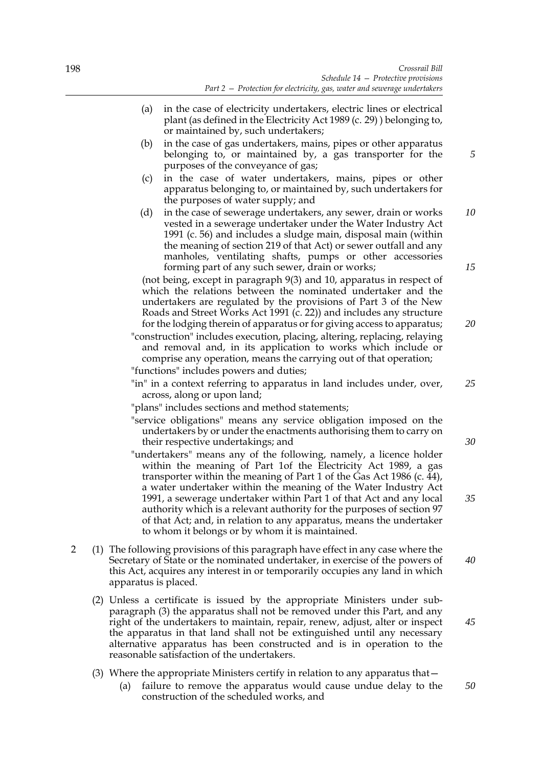- (a) in the case of electricity undertakers, electric lines or electrical plant (as defined in the Electricity Act 1989 (c. 29) ) belonging to, or maintained by, such undertakers;
- (b) in the case of gas undertakers, mains, pipes or other apparatus belonging to, or maintained by, a gas transporter for the purposes of the conveyance of gas;
- (c) in the case of water undertakers, mains, pipes or other apparatus belonging to, or maintained by, such undertakers for the purposes of water supply; and
- (d) in the case of sewerage undertakers, any sewer, drain or works vested in a sewerage undertaker under the Water Industry Act 1991 (c. 56) and includes a sludge main, disposal main (within the meaning of section 219 of that Act) or sewer outfall and any manholes, ventilating shafts, pumps or other accessories forming part of any such sewer, drain or works; *10 15*

(not being, except in paragraph 9(3) and 10, apparatus in respect of which the relations between the nominated undertaker and the undertakers are regulated by the provisions of Part 3 of the New Roads and Street Works Act 1991 (c. 22)) and includes any structure for the lodging therein of apparatus or for giving access to apparatus;

"construction" includes execution, placing, altering, replacing, relaying and removal and, in its application to works which include or comprise any operation, means the carrying out of that operation; "functions" includes powers and duties;

- "in" in a context referring to apparatus in land includes under, over, across, along or upon land; *25*
- "plans" includes sections and method statements;
- "service obligations" means any service obligation imposed on the undertakers by or under the enactments authorising them to carry on their respective undertakings; and
- "undertakers" means any of the following, namely, a licence holder within the meaning of Part 1of the Electricity Act 1989, a gas transporter within the meaning of Part 1 of the Gas Act 1986 (c.  $\tilde{4}4$ ), a water undertaker within the meaning of the Water Industry Act 1991, a sewerage undertaker within Part 1 of that Act and any local authority which is a relevant authority for the purposes of section 97 of that Act; and, in relation to any apparatus, means the undertaker to whom it belongs or by whom it is maintained.
- 2 (1) The following provisions of this paragraph have effect in any case where the Secretary of State or the nominated undertaker, in exercise of the powers of this Act, acquires any interest in or temporarily occupies any land in which apparatus is placed. *40*
	- (2) Unless a certificate is issued by the appropriate Ministers under subparagraph (3) the apparatus shall not be removed under this Part, and any right of the undertakers to maintain, repair, renew, adjust, alter or inspect the apparatus in that land shall not be extinguished until any necessary alternative apparatus has been constructed and is in operation to the reasonable satisfaction of the undertakers.
	- (3) Where the appropriate Ministers certify in relation to any apparatus that—
		- (a) failure to remove the apparatus would cause undue delay to the construction of the scheduled works, and *50*

*5*

*20*

*30*

*35*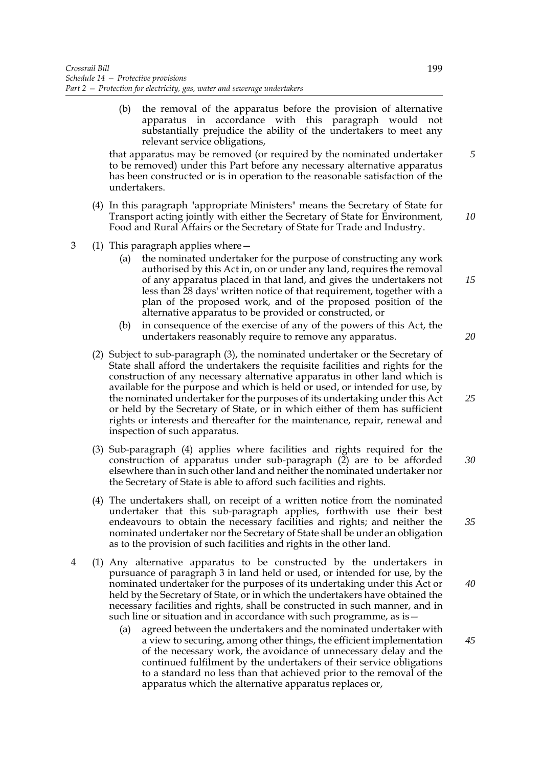(b) the removal of the apparatus before the provision of alternative apparatus in accordance with this paragraph would not substantially prejudice the ability of the undertakers to meet any relevant service obligations,

that apparatus may be removed (or required by the nominated undertaker to be removed) under this Part before any necessary alternative apparatus has been constructed or is in operation to the reasonable satisfaction of the undertakers.

- (4) In this paragraph "appropriate Ministers" means the Secretary of State for Transport acting jointly with either the Secretary of State for Environment, Food and Rural Affairs or the Secretary of State for Trade and Industry. *10*
- 3 (1) This paragraph applies where—
	- (a) the nominated undertaker for the purpose of constructing any work authorised by this Act in, on or under any land, requires the removal of any apparatus placed in that land, and gives the undertakers not less than 28 days' written notice of that requirement, together with a plan of the proposed work, and of the proposed position of the alternative apparatus to be provided or constructed, or
	- (b) in consequence of the exercise of any of the powers of this Act, the undertakers reasonably require to remove any apparatus.
	- (2) Subject to sub-paragraph (3), the nominated undertaker or the Secretary of State shall afford the undertakers the requisite facilities and rights for the construction of any necessary alternative apparatus in other land which is available for the purpose and which is held or used, or intended for use, by the nominated undertaker for the purposes of its undertaking under this Act or held by the Secretary of State, or in which either of them has sufficient rights or interests and thereafter for the maintenance, repair, renewal and inspection of such apparatus.
	- (3) Sub-paragraph (4) applies where facilities and rights required for the construction of apparatus under sub-paragraph  $(2)$  are to be afforded elsewhere than in such other land and neither the nominated undertaker nor the Secretary of State is able to afford such facilities and rights. *30*
	- (4) The undertakers shall, on receipt of a written notice from the nominated undertaker that this sub-paragraph applies, forthwith use their best endeavours to obtain the necessary facilities and rights; and neither the nominated undertaker nor the Secretary of State shall be under an obligation as to the provision of such facilities and rights in the other land.
- 4 (1) Any alternative apparatus to be constructed by the undertakers in pursuance of paragraph 3 in land held or used, or intended for use, by the nominated undertaker for the purposes of its undertaking under this Act or held by the Secretary of State, or in which the undertakers have obtained the necessary facilities and rights, shall be constructed in such manner, and in such line or situation and in accordance with such programme, as is
	- agreed between the undertakers and the nominated undertaker with a view to securing, among other things, the efficient implementation of the necessary work, the avoidance of unnecessary delay and the continued fulfilment by the undertakers of their service obligations to a standard no less than that achieved prior to the removal of the apparatus which the alternative apparatus replaces or,

*25*

*35*

*40*

*45*

*20*

*15*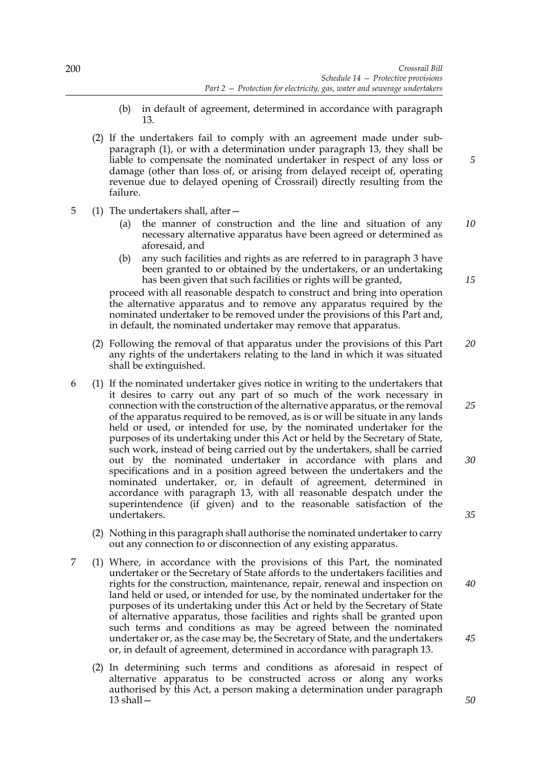- (b) in default of agreement, determined in accordance with paragraph 13.
- (2) If the undertakers fail to comply with an agreement made under subparagraph (1), or with a determination under paragraph 13, they shall be liable to compensate the nominated undertaker in respect of any loss or damage (other than loss of, or arising from delayed receipt of, operating revenue due to delayed opening of Crossrail) directly resulting from the failure.
- 5 (1) The undertakers shall, after—
	- (a) the manner of construction and the line and situation of any necessary alternative apparatus have been agreed or determined as aforesaid, and *10*
	- (b) any such facilities and rights as are referred to in paragraph 3 have been granted to or obtained by the undertakers, or an undertaking has been given that such facilities or rights will be granted,

proceed with all reasonable despatch to construct and bring into operation the alternative apparatus and to remove any apparatus required by the nominated undertaker to be removed under the provisions of this Part and, in default, the nominated undertaker may remove that apparatus.

- (2) Following the removal of that apparatus under the provisions of this Part any rights of the undertakers relating to the land in which it was situated shall be extinguished. *20*
- 6 (1) If the nominated undertaker gives notice in writing to the undertakers that it desires to carry out any part of so much of the work necessary in connection with the construction of the alternative apparatus, or the removal of the apparatus required to be removed, as is or will be situate in any lands held or used, or intended for use, by the nominated undertaker for the purposes of its undertaking under this Act or held by the Secretary of State, such work, instead of being carried out by the undertakers, shall be carried out by the nominated undertaker in accordance with plans and specifications and in a position agreed between the undertakers and the nominated undertaker, or, in default of agreement, determined in accordance with paragraph 13, with all reasonable despatch under the superintendence (if given) and to the reasonable satisfaction of the undertakers.
	- (2) Nothing in this paragraph shall authorise the nominated undertaker to carry out any connection to or disconnection of any existing apparatus.
- 7 (1) Where, in accordance with the provisions of this Part, the nominated undertaker or the Secretary of State affords to the undertakers facilities and rights for the construction, maintenance, repair, renewal and inspection on land held or used, or intended for use, by the nominated undertaker for the purposes of its undertaking under this Act or held by the Secretary of State of alternative apparatus, those facilities and rights shall be granted upon such terms and conditions as may be agreed between the nominated undertaker or, as the case may be, the Secretary of State, and the undertakers or, in default of agreement, determined in accordance with paragraph 13.
	- (2) In determining such terms and conditions as aforesaid in respect of alternative apparatus to be constructed across or along any works authorised by this Act, a person making a determination under paragraph 13 shall—

*15*

*5*

*25*

*30*

*35*

*40*

*50*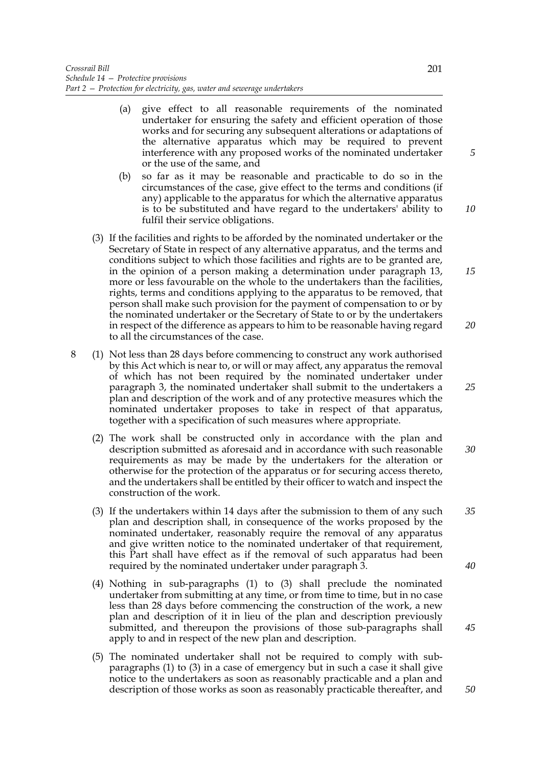- (a) give effect to all reasonable requirements of the nominated undertaker for ensuring the safety and efficient operation of those works and for securing any subsequent alterations or adaptations of the alternative apparatus which may be required to prevent interference with any proposed works of the nominated undertaker or the use of the same, and
- (b) so far as it may be reasonable and practicable to do so in the circumstances of the case, give effect to the terms and conditions (if any) applicable to the apparatus for which the alternative apparatus is to be substituted and have regard to the undertakers' ability to fulfil their service obligations.
- (3) If the facilities and rights to be afforded by the nominated undertaker or the Secretary of State in respect of any alternative apparatus, and the terms and conditions subject to which those facilities and rights are to be granted are, in the opinion of a person making a determination under paragraph 13, more or less favourable on the whole to the undertakers than the facilities, rights, terms and conditions applying to the apparatus to be removed, that person shall make such provision for the payment of compensation to or by the nominated undertaker or the Secretary of State to or by the undertakers in respect of the difference as appears to him to be reasonable having regard to all the circumstances of the case. *20*
- 8 (1) Not less than 28 days before commencing to construct any work authorised by this Act which is near to, or will or may affect, any apparatus the removal of which has not been required by the nominated undertaker under paragraph 3, the nominated undertaker shall submit to the undertakers a plan and description of the work and of any protective measures which the nominated undertaker proposes to take in respect of that apparatus, together with a specification of such measures where appropriate.
	- (2) The work shall be constructed only in accordance with the plan and description submitted as aforesaid and in accordance with such reasonable requirements as may be made by the undertakers for the alteration or otherwise for the protection of the apparatus or for securing access thereto, and the undertakers shall be entitled by their officer to watch and inspect the construction of the work. *30*
	- (3) If the undertakers within 14 days after the submission to them of any such plan and description shall, in consequence of the works proposed by the nominated undertaker, reasonably require the removal of any apparatus and give written notice to the nominated undertaker of that requirement, this Part shall have effect as if the removal of such apparatus had been required by the nominated undertaker under paragraph 3. *35*
	- (4) Nothing in sub-paragraphs (1) to (3) shall preclude the nominated undertaker from submitting at any time, or from time to time, but in no case less than 28 days before commencing the construction of the work, a new plan and description of it in lieu of the plan and description previously submitted, and thereupon the provisions of those sub-paragraphs shall apply to and in respect of the new plan and description.
	- (5) The nominated undertaker shall not be required to comply with subparagraphs (1) to (3) in a case of emergency but in such a case it shall give notice to the undertakers as soon as reasonably practicable and a plan and description of those works as soon as reasonably practicable thereafter, and

*5*

*10*

*15*

*25*

*40*

*45*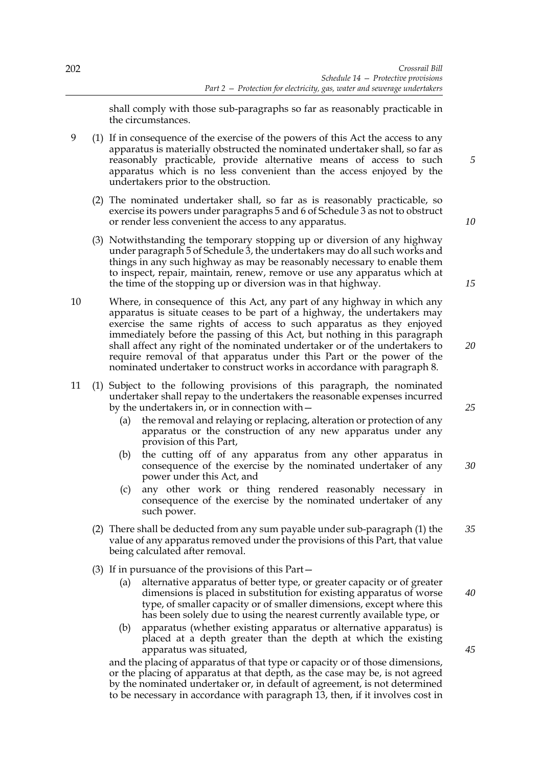shall comply with those sub-paragraphs so far as reasonably practicable in the circumstances.

9 (1) If in consequence of the exercise of the powers of this Act the access to any apparatus is materially obstructed the nominated undertaker shall, so far as reasonably practicable, provide alternative means of access to such apparatus which is no less convenient than the access enjoyed by the undertakers prior to the obstruction.

- (2) The nominated undertaker shall, so far as is reasonably practicable, so exercise its powers under paragraphs 5 and 6 of Schedule 3 as not to obstruct or render less convenient the access to any apparatus.
- (3) Notwithstanding the temporary stopping up or diversion of any highway under paragraph 5 of Schedule 3, the undertakers may do all such works and things in any such highway as may be reasonably necessary to enable them to inspect, repair, maintain, renew, remove or use any apparatus which at the time of the stopping up or diversion was in that highway.
- 10 Where, in consequence of this Act, any part of any highway in which any apparatus is situate ceases to be part of a highway, the undertakers may exercise the same rights of access to such apparatus as they enjoyed immediately before the passing of this Act, but nothing in this paragraph shall affect any right of the nominated undertaker or of the undertakers to require removal of that apparatus under this Part or the power of the nominated undertaker to construct works in accordance with paragraph 8.
- 11 (1) Subject to the following provisions of this paragraph, the nominated undertaker shall repay to the undertakers the reasonable expenses incurred by the undertakers in, or in connection with—
	- (a) the removal and relaying or replacing, alteration or protection of any apparatus or the construction of any new apparatus under any provision of this Part,
	- (b) the cutting off of any apparatus from any other apparatus in consequence of the exercise by the nominated undertaker of any power under this Act, and
	- (c) any other work or thing rendered reasonably necessary in consequence of the exercise by the nominated undertaker of any such power.
	- (2) There shall be deducted from any sum payable under sub-paragraph (1) the value of any apparatus removed under the provisions of this Part, that value being calculated after removal. *35*
	- (3) If in pursuance of the provisions of this Part—
		- (a) alternative apparatus of better type, or greater capacity or of greater dimensions is placed in substitution for existing apparatus of worse type, of smaller capacity or of smaller dimensions, except where this has been solely due to using the nearest currently available type, or
		- (b) apparatus (whether existing apparatus or alternative apparatus) is placed at a depth greater than the depth at which the existing apparatus was situated,

and the placing of apparatus of that type or capacity or of those dimensions, or the placing of apparatus at that depth, as the case may be, is not agreed by the nominated undertaker or, in default of agreement, is not determined to be necessary in accordance with paragraph 13, then, if it involves cost in

*10*

*5*

*15*

*20*

*25*

*30*

*45*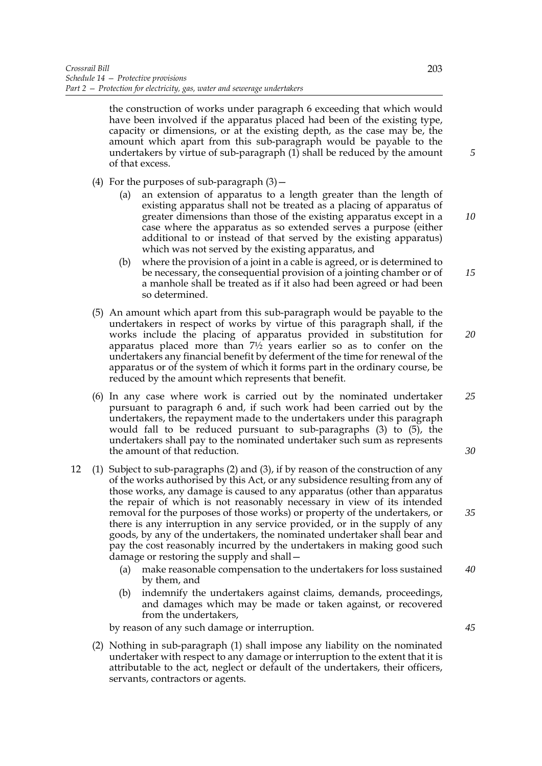the construction of works under paragraph 6 exceeding that which would have been involved if the apparatus placed had been of the existing type, capacity or dimensions, or at the existing depth, as the case may be, the amount which apart from this sub-paragraph would be payable to the undertakers by virtue of sub-paragraph (1) shall be reduced by the amount of that excess.

- (4) For the purposes of sub-paragraph  $(3)$  -
	- (a) an extension of apparatus to a length greater than the length of existing apparatus shall not be treated as a placing of apparatus of greater dimensions than those of the existing apparatus except in a case where the apparatus as so extended serves a purpose (either additional to or instead of that served by the existing apparatus) which was not served by the existing apparatus, and
	- (b) where the provision of a joint in a cable is agreed, or is determined to be necessary, the consequential provision of a jointing chamber or of a manhole shall be treated as if it also had been agreed or had been so determined. *15*
- (5) An amount which apart from this sub-paragraph would be payable to the undertakers in respect of works by virtue of this paragraph shall, if the works include the placing of apparatus provided in substitution for apparatus placed more than  $7\frac{1}{2}$  years earlier so as to confer on the undertakers any financial benefit by deferment of the time for renewal of the apparatus or of the system of which it forms part in the ordinary course, be reduced by the amount which represents that benefit.
- (6) In any case where work is carried out by the nominated undertaker pursuant to paragraph 6 and, if such work had been carried out by the undertakers, the repayment made to the undertakers under this paragraph would fall to be reduced pursuant to sub-paragraphs (3) to (5), the undertakers shall pay to the nominated undertaker such sum as represents the amount of that reduction. *25*
- 12 (1) Subject to sub-paragraphs (2) and (3), if by reason of the construction of any of the works authorised by this Act, or any subsidence resulting from any of those works, any damage is caused to any apparatus (other than apparatus the repair of which is not reasonably necessary in view of its intended removal for the purposes of those works) or property of the undertakers, or there is any interruption in any service provided, or in the supply of any goods, by any of the undertakers, the nominated undertaker shall bear and pay the cost reasonably incurred by the undertakers in making good such damage or restoring the supply and shall—
	- (a) make reasonable compensation to the undertakers for loss sustained by them, and *40*
	- (b) indemnify the undertakers against claims, demands, proceedings, and damages which may be made or taken against, or recovered from the undertakers,

by reason of any such damage or interruption.

(2) Nothing in sub-paragraph (1) shall impose any liability on the nominated undertaker with respect to any damage or interruption to the extent that it is attributable to the act, neglect or default of the undertakers, their officers, servants, contractors or agents.

*5*

*10*

*20*

*30*

*35*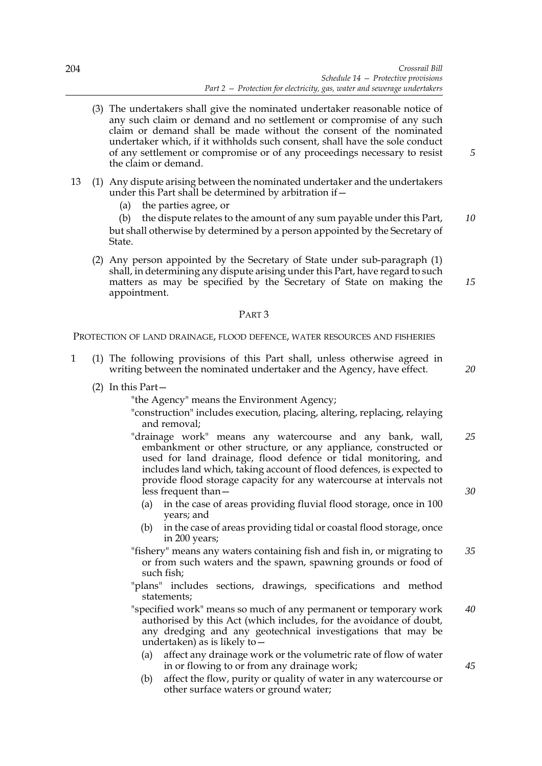- (3) The undertakers shall give the nominated undertaker reasonable notice of any such claim or demand and no settlement or compromise of any such claim or demand shall be made without the consent of the nominated undertaker which, if it withholds such consent, shall have the sole conduct of any settlement or compromise or of any proceedings necessary to resist the claim or demand.
- 13 (1) Any dispute arising between the nominated undertaker and the undertakers under this Part shall be determined by arbitration if—
	- (a) the parties agree, or

(b) the dispute relates to the amount of any sum payable under this Part, but shall otherwise by determined by a person appointed by the Secretary of State. *10*

(2) Any person appointed by the Secretary of State under sub-paragraph (1) shall, in determining any dispute arising under this Part, have regard to such matters as may be specified by the Secretary of State on making the appointment.

## PART 3

PROTECTION OF LAND DRAINAGE, FLOOD DEFENCE, WATER RESOURCES AND FISHERIES

- 1 (1) The following provisions of this Part shall, unless otherwise agreed in writing between the nominated undertaker and the Agency, have effect.
	- (2) In this Part—
		- "the Agency" means the Environment Agency;
		- "construction" includes execution, placing, altering, replacing, relaying and removal;
		- "drainage work" means any watercourse and any bank, wall, embankment or other structure, or any appliance, constructed or used for land drainage, flood defence or tidal monitoring, and includes land which, taking account of flood defences, is expected to provide flood storage capacity for any watercourse at intervals not less frequent than— *25 30*
			- (a) in the case of areas providing fluvial flood storage, once in 100 years; and
			- (b) in the case of areas providing tidal or coastal flood storage, once in 200 years;
		- "fishery" means any waters containing fish and fish in, or migrating to or from such waters and the spawn, spawning grounds or food of such fish; *35*
		- "plans" includes sections, drawings, specifications and method statements;
		- "specified work" means so much of any permanent or temporary work authorised by this Act (which includes, for the avoidance of doubt, any dredging and any geotechnical investigations that may be undertaken) as is likely to— *40*
			- (a) affect any drainage work or the volumetric rate of flow of water in or flowing to or from any drainage work;
			- (b) affect the flow, purity or quality of water in any watercourse or other surface waters or ground water;

*5*

*15*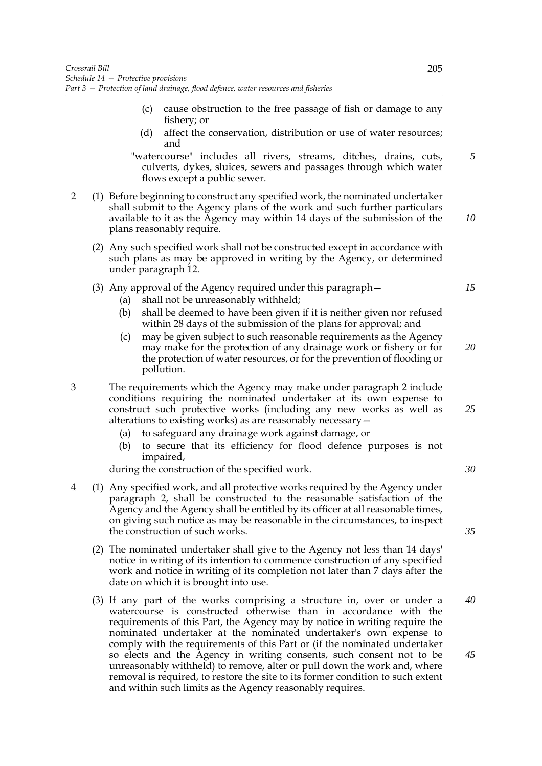- (c) cause obstruction to the free passage of fish or damage to any fishery; or
- (d) affect the conservation, distribution or use of water resources; and

"watercourse" includes all rivers, streams, ditches, drains, cuts, culverts, dykes, sluices, sewers and passages through which water flows except a public sewer.

- 2 (1) Before beginning to construct any specified work, the nominated undertaker shall submit to the Agency plans of the work and such further particulars available to it as the Agency may within 14 days of the submission of the plans reasonably require.
	- (2) Any such specified work shall not be constructed except in accordance with such plans as may be approved in writing by the Agency, or determined under paragraph 12.
	- (3) Any approval of the Agency required under this paragraph—
		- (a) shall not be unreasonably withheld;
		- (b) shall be deemed to have been given if it is neither given nor refused within 28 days of the submission of the plans for approval; and
		- (c) may be given subject to such reasonable requirements as the Agency may make for the protection of any drainage work or fishery or for the protection of water resources, or for the prevention of flooding or pollution.
- 3 The requirements which the Agency may make under paragraph 2 include conditions requiring the nominated undertaker at its own expense to construct such protective works (including any new works as well as alterations to existing works) as are reasonably necessary—
	- (a) to safeguard any drainage work against damage, or
	- (b) to secure that its efficiency for flood defence purposes is not impaired,

during the construction of the specified work.

- 4 (1) Any specified work, and all protective works required by the Agency under paragraph 2, shall be constructed to the reasonable satisfaction of the Agency and the Agency shall be entitled by its officer at all reasonable times, on giving such notice as may be reasonable in the circumstances, to inspect the construction of such works.
	- (2) The nominated undertaker shall give to the Agency not less than 14 days' notice in writing of its intention to commence construction of any specified work and notice in writing of its completion not later than 7 days after the date on which it is brought into use.
	- (3) If any part of the works comprising a structure in, over or under a watercourse is constructed otherwise than in accordance with the requirements of this Part, the Agency may by notice in writing require the nominated undertaker at the nominated undertaker's own expense to comply with the requirements of this Part or (if the nominated undertaker so elects and the Agency in writing consents, such consent not to be unreasonably withheld) to remove, alter or pull down the work and, where removal is required, to restore the site to its former condition to such extent and within such limits as the Agency reasonably requires.

*5*

*10*

*15*

*20*

*25*

*30*

*35*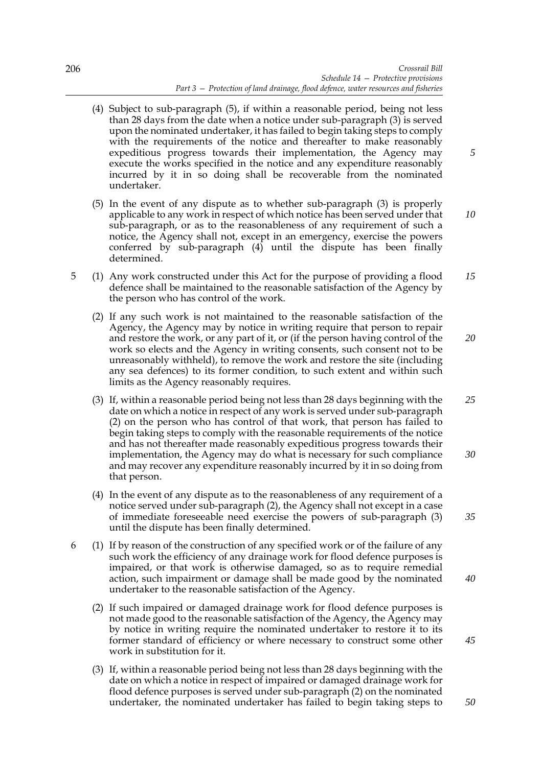- (4) Subject to sub-paragraph (5), if within a reasonable period, being not less than 28 days from the date when a notice under sub-paragraph (3) is served upon the nominated undertaker, it has failed to begin taking steps to comply with the requirements of the notice and thereafter to make reasonably expeditious progress towards their implementation, the Agency may execute the works specified in the notice and any expenditure reasonably incurred by it in so doing shall be recoverable from the nominated undertaker.
- (5) In the event of any dispute as to whether sub-paragraph (3) is properly applicable to any work in respect of which notice has been served under that sub-paragraph, or as to the reasonableness of any requirement of such a notice, the Agency shall not, except in an emergency, exercise the powers conferred by sub-paragraph  $(4)$  until the dispute has been finally determined. *10*
- 5 (1) Any work constructed under this Act for the purpose of providing a flood defence shall be maintained to the reasonable satisfaction of the Agency by the person who has control of the work. *15*
	- (2) If any such work is not maintained to the reasonable satisfaction of the Agency, the Agency may by notice in writing require that person to repair and restore the work, or any part of it, or (if the person having control of the work so elects and the Agency in writing consents, such consent not to be unreasonably withheld), to remove the work and restore the site (including any sea defences) to its former condition, to such extent and within such limits as the Agency reasonably requires. *20*
	- (3) If, within a reasonable period being not less than 28 days beginning with the date on which a notice in respect of any work is served under sub-paragraph (2) on the person who has control of that work, that person has failed to begin taking steps to comply with the reasonable requirements of the notice and has not thereafter made reasonably expeditious progress towards their implementation, the Agency may do what is necessary for such compliance and may recover any expenditure reasonably incurred by it in so doing from that person. *25 30*
	- (4) In the event of any dispute as to the reasonableness of any requirement of a notice served under sub-paragraph (2), the Agency shall not except in a case of immediate foreseeable need exercise the powers of sub-paragraph (3) until the dispute has been finally determined.
- 6 (1) If by reason of the construction of any specified work or of the failure of any such work the efficiency of any drainage work for flood defence purposes is impaired, or that work is otherwise damaged, so as to require remedial action, such impairment or damage shall be made good by the nominated undertaker to the reasonable satisfaction of the Agency. *40*
	- (2) If such impaired or damaged drainage work for flood defence purposes is not made good to the reasonable satisfaction of the Agency, the Agency may by notice in writing require the nominated undertaker to restore it to its former standard of efficiency or where necessary to construct some other work in substitution for it.
	- (3) If, within a reasonable period being not less than 28 days beginning with the date on which a notice in respect of impaired or damaged drainage work for flood defence purposes is served under sub-paragraph (2) on the nominated undertaker, the nominated undertaker has failed to begin taking steps to

*5*

*35*

*45*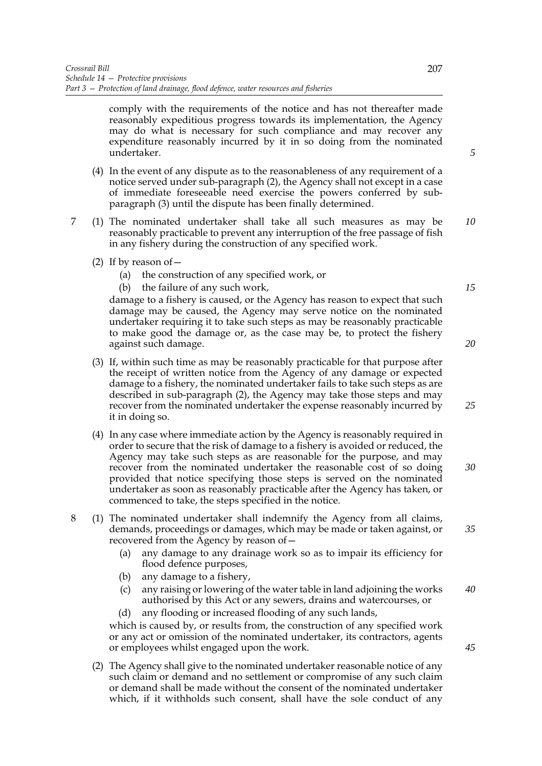comply with the requirements of the notice and has not thereafter made reasonably expeditious progress towards its implementation, the Agency may do what is necessary for such compliance and may recover any expenditure reasonably incurred by it in so doing from the nominated undertaker.

- (4) In the event of any dispute as to the reasonableness of any requirement of a notice served under sub-paragraph (2), the Agency shall not except in a case of immediate foreseeable need exercise the powers conferred by subparagraph (3) until the dispute has been finally determined.
- 7 (1) The nominated undertaker shall take all such measures as may be reasonably practicable to prevent any interruption of the free passage of fish in any fishery during the construction of any specified work. *10*
	- (2) If by reason of  $-$ 
		- (a) the construction of any specified work, or
		- (b) the failure of any such work,

damage to a fishery is caused, or the Agency has reason to expect that such damage may be caused, the Agency may serve notice on the nominated undertaker requiring it to take such steps as may be reasonably practicable to make good the damage or, as the case may be, to protect the fishery against such damage.

- (3) If, within such time as may be reasonably practicable for that purpose after the receipt of written notice from the Agency of any damage or expected damage to a fishery, the nominated undertaker fails to take such steps as are described in sub-paragraph (2), the Agency may take those steps and may recover from the nominated undertaker the expense reasonably incurred by it in doing so.
- (4) In any case where immediate action by the Agency is reasonably required in order to secure that the risk of damage to a fishery is avoided or reduced, the Agency may take such steps as are reasonable for the purpose, and may recover from the nominated undertaker the reasonable cost of so doing provided that notice specifying those steps is served on the nominated undertaker as soon as reasonably practicable after the Agency has taken, or commenced to take, the steps specified in the notice.
- 8 (1) The nominated undertaker shall indemnify the Agency from all claims, demands, proceedings or damages, which may be made or taken against, or recovered from the Agency by reason of—
	- (a) any damage to any drainage work so as to impair its efficiency for flood defence purposes,
	- (b) any damage to a fishery,
	- (c) any raising or lowering of the water table in land adjoining the works authorised by this Act or any sewers, drains and watercourses, or *40*
	- (d) any flooding or increased flooding of any such lands,

which is caused by, or results from, the construction of any specified work or any act or omission of the nominated undertaker, its contractors, agents or employees whilst engaged upon the work.

(2) The Agency shall give to the nominated undertaker reasonable notice of any such claim or demand and no settlement or compromise of any such claim or demand shall be made without the consent of the nominated undertaker which, if it withholds such consent, shall have the sole conduct of any *5*

*15*

*25*

*30*

*35*

*45*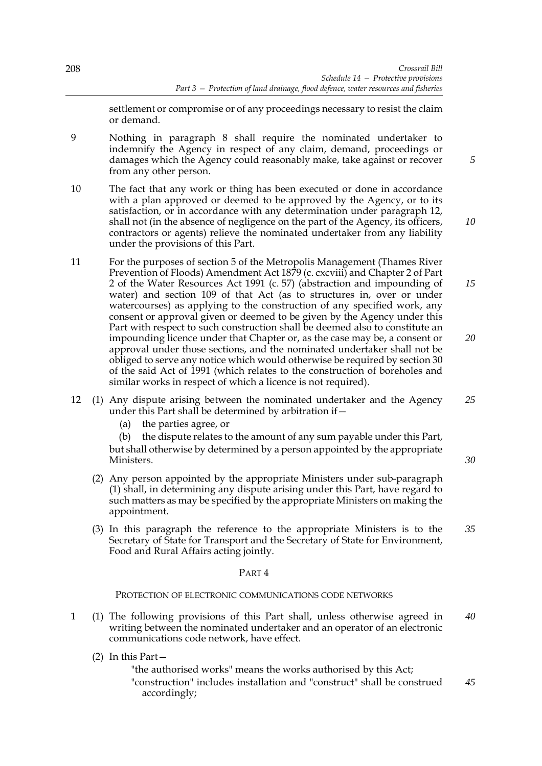*5*

*10*

*30*

settlement or compromise or of any proceedings necessary to resist the claim or demand.

9 Nothing in paragraph 8 shall require the nominated undertaker to indemnify the Agency in respect of any claim, demand, proceedings or damages which the Agency could reasonably make, take against or recover from any other person.

- 10 The fact that any work or thing has been executed or done in accordance with a plan approved or deemed to be approved by the Agency, or to its satisfaction, or in accordance with any determination under paragraph 12, shall not (in the absence of negligence on the part of the Agency, its officers, contractors or agents) relieve the nominated undertaker from any liability under the provisions of this Part.
- 11 For the purposes of section 5 of the Metropolis Management (Thames River Prevention of Floods) Amendment Act 1879 (c. cxcviii) and Chapter 2 of Part 2 of the Water Resources Act 1991 (c. 57) (abstraction and impounding of water) and section 109 of that Act (as to structures in, over or under watercourses) as applying to the construction of any specified work, any consent or approval given or deemed to be given by the Agency under this Part with respect to such construction shall be deemed also to constitute an impounding licence under that Chapter or, as the case may be, a consent or approval under those sections, and the nominated undertaker shall not be obliged to serve any notice which would otherwise be required by section 30 of the said Act of 1991 (which relates to the construction of boreholes and similar works in respect of which a licence is not required). *15 20*
- 12 (1) Any dispute arising between the nominated undertaker and the Agency under this Part shall be determined by arbitration if— *25*
	- (a) the parties agree, or

(b) the dispute relates to the amount of any sum payable under this Part, but shall otherwise by determined by a person appointed by the appropriate Ministers.

- (2) Any person appointed by the appropriate Ministers under sub-paragraph (1) shall, in determining any dispute arising under this Part, have regard to such matters as may be specified by the appropriate Ministers on making the appointment.
- (3) In this paragraph the reference to the appropriate Ministers is to the Secretary of State for Transport and the Secretary of State for Environment, Food and Rural Affairs acting jointly. *35*

### PART 4

PROTECTION OF ELECTRONIC COMMUNICATIONS CODE NETWORKS

- 1 (1) The following provisions of this Part shall, unless otherwise agreed in writing between the nominated undertaker and an operator of an electronic communications code network, have effect. *40*
	- (2) In this Part—

"the authorised works" means the works authorised by this Act; "construction" includes installation and "construct" shall be construed accordingly; *45*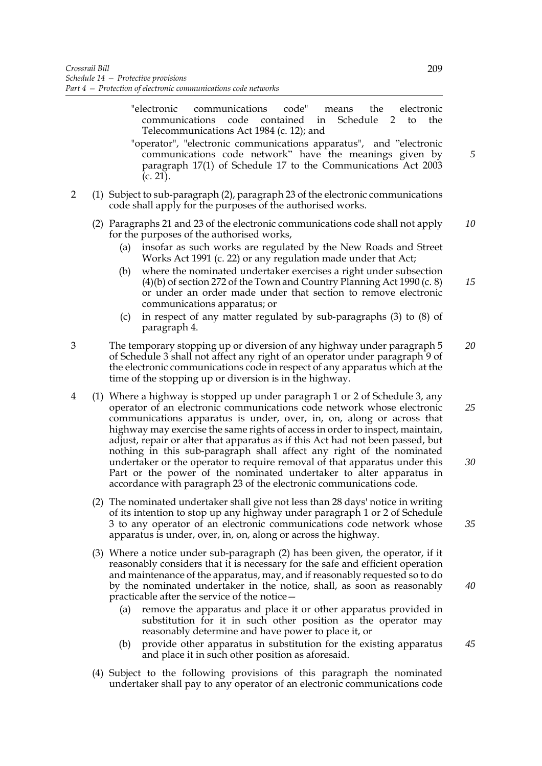- "electronic communications code" means the electronic communications code contained in Schedule 2 to the Telecommunications Act 1984 (c. 12); and
- "operator", "electronic communications apparatus", and "electronic communications code network" have the meanings given by paragraph 17(1) of Schedule 17 to the Communications Act 2003 (c. 21).
- 2 (1) Subject to sub-paragraph (2), paragraph 23 of the electronic communications code shall apply for the purposes of the authorised works.
	- (2) Paragraphs 21 and 23 of the electronic communications code shall not apply for the purposes of the authorised works, *10*
		- (a) insofar as such works are regulated by the New Roads and Street Works Act 1991 (c. 22) or any regulation made under that Act;
		- (b) where the nominated undertaker exercises a right under subsection (4)(b) of section 272 of the Town and Country Planning Act 1990 (c. 8) or under an order made under that section to remove electronic communications apparatus; or *15*
		- (c) in respect of any matter regulated by sub-paragraphs (3) to (8) of paragraph 4.
- 3 The temporary stopping up or diversion of any highway under paragraph 5 of Schedule 3 shall not affect any right of an operator under paragraph 9 of the electronic communications code in respect of any apparatus which at the time of the stopping up or diversion is in the highway. *20*
- 4 (1) Where a highway is stopped up under paragraph 1 or 2 of Schedule 3, any operator of an electronic communications code network whose electronic communications apparatus is under, over, in, on, along or across that highway may exercise the same rights of access in order to inspect, maintain, adjust, repair or alter that apparatus as if this Act had not been passed, but nothing in this sub-paragraph shall affect any right of the nominated undertaker or the operator to require removal of that apparatus under this Part or the power of the nominated undertaker to alter apparatus in accordance with paragraph 23 of the electronic communications code. *25 30*
	- (2) The nominated undertaker shall give not less than 28 days' notice in writing of its intention to stop up any highway under paragraph 1 or 2 of Schedule 3 to any operator of an electronic communications code network whose apparatus is under, over, in, on, along or across the highway.
	- (3) Where a notice under sub-paragraph (2) has been given, the operator, if it reasonably considers that it is necessary for the safe and efficient operation and maintenance of the apparatus, may, and if reasonably requested so to do by the nominated undertaker in the notice, shall, as soon as reasonably practicable after the service of the notice—
		- (a) remove the apparatus and place it or other apparatus provided in substitution for it in such other position as the operator may reasonably determine and have power to place it, or
		- (b) provide other apparatus in substitution for the existing apparatus and place it in such other position as aforesaid. *45*
	- (4) Subject to the following provisions of this paragraph the nominated undertaker shall pay to any operator of an electronic communications code

*5*

*40*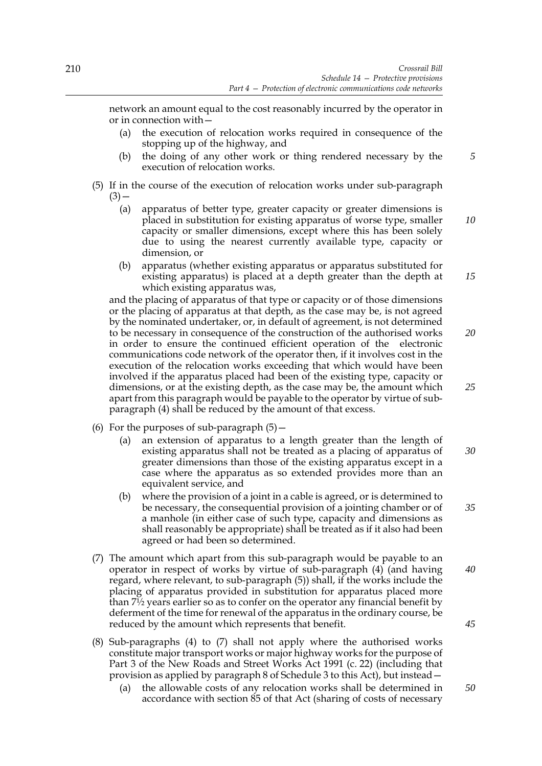network an amount equal to the cost reasonably incurred by the operator in or in connection with—

- (a) the execution of relocation works required in consequence of the stopping up of the highway, and
- (b) the doing of any other work or thing rendered necessary by the execution of relocation works.
- (5) If in the course of the execution of relocation works under sub-paragraph  $(3)$  —
	- (a) apparatus of better type, greater capacity or greater dimensions is placed in substitution for existing apparatus of worse type, smaller capacity or smaller dimensions, except where this has been solely due to using the nearest currently available type, capacity or dimension, or
	- (b) apparatus (whether existing apparatus or apparatus substituted for existing apparatus) is placed at a depth greater than the depth at which existing apparatus was,

and the placing of apparatus of that type or capacity or of those dimensions or the placing of apparatus at that depth, as the case may be, is not agreed by the nominated undertaker, or, in default of agreement, is not determined to be necessary in consequence of the construction of the authorised works in order to ensure the continued efficient operation of the electronic communications code network of the operator then, if it involves cost in the execution of the relocation works exceeding that which would have been involved if the apparatus placed had been of the existing type, capacity or dimensions, or at the existing depth, as the case may be, the amount which apart from this paragraph would be payable to the operator by virtue of subparagraph (4) shall be reduced by the amount of that excess.

- (6) For the purposes of sub-paragraph  $(5)$  -
	- (a) an extension of apparatus to a length greater than the length of existing apparatus shall not be treated as a placing of apparatus of greater dimensions than those of the existing apparatus except in a case where the apparatus as so extended provides more than an equivalent service, and *30*
	- (b) where the provision of a joint in a cable is agreed, or is determined to be necessary, the consequential provision of a jointing chamber or of a manhole (in either case of such type, capacity and dimensions as shall reasonably be appropriate) shall be treated as if it also had been agreed or had been so determined.
- (7) The amount which apart from this sub-paragraph would be payable to an operator in respect of works by virtue of sub-paragraph (4) (and having regard, where relevant, to sub-paragraph (5)) shall, if the works include the placing of apparatus provided in substitution for apparatus placed more than 7½ years earlier so as to confer on the operator any financial benefit by deferment of the time for renewal of the apparatus in the ordinary course, be reduced by the amount which represents that benefit. *40 45*
- (8) Sub-paragraphs (4) to (7) shall not apply where the authorised works constitute major transport works or major highway works for the purpose of Part 3 of the New Roads and Street Works Act 1991 (c. 22) (including that provision as applied by paragraph 8 of Schedule 3 to this Act), but instead—
	- (a) the allowable costs of any relocation works shall be determined in accordance with section 85 of that Act (sharing of costs of necessary *50*

*10*

*15*

*20*

*25*

*35*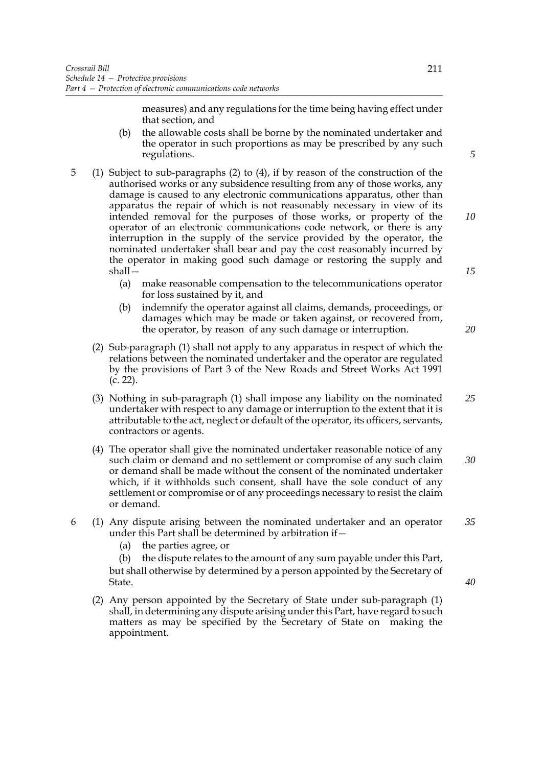measures) and any regulations for the time being having effect under that section, and

- (b) the allowable costs shall be borne by the nominated undertaker and the operator in such proportions as may be prescribed by any such regulations.
- 5 (1) Subject to sub-paragraphs (2) to (4), if by reason of the construction of the authorised works or any subsidence resulting from any of those works, any damage is caused to any electronic communications apparatus, other than apparatus the repair of which is not reasonably necessary in view of its intended removal for the purposes of those works, or property of the operator of an electronic communications code network, or there is any interruption in the supply of the service provided by the operator, the nominated undertaker shall bear and pay the cost reasonably incurred by the operator in making good such damage or restoring the supply and shall—
	- (a) make reasonable compensation to the telecommunications operator for loss sustained by it, and
	- (b) indemnify the operator against all claims, demands, proceedings, or damages which may be made or taken against, or recovered from, the operator, by reason of any such damage or interruption.
	- (2) Sub-paragraph (1) shall not apply to any apparatus in respect of which the relations between the nominated undertaker and the operator are regulated by the provisions of Part 3 of the New Roads and Street Works Act 1991 (c. 22).
	- (3) Nothing in sub-paragraph (1) shall impose any liability on the nominated undertaker with respect to any damage or interruption to the extent that it is attributable to the act, neglect or default of the operator, its officers, servants, contractors or agents. *25*
	- (4) The operator shall give the nominated undertaker reasonable notice of any such claim or demand and no settlement or compromise of any such claim or demand shall be made without the consent of the nominated undertaker which, if it withholds such consent, shall have the sole conduct of any settlement or compromise or of any proceedings necessary to resist the claim or demand. *30*
- 6 (1) Any dispute arising between the nominated undertaker and an operator under this Part shall be determined by arbitration if— *35*
	- (a) the parties agree, or

(b) the dispute relates to the amount of any sum payable under this Part, but shall otherwise by determined by a person appointed by the Secretary of State.

(2) Any person appointed by the Secretary of State under sub-paragraph (1) shall, in determining any dispute arising under this Part, have regard to such matters as may be specified by the Secretary of State on making the appointment.

*5*

*10*

*15*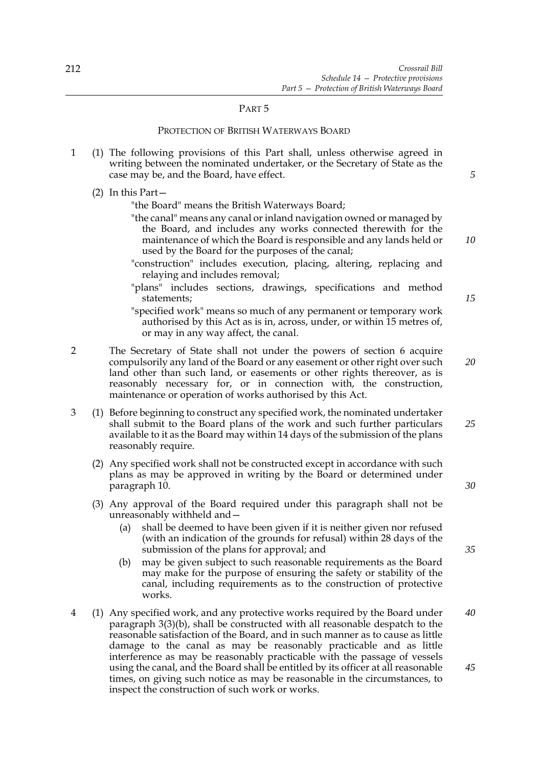### PART 5

## PROTECTION OF BRITISH WATERWAYS BOARD

- 1 (1) The following provisions of this Part shall, unless otherwise agreed in writing between the nominated undertaker, or the Secretary of State as the case may be, and the Board, have effect.
	- (2) In this Part—

"the Board" means the British Waterways Board;

- "the canal" means any canal or inland navigation owned or managed by the Board, and includes any works connected therewith for the maintenance of which the Board is responsible and any lands held or used by the Board for the purposes of the canal;
- "construction" includes execution, placing, altering, replacing and relaying and includes removal;
- "plans" includes sections, drawings, specifications and method statements;
- "specified work" means so much of any permanent or temporary work authorised by this Act as is in, across, under, or within 15 metres of, or may in any way affect, the canal.
- 2 The Secretary of State shall not under the powers of section 6 acquire compulsorily any land of the Board or any easement or other right over such land other than such land, or easements or other rights thereover, as is reasonably necessary for, or in connection with, the construction, maintenance or operation of works authorised by this Act.
- 3 (1) Before beginning to construct any specified work, the nominated undertaker shall submit to the Board plans of the work and such further particulars available to it as the Board may within 14 days of the submission of the plans reasonably require. *25*
	- (2) Any specified work shall not be constructed except in accordance with such plans as may be approved in writing by the Board or determined under paragraph 10.
	- (3) Any approval of the Board required under this paragraph shall not be unreasonably withheld and—
		- (a) shall be deemed to have been given if it is neither given nor refused (with an indication of the grounds for refusal) within 28 days of the submission of the plans for approval; and
		- (b) may be given subject to such reasonable requirements as the Board may make for the purpose of ensuring the safety or stability of the canal, including requirements as to the construction of protective works.
- 4 (1) Any specified work, and any protective works required by the Board under paragraph 3(3)(b), shall be constructed with all reasonable despatch to the reasonable satisfaction of the Board, and in such manner as to cause as little damage to the canal as may be reasonably practicable and as little interference as may be reasonably practicable with the passage of vessels using the canal, and the Board shall be entitled by its officer at all reasonable times, on giving such notice as may be reasonable in the circumstances, to inspect the construction of such work or works. *40 45*

*15*

*10*

*5*

*20*

*30*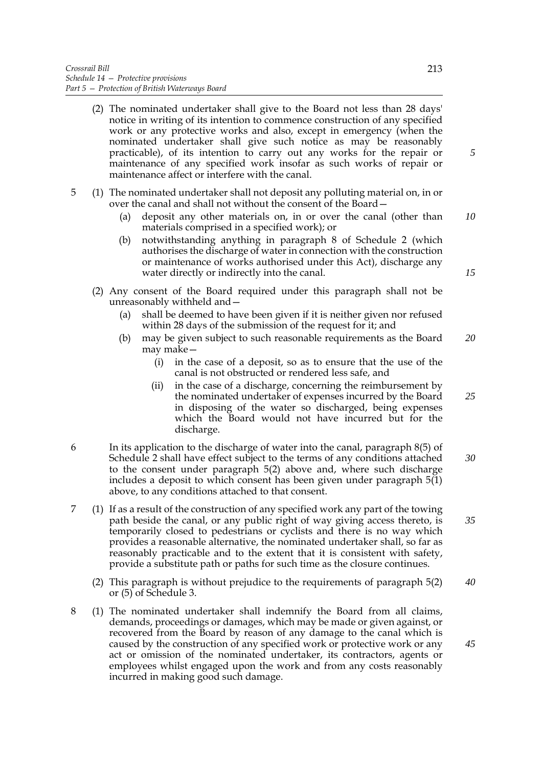- (2) The nominated undertaker shall give to the Board not less than 28 days' notice in writing of its intention to commence construction of any specified work or any protective works and also, except in emergency (when the nominated undertaker shall give such notice as may be reasonably practicable), of its intention to carry out any works for the repair or maintenance of any specified work insofar as such works of repair or maintenance affect or interfere with the canal.
- 5 (1) The nominated undertaker shall not deposit any polluting material on, in or over the canal and shall not without the consent of the Board—
	- (a) deposit any other materials on, in or over the canal (other than materials comprised in a specified work); or *10*
	- (b) notwithstanding anything in paragraph 8 of Schedule 2 (which authorises the discharge of water in connection with the construction or maintenance of works authorised under this Act), discharge any water directly or indirectly into the canal.
	- (2) Any consent of the Board required under this paragraph shall not be unreasonably withheld and—
		- (a) shall be deemed to have been given if it is neither given nor refused within 28 days of the submission of the request for it; and
		- (b) may be given subject to such reasonable requirements as the Board may make— *20*
			- (i) in the case of a deposit, so as to ensure that the use of the canal is not obstructed or rendered less safe, and
			- (ii) in the case of a discharge, concerning the reimbursement by the nominated undertaker of expenses incurred by the Board in disposing of the water so discharged, being expenses which the Board would not have incurred but for the discharge. *25*
- 6 In its application to the discharge of water into the canal, paragraph 8(5) of Schedule 2 shall have effect subject to the terms of any conditions attached to the consent under paragraph 5(2) above and, where such discharge includes a deposit to which consent has been given under paragraph 5(1) above, to any conditions attached to that consent. *30*
- 7 (1) If as a result of the construction of any specified work any part of the towing path beside the canal, or any public right of way giving access thereto, is temporarily closed to pedestrians or cyclists and there is no way which provides a reasonable alternative, the nominated undertaker shall, so far as reasonably practicable and to the extent that it is consistent with safety, provide a substitute path or paths for such time as the closure continues. *35*
	- (2) This paragraph is without prejudice to the requirements of paragraph 5(2) or (5) of Schedule 3. *40*
- 8 (1) The nominated undertaker shall indemnify the Board from all claims, demands, proceedings or damages, which may be made or given against, or recovered from the Board by reason of any damage to the canal which is caused by the construction of any specified work or protective work or any act or omission of the nominated undertaker, its contractors, agents or employees whilst engaged upon the work and from any costs reasonably incurred in making good such damage.

*5*

*15*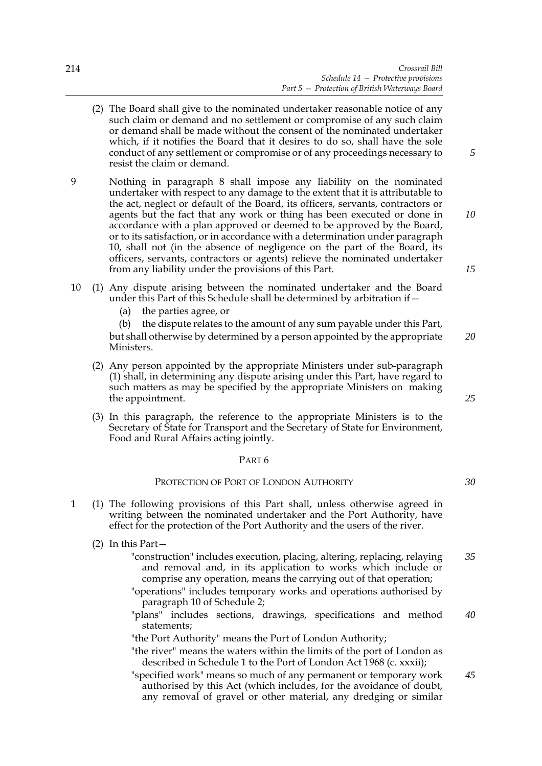- (2) The Board shall give to the nominated undertaker reasonable notice of any such claim or demand and no settlement or compromise of any such claim or demand shall be made without the consent of the nominated undertaker which, if it notifies the Board that it desires to do so, shall have the sole conduct of any settlement or compromise or of any proceedings necessary to resist the claim or demand.
- 9 Nothing in paragraph 8 shall impose any liability on the nominated undertaker with respect to any damage to the extent that it is attributable to the act, neglect or default of the Board, its officers, servants, contractors or agents but the fact that any work or thing has been executed or done in accordance with a plan approved or deemed to be approved by the Board, or to its satisfaction, or in accordance with a determination under paragraph 10, shall not (in the absence of negligence on the part of the Board, its officers, servants, contractors or agents) relieve the nominated undertaker from any liability under the provisions of this Part.
- 10 (1) Any dispute arising between the nominated undertaker and the Board under this Part of this Schedule shall be determined by arbitration if—
	- (a) the parties agree, or

(b) the dispute relates to the amount of any sum payable under this Part, but shall otherwise by determined by a person appointed by the appropriate Ministers. *20*

- (2) Any person appointed by the appropriate Ministers under sub-paragraph (1) shall, in determining any dispute arising under this Part, have regard to such matters as may be specified by the appropriate Ministers on making the appointment.
- (3) In this paragraph, the reference to the appropriate Ministers is to the Secretary of State for Transport and the Secretary of State for Environment, Food and Rural Affairs acting jointly.

## PART 6

## PROTECTION OF PORT OF LONDON AUTHORITY

- 1 (1) The following provisions of this Part shall, unless otherwise agreed in writing between the nominated undertaker and the Port Authority, have effect for the protection of the Port Authority and the users of the river.
	- (2) In this Part—
		- "construction" includes execution, placing, altering, replacing, relaying and removal and, in its application to works which include or comprise any operation, means the carrying out of that operation; *35*
			- "operations" includes temporary works and operations authorised by paragraph 10 of Schedule 2;
			- "plans" includes sections, drawings, specifications and method statements; *40*

"the Port Authority" means the Port of London Authority;

- "the river" means the waters within the limits of the port of London as described in Schedule 1 to the Port of London Act 1968 (c. xxxii);
- "specified work" means so much of any permanent or temporary work authorised by this Act (which includes, for the avoidance of doubt, any removal of gravel or other material, any dredging or similar *45*

*15*

*10*

*5*

*25*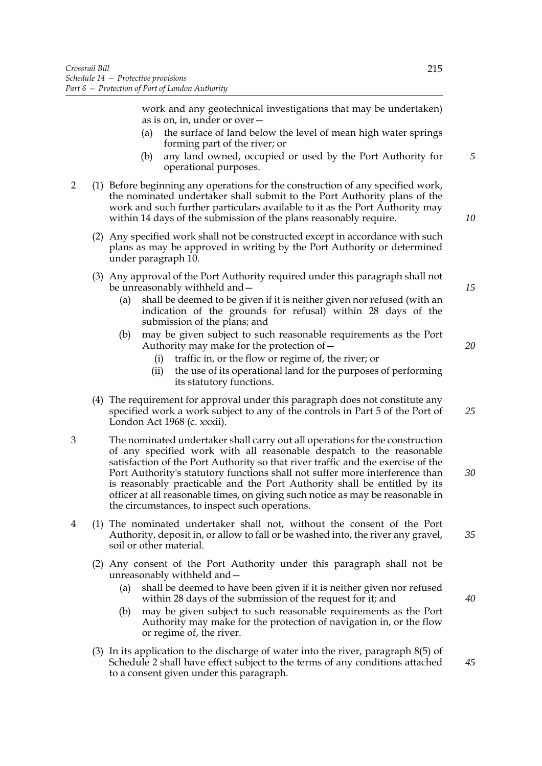work and any geotechnical investigations that may be undertaken) as is on, in, under or over—

- (a) the surface of land below the level of mean high water springs forming part of the river; or
- (b) any land owned, occupied or used by the Port Authority for operational purposes.
- 2 (1) Before beginning any operations for the construction of any specified work, the nominated undertaker shall submit to the Port Authority plans of the work and such further particulars available to it as the Port Authority may within 14 days of the submission of the plans reasonably require.
	- (2) Any specified work shall not be constructed except in accordance with such plans as may be approved in writing by the Port Authority or determined under paragraph 10.
	- (3) Any approval of the Port Authority required under this paragraph shall not be unreasonably withheld and—
		- (a) shall be deemed to be given if it is neither given nor refused (with an indication of the grounds for refusal) within 28 days of the submission of the plans; and
		- (b) may be given subject to such reasonable requirements as the Port Authority may make for the protection of—
			- (i) traffic in, or the flow or regime of, the river; or
			- (ii) the use of its operational land for the purposes of performing its statutory functions.
	- (4) The requirement for approval under this paragraph does not constitute any specified work a work subject to any of the controls in Part 5 of the Port of London Act 1968 (c. xxxii).
- 3 The nominated undertaker shall carry out all operations for the construction of any specified work with all reasonable despatch to the reasonable satisfaction of the Port Authority so that river traffic and the exercise of the Port Authority's statutory functions shall not suffer more interference than is reasonably practicable and the Port Authority shall be entitled by its officer at all reasonable times, on giving such notice as may be reasonable in the circumstances, to inspect such operations.
- 4 (1) The nominated undertaker shall not, without the consent of the Port Authority, deposit in, or allow to fall or be washed into, the river any gravel, soil or other material.
	- (2) Any consent of the Port Authority under this paragraph shall not be unreasonably withheld and—
		- (a) shall be deemed to have been given if it is neither given nor refused within 28 days of the submission of the request for it; and
		- (b) may be given subject to such reasonable requirements as the Port Authority may make for the protection of navigation in, or the flow or regime of, the river.
	- (3) In its application to the discharge of water into the river, paragraph 8(5) of Schedule 2 shall have effect subject to the terms of any conditions attached to a consent given under this paragraph.

*40*

*45*

*15*

*20*

*5*

*10*

*25*

*30*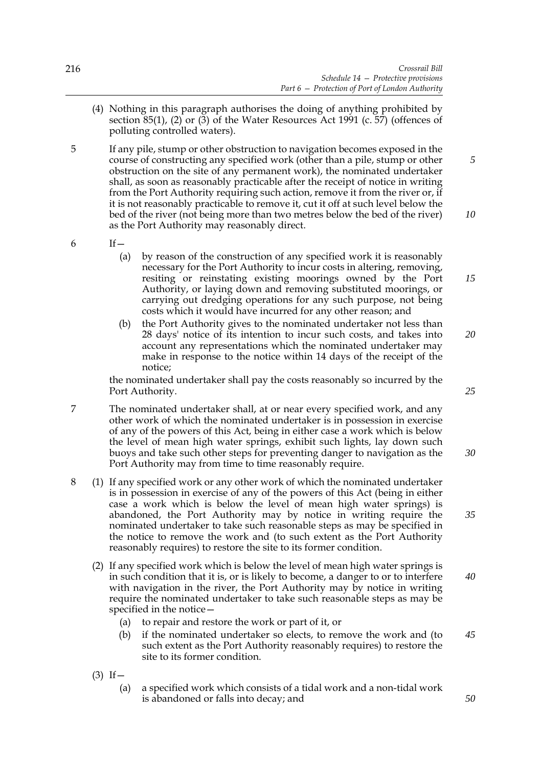- (4) Nothing in this paragraph authorises the doing of anything prohibited by section 85(1), (2) or (3) of the Water Resources Act 1991 (c. 57) (offences of polluting controlled waters).
- 5 If any pile, stump or other obstruction to navigation becomes exposed in the course of constructing any specified work (other than a pile, stump or other obstruction on the site of any permanent work), the nominated undertaker shall, as soon as reasonably practicable after the receipt of notice in writing from the Port Authority requiring such action, remove it from the river or, if it is not reasonably practicable to remove it, cut it off at such level below the bed of the river (not being more than two metres below the bed of the river) as the Port Authority may reasonably direct. *10*

 $6$  If  $-$ 

- (a) by reason of the construction of any specified work it is reasonably necessary for the Port Authority to incur costs in altering, removing, resiting or reinstating existing moorings owned by the Port Authority, or laying down and removing substituted moorings, or carrying out dredging operations for any such purpose, not being costs which it would have incurred for any other reason; and
- (b) the Port Authority gives to the nominated undertaker not less than 28 days' notice of its intention to incur such costs, and takes into account any representations which the nominated undertaker may make in response to the notice within 14 days of the receipt of the notice;

the nominated undertaker shall pay the costs reasonably so incurred by the Port Authority.

- 7 The nominated undertaker shall, at or near every specified work, and any other work of which the nominated undertaker is in possession in exercise of any of the powers of this Act, being in either case a work which is below the level of mean high water springs, exhibit such lights, lay down such buoys and take such other steps for preventing danger to navigation as the Port Authority may from time to time reasonably require. *30*
- 8 (1) If any specified work or any other work of which the nominated undertaker is in possession in exercise of any of the powers of this Act (being in either case a work which is below the level of mean high water springs) is abandoned, the Port Authority may by notice in writing require the nominated undertaker to take such reasonable steps as may be specified in the notice to remove the work and (to such extent as the Port Authority reasonably requires) to restore the site to its former condition.
	- (2) If any specified work which is below the level of mean high water springs is in such condition that it is, or is likely to become, a danger to or to interfere with navigation in the river, the Port Authority may by notice in writing require the nominated undertaker to take such reasonable steps as may be specified in the notice— *40*
		- (a) to repair and restore the work or part of it, or
		- (b) if the nominated undertaker so elects, to remove the work and (to such extent as the Port Authority reasonably requires) to restore the site to its former condition.
	- $(3)$  If
		- (a) a specified work which consists of a tidal work and a non-tidal work is abandoned or falls into decay; and

*25*

*35*

*20*

*15*

*5*

*50*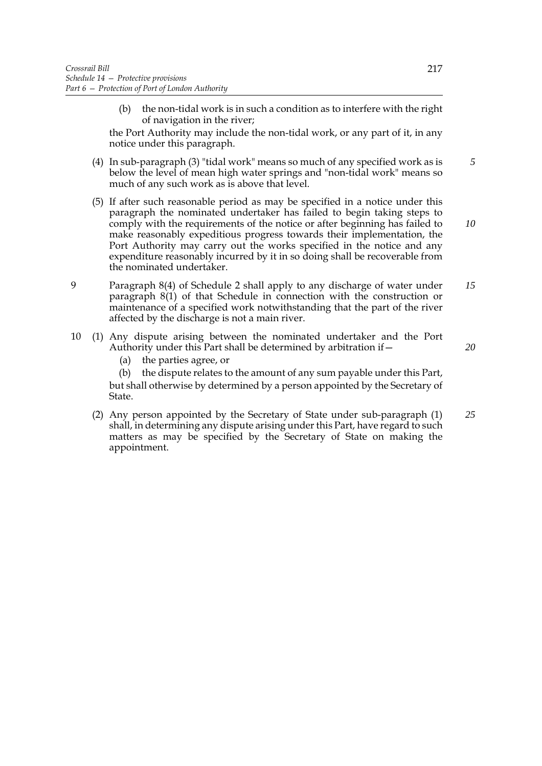(b) the non-tidal work is in such a condition as to interfere with the right of navigation in the river;

the Port Authority may include the non-tidal work, or any part of it, in any notice under this paragraph.

- (4) In sub-paragraph (3) "tidal work" means so much of any specified work as is below the level of mean high water springs and "non-tidal work" means so much of any such work as is above that level. *5*
- (5) If after such reasonable period as may be specified in a notice under this paragraph the nominated undertaker has failed to begin taking steps to comply with the requirements of the notice or after beginning has failed to make reasonably expeditious progress towards their implementation, the Port Authority may carry out the works specified in the notice and any expenditure reasonably incurred by it in so doing shall be recoverable from the nominated undertaker.
- 9 Paragraph 8(4) of Schedule 2 shall apply to any discharge of water under paragraph 8(1) of that Schedule in connection with the construction or maintenance of a specified work notwithstanding that the part of the river affected by the discharge is not a main river. *15*
- 10 (1) Any dispute arising between the nominated undertaker and the Port Authority under this Part shall be determined by arbitration if—
	- (a) the parties agree, or
	- (b) the dispute relates to the amount of any sum payable under this Part, but shall otherwise by determined by a person appointed by the Secretary of State.
	- (2) Any person appointed by the Secretary of State under sub-paragraph (1) shall, in determining any dispute arising under this Part, have regard to such matters as may be specified by the Secretary of State on making the appointment. *25*

*20*